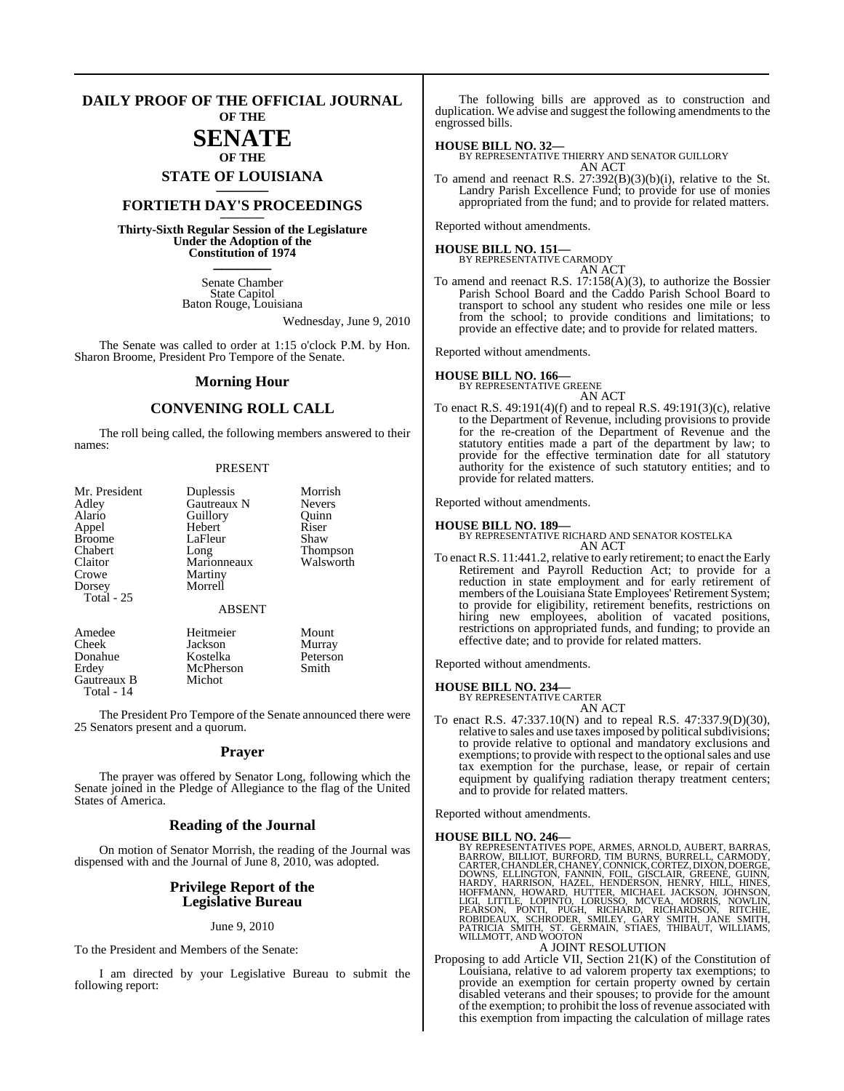#### **DAILY PROOF OF THE OFFICIAL JOURNAL OF THE**

### **SENATE OF THE**

**STATE OF LOUISIANA \_\_\_\_\_\_\_**

### **FORTIETH DAY'S PROCEEDINGS \_\_\_\_\_\_\_**

**Thirty-Sixth Regular Session of the Legislature Under the Adoption of the Constitution of 1974 \_\_\_\_\_\_\_**

> Senate Chamber State Capitol Baton Rouge, Louisiana

> > Wednesday, June 9, 2010

The Senate was called to order at 1:15 o'clock P.M. by Hon. Sharon Broome, President Pro Tempore of the Senate.

#### **Morning Hour**

### **CONVENING ROLL CALL**

The roll being called, the following members answered to their names:

#### PRESENT

| Mr. President | Duplessis     | Morrish       |
|---------------|---------------|---------------|
| Adley         | Gautreaux N   | <b>Nevers</b> |
| Alario        | Guillory      | Ouinn         |
| Appel         | Hebert        | Riser         |
| <b>Broome</b> | LaFleur       | Shaw          |
| Chabert       | Long          | Thompson      |
| Claitor       | Marionneaux   | Walsworth     |
| Crowe         | Martiny       |               |
| Dorsey        | Morrell       |               |
| Total - 25    |               |               |
|               | <b>ABSENT</b> |               |
| Amedee        | Heitmeier     | Mount         |
| Cheek         | Jackson       | Murray        |
| Donahue       | Kostelka      | Peterson      |
| Erdev         | McPherson     | Smith         |

McPherson<br>Michot Gautreaux B Total - 14

The President Pro Tempore of the Senate announced there were 25 Senators present and a quorum.

#### **Prayer**

The prayer was offered by Senator Long, following which the Senate joined in the Pledge of Allegiance to the flag of the United States of America.

#### **Reading of the Journal**

On motion of Senator Morrish, the reading of the Journal was dispensed with and the Journal of June 8, 2010, was adopted.

#### **Privilege Report of the Legislative Bureau**

#### June 9, 2010

To the President and Members of the Senate:

I am directed by your Legislative Bureau to submit the following report:

The following bills are approved as to construction and duplication. We advise and suggest the following amendments to the engrossed bills.

#### **HOUSE BILL NO. 32—**

BY REPRESENTATIVE THIERRY AND SENATOR GUILLORY AN ACT

To amend and reenact R.S. 27:392(B)(3)(b)(i), relative to the St. Landry Parish Excellence Fund; to provide for use of monies appropriated from the fund; and to provide for related matters.

Reported without amendments.

**HOUSE BILL NO. 151—** BY REPRESENTATIVE CARMODY AN ACT

To amend and reenact R.S. 17:158(A)(3), to authorize the Bossier Parish School Board and the Caddo Parish School Board to transport to school any student who resides one mile or less from the school; to provide conditions and limitations; to provide an effective date; and to provide for related matters.

Reported without amendments.

#### **HOUSE BILL NO. 166—**

BY REPRESENTATIVE GREENE AN ACT

To enact R.S. 49:191(4)(f) and to repeal R.S. 49:191(3)(c), relative to the Department of Revenue, including provisions to provide for the re-creation of the Department of Revenue and the statutory entities made a part of the department by law; to provide for the effective termination date for all statutory authority for the existence of such statutory entities; and to provide for related matters.

Reported without amendments.

**HOUSE BILL NO. 189—** BY REPRESENTATIVE RICHARD AND SENATOR KOSTELKA AN ACT

To enact R.S. 11:441.2, relative to early retirement; to enact the Early Retirement and Payroll Reduction Act; to provide for a reduction in state employment and for early retirement of members of the Louisiana State Employees' Retirement System; to provide for eligibility, retirement benefits, restrictions on hiring new employees, abolition of vacated positions, restrictions on appropriated funds, and funding; to provide an effective date; and to provide for related matters.

Reported without amendments.

#### **HOUSE BILL NO. 234—**

BY REPRESENTATIVE CARTER AN ACT

To enact R.S. 47:337.10(N) and to repeal R.S. 47:337.9(D)(30), relative to sales and use taxes imposed by political subdivisions; to provide relative to optional and mandatory exclusions and exemptions; to provide with respect to the optional sales and use tax exemption for the purchase, lease, or repair of certain equipment by qualifying radiation therapy treatment centers; and to provide for related matters.

Reported without amendments.

HOUSE BILL NO. 246—<br>
BY REPRESENTATIVES POPE, ARMES, ARNOLD, AUBERT, BARRAS,<br>
BARROW, BILLIOT, BURFORD, TIM BURNS, BURRELL, CARMODY,<br>
CARTER, CHANDLER, CHANEY, CONNICK, CORTEZ, DIXON, DOERGE,<br>
DOWNS, ELLINGTON, FANNIN, FOI

#### A JOINT RESOLUTION

Proposing to add Article VII, Section 21(K) of the Constitution of Louisiana, relative to ad valorem property tax exemptions; to provide an exemption for certain property owned by certain disabled veterans and their spouses; to provide for the amount of the exemption; to prohibit the loss of revenue associated with this exemption from impacting the calculation of millage rates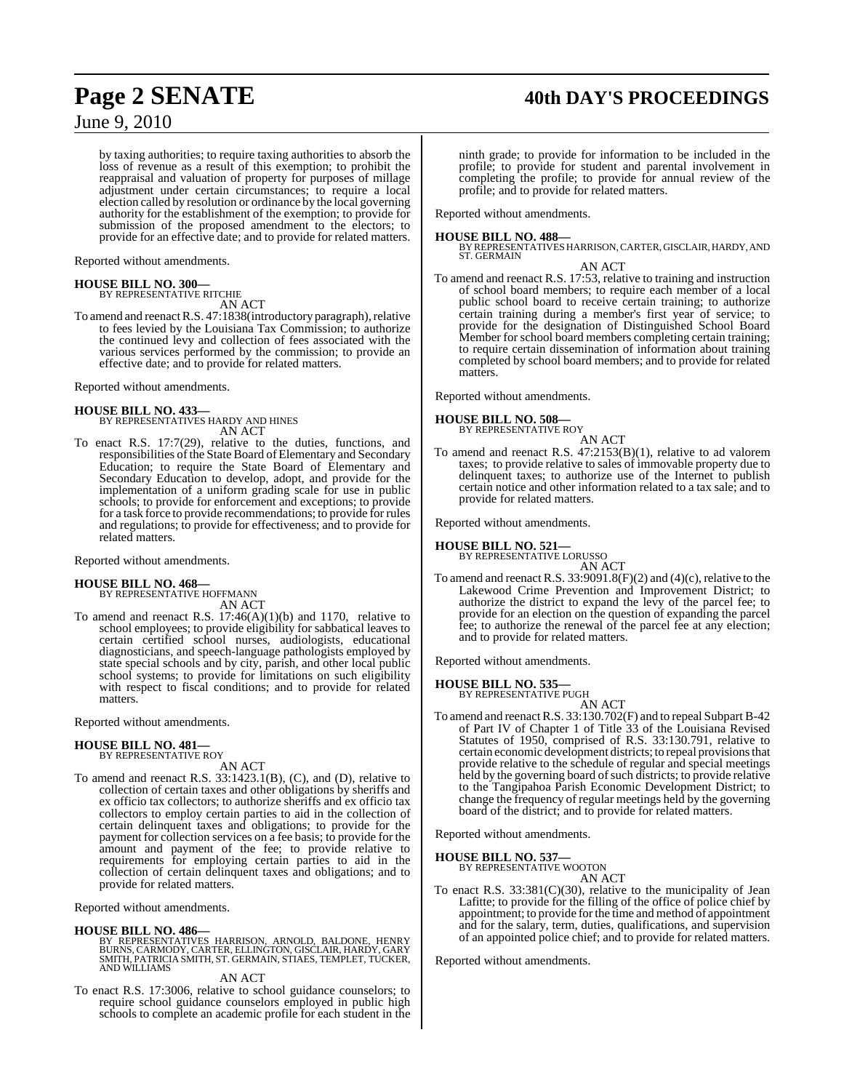## **Page 2 SENATE 40th DAY'S PROCEEDINGS**

June 9, 2010

by taxing authorities; to require taxing authorities to absorb the loss of revenue as a result of this exemption; to prohibit the reappraisal and valuation of property for purposes of millage adjustment under certain circumstances; to require a local election called by resolution or ordinance by the local governing authority for the establishment of the exemption; to provide for submission of the proposed amendment to the electors; to provide for an effective date; and to provide for related matters.

Reported without amendments.

### **HOUSE BILL NO. 300—** BY REPRESENTATIVE RITCHIE

AN ACT

To amend and reenact R.S. 47:1838(introductory paragraph), relative to fees levied by the Louisiana Tax Commission; to authorize the continued levy and collection of fees associated with the various services performed by the commission; to provide an effective date; and to provide for related matters.

Reported without amendments.

### **HOUSE BILL NO. 433—**

BY REPRESENTATIVES HARDY AND HINES AN ACT

To enact R.S. 17:7(29), relative to the duties, functions, and responsibilities of the State Board of Elementary and Secondary Education; to require the State Board of Elementary and Secondary Education to develop, adopt, and provide for the implementation of a uniform grading scale for use in public schools; to provide for enforcement and exceptions; to provide for a task force to provide recommendations; to provide for rules and regulations; to provide for effectiveness; and to provide for related matters.

Reported without amendments.

#### **HOUSE BILL NO. 468—**

BY REPRESENTATIVE HOFFMANN

AN ACT To amend and reenact R.S. 17:46(A)(1)(b) and 1170, relative to school employees; to provide eligibility for sabbatical leaves to certain certified school nurses, audiologists, educational diagnosticians, and speech-language pathologists employed by state special schools and by city, parish, and other local public school systems; to provide for limitations on such eligibility with respect to fiscal conditions; and to provide for related matters.

Reported without amendments.

#### **HOUSE BILL NO. 481—** BY REPRESENTATIVE ROY

AN ACT

To amend and reenact R.S. 33:1423.1(B), (C), and (D), relative to collection of certain taxes and other obligations by sheriffs and ex officio tax collectors; to authorize sheriffs and ex officio tax collectors to employ certain parties to aid in the collection of certain delinquent taxes and obligations; to provide for the payment for collection services on a fee basis; to provide for the amount and payment of the fee; to provide relative to requirements for employing certain parties to aid in the collection of certain delinquent taxes and obligations; and to provide for related matters.

Reported without amendments.

#### **HOUSE BILL NO. 486—**

BY REPRESENTATIVES HARRISON, ARNOLD, BALDONE, HENRY BURNS, CARMODY, CARTER, ELLINGTON, GISCLAIR, HARDY, GARY SMITH, PATRICIA SMITH, ST. GERMAIN, STIAES, TEMPLET, TUCKER, AND WILLIAMS

AN ACT

To enact R.S. 17:3006, relative to school guidance counselors; to require school guidance counselors employed in public high schools to complete an academic profile for each student in the

ninth grade; to provide for information to be included in the profile; to provide for student and parental involvement in completing the profile; to provide for annual review of the profile; and to provide for related matters.

Reported without amendments.

#### **HOUSE BILL NO. 488—**

BY REPRESENTATIVES HARRISON, CARTER, GISCLAIR, HARDY, AND<br>ST. GERMAIN

AN ACT To amend and reenact R.S. 17:53, relative to training and instruction of school board members; to require each member of a local public school board to receive certain training; to authorize certain training during a member's first year of service; to provide for the designation of Distinguished School Board Member for school board members completing certain training; to require certain dissemination of information about training completed by school board members; and to provide for related matters.

Reported without amendments.

### **HOUSE BILL NO. 508—** BY REPRESENTATIVE ROY

AN ACT To amend and reenact R.S. 47:2153(B)(1), relative to ad valorem taxes; to provide relative to sales of immovable property due to delinquent taxes; to authorize use of the Internet to publish certain notice and other information related to a tax sale; and to provide for related matters.

Reported without amendments.

**HOUSE BILL NO. 521—**

BY REPRESENTATIVE LORUSSO AN ACT

To amend and reenact R.S.  $33:9091.8(F)(2)$  and  $(4)(c)$ , relative to the Lakewood Crime Prevention and Improvement District; to authorize the district to expand the levy of the parcel fee; to provide for an election on the question of expanding the parcel fee; to authorize the renewal of the parcel fee at any election; and to provide for related matters.

Reported without amendments.

**HOUSE BILL NO. 535—** BY REPRESENTATIVE PUGH

AN ACT

To amend and reenactR.S. 33:130.702(F) and to repeal Subpart B-42 of Part IV of Chapter 1 of Title 33 of the Louisiana Revised Statutes of 1950, comprised of R.S. 33:130.791, relative to certain economic development districts; to repeal provisions that provide relative to the schedule of regular and special meetings held by the governing board of such districts; to provide relative to the Tangipahoa Parish Economic Development District; to change the frequency of regular meetings held by the governing board of the district; and to provide for related matters.

Reported without amendments.

## **HOUSE BILL NO. 537—** BY REPRESENTATIVE WOOTON

AN ACT

To enact R.S. 33:381(C)(30), relative to the municipality of Jean Lafitte; to provide for the filling of the office of police chief by appointment; to provide forthe time and method of appointment and for the salary, term, duties, qualifications, and supervision of an appointed police chief; and to provide for related matters.

Reported without amendments.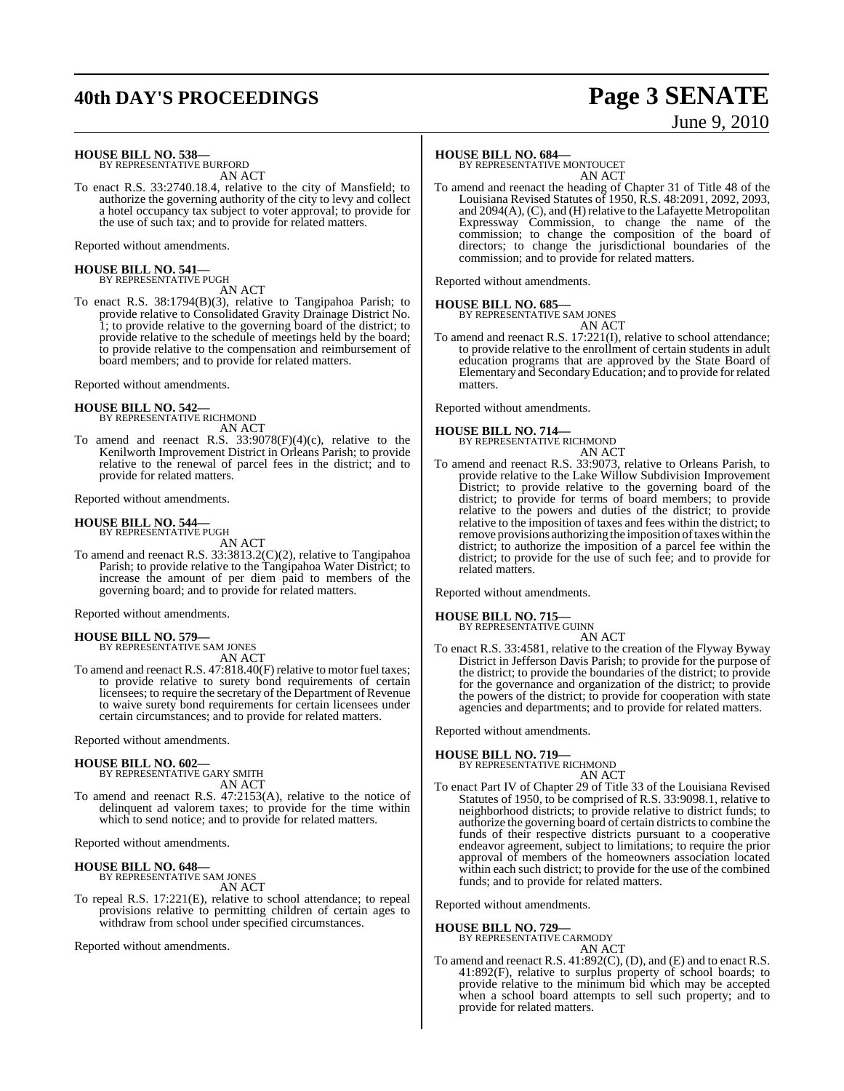## **40th DAY'S PROCEEDINGS Page 3 SENATE**

# June 9, 2010

**HOUSE BILL NO. 538—**

BY REPRESENTATIVE BURFORD AN ACT

To enact R.S. 33:2740.18.4, relative to the city of Mansfield; to authorize the governing authority of the city to levy and collect a hotel occupancy tax subject to voter approval; to provide for the use of such tax; and to provide for related matters.

Reported without amendments.

## **HOUSE BILL NO. 541—** BY REPRESENTATIVE PUGH

AN ACT

To enact R.S. 38:1794(B)(3), relative to Tangipahoa Parish; to provide relative to Consolidated Gravity Drainage District No. 1; to provide relative to the governing board of the district; to provide relative to the schedule of meetings held by the board; to provide relative to the compensation and reimbursement of board members; and to provide for related matters.

Reported without amendments.

#### **HOUSE BILL NO. 542—** BY REPRESENTATIVE RICHMOND AN ACT

To amend and reenact R.S. 33:9078(F)(4)(c), relative to the Kenilworth Improvement District in Orleans Parish; to provide relative to the renewal of parcel fees in the district; and to provide for related matters.

Reported without amendments.

#### **HOUSE BILL NO. 544—** BY REPRESENTATIVE PUGH

AN ACT

To amend and reenact R.S. 33:3813.2(C)(2), relative to Tangipahoa Parish; to provide relative to the Tangipahoa Water District; to increase the amount of per diem paid to members of the governing board; and to provide for related matters.

Reported without amendments.

### **HOUSE BILL NO. 579—**

BY REPRESENTATIVE SAM JONES AN ACT

To amend and reenact R.S.  $47:818.40(F)$  relative to motor fuel taxes; to provide relative to surety bond requirements of certain licensees; to require the secretary of the Department of Revenue to waive surety bond requirements for certain licensees under certain circumstances; and to provide for related matters.

Reported without amendments.

#### **HOUSE BILL NO. 602—**

BY REPRESENTATIVE GARY SMITH AN ACT

To amend and reenact R.S. 47:2153(A), relative to the notice of delinquent ad valorem taxes; to provide for the time within which to send notice; and to provide for related matters.

Reported without amendments.

## **HOUSE BILL NO. 648—** BY REPRESENTATIVE SAM JONES

AN ACT

To repeal R.S. 17:221(E), relative to school attendance; to repeal provisions relative to permitting children of certain ages to withdraw from school under specified circumstances.

Reported without amendments.

#### **HOUSE BILL NO. 684—**

BY REPRESENTATIVE MONTOUCET AN ACT

To amend and reenact the heading of Chapter 31 of Title 48 of the Louisiana Revised Statutes of 1950, R.S. 48:2091, 2092, 2093, and 2094(A), (C), and (H) relative to the Lafayette Metropolitan Expressway Commission, to change the name of the commission; to change the composition of the board of directors; to change the jurisdictional boundaries of the commission; and to provide for related matters.

Reported without amendments.

#### **HOUSE BILL NO. 685—**



- AN ACT
- To amend and reenact R.S. 17:221(I), relative to school attendance; to provide relative to the enrollment of certain students in adult education programs that are approved by the State Board of Elementary and SecondaryEducation; and to provide forrelated matters.

Reported without amendments.

#### **HOUSE BILL NO. 714—**

BY REPRESENTATIVE RICHMOND AN ACT

To amend and reenact R.S. 33:9073, relative to Orleans Parish, to provide relative to the Lake Willow Subdivision Improvement District; to provide relative to the governing board of the district; to provide for terms of board members; to provide relative to the powers and duties of the district; to provide relative to the imposition of taxes and fees within the district; to remove provisions authorizing the imposition of taxes within the district; to authorize the imposition of a parcel fee within the district; to provide for the use of such fee; and to provide for related matters.

Reported without amendments.

### **HOUSE BILL NO. 715—** BY REPRESENTATIVE GUINN

AN ACT

To enact R.S. 33:4581, relative to the creation of the Flyway Byway District in Jefferson Davis Parish; to provide for the purpose of the district; to provide the boundaries of the district; to provide for the governance and organization of the district; to provide the powers of the district; to provide for cooperation with state agencies and departments; and to provide for related matters.

Reported without amendments.

#### **HOUSE BILL NO. 719—**

BY REPRESENTATIVE RICHMOND AN ACT

To enact Part IV of Chapter 29 of Title 33 of the Louisiana Revised Statutes of 1950, to be comprised of R.S. 33:9098.1, relative to neighborhood districts; to provide relative to district funds; to authorize the governing board of certain districts to combine the funds of their respective districts pursuant to a cooperative endeavor agreement, subject to limitations; to require the prior approval of members of the homeowners association located within each such district; to provide for the use of the combined funds; and to provide for related matters.

Reported without amendments.

### **HOUSE BILL NO. 729—**

BY REPRESENTATIVE CARMODY AN ACT

To amend and reenact R.S. 41:892(C), (D), and (E) and to enact R.S. 41:892(F), relative to surplus property of school boards; to provide relative to the minimum bid which may be accepted when a school board attempts to sell such property; and to provide for related matters.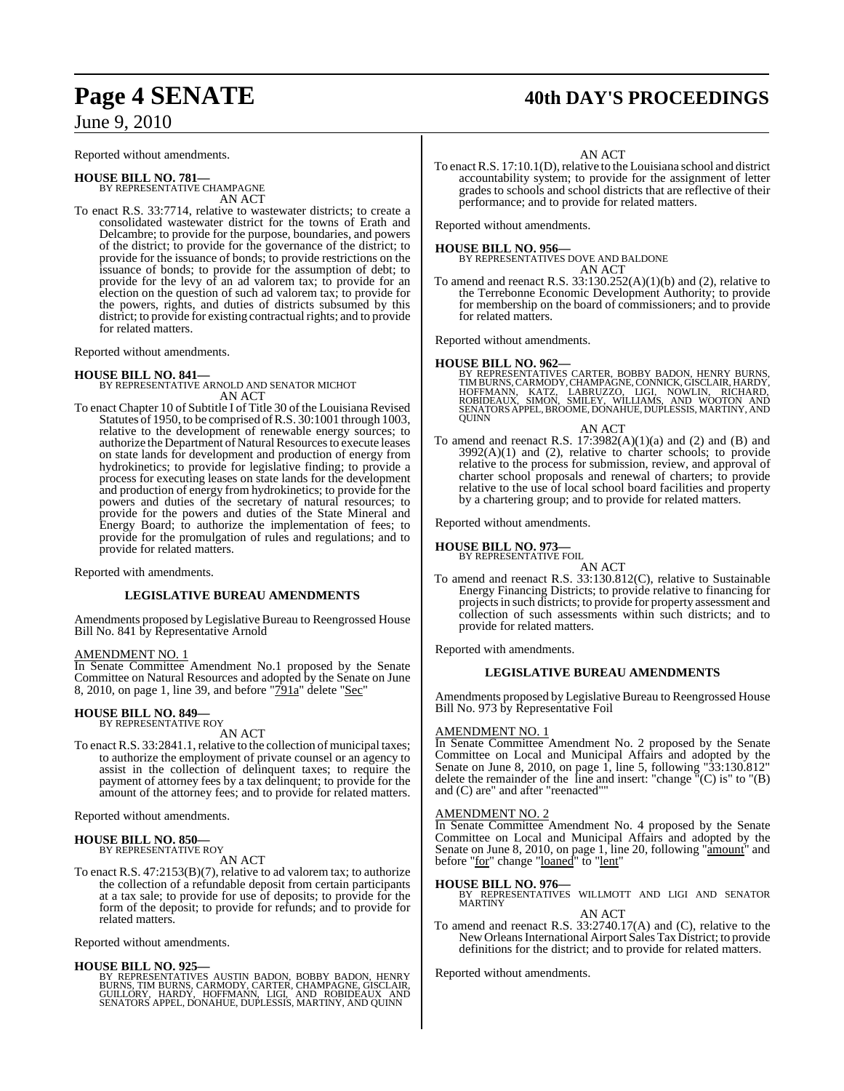Reported without amendments.

### **HOUSE BILL NO. 781—**

BY REPRESENTATIVE CHAMPAGNE AN ACT

To enact R.S. 33:7714, relative to wastewater districts; to create a consolidated wastewater district for the towns of Erath and Delcambre; to provide for the purpose, boundaries, and powers of the district; to provide for the governance of the district; to provide for the issuance of bonds; to provide restrictions on the issuance of bonds; to provide for the assumption of debt; to provide for the levy of an ad valorem tax; to provide for an election on the question of such ad valorem tax; to provide for the powers, rights, and duties of districts subsumed by this district; to provide for existing contractual rights; and to provide for related matters.

Reported without amendments.

#### **HOUSE BILL NO. 841—**

BY REPRESENTATIVE ARNOLD AND SENATOR MICHOT AN ACT

To enact Chapter 10 of Subtitle I of Title 30 of the Louisiana Revised Statutes of 1950, to be comprised of R.S. 30:1001 through 1003, relative to the development of renewable energy sources; to authorize the Department of Natural Resources to execute leases on state lands for development and production of energy from hydrokinetics; to provide for legislative finding; to provide a process for executing leases on state lands for the development and production of energy from hydrokinetics; to provide for the powers and duties of the secretary of natural resources; to provide for the powers and duties of the State Mineral and Energy Board; to authorize the implementation of fees; to provide for the promulgation of rules and regulations; and to provide for related matters.

Reported with amendments.

#### **LEGISLATIVE BUREAU AMENDMENTS**

Amendments proposed by Legislative Bureau to Reengrossed House Bill No. 841 by Representative Arnold

#### AMENDMENT NO. 1

In Senate Committee Amendment No.1 proposed by the Senate Committee on Natural Resources and adopted by the Senate on June 8, 2010, on page 1, line 39, and before "791a" delete "Sec"

#### **HOUSE BILL NO. 849—** BY REPRESENTATIVE ROY

AN ACT

To enact R.S. 33:2841.1, relative to the collection of municipal taxes; to authorize the employment of private counsel or an agency to assist in the collection of delinquent taxes; to require the payment of attorney fees by a tax delinquent; to provide for the amount of the attorney fees; and to provide for related matters.

Reported without amendments.

#### **HOUSE BILL NO. 850—** BY REPRESENTATIVE ROY

AN ACT

To enact R.S. 47:2153(B)(7), relative to ad valorem tax; to authorize the collection of a refundable deposit from certain participants at a tax sale; to provide for use of deposits; to provide for the form of the deposit; to provide for refunds; and to provide for related matters.

Reported without amendments.

**HOUSE BILL NO. 925—**<br>BY REPRESENTATIVES AUSTIN BADON, BOBBY BADON, HENRY<br>BURNS, TIM BURNS, CARMODY, CARTER, CHAMPAGNE, GISCLAIR,<br>GUILLORY, HARDY, HOFFMANN, LIGI, AND ROBIDEAUX AND<br>SENATORS APPEL, DONAHUE, DUPLESSIS, MARTI

### Page 4 **SENATE** 40th DAY'S PROCEEDINGS

AN ACT

To enact R.S. 17:10.1(D), relative to the Louisiana school and district accountability system; to provide for the assignment of letter grades to schools and school districts that are reflective of their performance; and to provide for related matters.

Reported without amendments.

**HOUSE BILL NO. 956—** BY REPRESENTATIVES DOVE AND BALDONE AN ACT

To amend and reenact R.S.  $33:130.252(A)(1)(b)$  and (2), relative to the Terrebonne Economic Development Authority; to provide for membership on the board of commissioners; and to provide for related matters.

Reported without amendments.

#### **HOUSE BILL NO. 962—**

BY REPRESENTATIVES CARTER, BOBBY BADON, HENRY BURNS,<br>TIMBURNS,CARMODY,CHAMPAGNE, CONNICK, GISCLAIR, HARDY,<br>HOFFMANN, KATZ, `LABRUZZO, `LIGI, `NOWLIN, `RICHARD,<br>ROBIDEAUX, `SIMON, `SMILEY, `WILLIAMS, `AND` WOOTON` AND<br>SENAT **OUINN** 

#### AN ACT

To amend and reenact R.S.  $17:3982(A)(1)(a)$  and  $(2)$  and  $(B)$  and  $3992(A)(1)$  and  $(2)$ , relative to charter schools; to provide relative to the process for submission, review, and approval of charter school proposals and renewal of charters; to provide relative to the use of local school board facilities and property by a chartering group; and to provide for related matters.

Reported without amendments.

**HOUSE BILL NO. 973—**

BY REPRESENTATIVE FOIL

AN ACT

To amend and reenact R.S. 33:130.812(C), relative to Sustainable Energy Financing Districts; to provide relative to financing for projectsin such districts; to provide for property assessment and collection of such assessments within such districts; and to provide for related matters.

Reported with amendments.

#### **LEGISLATIVE BUREAU AMENDMENTS**

Amendments proposed by Legislative Bureau to Reengrossed House Bill No. 973 by Representative Foil

#### AMENDMENT NO. 1

In Senate Committee Amendment No. 2 proposed by the Senate Committee on Local and Municipal Affairs and adopted by the Senate on June 8, 2010, on page 1, line 5, following "33:130.812" delete the remainder of the line and insert: "change  $\bar{C}$ "(C) is" to "(B) and (C) are" and after "reenacted""

#### AMENDMENT NO. 2

In Senate Committee Amendment No. 4 proposed by the Senate Committee on Local and Municipal Affairs and adopted by the Senate on June 8, 2010, on page 1, line 20, following "amount" and before "for" change "loaned" to "lent"

**HOUSE BILL NO. 976—** BY REPRESENTATIVES WILLMOTT AND LIGI AND SENATOR MARTINY

AN ACT

To amend and reenact R.S. 33:2740.17(A) and (C), relative to the New Orleans International Airport Sales Tax District; to provide definitions for the district; and to provide for related matters.

Reported without amendments.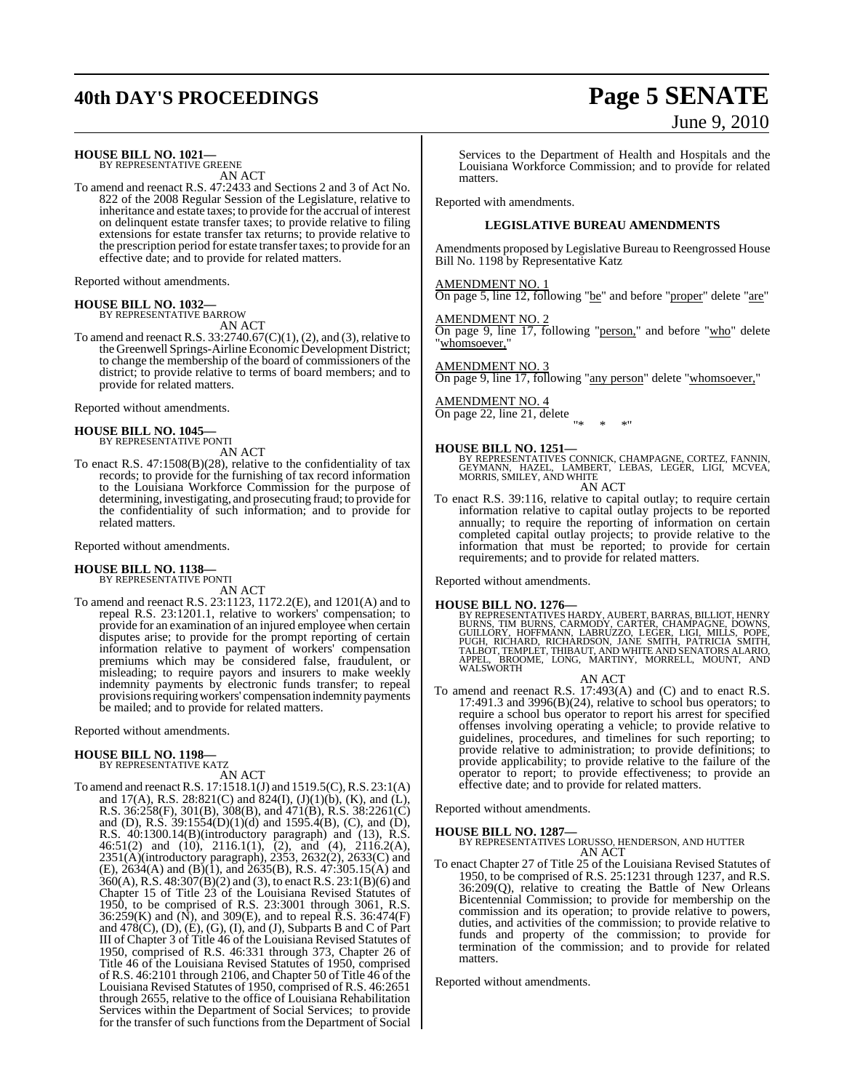## **40th DAY'S PROCEEDINGS Page 5 SENATE**

#### **HOUSE BILL NO. 1021—**

BY REPRESENTATIVE GREENE AN ACT

To amend and reenact R.S. 47:2433 and Sections 2 and 3 of Act No. 822 of the 2008 Regular Session of the Legislature, relative to inheritance and estate taxes; to provide for the accrual of interest on delinquent estate transfer taxes; to provide relative to filing extensions for estate transfer tax returns; to provide relative to the prescription period for estate transfer taxes; to provide for an effective date; and to provide for related matters.

Reported without amendments.

#### **HOUSE BILL NO. 1032—**

BY REPRESENTATIVE BARROW AN ACT

To amend and reenact R.S. 33:2740.67(C)(1), (2), and (3), relative to the Greenwell Springs-Airline Economic Development District; to change the membership of the board of commissioners of the district; to provide relative to terms of board members; and to provide for related matters.

Reported without amendments.

## **HOUSE BILL NO. 1045—** BY REPRESENTATIVE PONTI

AN ACT

To enact R.S. 47:1508(B)(28), relative to the confidentiality of tax records; to provide for the furnishing of tax record information to the Louisiana Workforce Commission for the purpose of determining, investigating, and prosecuting fraud; to provide for the confidentiality of such information; and to provide for related matters.

Reported without amendments.

## **HOUSE BILL NO. 1138—** BY REPRESENTATIVE PONTI

AN ACT To amend and reenact R.S. 23:1123, 1172.2(E), and 1201(A) and to repeal R.S. 23:1201.1, relative to workers' compensation; to provide for an examination of an injured employee when certain disputes arise; to provide for the prompt reporting of certain information relative to payment of workers' compensation premiums which may be considered false, fraudulent, or misleading; to require payors and insurers to make weekly indemnity payments by electronic funds transfer; to repeal provisions requiring workers' compensation indemnity payments be mailed; and to provide for related matters.

Reported without amendments.

#### **HOUSE BILL NO. 1198—** BY REPRESENTATIVE KATZ

AN ACT

To amend and reenactR.S. 17:1518.1(J) and 1519.5(C),R.S. 23:1(A) and 17(A), R.S. 28:821(C) and 824(I), (J)(1)(b), (K), and (L), R.S. 36:258(F), 301(B), 308(B), and 471(B), R.S. 38:2261(C) and (D), R.S.  $39:1554(D)(1)(d)$  and  $1595.4(B)$ , (C), and (D), R.S. 40:1300.14(B)(introductory paragraph) and (13), R.S. 46:51(2) and (10), 2116.1(1), (2), and (4), 2116.2(A), 2351(A)(introductory paragraph), 2353, 2632(2), 2633(C) and  $(E)$ , 2634(A) and (B)(1), and 2635(B), R.S. 47:305.15(A) and 360(A), R.S. 48:307(B)(2) and (3), to enact R.S. 23:1(B)(6) and Chapter 15 of Title 23 of the Louisiana Revised Statutes of 1950, to be comprised of R.S. 23:3001 through 3061, R.S. 36:259(K) and (N), and 309(E), and to repeal R.S. 36:474(F) and  $478(C)$ , (D), (E), (G), (I), and (J), Subparts B and C of Part III of Chapter 3 of Title 46 of the Louisiana Revised Statutes of 1950, comprised of R.S. 46:331 through 373, Chapter 26 of Title 46 of the Louisiana Revised Statutes of 1950, comprised of R.S. 46:2101 through 2106, and Chapter 50 of Title 46 of the Louisiana Revised Statutes of 1950, comprised of R.S. 46:2651 through 2655, relative to the office of Louisiana Rehabilitation Services within the Department of Social Services; to provide for the transfer of such functions from the Department of Social

Services to the Department of Health and Hospitals and the Louisiana Workforce Commission; and to provide for related matters.

Reported with amendments.

#### **LEGISLATIVE BUREAU AMENDMENTS**

Amendments proposed by Legislative Bureau to Reengrossed House Bill No. 1198 by Representative Katz

#### AMENDMENT NO. 1

On page 5, line 12, following "be" and before "proper" delete "are"

#### AMENDMENT NO. 2

On page 9, line 17, following "person," and before "who" delete "whomsoever,

#### AMENDMENT NO. 3

On page 9, line 17, following "any person" delete "whomsoever,"

AMENDMENT NO. 4 On page 22, line 21, delete "\* \* \*"

**HOUSE BILL NO. 1251—**<br>BY REPRESENTATIVES CONNICK, CHAMPAGNE, CORTEZ, FANNIN,<br>GEYMANN, HAZEL, LAMBERT, LEBAS, LEGER, LIGI, MCVEA,<br>MORRIS, SMILEY, AND WHITE AN ACT

To enact R.S. 39:116, relative to capital outlay; to require certain information relative to capital outlay projects to be reported annually; to require the reporting of information on certain completed capital outlay projects; to provide relative to the information that must be reported; to provide for certain requirements; and to provide for related matters.

Reported without amendments.

**HOUSE BILL NO. 1276**<br>BY REPRESENTATIVES HARDY, AUBERT, BARRAS, BILLIOT, HENRY<br>BURNS, TIM BURNS, CARMODY, CARTER, CHAMPAGNE, DOWNS,<br>GUILLORY, HOFFMANN, LABRUZZO, LEGER, LIGI, MILLS, POPE,<br>PUGH, RICHARD, RICHARDSON, JANE SM WALSWORTH

#### AN ACT

To amend and reenact R.S. 17:493(A) and (C) and to enact R.S. 17:491.3 and 3996(B)(24), relative to school bus operators; to require a school bus operator to report his arrest for specified offenses involving operating a vehicle; to provide relative to guidelines, procedures, and timelines for such reporting; to provide relative to administration; to provide definitions; to provide applicability; to provide relative to the failure of the operator to report; to provide effectiveness; to provide an effective date; and to provide for related matters.

Reported without amendments.

- **HOUSE BILL NO. 1287—** BY REPRESENTATIVES LORUSSO, HENDERSON, AND HUTTER AN ACT
- To enact Chapter 27 of Title 25 of the Louisiana Revised Statutes of 1950, to be comprised of R.S. 25:1231 through 1237, and R.S. 36:209(Q), relative to creating the Battle of New Orleans Bicentennial Commission; to provide for membership on the commission and its operation; to provide relative to powers, duties, and activities of the commission; to provide relative to funds and property of the commission; to provide for termination of the commission; and to provide for related matters.

Reported without amendments.

# June 9, 2010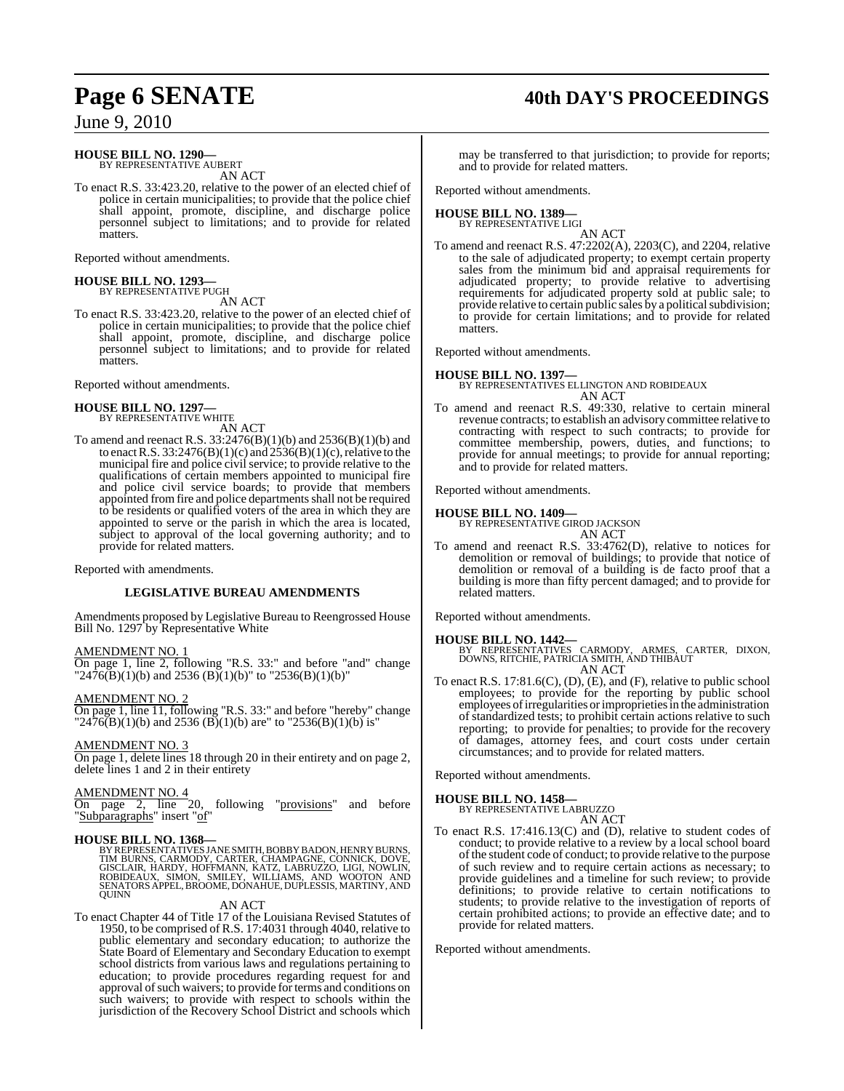## **Page 6 SENATE 40th DAY'S PROCEEDINGS**

June 9, 2010

#### **HOUSE BILL NO. 1290—**

BY REPRESENTATIVE AUBERT AN ACT

To enact R.S. 33:423.20, relative to the power of an elected chief of police in certain municipalities; to provide that the police chief shall appoint, promote, discipline, and discharge police personnel subject to limitations; and to provide for related matters.

Reported without amendments.

## **HOUSE BILL NO. 1293—** BY REPRESENTATIVE PUGH

AN ACT

To enact R.S. 33:423.20, relative to the power of an elected chief of police in certain municipalities; to provide that the police chief shall appoint, promote, discipline, and discharge police personnel subject to limitations; and to provide for related **matters** 

Reported without amendments.

**HOUSE BILL NO. 1297—** BY REPRESENTATIVE WHITE

AN ACT

To amend and reenact R.S. 33:2476(B)(1)(b) and 2536(B)(1)(b) and to enact R.S.  $33:2476(B)(1)(c)$  and  $2536(B)(1)(c)$ , relative to the municipal fire and police civil service; to provide relative to the qualifications of certain members appointed to municipal fire and police civil service boards; to provide that members appointed from fire and police departments shall not be required to be residents or qualified voters of the area in which they are appointed to serve or the parish in which the area is located, subject to approval of the local governing authority; and to provide for related matters.

Reported with amendments.

#### **LEGISLATIVE BUREAU AMENDMENTS**

Amendments proposed by Legislative Bureau to Reengrossed House Bill No. 1297 by Representative White

#### AMENDMENT NO. 1

On page 1, line 2, following "R.S. 33:" and before "and" change "247 $\overline{6(B)}(1)(b)$  and 2536 (B) $\overline{(1)}(b)$ " to "2536(B)(1)(b)"

AMENDMENT NO. 2

On page 1, line 11, following "R.S. 33:" and before "hereby" change  $T2476(B)(1)(b)$  and 2536 (B)(1)(b) are to  $T2536(B)(1)(b)$  is"

AMENDMENT NO. 3

On page 1, delete lines 18 through 20 in their entirety and on page 2, delete lines 1 and 2 in their entirety

#### AMENDMENT NO. 4

On page 2, line 20, following "provisions" and before "Subparagraphs" insert "of

**HOUSE BILL NO. 1368—**<br>BY REPRESENTATIVES JANE SMITH, BOBBY BADON, HENRY BURNS, TIM BURNS, CARMODY, CARTER, CHAMPAGNE, CONNICK, DOVE,<br>GISCLAIR, HARDY, HOFFMANN, KATZ, LABRUZZO, LIGI, NOWLIN,<br>ROBIDEAUX, SIMON, SMILEY, WILLI

#### AN ACT

To enact Chapter 44 of Title 17 of the Louisiana Revised Statutes of 1950, to be comprised of R.S. 17:4031 through 4040, relative to public elementary and secondary education; to authorize the State Board of Elementary and Secondary Education to exempt school districts from various laws and regulations pertaining to education; to provide procedures regarding request for and approval of such waivers; to provide for terms and conditions on such waivers; to provide with respect to schools within the jurisdiction of the Recovery School District and schools which may be transferred to that jurisdiction; to provide for reports; and to provide for related matters.

Reported without amendments.

#### **HOUSE BILL NO. 1389—** BY REPRESENTATIVE LIGI

AN ACT

To amend and reenact R.S. 47:2202(A), 2203(C), and 2204, relative to the sale of adjudicated property; to exempt certain property sales from the minimum bid and appraisal requirements for adjudicated property; to provide relative to advertising requirements for adjudicated property sold at public sale; to provide relative to certain public sales by a political subdivision; to provide for certain limitations; and to provide for related matters.

Reported without amendments.

#### **HOUSE BILL NO. 1397—**

BY REPRESENTATIVES ELLINGTON AND ROBIDEAUX AN ACT

To amend and reenact R.S. 49:330, relative to certain mineral revenue contracts; to establish an advisory committee relative to contracting with respect to such contracts; to provide for committee membership, powers, duties, and functions; to provide for annual meetings; to provide for annual reporting; and to provide for related matters.

Reported without amendments.

**HOUSE BILL NO. 1409—** BY REPRESENTATIVE GIROD JACKSON AN ACT

To amend and reenact R.S. 33:4762(D), relative to notices for demolition or removal of buildings; to provide that notice of demolition or removal of a building is de facto proof that a building is more than fifty percent damaged; and to provide for related matters.

Reported without amendments.

#### **HOUSE BILL NO. 1442—**

BY REPRESENTATIVES CARMODY, ARMES, CARTER, DIXON, DOWNS, RITCHIE, PATRICIA SMITH, AND THIBAUT AN ACT

To enact R.S. 17:81.6(C), (D), (E), and (F), relative to public school employees; to provide for the reporting by public school employees of irregularities or improprieties in the administration of standardized tests; to prohibit certain actions relative to such reporting; to provide for penalties; to provide for the recovery of damages, attorney fees, and court costs under certain circumstances; and to provide for related matters.

Reported without amendments.

#### **HOUSE BILL NO. 1458—**

BY REPRESENTATIVE LABRUZZO

AN ACT To enact R.S. 17:416.13(C) and (D), relative to student codes of conduct; to provide relative to a review by a local school board of the student code of conduct; to provide relative to the purpose of such review and to require certain actions as necessary; to provide guidelines and a timeline for such review; to provide definitions; to provide relative to certain notifications to students; to provide relative to the investigation of reports of certain prohibited actions; to provide an effective date; and to provide for related matters.

Reported without amendments.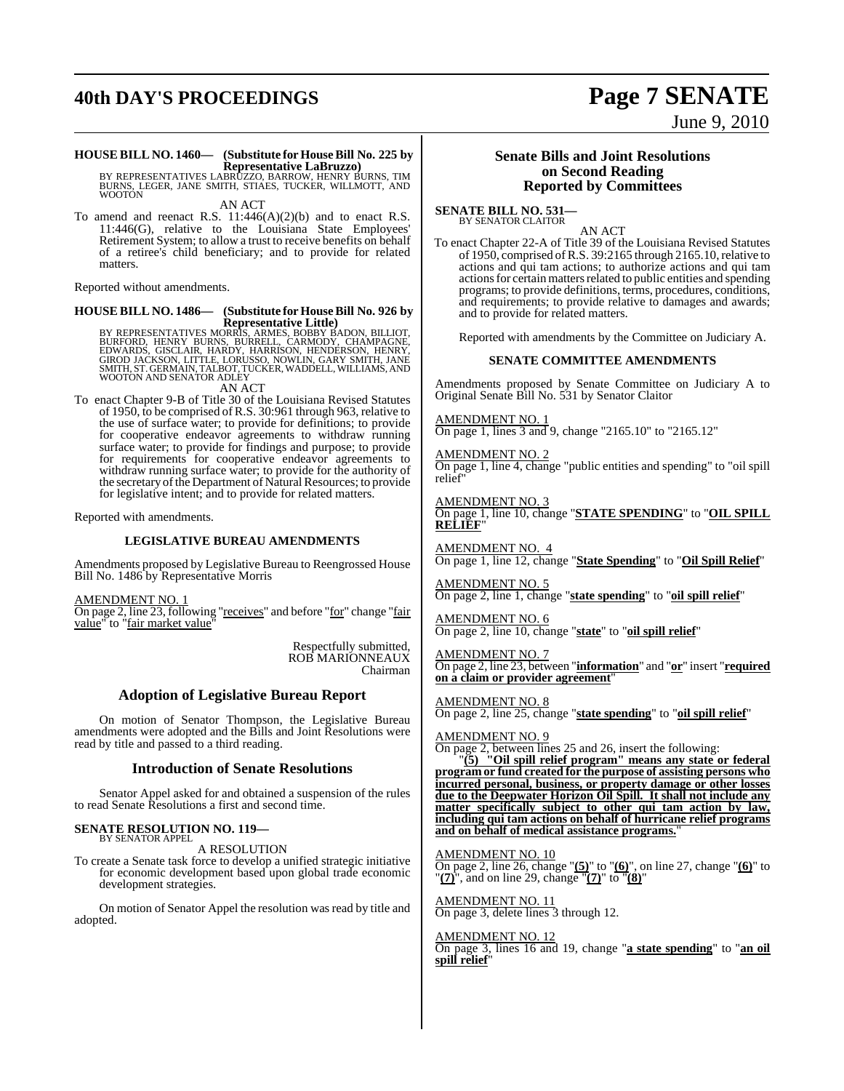## **40th DAY'S PROCEEDINGS Page 7 SENATE**

# June 9, 2010

#### **HOUSE BILL NO. 1460— (Substitute for HouseBill No. 225 by Representative LaBruzzo)**

BY REPRESENTATIVES LABRŪZZO, BARROW, HENRY BURNS, TIM<br>BURNS, LEGER, JANE SMITH, STIAES, TUCKER, WILLMOTT, AND **WOOTON** AN ACT

To amend and reenact R.S.  $11:446(A)(2)(b)$  and to enact R.S. 11:446(G), relative to the Louisiana State Employees' Retirement System; to allow a trust to receive benefits on behalf of a retiree's child beneficiary; and to provide for related matters.

Reported without amendments.

#### **HOUSE BILL NO. 1486— (Substitute for HouseBill No. 926 by Representative Little)**

BY REPRESENTATIVES MORRIS, ARMES, BOBBY BADON, BILLIOT,<br>BURFORD, HENRY BURNS, BURRELL, CARMODY, CHAMPAGNE,<br>EDWARDS, GISCLAIR, HARDY, HARRISON, HENDERSON, HENRY,<br>GIROD JACKSON, LITTLE, LORUSSO, NOWLIN, GARY SMITH, JANE<br>SMIT

AN ACT

To enact Chapter 9-B of Title 30 of the Louisiana Revised Statutes of 1950, to be comprised of R.S. 30:961 through 963, relative to the use of surface water; to provide for definitions; to provide for cooperative endeavor agreements to withdraw running surface water; to provide for findings and purpose; to provide for requirements for cooperative endeavor agreements to withdraw running surface water; to provide for the authority of the secretary of the Department of Natural Resources; to provide for legislative intent; and to provide for related matters.

Reported with amendments.

#### **LEGISLATIVE BUREAU AMENDMENTS**

Amendments proposed by Legislative Bureau to Reengrossed House Bill No. 1486 by Representative Morris

AMENDMENT NO. 1

On page 2, line 23, following "receives" and before "for" change "fair value" to "fair market value"

> Respectfully submitted, ROB MARIONNEAUX Chairman

#### **Adoption of Legislative Bureau Report**

On motion of Senator Thompson, the Legislative Bureau amendments were adopted and the Bills and Joint Resolutions were read by title and passed to a third reading.

#### **Introduction of Senate Resolutions**

Senator Appel asked for and obtained a suspension of the rules to read Senate Resolutions a first and second time.

#### **SENATE RESOLUTION NO. 119—** BY SENATOR APPEL

A RESOLUTION

To create a Senate task force to develop a unified strategic initiative for economic development based upon global trade economic development strategies.

On motion of Senator Appel the resolution was read by title and adopted.

#### **Senate Bills and Joint Resolutions on Second Reading Reported by Committees**

**SENATE BILL NO. 531—** BY SENATOR CLAITOR

AN ACT

To enact Chapter 22-A of Title 39 of the Louisiana Revised Statutes of 1950, comprised of R.S.  $39:2165$  through 2165.10, relative to actions and qui tam actions; to authorize actions and qui tam actions for certain matters related to public entities and spending programs; to provide definitions, terms, procedures, conditions, and requirements; to provide relative to damages and awards; and to provide for related matters.

Reported with amendments by the Committee on Judiciary A.

#### **SENATE COMMITTEE AMENDMENTS**

Amendments proposed by Senate Committee on Judiciary A to Original Senate Bill No. 531 by Senator Claitor

AMENDMENT NO. 1 On page 1, lines 3 and 9, change "2165.10" to "2165.12"

AMENDMENT NO. 2 On page 1, line 4, change "public entities and spending" to "oil spill relief

AMENDMENT NO. 3 On page 1, line 10, change "**STATE SPENDING**" to "**OIL SPILL RELIEF**"

AMENDMENT NO. 4 On page 1, line 12, change "**State Spending**" to "**Oil Spill Relief**"

AMENDMENT NO. 5 On page 2, line 1, change "**state spending**" to "**oil spill relief**"

AMENDMENT NO. 6 On page 2, line 10, change "**state**" to "**oil spill relief**"

AMENDMENT NO. 7 On page 2, line 23, between "**information**" and "**or**" insert "**required on a claim or provider agreement**"

AMENDMENT NO. 8 On page 2, line 25, change "**state spending**" to "**oil spill relief**"

AMENDMENT NO. 9

On page 2, between lines 25 and 26, insert the following:

"**(5) "Oil spill relief program" means any state or federal program or fund created for the purpose of assisting persons who incurred personal, business, or property damage or other losses due to the Deepwater Horizon Oil Spill. It shall not include any matter specifically subject to other qui tam action by law, including qui tam actions on behalf of hurricane relief programs and on behalf of medical assistance programs.**"

AMENDMENT NO. 10

On page 2, line 26, change "**(5)**" to "**(6)**", on line 27, change "**(6)**" to "**(7)**", and on line 29, change "**(7)**" to "**(8)**"

AMENDMENT NO. 11 On page 3, delete lines 3 through 12.

AMENDMENT NO. 12 On page 3, lines 16 and 19, change "**a state spending**" to "**an oil spill relief**"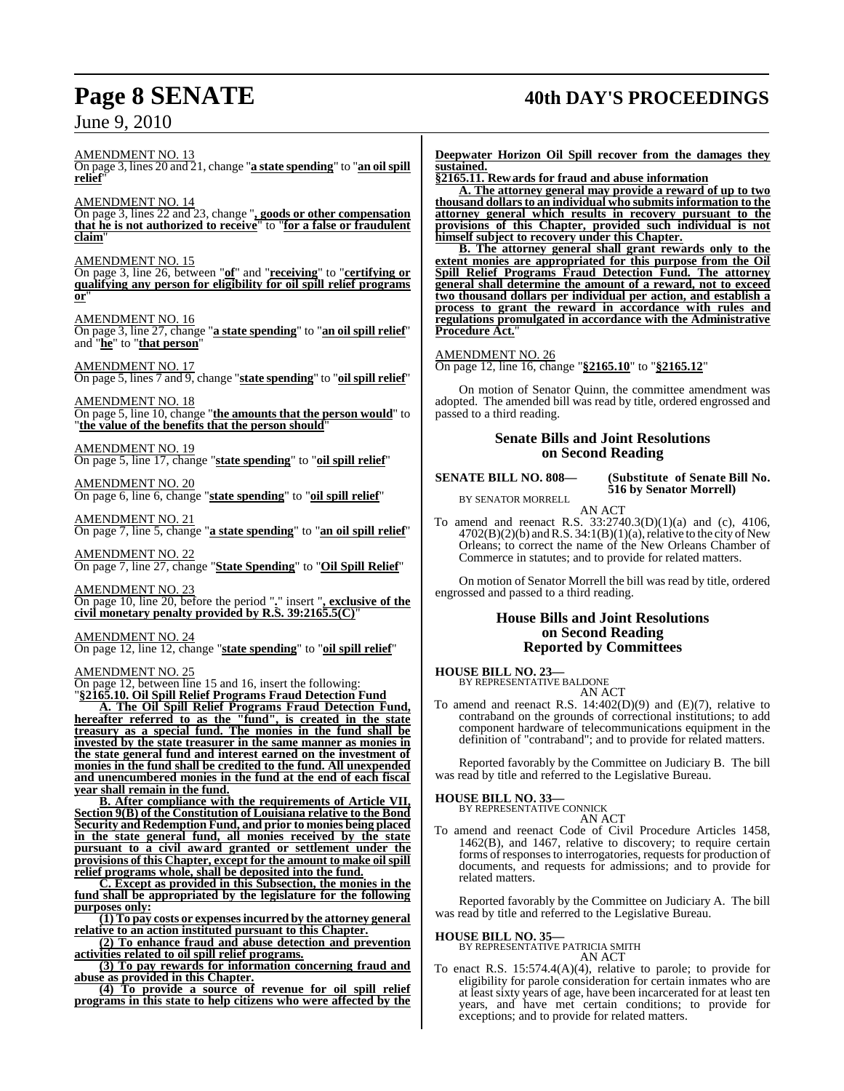## **Page 8 SENATE 40th DAY'S PROCEEDINGS**

AMENDMENT NO. 13 On page 3, lines 20 and 21, change "**a state spending**" to "**an oilspill relief**"

AMENDMENT NO. 14

On page 3, lines 22 and 23, change "**, goods or other compensation that he is not authorized to receive**" to "**for a false or fraudulent claim**"

#### AMENDMENT NO. 15

On page 3, line 26, between "**of**" and "**receiving**" to "**certifying or qualifying any person for eligibility for oil spill relief programs or**"

#### AMENDMENT NO. 16

On page 3, line 27, change "**a state spending**" to "**an oil spill relief**" and "**he**" to "**that person**"

#### AMENDMENT NO. 17

On page 5, lines 7 and 9, change "**state spending**" to "**oil spill relief**"

AMENDMENT NO. 18 On page 5, line 10, change "**the amounts that the person would**" to "**the value of the benefits that the person should**"

AMENDMENT NO. 19

On page 5, line 17, change "**state spending**" to "**oil spill relief**"

AMENDMENT NO. 20 On page 6, line 6, change "**state spending**" to "**oil spill relief**"

AMENDMENT NO. 21 On page 7, line 5, change "**a state spending**" to "**an oil spill relief**"

AMENDMENT NO. 22 On page 7, line 27, change "**State Spending**" to "**Oil Spill Relief**"

AMENDMENT NO. 23

On page 10, line 20, before the period "**.**" insert "**, exclusive of the civil monetary penalty provided by R.S. 39:2165.5(C)**"

AMENDMENT NO. 24

On page 12, line 12, change "**state spending**" to "**oil spill relief**"

#### AMENDMENT NO. 25

On page 12, between line 15 and 16, insert the following: "**§2165.10. Oil Spill Relief Programs Fraud Detection Fund**

**A. The Oil Spill Relief Programs Fraud Detection Fund, hereafter referred to as the "fund", is created in the state treasury as a special fund. The monies in the fund shall be invested by the state treasurer in the same manner as monies in the state general fund and interest earned on the investment of monies in the fund shall be credited to the fund. All unexpended and unencumbered monies in the fund at the end of each fiscal year shall remain in the fund.**

**B. After compliance with the requirements of Article VII, Section 9(B) of the Constitution of Louisiana relative to the Bond Security and Redemption Fund, and prior to monies being placed in the state general fund, all monies received by the state pursuant to a civil award granted or settlement under the provisions of this Chapter, except for the amount to make oilspill relief programs whole, shall be deposited into the fund.**

**C. Except as provided in this Subsection, the monies in the fund shall be appropriated by the legislature for the following purposes only:**

**(1) To pay costs or expensesincurred by the attorney general relative to an action instituted pursuant to this Chapter.**

**(2) To enhance fraud and abuse detection and prevention activities related to oil spill relief programs.**

**(3) To pay rewards for information concerning fraud and abuse as provided in this Chapter.**

**(4) To provide a source of revenue for oil spill relief programs in this state to help citizens who were affected by the** **Deepwater Horizon Oil Spill recover from the damages they sustained.**

**§2165.11. Rewards for fraud and abuse information A. The attorney general may provide a reward of up to two thousand dollarsto an individual who submits information to the attorney general which results in recovery pursuant to the provisions of this Chapter, provided such individual is not himself subject to recovery under this Chapter.**

**B. The attorney general shall grant rewards only to the extent monies are appropriated for this purpose from the Oil Spill Relief Programs Fraud Detection Fund. The attorney general shall determine the amount of a reward, not to exceed two thousand dollars per individual per action, and establish a process to grant the reward in accordance with rules and regulations promulgated in accordance with the Administrative Procedure Act.**"

#### AMENDMENT NO. 26

On page 12, line 16, change "**§2165.10**" to "**§2165.12**"

On motion of Senator Quinn, the committee amendment was adopted. The amended bill was read by title, ordered engrossed and passed to a third reading.

#### **Senate Bills and Joint Resolutions on Second Reading**

**SENATE BILL NO. 808— (Substitute of Senate Bill No. 516 by Senator Morrell)**

BY SENATOR MORRELL AN ACT

To amend and reenact R.S. 33:2740.3(D)(1)(a) and (c), 4106,  $4702(B)(2)(b)$  and R.S. 34:1(B)(1)(a), relative to the city of New Orleans; to correct the name of the New Orleans Chamber of Commerce in statutes; and to provide for related matters.

On motion of Senator Morrell the bill was read by title, ordered engrossed and passed to a third reading.

#### **House Bills and Joint Resolutions on Second Reading Reported by Committees**

#### **HOUSE BILL NO. 23—**

BY REPRESENTATIVE BALDONE AN ACT

To amend and reenact R.S. 14:402(D)(9) and (E)(7), relative to contraband on the grounds of correctional institutions; to add component hardware of telecommunications equipment in the definition of "contraband"; and to provide for related matters.

Reported favorably by the Committee on Judiciary B. The bill was read by title and referred to the Legislative Bureau.

## **HOUSE BILL NO. 33—** BY REPRESENTATIVE CONNICK

AN ACT

To amend and reenact Code of Civil Procedure Articles 1458, 1462(B), and 1467, relative to discovery; to require certain forms of responses to interrogatories, requests for production of documents, and requests for admissions; and to provide for related matters.

Reported favorably by the Committee on Judiciary A. The bill was read by title and referred to the Legislative Bureau.

## **HOUSE BILL NO. 35—** BY REPRESENTATIVE PATRICIA SMITH

- AN ACT
- To enact R.S. 15:574.4(A)(4), relative to parole; to provide for eligibility for parole consideration for certain inmates who are at least sixty years of age, have been incarcerated for at least ten years, and have met certain conditions; to provide for exceptions; and to provide for related matters.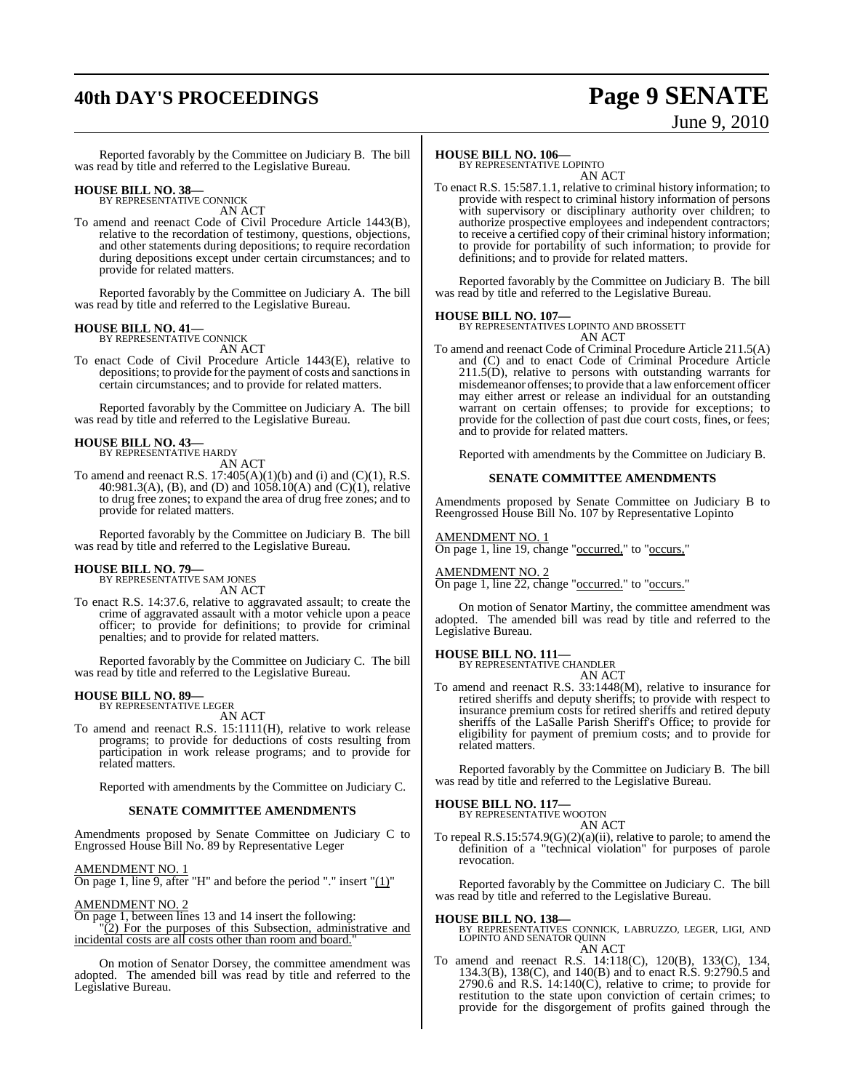## **40th DAY'S PROCEEDINGS Page 9 SENATE**

# June 9, 2010

Reported favorably by the Committee on Judiciary B. The bill was read by title and referred to the Legislative Bureau.

### **HOUSE BILL NO. 38—** BY REPRESENTATIVE CONNICK

AN ACT

To amend and reenact Code of Civil Procedure Article 1443(B), relative to the recordation of testimony, questions, objections, and other statements during depositions; to require recordation during depositions except under certain circumstances; and to provide for related matters.

Reported favorably by the Committee on Judiciary A. The bill was read by title and referred to the Legislative Bureau.

#### **HOUSE BILL NO. 41—**

BY REPRESENTATIVE CONNICK AN ACT

To enact Code of Civil Procedure Article 1443(E), relative to depositions; to provide for the payment of costs and sanctions in certain circumstances; and to provide for related matters.

Reported favorably by the Committee on Judiciary A. The bill was read by title and referred to the Legislative Bureau.

#### **HOUSE BILL NO. 43—**

BY REPRESENTATIVE HARDY AN ACT

To amend and reenact R.S.  $17:405(A)(1)(b)$  and (i) and (C)(1), R.S. 40:981.3(A), (B), and (D) and 1058.10(A) and (C)(1), relative to drug free zones; to expand the area of drug free zones; and to provide for related matters.

Reported favorably by the Committee on Judiciary B. The bill was read by title and referred to the Legislative Bureau.

#### **HOUSE BILL NO. 79—**

BY REPRESENTATIVE SAM JONES AN ACT

To enact R.S. 14:37.6, relative to aggravated assault; to create the crime of aggravated assault with a motor vehicle upon a peace officer; to provide for definitions; to provide for criminal penalties; and to provide for related matters.

Reported favorably by the Committee on Judiciary C. The bill was read by title and referred to the Legislative Bureau.

#### **HOUSE BILL NO. 89—** BY REPRESENTATIVE LEGER

AN ACT

To amend and reenact R.S. 15:1111(H), relative to work release programs; to provide for deductions of costs resulting from participation in work release programs; and to provide for related matters.

Reported with amendments by the Committee on Judiciary C.

#### **SENATE COMMITTEE AMENDMENTS**

Amendments proposed by Senate Committee on Judiciary C to Engrossed House Bill No. 89 by Representative Leger

#### AMENDMENT NO. 1

On page 1, line 9, after "H" and before the period "." insert " $(1)$ "

#### AMENDMENT NO. 2

On page 1, between lines 13 and 14 insert the following: "(2) For the purposes of this Subsection, administrative and incidental costs are all costs other than room and board."

On motion of Senator Dorsey, the committee amendment was adopted. The amended bill was read by title and referred to the Legislative Bureau.

#### **HOUSE BILL NO. 106—**

BY REPRESENTATIVE LOPINTO AN ACT

To enact R.S. 15:587.1.1, relative to criminal history information; to provide with respect to criminal history information of persons with supervisory or disciplinary authority over children; to authorize prospective employees and independent contractors; to receive a certified copy of their criminal history information; to provide for portability of such information; to provide for definitions; and to provide for related matters.

Reported favorably by the Committee on Judiciary B. The bill was read by title and referred to the Legislative Bureau.

#### **HOUSE BILL NO. 107—**

BY REPRESENTATIVES LOPINTO AND BROSSETT AN ACT

To amend and reenact Code of Criminal Procedure Article 211.5(A) and (C) and to enact Code of Criminal Procedure Article 211.5(D), relative to persons with outstanding warrants for misdemeanor offenses; to provide that a lawenforcement officer may either arrest or release an individual for an outstanding warrant on certain offenses; to provide for exceptions; to provide for the collection of past due court costs, fines, or fees; and to provide for related matters.

Reported with amendments by the Committee on Judiciary B.

#### **SENATE COMMITTEE AMENDMENTS**

Amendments proposed by Senate Committee on Judiciary B to Reengrossed House Bill No. 107 by Representative Lopinto

#### AMENDMENT NO. 1

On page 1, line 19, change "occurred," to "occurs,"

#### AMENDMENT NO. 2

On page 1, line 22, change "occurred." to "occurs."

On motion of Senator Martiny, the committee amendment was adopted. The amended bill was read by title and referred to the Legislative Bureau.

### **HOUSE BILL NO. 111—** BY REPRESENTATIVE CHANDLER

AN ACT

To amend and reenact R.S. 33:1448(M), relative to insurance for retired sheriffs and deputy sheriffs; to provide with respect to insurance premium costs for retired sheriffs and retired deputy sheriffs of the LaSalle Parish Sheriff's Office; to provide for eligibility for payment of premium costs; and to provide for related matters.

Reported favorably by the Committee on Judiciary B. The bill was read by title and referred to the Legislative Bureau.

## **HOUSE BILL NO. 117—** BY REPRESENTATIVE WOOTON

AN ACT

To repeal R.S.15:574.9(G)(2)(a)(ii), relative to parole; to amend the definition of a "technical violation" for purposes of parole revocation.

Reported favorably by the Committee on Judiciary C. The bill was read by title and referred to the Legislative Bureau.

**HOUSE BILL NO. 138—** BY REPRESENTATIVES CONNICK, LABRUZZO, LEGER, LIGI, AND LOPINTO AND SENATOR QUINN AN ACT

To amend and reenact R.S. 14:118(C), 120(B), 133(C), 134, 134.3(B), 138(C), and 140(B) and to enact R.S. 9:2790.5 and 2790.6 and R.S. 14:140(C), relative to crime; to provide for restitution to the state upon conviction of certain crimes; to provide for the disgorgement of profits gained through the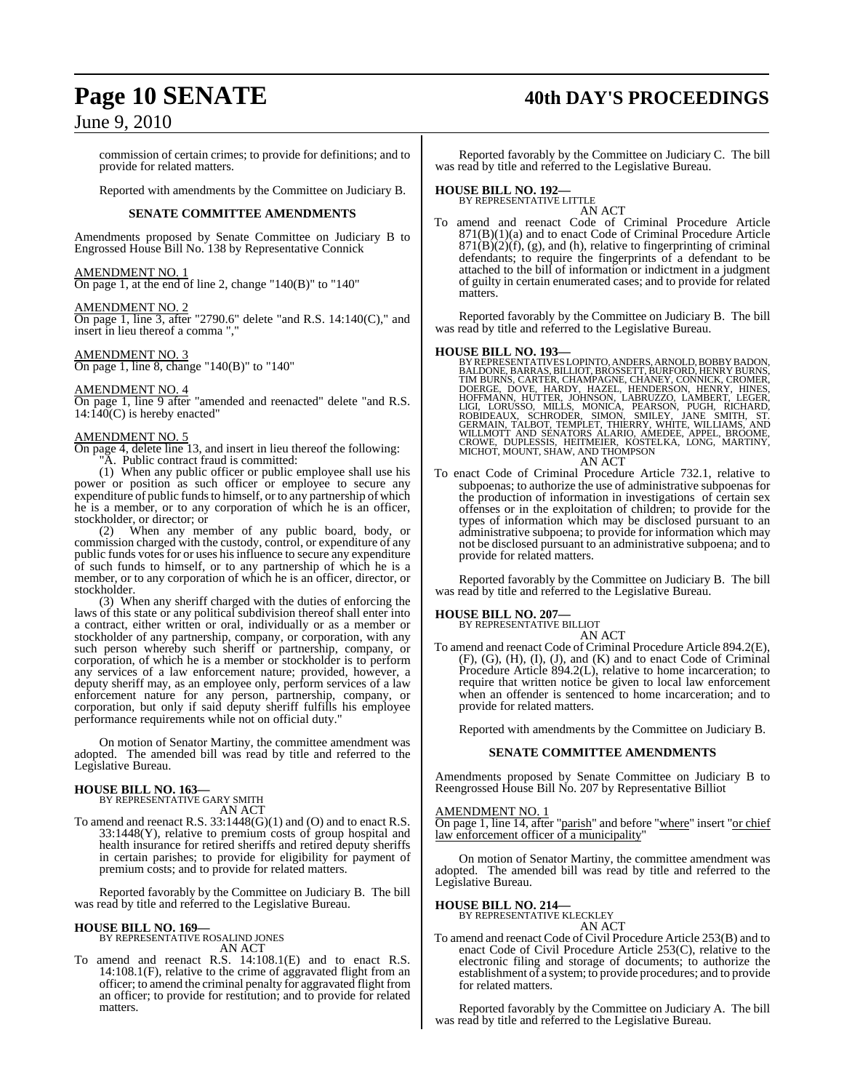commission of certain crimes; to provide for definitions; and to provide for related matters.

Reported with amendments by the Committee on Judiciary B.

#### **SENATE COMMITTEE AMENDMENTS**

Amendments proposed by Senate Committee on Judiciary B to Engrossed House Bill No. 138 by Representative Connick

### AMENDMENT NO. 1

On page 1, at the end of line 2, change "140(B)" to "140"

#### AMENDMENT NO. 2

On page 1, line 3, after "2790.6" delete "and R.S. 14:140(C)," and insert in lieu thereof a comma ".

#### AMENDMENT NO. 3

On page 1, line 8, change "140(B)" to "140"

#### AMENDMENT NO. 4

On page 1, line 9 after "amended and reenacted" delete "and R.S.  $14:140(C)$  is hereby enacted"

#### AMENDMENT NO. 5

On page 4, delete line 13, and insert in lieu thereof the following: "A. Public contract fraud is committed:

(1) When any public officer or public employee shall use his power or position as such officer or employee to secure any expenditure of public funds to himself, or to any partnership of which he is a member, or to any corporation of which he is an officer, stockholder, or director; or<br>(2) When any me

When any member of any public board, body, or commission charged with the custody, control, or expenditure of any public funds votes for or uses his influence to secure any expenditure of such funds to himself, or to any partnership of which he is a member, or to any corporation of which he is an officer, director, or stockholder.

(3) When any sheriff charged with the duties of enforcing the laws of this state or any political subdivision thereof shall enter into a contract, either written or oral, individually or as a member or stockholder of any partnership, company, or corporation, with any such person whereby such sheriff or partnership, company, or corporation, of which he is a member or stockholder is to perform any services of a law enforcement nature; provided, however, a deputy sheriff may, as an employee only, perform services of a law enforcement nature for any person, partnership, company, or corporation, but only if said deputy sheriff fulfills his employee performance requirements while not on official duty.

On motion of Senator Martiny, the committee amendment was adopted. The amended bill was read by title and referred to the Legislative Bureau.

#### **HOUSE BILL NO. 163—**

BY REPRESENTATIVE GARY SMITH AN ACT

To amend and reenact R.S. 33:1448(G)(1) and (O) and to enact R.S. 33:1448(Y), relative to premium costs of group hospital and health insurance for retired sheriffs and retired deputy sheriffs in certain parishes; to provide for eligibility for payment of premium costs; and to provide for related matters.

Reported favorably by the Committee on Judiciary B. The bill was read by title and referred to the Legislative Bureau.

#### **HOUSE BILL NO. 169—**

BY REPRESENTATIVE ROSALIND JONES AN ACT

To amend and reenact R.S. 14:108.1(E) and to enact R.S. 14:108.1(F), relative to the crime of aggravated flight from an officer; to amend the criminal penalty for aggravated flight from an officer; to provide for restitution; and to provide for related matters.

## Page 10 **SENATE** 40th DAY'S PROCEEDINGS

Reported favorably by the Committee on Judiciary C. The bill was read by title and referred to the Legislative Bureau.

### **HOUSE BILL NO. 192—** BY REPRESENTATIVE LITTLE

AN ACT To amend and reenact Code of Criminal Procedure Article 871(B)(1)(a) and to enact Code of Criminal Procedure Article  $871(\overline{B})(2)(f)$ , (g), and (h), relative to fingerprinting of criminal defendants; to require the fingerprints of a defendant to be attached to the bill of information or indictment in a judgment of guilty in certain enumerated cases; and to provide for related matters.

Reported favorably by the Committee on Judiciary B. The bill was read by title and referred to the Legislative Bureau.

#### **HOUSE BILL NO. 193—**

BY REPRESENTATIVES LOPINTO, ANDERS, ARNOLD, BOBBY BADON, BALDONE, BARRAS, BILLIOT, BROSSETT, BURFORD, HENRY BURNS, CHAMPARIST, AURENT (CONNICK, CROMER, HOLD RID, HOFFORD, HOPER HOLD HOFFORD, HENRY, CONNICK, CROMER, HOFFORD AN ACT

To enact Code of Criminal Procedure Article 732.1, relative to subpoenas; to authorize the use of administrative subpoenas for the production of information in investigations of certain sex offenses or in the exploitation of children; to provide for the types of information which may be disclosed pursuant to an administrative subpoena; to provide for information which may not be disclosed pursuant to an administrative subpoena; and to provide for related matters.

Reported favorably by the Committee on Judiciary B. The bill was read by title and referred to the Legislative Bureau.

#### **HOUSE BILL NO. 207—**

BY REPRESENTATIVE BILLIOT

AN ACT To amend and reenact Code of Criminal Procedure Article 894.2(E), (F), (G), (H), (I), (J), and (K) and to enact Code of Criminal Procedure Article 894.2(L), relative to home incarceration; to require that written notice be given to local law enforcement when an offender is sentenced to home incarceration; and to provide for related matters.

Reported with amendments by the Committee on Judiciary B.

#### **SENATE COMMITTEE AMENDMENTS**

Amendments proposed by Senate Committee on Judiciary B to Reengrossed House Bill No. 207 by Representative Billiot

#### AMENDMENT NO. 1

On page 1, line 14, after "parish" and before "where" insert "or chief law enforcement officer of a municipality'

On motion of Senator Martiny, the committee amendment was adopted. The amended bill was read by title and referred to the Legislative Bureau.

#### **HOUSE BILL NO. 214—**

BY REPRESENTATIVE KLECKLEY AN ACT

To amend and reenact Code of Civil Procedure Article 253(B) and to enact Code of Civil Procedure Article 253(C), relative to the electronic filing and storage of documents; to authorize the establishment of a system; to provide procedures; and to provide for related matters.

Reported favorably by the Committee on Judiciary A. The bill was read by title and referred to the Legislative Bureau.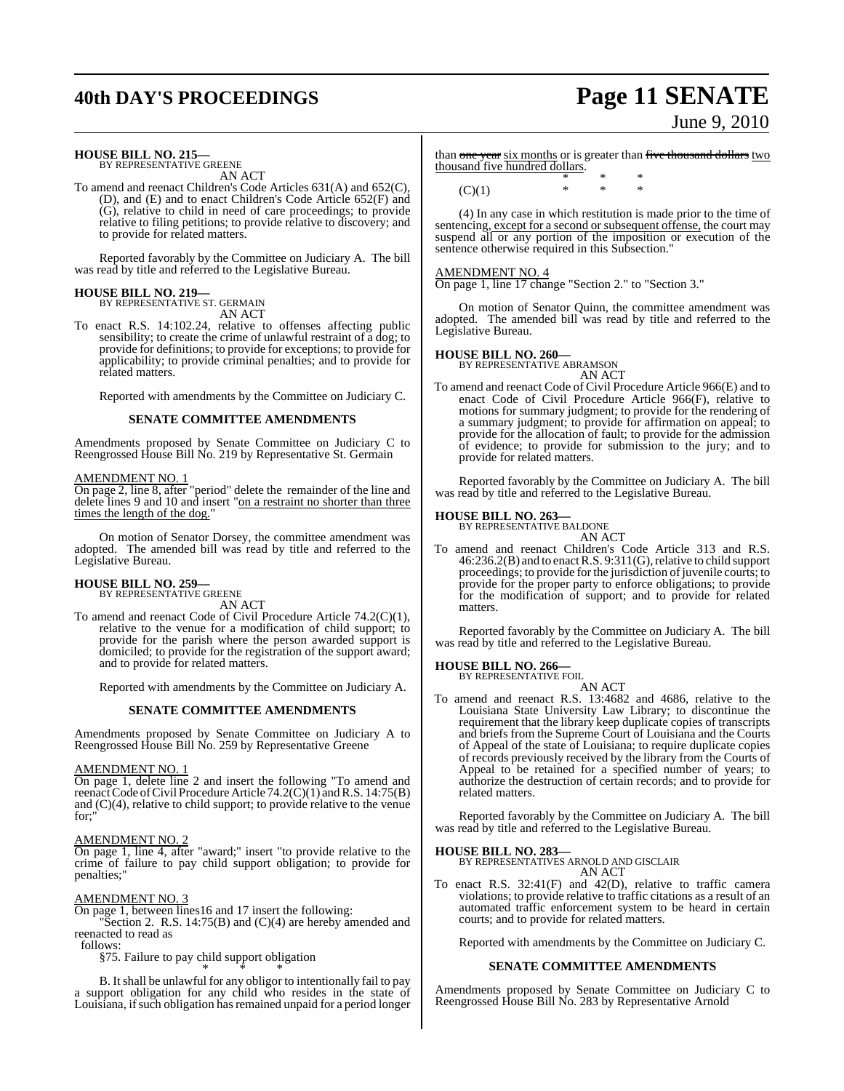## **40th DAY'S PROCEEDINGS Page 11 SENATE**

# June 9, 2010

### **HOUSE BILL NO. 215—** BY REPRESENTATIVE GREENE

AN ACT

To amend and reenact Children's Code Articles 631(A) and 652(C), (D), and (E) and to enact Children's Code Article 652(F) and (G), relative to child in need of care proceedings; to provide relative to filing petitions; to provide relative to discovery; and to provide for related matters.

Reported favorably by the Committee on Judiciary A. The bill was read by title and referred to the Legislative Bureau.

#### **HOUSE BILL NO. 219—** BY REPRESENTATIVE ST. GERMAIN

AN ACT

To enact R.S. 14:102.24, relative to offenses affecting public sensibility; to create the crime of unlawful restraint of a dog; to provide for definitions; to provide for exceptions; to provide for applicability; to provide criminal penalties; and to provide for related matters.

Reported with amendments by the Committee on Judiciary C.

#### **SENATE COMMITTEE AMENDMENTS**

Amendments proposed by Senate Committee on Judiciary C to Reengrossed House Bill No. 219 by Representative St. Germain

#### AMENDMENT NO. 1

On page 2, line 8, after "period" delete the remainder of the line and delete lines 9 and 10 and insert "on a restraint no shorter than three times the length of the dog."

On motion of Senator Dorsey, the committee amendment was adopted. The amended bill was read by title and referred to the Legislative Bureau.

#### **HOUSE BILL NO. 259—** BY REPRESENTATIVE GREENE

AN ACT

To amend and reenact Code of Civil Procedure Article 74.2(C)(1), relative to the venue for a modification of child support; to provide for the parish where the person awarded support is domiciled; to provide for the registration of the support award; and to provide for related matters.

Reported with amendments by the Committee on Judiciary A.

#### **SENATE COMMITTEE AMENDMENTS**

Amendments proposed by Senate Committee on Judiciary A to Reengrossed House Bill No. 259 by Representative Greene

#### AMENDMENT NO. 1

On page 1, delete line 2 and insert the following "To amend and reenact Code of Civil Procedure Article 74.2(C)(1) and R.S. 14:75(B) and (C)(4), relative to child support; to provide relative to the venue for:

#### AMENDMENT NO. 2

On page 1, line 4, after "award;" insert "to provide relative to the crime of failure to pay child support obligation; to provide for penalties;"

#### AMENDMENT NO. 3

On page 1, between lines16 and 17 insert the following:

"Section 2. R.S. 14:75(B) and (C)(4) are hereby amended and reenacted to read as

follows:

§75. Failure to pay child support obligation \* \* \*

B. Itshall be unlawful for any obligor to intentionally fail to pay a support obligation for any child who resides in the state of Louisiana, if such obligation has remained unpaid for a period longer

than one year six months or is greater than five thousand dollars two thousand five hundred dollars.

\* \* \*  $(C)(1)$  \* \* \*

(4) In any case in which restitution is made prior to the time of sentencing, except for a second or subsequent offense, the court may suspend all or any portion of the imposition or execution of the sentence otherwise required in this Subsection."

#### AMENDMENT NO. 4

On page 1, line 17 change "Section 2." to "Section 3."

On motion of Senator Quinn, the committee amendment was adopted. The amended bill was read by title and referred to the Legislative Bureau.

### **HOUSE BILL NO. 260—** BY REPRESENTATIVE ABRAMSON

AN ACT

To amend and reenact Code of Civil Procedure Article 966(E) and to enact Code of Civil Procedure Article 966(F), relative to motions for summary judgment; to provide for the rendering of a summary judgment; to provide for affirmation on appeal; to provide for the allocation of fault; to provide for the admission of evidence; to provide for submission to the jury; and to provide for related matters.

Reported favorably by the Committee on Judiciary A. The bill was read by title and referred to the Legislative Bureau.

## **HOUSE BILL NO. 263—** BY REPRESENTATIVE BALDONE

AN ACT

To amend and reenact Children's Code Article 313 and R.S. 46:236.2(B) and to enactR.S. 9:311(G),relative to child support proceedings; to provide for the jurisdiction of juvenile courts; to provide for the proper party to enforce obligations; to provide for the modification of support; and to provide for related matters.

Reported favorably by the Committee on Judiciary A. The bill was read by title and referred to the Legislative Bureau.

#### **HOUSE BILL NO. 266—** BY REPRESENTATIVE FOIL

AN ACT

To amend and reenact R.S. 13:4682 and 4686, relative to the Louisiana State University Law Library; to discontinue the requirement that the library keep duplicate copies of transcripts and briefs from the Supreme Court of Louisiana and the Courts of Appeal of the state of Louisiana; to require duplicate copies of records previously received by the library from the Courts of Appeal to be retained for a specified number of years; to authorize the destruction of certain records; and to provide for related matters.

Reported favorably by the Committee on Judiciary A. The bill was read by title and referred to the Legislative Bureau.

#### **HOUSE BILL NO. 283—**

BY REPRESENTATIVES ARNOLD AND GISCLAIR AN ACT

To enact R.S. 32:41(F) and 42(D), relative to traffic camera violations; to provide relative to traffic citations as a result of an automated traffic enforcement system to be heard in certain courts; and to provide for related matters.

Reported with amendments by the Committee on Judiciary C.

#### **SENATE COMMITTEE AMENDMENTS**

Amendments proposed by Senate Committee on Judiciary C to Reengrossed House Bill No. 283 by Representative Arnold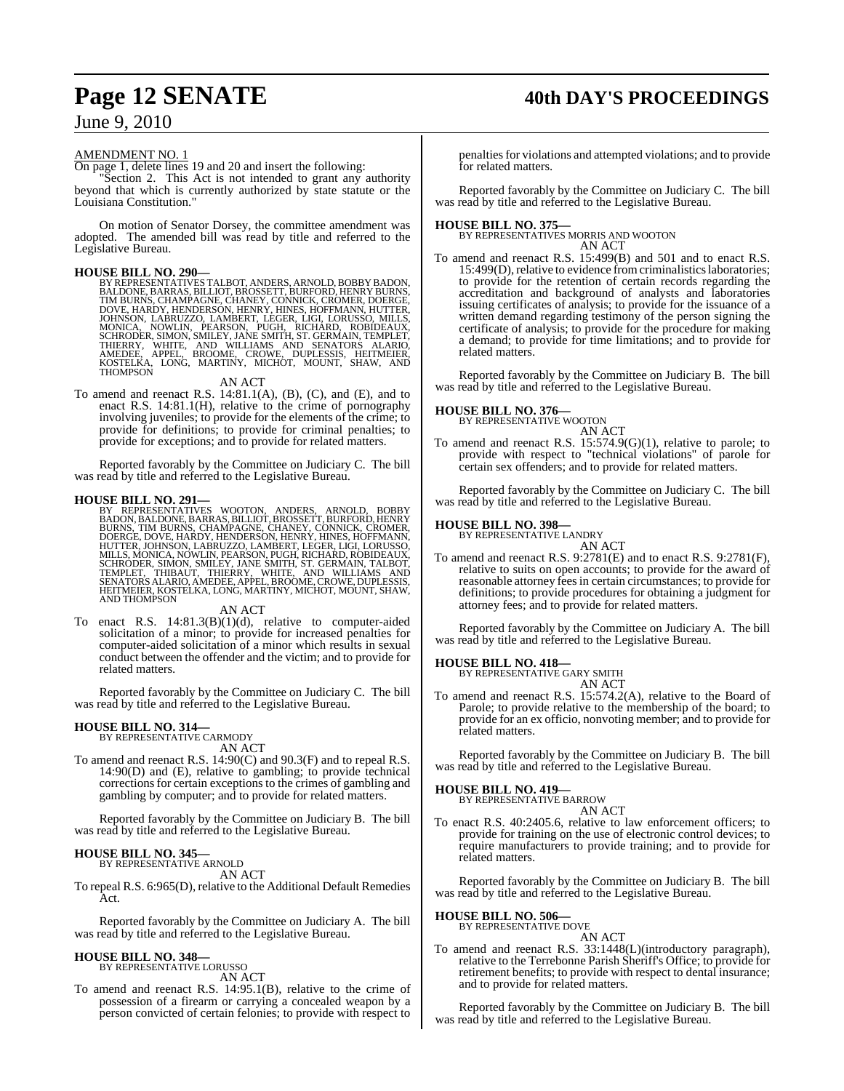## **Page 12 SENATE 40th DAY'S PROCEEDINGS**

### June 9, 2010

#### AMENDMENT NO. 1

On page 1, delete lines 19 and 20 and insert the following:

"Section 2. This Act is not intended to grant any authority beyond that which is currently authorized by state statute or the Louisiana Constitution."

On motion of Senator Dorsey, the committee amendment was adopted. The amended bill was read by title and referred to the Legislative Bureau.

#### **HOUSE BILL NO. 290—**

BY REPRESENTATIVES TALBOT, ANDERS, ARNOLD, BOBBY BADON, BALDONE, BARRAS, BILLIOT, BROSSETT, BURFORD, HENRY TIM BURNS, CHAMPAGNE, CHANEY, CONNICK, CROMER, DOERGE, IOHNSON, HENDERSON, HENRY, HINES, HOFFMANN, HUTTER, JOHNSON,

#### AN ACT

To amend and reenact R.S. 14:81.1(A), (B), (C), and (E), and to enact R.S. 14:81.1(H), relative to the crime of pornography involving juveniles; to provide for the elements of the crime; to provide for definitions; to provide for criminal penalties; to provide for exceptions; and to provide for related matters.

Reported favorably by the Committee on Judiciary C. The bill was read by title and referred to the Legislative Bureau.

#### **HOUSE BILL NO. 291—**

BY REPRESENTATIVES WOOTON, ANDERS, ARNOLD, BOBBY<br>BADON, BALDONE, BARRAS, BILLIOT, BROSSETT, BURFORD, HENRY<br>BURNS, TIM BURNS, CHAMPAGNE, CHANEY, CONNICK, CROMER,<br>DOERGE, DOVE, HARDY, HENDERSON, HENRY, HINES, HOFFMANN,<br>HUTTE AND THOMPSON

#### AN ACT

To enact R.S. 14:81.3(B)(1)(d), relative to computer-aided solicitation of a minor; to provide for increased penalties for computer-aided solicitation of a minor which results in sexual conduct between the offender and the victim; and to provide for related matters.

Reported favorably by the Committee on Judiciary C. The bill was read by title and referred to the Legislative Bureau.

#### **HOUSE BILL NO. 314—**

BY REPRESENTATIVE CARMODY AN ACT

To amend and reenact R.S. 14:90(C) and 90.3(F) and to repeal R.S. 14:90(D) and (E), relative to gambling; to provide technical corrections for certain exceptions to the crimes of gambling and gambling by computer; and to provide for related matters.

Reported favorably by the Committee on Judiciary B. The bill was read by title and referred to the Legislative Bureau.

#### **HOUSE BILL NO. 345—**

BY REPRESENTATIVE ARNOLD AN ACT

To repeal R.S. 6:965(D), relative to the Additional Default Remedies Act.

Reported favorably by the Committee on Judiciary A. The bill was read by title and referred to the Legislative Bureau.

#### **HOUSE BILL NO. 348—**

BY REPRESENTATIVE LORUSSO AN ACT

To amend and reenact R.S. 14:95.1(B), relative to the crime of possession of a firearm or carrying a concealed weapon by a person convicted of certain felonies; to provide with respect to

penalties for violations and attempted violations; and to provide for related matters.

Reported favorably by the Committee on Judiciary C. The bill was read by title and referred to the Legislative Bureau.

**HOUSE BILL NO. 375—** BY REPRESENTATIVES MORRIS AND WOOTON AN ACT

To amend and reenact R.S. 15:499(B) and 501 and to enact R.S. 15:499(D), relative to evidence from criminalistics laboratories; to provide for the retention of certain records regarding the accreditation and background of analysts and laboratories issuing certificates of analysis; to provide for the issuance of a written demand regarding testimony of the person signing the certificate of analysis; to provide for the procedure for making a demand; to provide for time limitations; and to provide for related matters.

Reported favorably by the Committee on Judiciary B. The bill was read by title and referred to the Legislative Bureau.

#### **HOUSE BILL NO. 376—**

BY REPRESENTATIVE WOOTON AN ACT

To amend and reenact R.S. 15:574.9(G)(1), relative to parole; to provide with respect to "technical violations" of parole for certain sex offenders; and to provide for related matters.

Reported favorably by the Committee on Judiciary C. The bill was read by title and referred to the Legislative Bureau.

### **HOUSE BILL NO. 398—** BY REPRESENTATIVE LANDRY

AN ACT

To amend and reenact R.S. 9:2781(E) and to enact R.S. 9:2781(F), relative to suits on open accounts; to provide for the award of reasonable attorney fees in certain circumstances; to provide for definitions; to provide procedures for obtaining a judgment for attorney fees; and to provide for related matters.

Reported favorably by the Committee on Judiciary A. The bill was read by title and referred to the Legislative Bureau.

## **HOUSE BILL NO. 418—** BY REPRESENTATIVE GARY SMITH

AN ACT

To amend and reenact R.S. 15:574.2(A), relative to the Board of Parole; to provide relative to the membership of the board; to provide for an ex officio, nonvoting member; and to provide for related matters.

Reported favorably by the Committee on Judiciary B. The bill was read by title and referred to the Legislative Bureau.

#### **HOUSE BILL NO. 419—**

BY REPRESENTATIVE BARROW AN ACT

To enact R.S. 40:2405.6, relative to law enforcement officers; to provide for training on the use of electronic control devices; to require manufacturers to provide training; and to provide for related matters.

Reported favorably by the Committee on Judiciary B. The bill was read by title and referred to the Legislative Bureau.

#### **HOUSE BILL NO. 506—** BY REPRESENTATIVE DOVE

AN ACT

To amend and reenact R.S. 33:1448(L)(introductory paragraph), relative to the Terrebonne Parish Sheriff's Office; to provide for retirement benefits; to provide with respect to dental insurance; and to provide for related matters.

Reported favorably by the Committee on Judiciary B. The bill was read by title and referred to the Legislative Bureau.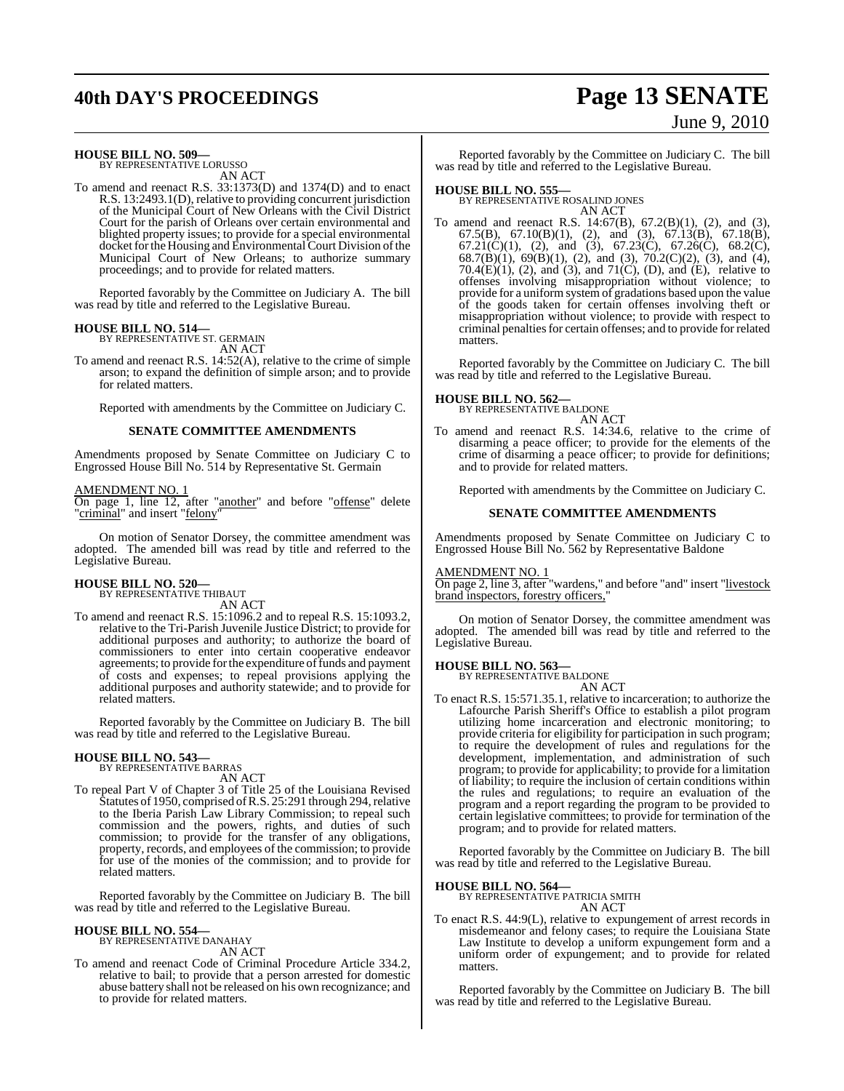## **40th DAY'S PROCEEDINGS Page 13 SENATE**

# June 9, 2010

**HOUSE BILL NO. 509—** BY REPRESENTATIVE LORUSSO

AN ACT

To amend and reenact R.S. 33:1373(D) and 1374(D) and to enact R.S. 13:2493.1(D), relative to providing concurrent jurisdiction of the Municipal Court of New Orleans with the Civil District Court for the parish of Orleans over certain environmental and blighted property issues; to provide for a special environmental docket for the Housing and Environmental Court Division of the Municipal Court of New Orleans; to authorize summary proceedings; and to provide for related matters.

Reported favorably by the Committee on Judiciary A. The bill was read by title and referred to the Legislative Bureau.

#### **HOUSE BILL NO. 514—**

BY REPRESENTATIVE ST. GERMAIN AN ACT

To amend and reenact R.S. 14:52(A), relative to the crime of simple arson; to expand the definition of simple arson; and to provide for related matters.

Reported with amendments by the Committee on Judiciary C.

#### **SENATE COMMITTEE AMENDMENTS**

Amendments proposed by Senate Committee on Judiciary C to Engrossed House Bill No. 514 by Representative St. Germain

#### AMENDMENT NO. 1

On page 1, line 12, after "another" and before "offense" delete "criminal" and insert "felony"

On motion of Senator Dorsey, the committee amendment was adopted. The amended bill was read by title and referred to the Legislative Bureau.

#### **HOUSE BILL NO. 520—** BY REPRESENTATIVE THIBAUT

AN ACT

To amend and reenact R.S. 15:1096.2 and to repeal R.S. 15:1093.2, relative to the Tri-Parish Juvenile Justice District; to provide for additional purposes and authority; to authorize the board of commissioners to enter into certain cooperative endeavor agreements; to provide for the expenditure of funds and payment of costs and expenses; to repeal provisions applying the additional purposes and authority statewide; and to provide for related matters.

Reported favorably by the Committee on Judiciary B. The bill was read by title and referred to the Legislative Bureau.

#### **HOUSE BILL NO. 543—**

BY REPRESENTATIVE BARRAS AN ACT

To repeal Part V of Chapter 3 of Title 25 of the Louisiana Revised Statutes of 1950, comprised of R.S. 25:291 through 294, relative to the Iberia Parish Law Library Commission; to repeal such commission and the powers, rights, and duties of such commission; to provide for the transfer of any obligations, property, records, and employees of the commission; to provide for use of the monies of the commission; and to provide for related matters.

Reported favorably by the Committee on Judiciary B. The bill was read by title and referred to the Legislative Bureau.

#### **HOUSE BILL NO. 554—** BY REPRESENTATIVE DANAHAY

AN ACT

To amend and reenact Code of Criminal Procedure Article 334.2, relative to bail; to provide that a person arrested for domestic abuse battery shall not be released on his own recognizance; and to provide for related matters.

Reported favorably by the Committee on Judiciary C. The bill was read by title and referred to the Legislative Bureau.

**HOUSE BILL NO. 555—** BY REPRESENTATIVE ROSALIND JONES AN ACT

To amend and reenact R.S. 14:67(B), 67.2(B)(1), (2), and (3), 67.5(B), 67.10(B)(1), (2), and (3), 67.13(B), 67.18(B), 67.21(C)(1), (2), and (3), 67.23(C), 67.26(C), 68.2(C), 68.7(B)(1), 69(B)(1), (2), and (3), 70.2(C)(2), (3), and (4), 70.4 $(E)(1)$ , (2), and (3), and 71 $(C)$ , (D), and  $(E)$ , relative to offenses involving misappropriation without violence; to provide for a uniform system of gradations based upon the value of the goods taken for certain offenses involving theft or misappropriation without violence; to provide with respect to criminal penalties for certain offenses; and to provide for related matters.

Reported favorably by the Committee on Judiciary C. The bill was read by title and referred to the Legislative Bureau.

### **HOUSE BILL NO. 562—** BY REPRESENTATIVE BALDONE

AN ACT

To amend and reenact R.S. 14:34.6, relative to the crime of disarming a peace officer; to provide for the elements of the crime of disarming a peace officer; to provide for definitions; and to provide for related matters.

Reported with amendments by the Committee on Judiciary C.

#### **SENATE COMMITTEE AMENDMENTS**

Amendments proposed by Senate Committee on Judiciary C to Engrossed House Bill No. 562 by Representative Baldone

#### AMENDMENT NO. 1

On page 2, line 3, after "wardens," and before "and" insert "livestock brand inspectors, forestry officers,

On motion of Senator Dorsey, the committee amendment was adopted. The amended bill was read by title and referred to the Legislative Bureau.

#### **HOUSE BILL NO. 563—**

BY REPRESENTATIVE BALDONE

- AN ACT
- To enact R.S. 15:571.35.1, relative to incarceration; to authorize the Lafourche Parish Sheriff's Office to establish a pilot program utilizing home incarceration and electronic monitoring; to provide criteria for eligibility for participation in such program; to require the development of rules and regulations for the development, implementation, and administration of such program; to provide for applicability; to provide for a limitation of liability; to require the inclusion of certain conditions within the rules and regulations; to require an evaluation of the program and a report regarding the program to be provided to certain legislative committees; to provide for termination of the program; and to provide for related matters.

Reported favorably by the Committee on Judiciary B. The bill was read by title and referred to the Legislative Bureau.

#### **HOUSE BILL NO. 564—**

BY REPRESENTATIVE PATRICIA SMITH AN ACT

To enact R.S. 44:9(L), relative to expungement of arrest records in misdemeanor and felony cases; to require the Louisiana State Law Institute to develop a uniform expungement form and a uniform order of expungement; and to provide for related matters.

Reported favorably by the Committee on Judiciary B. The bill was read by title and referred to the Legislative Bureau.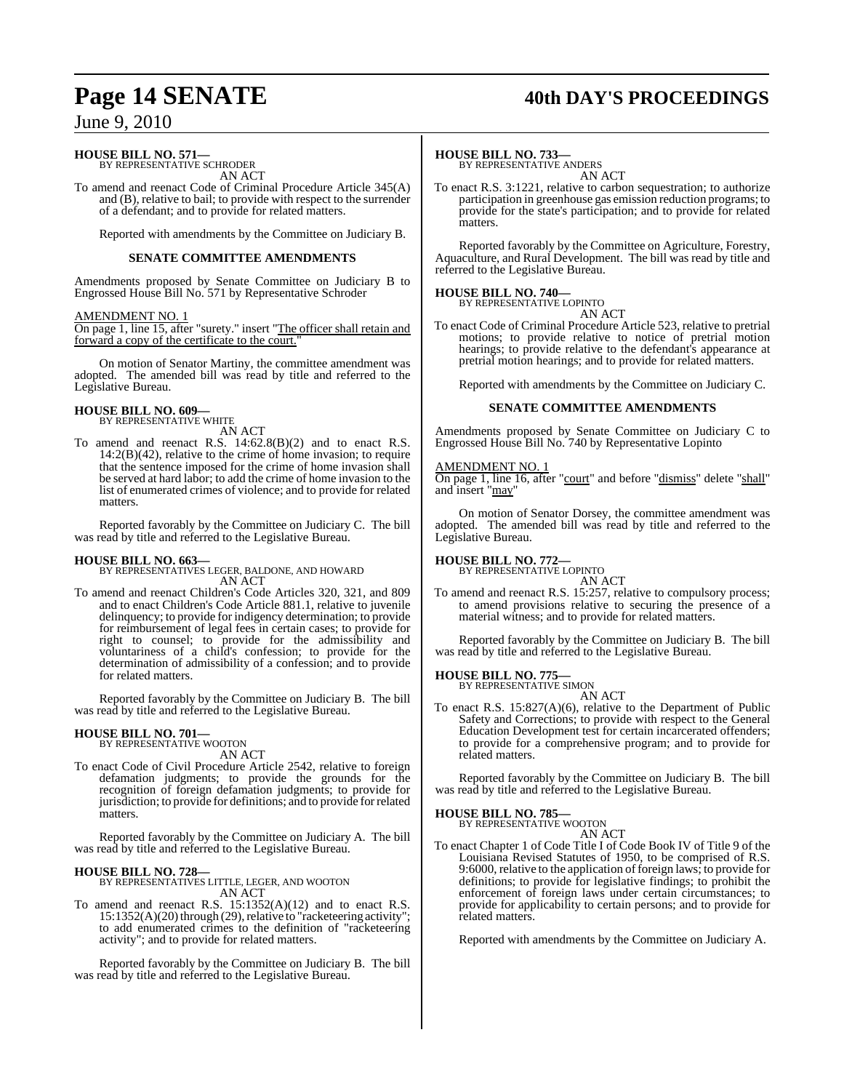## **Page 14 SENATE 40th DAY'S PROCEEDINGS**

### June 9, 2010

### **HOUSE BILL NO. 571—** BY REPRESENTATIVE SCHRODER

AN ACT

To amend and reenact Code of Criminal Procedure Article 345(A) and (B), relative to bail; to provide with respect to the surrender of a defendant; and to provide for related matters.

Reported with amendments by the Committee on Judiciary B.

#### **SENATE COMMITTEE AMENDMENTS**

Amendments proposed by Senate Committee on Judiciary B to Engrossed House Bill No. 571 by Representative Schroder

#### AMENDMENT NO. 1

On page 1, line 15, after "surety." insert "The officer shall retain and forward a copy of the certificate to the court.

On motion of Senator Martiny, the committee amendment was adopted. The amended bill was read by title and referred to the Legislative Bureau.

#### **HOUSE BILL NO. 609—** BY REPRESENTATIVE WHITE

AN ACT

To amend and reenact R.S. 14:62.8(B)(2) and to enact R.S.  $14:2(B)(42)$ , relative to the crime of home invasion; to require that the sentence imposed for the crime of home invasion shall be served at hard labor; to add the crime of home invasion to the list of enumerated crimes of violence; and to provide for related matters.

Reported favorably by the Committee on Judiciary C. The bill was read by title and referred to the Legislative Bureau.

**HOUSE BILL NO. 663—** BY REPRESENTATIVES LEGER, BALDONE, AND HOWARD AN ACT

To amend and reenact Children's Code Articles 320, 321, and 809 and to enact Children's Code Article 881.1, relative to juvenile delinquency; to provide for indigency determination; to provide for reimbursement of legal fees in certain cases; to provide for right to counsel; to provide for the admissibility and voluntariness of a child's confession; to provide for the determination of admissibility of a confession; and to provide for related matters.

Reported favorably by the Committee on Judiciary B. The bill was read by title and referred to the Legislative Bureau.

## **HOUSE BILL NO. 701—** BY REPRESENTATIVE WOOTON

AN ACT

To enact Code of Civil Procedure Article 2542, relative to foreign defamation judgments; to provide the grounds for the recognition of foreign defamation judgments; to provide for jurisdiction; to provide for definitions; and to provide forrelated matters.

Reported favorably by the Committee on Judiciary A. The bill was read by title and referred to the Legislative Bureau.

#### **HOUSE BILL NO. 728—**

BY REPRESENTATIVES LITTLE, LEGER, AND WOOTON AN ACT

To amend and reenact R.S. 15:1352(A)(12) and to enact R.S.  $15:1352(A)(20)$  through (29), relative to "racketeering activity"; to add enumerated crimes to the definition of "racketeering activity"; and to provide for related matters.

Reported favorably by the Committee on Judiciary B. The bill was read by title and referred to the Legislative Bureau.

#### **HOUSE BILL NO. 733—**

BY REPRESENTATIVE ANDERS AN ACT

To enact R.S. 3:1221, relative to carbon sequestration; to authorize participation in greenhouse gas emission reduction programs; to provide for the state's participation; and to provide for related matters.

Reported favorably by the Committee on Agriculture, Forestry, Aquaculture, and Rural Development. The bill was read by title and referred to the Legislative Bureau.

#### **HOUSE BILL NO. 740—**

BY REPRESENTATIVE LOPINTO AN ACT

To enact Code of Criminal Procedure Article 523, relative to pretrial motions; to provide relative to notice of pretrial motion hearings; to provide relative to the defendant's appearance at pretrial motion hearings; and to provide for related matters.

Reported with amendments by the Committee on Judiciary C.

#### **SENATE COMMITTEE AMENDMENTS**

Amendments proposed by Senate Committee on Judiciary C to Engrossed House Bill No. 740 by Representative Lopinto

#### AMENDMENT NO. 1

On page 1, line 16, after "court" and before "dismiss" delete "shall" and insert "may"

On motion of Senator Dorsey, the committee amendment was adopted. The amended bill was read by title and referred to the Legislative Bureau.

### **HOUSE BILL NO. 772—** BY REPRESENTATIVE LOPINTO

AN ACT

To amend and reenact R.S. 15:257, relative to compulsory process; to amend provisions relative to securing the presence of a material witness; and to provide for related matters.

Reported favorably by the Committee on Judiciary B. The bill was read by title and referred to the Legislative Bureau.

### **HOUSE BILL NO. 775—** BY REPRESENTATIVE SIMON

AN ACT

To enact R.S. 15:827(A)(6), relative to the Department of Public Safety and Corrections; to provide with respect to the General Education Development test for certain incarcerated offenders; to provide for a comprehensive program; and to provide for related matters.

Reported favorably by the Committee on Judiciary B. The bill was read by title and referred to the Legislative Bureau.

#### **HOUSE BILL NO. 785—**

BY REPRESENTATIVE WOOTON AN ACT

To enact Chapter 1 of Code Title I of Code Book IV of Title 9 of the Louisiana Revised Statutes of 1950, to be comprised of R.S. 9:6000, relative to the application of foreign laws; to provide for definitions; to provide for legislative findings; to prohibit the enforcement of foreign laws under certain circumstances; to provide for applicability to certain persons; and to provide for related matters.

Reported with amendments by the Committee on Judiciary A.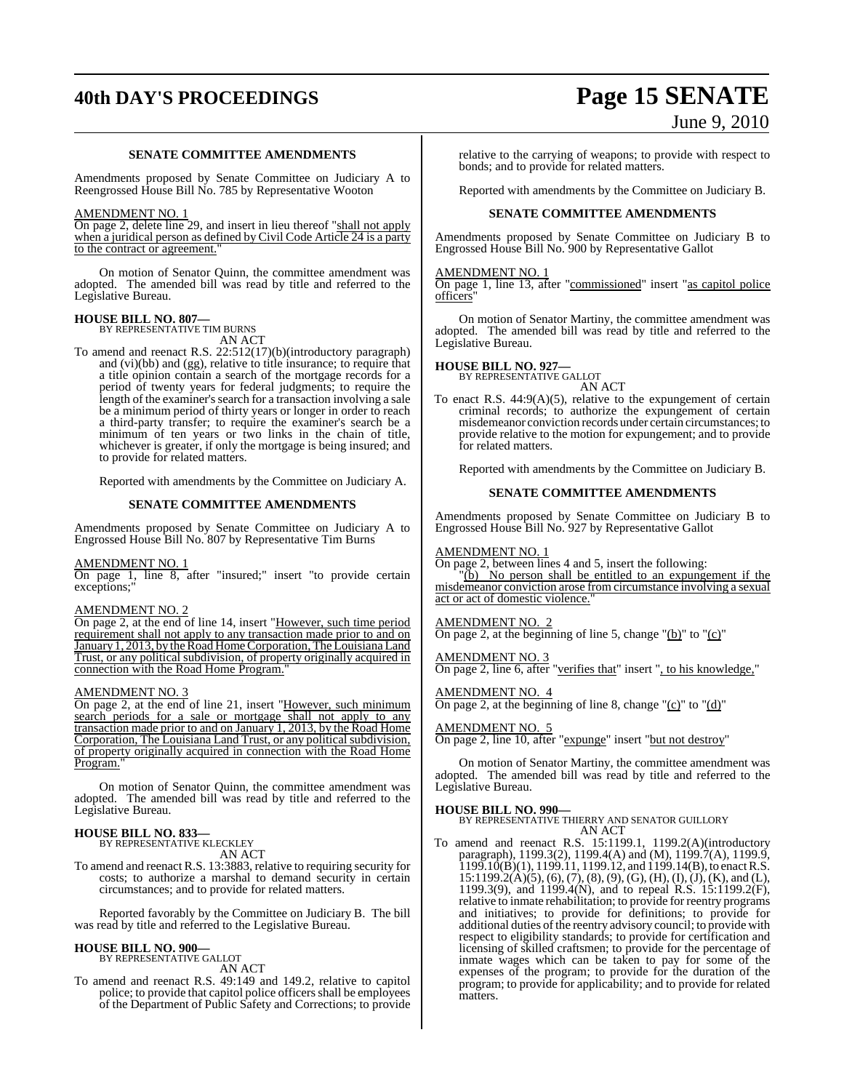## **40th DAY'S PROCEEDINGS Page 15 SENATE**

#### **SENATE COMMITTEE AMENDMENTS**

Amendments proposed by Senate Committee on Judiciary A to Reengrossed House Bill No. 785 by Representative Wooton

#### AMENDMENT NO. 1

On page 2, delete line 29, and insert in lieu thereof "shall not apply when a juridical person as defined by Civil Code Article 24 is a party to the contract or agreement."

On motion of Senator Quinn, the committee amendment was adopted. The amended bill was read by title and referred to the Legislative Bureau.

## **HOUSE BILL NO. 807—** BY REPRESENTATIVE TIM BURNS

AN ACT To amend and reenact R.S. 22:512(17)(b)(introductory paragraph) and (vi)(bb) and (gg), relative to title insurance; to require that a title opinion contain a search of the mortgage records for a period of twenty years for federal judgments; to require the length of the examiner's search for a transaction involving a sale be a minimum period of thirty years or longer in order to reach a third-party transfer; to require the examiner's search be a minimum of ten years or two links in the chain of title, whichever is greater, if only the mortgage is being insured; and to provide for related matters.

Reported with amendments by the Committee on Judiciary A.

#### **SENATE COMMITTEE AMENDMENTS**

Amendments proposed by Senate Committee on Judiciary A to Engrossed House Bill No. 807 by Representative Tim Burns

#### AMENDMENT NO. 1

On page 1, line 8, after "insured;" insert "to provide certain exceptions;"

#### AMENDMENT NO. 2

On page 2, at the end of line 14, insert "However, such time period requirement shall not apply to any transaction made prior to and on January 1, 2013, by the Road Home Corporation, The Louisiana Land Trust, or any political subdivision, of property originally acquired in connection with the Road Home Program.

#### AMENDMENT NO. 3

On page 2, at the end of line 21, insert "However, such minimum search periods for a sale or mortgage shall not apply to any transaction made prior to and on January 1, 2013, by the Road Home Corporation, The Louisiana Land Trust, or any political subdivision, of property originally acquired in connection with the Road Home Program.

On motion of Senator Quinn, the committee amendment was adopted. The amended bill was read by title and referred to the Legislative Bureau.

### **HOUSE BILL NO. 833—** BY REPRESENTATIVE KLECKLEY

AN ACT

To amend and reenact R.S. 13:3883, relative to requiring security for costs; to authorize a marshal to demand security in certain circumstances; and to provide for related matters.

Reported favorably by the Committee on Judiciary B. The bill was read by title and referred to the Legislative Bureau.

#### **HOUSE BILL NO. 900—** BY REPRESENTATIVE GALLOT

AN ACT

To amend and reenact R.S. 49:149 and 149.2, relative to capitol police; to provide that capitol police officers shall be employees of the Department of Public Safety and Corrections; to provide

# June 9, 2010

relative to the carrying of weapons; to provide with respect to bonds; and to provide for related matters.

Reported with amendments by the Committee on Judiciary B.

#### **SENATE COMMITTEE AMENDMENTS**

Amendments proposed by Senate Committee on Judiciary B to Engrossed House Bill No. 900 by Representative Gallot

#### AMENDMENT NO. 1

On page 1, line 13, after "commissioned" insert "as capitol police officers"

On motion of Senator Martiny, the committee amendment was adopted. The amended bill was read by title and referred to the Legislative Bureau.

## **HOUSE BILL NO. 927—** BY REPRESENTATIVE GALLOT

AN ACT

To enact R.S.  $44:9(A)(5)$ , relative to the expungement of certain criminal records; to authorize the expungement of certain misdemeanor conviction records under certain circumstances; to provide relative to the motion for expungement; and to provide for related matters.

Reported with amendments by the Committee on Judiciary B.

#### **SENATE COMMITTEE AMENDMENTS**

Amendments proposed by Senate Committee on Judiciary B to Engrossed House Bill No. 927 by Representative Gallot

#### AMENDMENT NO. 1

On page 2, between lines 4 and 5, insert the following:

(b) No person shall be entitled to an expungement if the misdemeanor conviction arose from circumstance involving a sexual act or act of domestic violence."

#### AMENDMENT NO. 2

On page 2, at the beginning of line 5, change " $(b)$ " to " $(c)$ "

#### AMENDMENT NO. 3

On page 2, line 6, after "verifies that" insert ", to his knowledge,"

#### AMENDMENT NO. 4

On page 2, at the beginning of line 8, change " $(c)$ " to " $(d)$ "

#### AMENDMENT NO. 5

**On page 2, line 10, after "expunge" insert "but not destroy"** 

On motion of Senator Martiny, the committee amendment was adopted. The amended bill was read by title and referred to the Legislative Bureau.

#### **HOUSE BILL NO. 990—**

BY REPRESENTATIVE THIERRY AND SENATOR GUILLORY AN ACT

To amend and reenact R.S. 15:1199.1, 1199.2(A)(introductory paragraph), 1199.3(2), 1199.4(A) and (M), 1199.7(A), 1199.9,  $1199.10(B)(1)$ ,  $1199.11$ ,  $1199.12$ , and  $1199.14(B)$ , to enact R.S.  $15:1199.2(A)(5), (6), (7), (8), (9), (G), (H), (I), (J), (K),$  and (L), 1199.3(9), and 1199.4(N), and to repeal R.S. 15:1199.2(F), relative to inmate rehabilitation; to provide for reentry programs and initiatives; to provide for definitions; to provide for additional duties ofthe reentry advisory council; to provide with respect to eligibility standards; to provide for certification and licensing of skilled craftsmen; to provide for the percentage of inmate wages which can be taken to pay for some of the expenses of the program; to provide for the duration of the program; to provide for applicability; and to provide for related matters.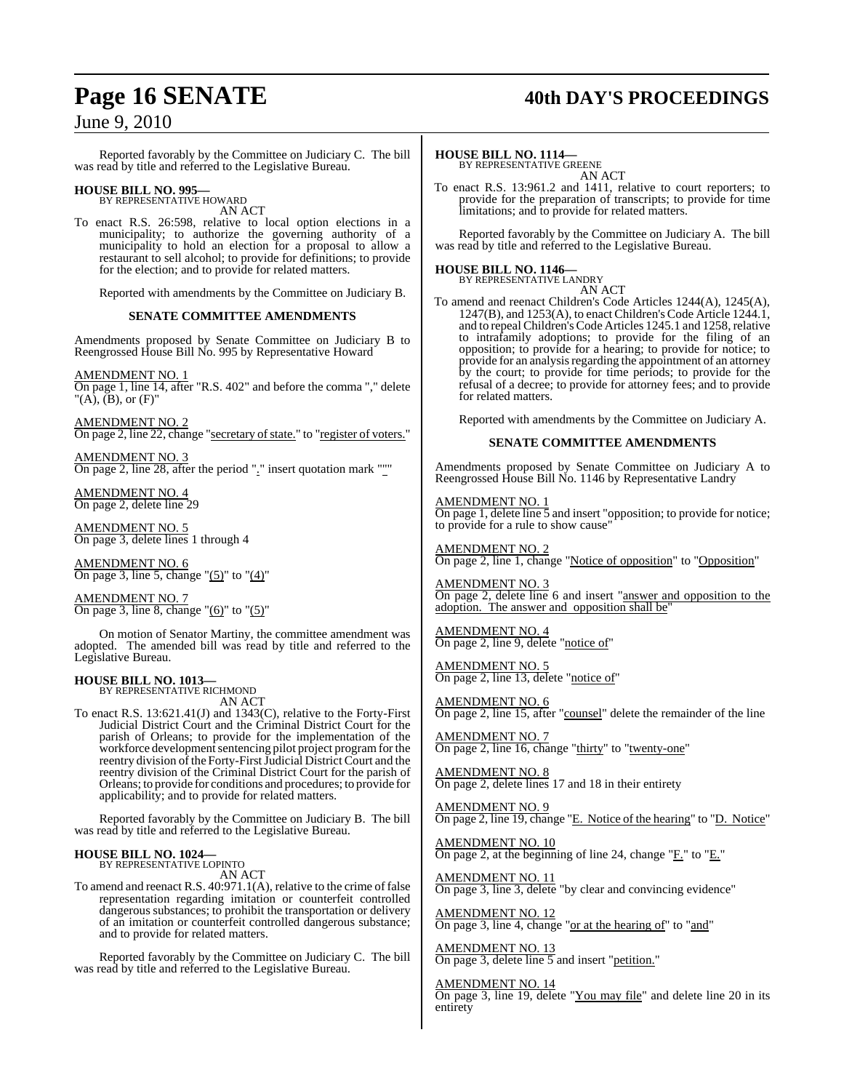## **Page 16 SENATE 40th DAY'S PROCEEDINGS**

### June 9, 2010

Reported favorably by the Committee on Judiciary C. The bill was read by title and referred to the Legislative Bureau.

### **HOUSE BILL NO. 995—** BY REPRESENTATIVE HOWARD

AN ACT

To enact R.S. 26:598, relative to local option elections in a municipality; to authorize the governing authority of a municipality to hold an election for a proposal to allow a restaurant to sell alcohol; to provide for definitions; to provide for the election; and to provide for related matters.

Reported with amendments by the Committee on Judiciary B.

#### **SENATE COMMITTEE AMENDMENTS**

Amendments proposed by Senate Committee on Judiciary B to Reengrossed House Bill No. 995 by Representative Howard

AMENDMENT NO. 1 On page 1, line 14, after "R.S. 402" and before the comma "," delete " $(A)$ ,  $(B)$ , or  $(F)$ "

AMENDMENT NO. 2 On page 2, line 22, change "secretary of state." to "register of voters."

AMENDMENT NO. 3 On page 2, line 28, after the period "." insert quotation mark """

AMENDMENT NO. 4 On page 2, delete line 29

AMENDMENT NO. 5 On page 3, delete lines 1 through 4

AMENDMENT NO. 6 On page 3, line 5, change " $(5)$ " to " $(4)$ "

AMENDMENT NO. 7 On page 3, line 8, change " $(6)$ " to " $(5)$ "

On motion of Senator Martiny, the committee amendment was adopted. The amended bill was read by title and referred to the Legislative Bureau.

#### **HOUSE BILL NO. 1013—** BY REPRESENTATIVE RICHMOND

AN ACT

To enact R.S. 13:621.41(J) and 1343(C), relative to the Forty-First Judicial District Court and the Criminal District Court for the parish of Orleans; to provide for the implementation of the workforce development sentencing pilot project program for the reentry division of the Forty-First Judicial District Court and the reentry division of the Criminal District Court for the parish of Orleans; to provide for conditions and procedures; to provide for applicability; and to provide for related matters.

Reported favorably by the Committee on Judiciary B. The bill was read by title and referred to the Legislative Bureau.

## **HOUSE BILL NO. 1024—** BY REPRESENTATIVE LOPINTO

AN ACT

To amend and reenact R.S. 40:971.1(A), relative to the crime of false representation regarding imitation or counterfeit controlled dangerous substances; to prohibit the transportation or delivery of an imitation or counterfeit controlled dangerous substance; and to provide for related matters.

Reported favorably by the Committee on Judiciary C. The bill was read by title and referred to the Legislative Bureau.

#### **HOUSE BILL NO. 1114—**

BY REPRESENTATIVE GREENE AN ACT

To enact R.S. 13:961.2 and 1411, relative to court reporters; to provide for the preparation of transcripts; to provide for time limitations; and to provide for related matters.

Reported favorably by the Committee on Judiciary A. The bill was read by title and referred to the Legislative Bureau.

### **HOUSE BILL NO. 1146—** BY REPRESENTATIVE LANDRY

AN ACT

To amend and reenact Children's Code Articles 1244(A), 1245(A), 1247(B), and 1253(A), to enact Children's Code Article 1244.1, and to repeal Children's Code Articles 1245.1 and 1258, relative to intrafamily adoptions; to provide for the filing of an opposition; to provide for a hearing; to provide for notice; to provide for an analysis regarding the appointment of an attorney by the court; to provide for time periods; to provide for the refusal of a decree; to provide for attorney fees; and to provide for related matters.

Reported with amendments by the Committee on Judiciary A.

#### **SENATE COMMITTEE AMENDMENTS**

Amendments proposed by Senate Committee on Judiciary A to Reengrossed House Bill No. 1146 by Representative Landry

AMENDMENT NO. 1 On page 1, delete line 5 and insert "opposition; to provide for notice; to provide for a rule to show cause"

AMENDMENT NO. 2 On page 2, line 1, change "Notice of opposition" to "Opposition"

AMENDMENT NO. 3 On page 2, delete line 6 and insert "answer and opposition to the adoption. The answer and opposition shall be"

AMENDMENT NO. 4 On page 2, line 9, delete "notice of"

AMENDMENT NO. 5 On page 2, line 13, delete "notice of"

AMENDMENT NO. 6 On page 2, line 15, after "counsel" delete the remainder of the line

AMENDMENT NO. 7 On page 2, line 16, change "thirty" to "twenty-one"

AMENDMENT NO. 8 On page 2, delete lines 17 and 18 in their entirety

AMENDMENT NO. 9 On page 2, line 19, change "E. Notice of the hearing" to "D. Notice"

AMENDMENT NO. 10 On page 2, at the beginning of line 24, change "F." to "E."

AMENDMENT NO. 11 On page 3, line 3, delete "by clear and convincing evidence"

AMENDMENT NO. 12 On page 3, line 4, change "or at the hearing of" to "and"

AMENDMENT NO. 13 On page 3, delete line 5 and insert "petition."

AMENDMENT NO. 14 On page 3, line 19, delete "You may file" and delete line 20 in its entirety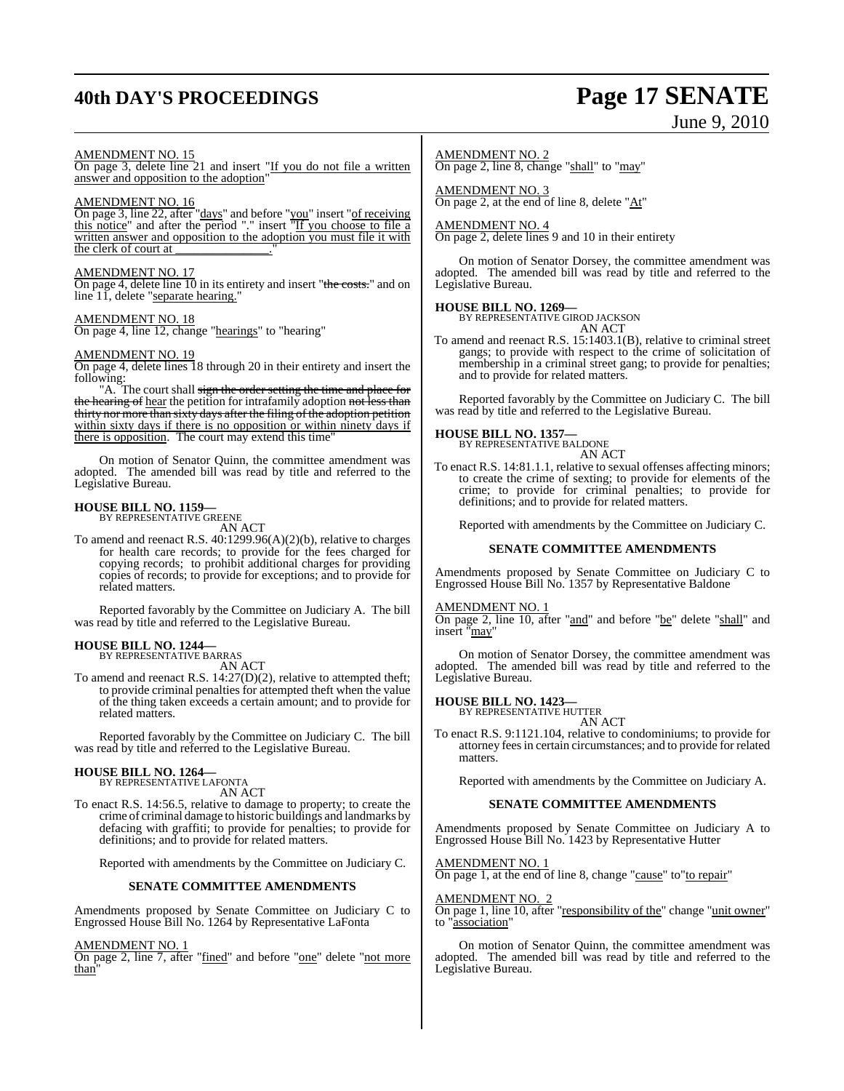## **40th DAY'S PROCEEDINGS Page 17 SENATE**

# June 9, 2010

#### AMENDMENT NO. 15

On page 3, delete line 21 and insert "If you do not file a written answer and opposition to the adoption"

#### AMENDMENT NO. 16

On page 3, line 22, after "days" and before "you" insert "of receiving this notice" and after the period "." insert "If you choose to file a written answer and opposition to the adoption you must file it with the clerk of court at

#### AMENDMENT NO. 17

On page 4, delete line 10 in its entirety and insert "the costs." and on line 11, delete "separate hearing."

#### AMENDMENT NO. 18

On page 4, line 12, change "hearings" to "hearing"

#### AMENDMENT NO. 19

On page 4, delete lines 18 through 20 in their entirety and insert the following:

"A. The court shall sign the order setting the time and place for the hearing of hear the petition for intrafamily adoption not less than thirty nor more than sixty days after the filing of the adoption petition within sixty days if there is no opposition or within ninety days if there is opposition. The court may extend this time"

On motion of Senator Quinn, the committee amendment was adopted. The amended bill was read by title and referred to the Legislative Bureau.

### **HOUSE BILL NO. 1159—** BY REPRESENTATIVE GREENE

AN ACT

To amend and reenact R.S. 40:1299.96(A)(2)(b), relative to charges for health care records; to provide for the fees charged for copying records; to prohibit additional charges for providing copies of records; to provide for exceptions; and to provide for related matters.

Reported favorably by the Committee on Judiciary A. The bill was read by title and referred to the Legislative Bureau.

## **HOUSE BILL NO. 1244—** BY REPRESENTATIVE BARRAS

AN ACT

To amend and reenact R.S. 14:27(D)(2), relative to attempted theft; to provide criminal penalties for attempted theft when the value of the thing taken exceeds a certain amount; and to provide for related matters.

Reported favorably by the Committee on Judiciary C. The bill was read by title and referred to the Legislative Bureau.

### **HOUSE BILL NO. 1264—** BY REPRESENTATIVE LAFONTA

AN ACT

To enact R.S. 14:56.5, relative to damage to property; to create the crime of criminal damage to historic buildings and landmarks by defacing with graffiti; to provide for penalties; to provide for definitions; and to provide for related matters.

Reported with amendments by the Committee on Judiciary C.

#### **SENATE COMMITTEE AMENDMENTS**

Amendments proposed by Senate Committee on Judiciary C to Engrossed House Bill No. 1264 by Representative LaFonta

#### AMENDMENT NO. 1

On page 2, line 7, after "fined" and before "one" delete "not more than

#### AMENDMENT NO. 2

On page 2, line 8, change "shall" to "may"

AMENDMENT NO. 3 On page 2, at the end of line 8, delete "At"

#### AMENDMENT NO. 4

On page 2, delete lines 9 and 10 in their entirety

On motion of Senator Dorsey, the committee amendment was adopted. The amended bill was read by title and referred to the Legislative Bureau.

#### **HOUSE BILL NO. 1269—**

BY REPRESENTATIVE GIROD JACKSON AN ACT

To amend and reenact R.S. 15:1403.1(B), relative to criminal street gangs; to provide with respect to the crime of solicitation of membership in a criminal street gang; to provide for penalties; and to provide for related matters.

Reported favorably by the Committee on Judiciary C. The bill was read by title and referred to the Legislative Bureau.

## **HOUSE BILL NO. 1357—** BY REPRESENTATIVE BALDONE

AN ACT

To enact R.S. 14:81.1.1, relative to sexual offenses affecting minors; to create the crime of sexting; to provide for elements of the crime; to provide for criminal penalties; to provide for definitions; and to provide for related matters.

Reported with amendments by the Committee on Judiciary C.

#### **SENATE COMMITTEE AMENDMENTS**

Amendments proposed by Senate Committee on Judiciary C to Engrossed House Bill No. 1357 by Representative Baldone

#### AMENDMENT NO. 1

On page 2, line 10, after "and" and before "be" delete "shall" and insert "may"

On motion of Senator Dorsey, the committee amendment was adopted. The amended bill was read by title and referred to the Legislative Bureau.

#### **HOUSE BILL NO. 1423—**

BY REPRESENTATIVE HUTTER AN ACT

To enact R.S. 9:1121.104, relative to condominiums; to provide for attorney feesin certain circumstances; and to provide for related matters.

Reported with amendments by the Committee on Judiciary A.

#### **SENATE COMMITTEE AMENDMENTS**

Amendments proposed by Senate Committee on Judiciary A to Engrossed House Bill No. 1423 by Representative Hutter

#### AMENDMENT NO. 1

On page 1, at the end of line 8, change "cause" to"to repair"

#### AMENDMENT NO. 2

On page 1, line 10, after "responsibility of the" change "unit owner" to "association"

On motion of Senator Quinn, the committee amendment was adopted. The amended bill was read by title and referred to the Legislative Bureau.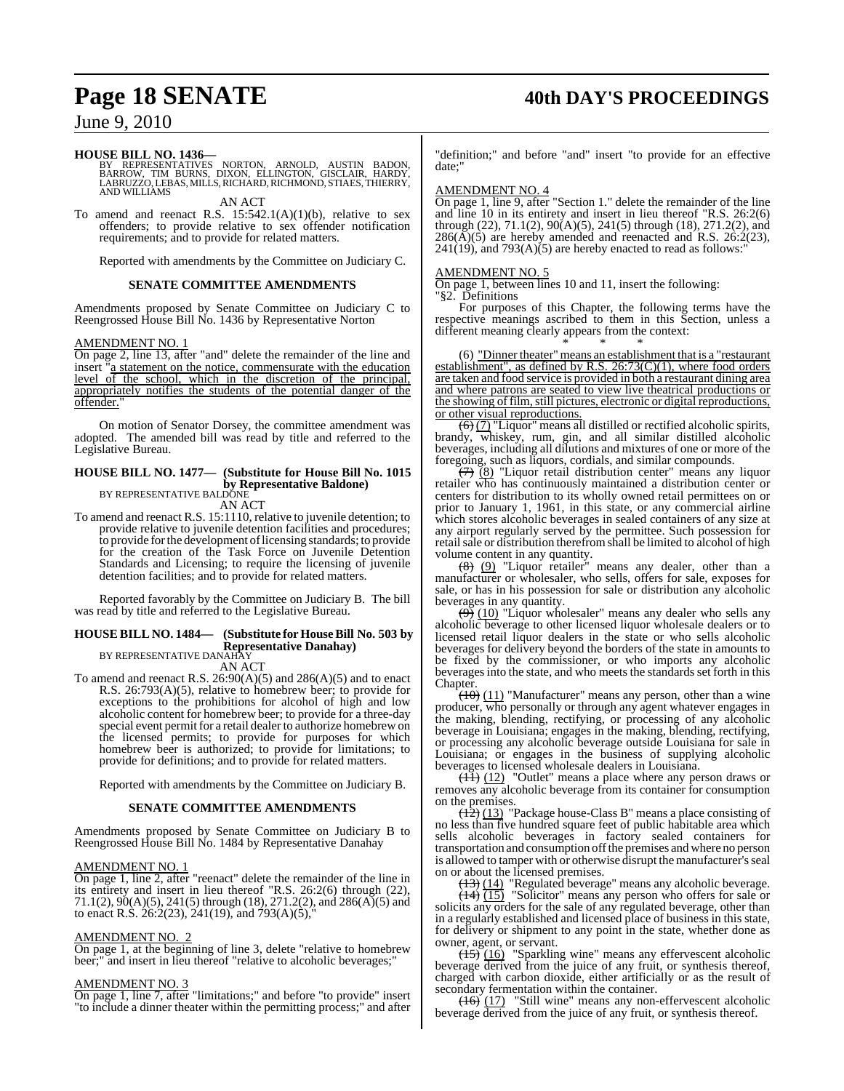## **Page 18 SENATE 40th DAY'S PROCEEDINGS**

### June 9, 2010

#### **HOUSE BILL NO. 1436—**

BY REPRESENTATIVES NORTON, ARNOLD, AUSTIN BADON,<br>BARROW, TIM BURNS, DIXON, ELLINGTON, GISCLAIR, HARDY,<br>LABRUZZO,LEBAS,MILLS,RICHARD,RICHMOND,STIAES,THIERRY, AND WILLIAMS AN ACT

To amend and reenact R.S.  $15:542.1(A)(1)(b)$ , relative to sex offenders; to provide relative to sex offender notification requirements; and to provide for related matters.

Reported with amendments by the Committee on Judiciary C.

#### **SENATE COMMITTEE AMENDMENTS**

Amendments proposed by Senate Committee on Judiciary C to Reengrossed House Bill No. 1436 by Representative Norton

#### AMENDMENT NO. 1

On page 2, line 13, after "and" delete the remainder of the line and insert <sup>"</sup>a statement on the notice, commensurate with the education level of the school, which in the discretion of the principal, appropriately notifies the students of the potential danger of the offender."

On motion of Senator Dorsey, the committee amendment was adopted. The amended bill was read by title and referred to the Legislative Bureau.

#### **HOUSE BILL NO. 1477— (Substitute for House Bill No. 1015 by Representative Baldone)** BY REPRESENTATIVE BALDONE

AN ACT

To amend and reenact R.S. 15:1110, relative to juvenile detention; to provide relative to juvenile detention facilities and procedures; to provide for the development of licensing standards; to provide for the creation of the Task Force on Juvenile Detention Standards and Licensing; to require the licensing of juvenile detention facilities; and to provide for related matters.

Reported favorably by the Committee on Judiciary B. The bill was read by title and referred to the Legislative Bureau.

#### **HOUSE BILL NO. 1484— (Substitute for HouseBill No. 503 by Representative Danahay)** BY REPRESENTATIVE DANAHAY

AN ACT

To amend and reenact R.S. 26:90(A)(5) and 286(A)(5) and to enact R.S. 26:793(A)(5), relative to homebrew beer; to provide for exceptions to the prohibitions for alcohol of high and low alcoholic content for homebrew beer; to provide for a three-day special event permit for a retail dealer to authorize homebrew on the licensed permits; to provide for purposes for which homebrew beer is authorized; to provide for limitations; to provide for definitions; and to provide for related matters.

Reported with amendments by the Committee on Judiciary B.

#### **SENATE COMMITTEE AMENDMENTS**

Amendments proposed by Senate Committee on Judiciary B to Reengrossed House Bill No. 1484 by Representative Danahay

#### AMENDMENT NO. 1

On page 1, line 2, after "reenact" delete the remainder of the line in its entirety and insert in lieu thereof "R.S. 26:2(6) through (22),  $71.1(2)$ ,  $90(A)(5)$ ,  $241(5)$  through (18),  $271.2(2)$ , and  $286(A)(5)$  and to enact R.S. 26:2(23), 241(19), and 793(A)(5),"

#### AMENDMENT NO. 2

On page 1, at the beginning of line 3, delete "relative to homebrew beer;" and insert in lieu thereof "relative to alcoholic beverages;"

#### AMENDMENT NO. 3

On page 1, line 7, after "limitations;" and before "to provide" insert "to include a dinner theater within the permitting process;" and after

"definition;" and before "and" insert "to provide for an effective date;"

#### AMENDMENT NO. 4

On page 1, line 9, after "Section 1." delete the remainder of the line and line 10 in its entirety and insert in lieu thereof "R.S. 26:2(6) through (22), 71.1(2), 90(A)(5), 241(5) through (18), 271.2(2), and  $286(A)(5)$  are hereby amended and reenacted and R.S.  $26:2(23)$ ,  $241(19)$ , and  $793(A)(5)$  are hereby enacted to read as follows:"

#### AMENDMENT NO. 5

On page 1, between lines 10 and 11, insert the following: "§2. Definitions

For purposes of this Chapter, the following terms have the respective meanings ascribed to them in this Section, unless a different meaning clearly appears from the context:

\* \* \* (6) "Dinner theater" means an establishment that is a "restaurant establishment", as defined by R.S.  $26:73(C)(1)$ , where food orders are taken and food service is provided in both a restaurant dining area and where patrons are seated to view live theatrical productions or the showing of film, still pictures, electronic or digital reproductions, or other visual reproductions.

 $\left(\frac{1}{2}\right)$  "Liquor" means all distilled or rectified alcoholic spirits, brandy, whiskey, rum, gin, and all similar distilled alcoholic beverages, including all dilutions and mixtures of one or more of the foregoing, such as liquors, cordials, and similar compounds.

 $(7)$   $(8)$  "Liquor retail distribution center" means any liquor retailer who has continuously maintained a distribution center or centers for distribution to its wholly owned retail permittees on or prior to January 1, 1961, in this state, or any commercial airline which stores alcoholic beverages in sealed containers of any size at any airport regularly served by the permittee. Such possession for retailsale or distribution therefromshall be limited to alcohol of high volume content in any quantity.

(8) (9) "Liquor retailer" means any dealer, other than a manufacturer or wholesaler, who sells, offers for sale, exposes for sale, or has in his possession for sale or distribution any alcoholic beverages in any quantity.

 $(9)$  (10) "Liquor wholesaler" means any dealer who sells any alcoholic beverage to other licensed liquor wholesale dealers or to licensed retail liquor dealers in the state or who sells alcoholic beverages for delivery beyond the borders of the state in amounts to be fixed by the commissioner, or who imports any alcoholic beveragesinto the state, and who meets the standards set forth in this Chapter.

 $(10)$  (11) "Manufacturer" means any person, other than a wine producer, who personally or through any agent whatever engages in the making, blending, rectifying, or processing of any alcoholic beverage in Louisiana; engages in the making, blending, rectifying, or processing any alcoholic beverage outside Louisiana for sale in Louisiana; or engages in the business of supplying alcoholic beverages to licensed wholesale dealers in Louisiana.

 $\overline{(11)}$  (12) "Outlet" means a place where any person draws or removes any alcoholic beverage from its container for consumption on the premises.

 $(12)$  (13) "Package house-Class B" means a place consisting of no less than five hundred square feet of public habitable area which sells alcoholic beverages in factory sealed containers for transportation and consumption off the premises and where no person is allowed to tamper with or otherwise disrupt the manufacturer's seal on or about the licensed premises.

 $(13)$  (14) "Regulated beverage" means any alcoholic beverage.  $\overline{(14)}$   $\overline{(15)}$  "Solicitor" means any person who offers for sale or solicits any orders for the sale of any regulated beverage, other than in a regularly established and licensed place of business in this state, for delivery or shipment to any point in the state, whether done as owner, agent, or servant.

 $\overline{(15)}$  (16) "Sparkling wine" means any effervescent alcoholic beverage derived from the juice of any fruit, or synthesis thereof, charged with carbon dioxide, either artificially or as the result of secondary fermentation within the container.

 $\frac{(16)}{(17)}$  "Still wine" means any non-effervescent alcoholic beverage derived from the juice of any fruit, or synthesis thereof.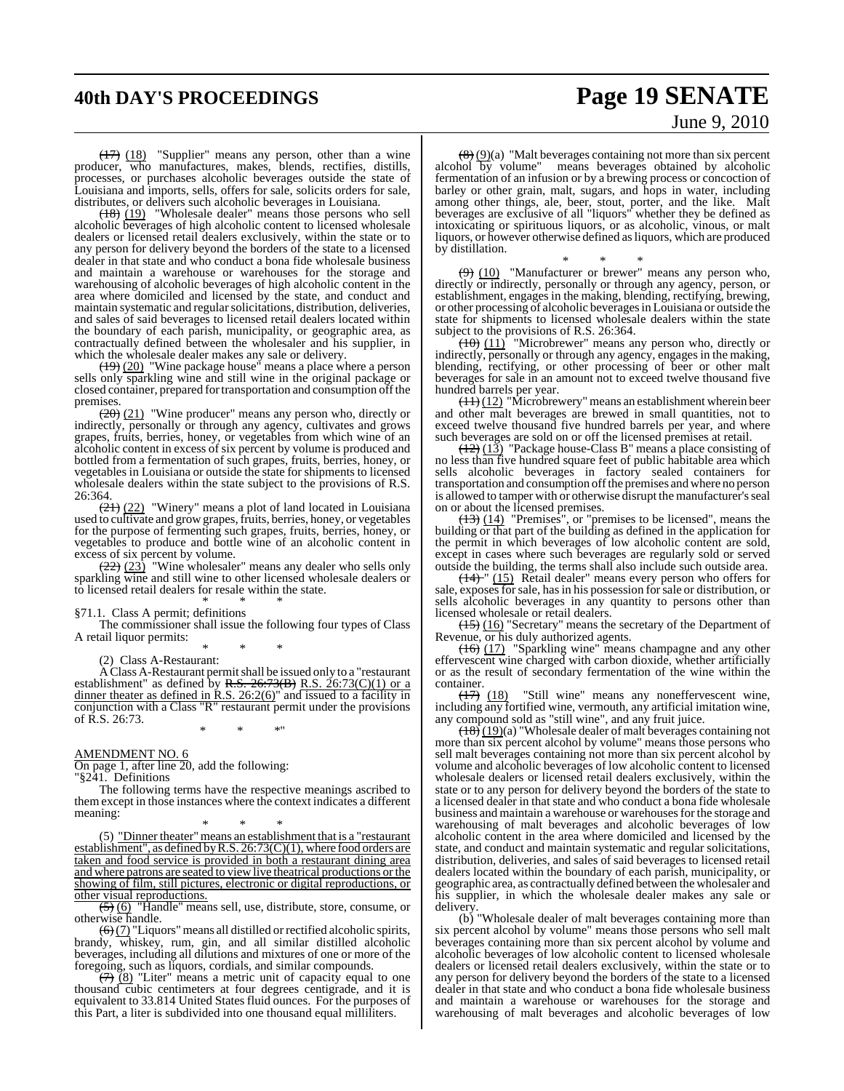## **40th DAY'S PROCEEDINGS Page 19 SENATE** June 9, 2010

(17) (18) "Supplier" means any person, other than a wine producer, who manufactures, makes, blends, rectifies, distills, processes, or purchases alcoholic beverages outside the state of Louisiana and imports, sells, offers for sale, solicits orders for sale, distributes, or delivers such alcoholic beverages in Louisiana.

 $(18)$  (19) "Wholesale dealer" means those persons who sell alcoholic beverages of high alcoholic content to licensed wholesale dealers or licensed retail dealers exclusively, within the state or to any person for delivery beyond the borders of the state to a licensed dealer in that state and who conduct a bona fide wholesale business and maintain a warehouse or warehouses for the storage and warehousing of alcoholic beverages of high alcoholic content in the area where domiciled and licensed by the state, and conduct and maintain systematic and regular solicitations, distribution, deliveries, and sales of said beverages to licensed retail dealers located within the boundary of each parish, municipality, or geographic area, as contractually defined between the wholesaler and his supplier, in which the wholesale dealer makes any sale or delivery.

 $(19)$  (20) "Wine package house" means a place where a person sells only sparkling wine and still wine in the original package or closed container, prepared fortransportation and consumption offthe premises.

 $(20)$  (21) "Wine producer" means any person who, directly or indirectly, personally or through any agency, cultivates and grows grapes, fruits, berries, honey, or vegetables from which wine of an alcoholic content in excess of six percent by volume is produced and bottled from a fermentation of such grapes, fruits, berries, honey, or vegetables in Louisiana or outside the state for shipments to licensed wholesale dealers within the state subject to the provisions of R.S. 26:364.

 $(21)$  (22) "Winery" means a plot of land located in Louisiana used to cultivate and grow grapes,fruits, berries, honey, or vegetables for the purpose of fermenting such grapes, fruits, berries, honey, or vegetables to produce and bottle wine of an alcoholic content in excess of six percent by volume.

 $(22)$   $(23)$  "Wine wholesaler" means any dealer who sells only sparkling wine and still wine to other licensed wholesale dealers or to licensed retail dealers for resale within the state.

\* \* \* §71.1. Class A permit; definitions

The commissioner shall issue the following four types of Class A retail liquor permits:

\* \* \* (2) Class A-Restaurant:

A Class A-Restaurant permitshall be issued only to a "restaurant establishment" as defined by R.S. 26:73(B) R.S. 26:73(C)(1) or a dinner theater as defined in R.S.  $26:2(6)$ " and issued to a facility in conjunction with a Class "R" restaurant permit under the provisions of R.S. 26:73.

\* \* \*"

AMENDMENT NO. 6

On page 1, after line 20, add the following: "§241. Definitions

The following terms have the respective meanings ascribed to them except in those instances where the context indicates a different meaning:

\* \* \* (5) "Dinner theater" means an establishment that is a "restaurant establishment", as defined byR.S. 26:73(C)(1), where food orders are taken and food service is provided in both a restaurant dining area and where patrons are seated to view live theatrical productions or the showing of film, still pictures, electronic or digital reproductions, or other visual reproductions.

(5) (6) "Handle" means sell, use, distribute, store, consume, or otherwise handle.

 $\left(\frac{6}{2}\right)$  "Liquors" means all distilled or rectified alcoholic spirits, brandy, whiskey, rum, gin, and all similar distilled alcoholic beverages, including all dilutions and mixtures of one or more of the foregoing, such as liquors, cordials, and similar compounds.

 $(7)$   $(8)$  "Liter" means a metric unit of capacity equal to one thousand cubic centimeters at four degrees centigrade, and it is equivalent to 33.814 United States fluid ounces. For the purposes of this Part, a liter is subdivided into one thousand equal milliliters.

 $\left(\frac{8}{2}\right)(9)$  "Malt beverages containing not more than six percent alcohol by volume" means beverages obtained by alcoholic fermentation of an infusion or by a brewing process or concoction of barley or other grain, malt, sugars, and hops in water, including among other things, ale, beer, stout, porter, and the like. Malt beverages are exclusive of all "liquors" whether they be defined as intoxicating or spirituous liquors, or as alcoholic, vinous, or malt liquors, or however otherwise defined asliquors, which are produced by distillation.

\* \* \*  $(9)$  (10) "Manufacturer or brewer" means any person who, directly or indirectly, personally or through any agency, person, or establishment, engages in the making, blending, rectifying, brewing, or other processing of alcoholic beveragesin Louisiana or outside the state for shipments to licensed wholesale dealers within the state subject to the provisions of R.S. 26:364.

 $(10)$   $(11)$  "Microbrewer" means any person who, directly or indirectly, personally or through any agency, engages in the making, blending, rectifying, or other processing of beer or other malt beverages for sale in an amount not to exceed twelve thousand five hundred barrels per year.

 $\frac{(11)(12)}{(11)(12)}$  "Microbrewery" means an establishment wherein beer and other malt beverages are brewed in small quantities, not to exceed twelve thousand five hundred barrels per year, and where such beverages are sold on or off the licensed premises at retail.

 $\frac{1}{2}$  (13) "Package house-Class B" means a place consisting of no less than five hundred square feet of public habitable area which sells alcoholic beverages in factory sealed containers for transportation and consumption off the premises and where no person is allowed to tamper with or otherwise disrupt the manufacturer's seal on or about the licensed premises.

 $(13)$  (14) "Premises", or "premises to be licensed", means the building or that part of the building as defined in the application for the permit in which beverages of low alcoholic content are sold, except in cases where such beverages are regularly sold or served outside the building, the terms shall also include such outside area.

 $(14)$  " (15) Retail dealer" means every person who offers for sale, exposes for sale, has in his possession for sale or distribution, or sells alcoholic beverages in any quantity to persons other than licensed wholesale or retail dealers.

(15) (16) "Secretary" means the secretary of the Department of Revenue, or his duly authorized agents.

(16) (17) "Sparkling wine" means champagne and any other effervescent wine charged with carbon dioxide, whether artificially or as the result of secondary fermentation of the wine within the container.<br> $\frac{(17)}{(18)}$ 

"Still wine" means any noneffervescent wine, including any fortified wine, vermouth, any artificial imitation wine, any compound sold as "still wine", and any fruit juice.

 $\frac{(18)(19)}{(19)}$  "Wholesale dealer of malt beverages containing not more than six percent alcohol by volume" means those persons who sell malt beverages containing not more than six percent alcohol by volume and alcoholic beverages of low alcoholic content to licensed wholesale dealers or licensed retail dealers exclusively, within the state or to any person for delivery beyond the borders of the state to a licensed dealer in that state and who conduct a bona fide wholesale business and maintain a warehouse or warehouses for the storage and warehousing of malt beverages and alcoholic beverages of low alcoholic content in the area where domiciled and licensed by the state, and conduct and maintain systematic and regular solicitations, distribution, deliveries, and sales of said beverages to licensed retail dealers located within the boundary of each parish, municipality, or geographic area, as contractually defined between the wholesaler and his supplier, in which the wholesale dealer makes any sale or delivery.

(b) "Wholesale dealer of malt beverages containing more than six percent alcohol by volume" means those persons who sell malt beverages containing more than six percent alcohol by volume and alcoholic beverages of low alcoholic content to licensed wholesale dealers or licensed retail dealers exclusively, within the state or to any person for delivery beyond the borders of the state to a licensed dealer in that state and who conduct a bona fide wholesale business and maintain a warehouse or warehouses for the storage and warehousing of malt beverages and alcoholic beverages of low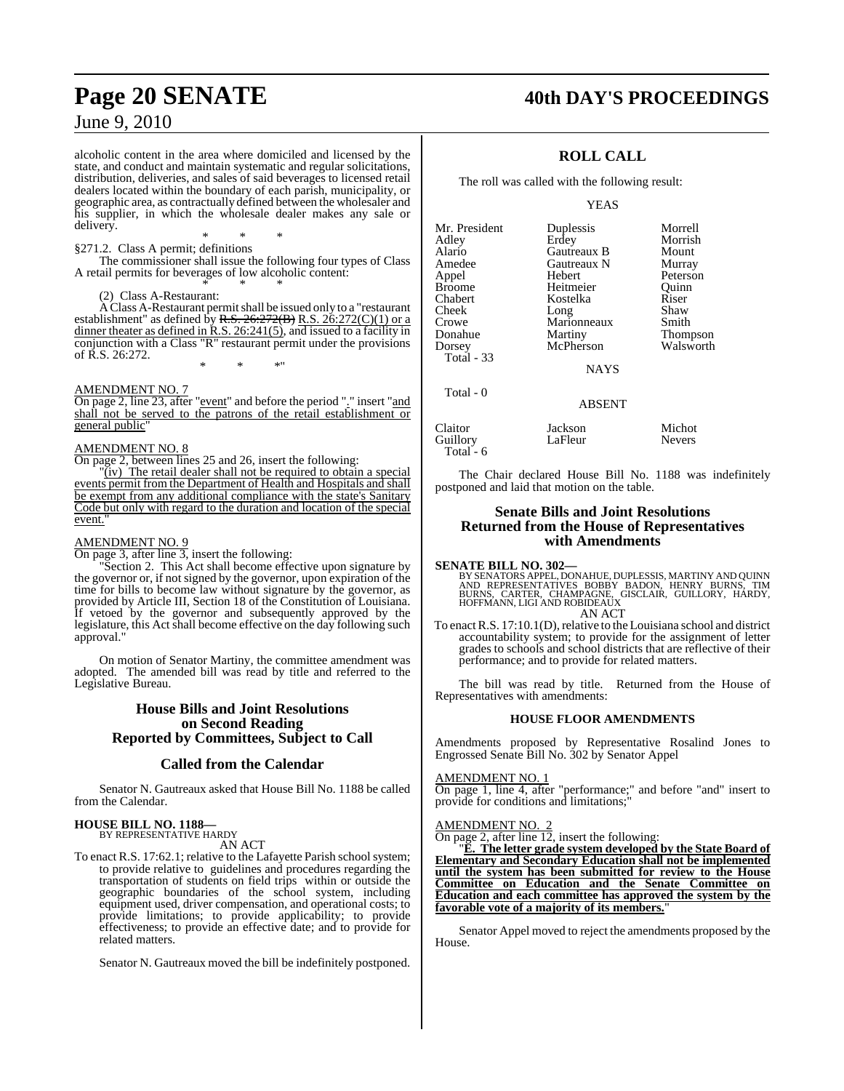## **Page 20 SENATE 40th DAY'S PROCEEDINGS**

### June 9, 2010

alcoholic content in the area where domiciled and licensed by the state, and conduct and maintain systematic and regular solicitations, distribution, deliveries, and sales of said beverages to licensed retail dealers located within the boundary of each parish, municipality, or geographic area, as contractually defined between the wholesaler and his supplier, in which the wholesale dealer makes any sale or delivery.

#### \* \* \* §271.2. Class A permit; definitions

The commissioner shall issue the following four types of Class A retail permits for beverages of low alcoholic content: \* \* \*

#### (2) Class A-Restaurant:

A Class A-Restaurant permitshall be issued only to a "restaurant establishment" as defined by <del>R.S. 26:272(B)</del> R.S. 26:272(C)(1) or a dinner theater as defined in R.S. 26:241(5), and issued to a facility in conjunction with a Class "R" restaurant permit under the provisions of R.S. 26:272. \* \* \*"

#### AMENDMENT NO. 7

On page 2, line 23, after "event" and before the period "." insert "and shall not be served to the patrons of the retail establishment or general public"

#### AMENDMENT NO. 8

On page 2, between lines 25 and 26, insert the following:

"(iv) The retail dealer shall not be required to obtain a special events permit from the Department of Health and Hospitals and shall be exempt from any additional compliance with the state's Sanitary Code but only with regard to the duration and location of the special event.

#### AMENDMENT NO. 9

On page 3, after line 3, insert the following:

"Section 2. This Act shall become effective upon signature by the governor or, if not signed by the governor, upon expiration of the time for bills to become law without signature by the governor, as provided by Article III, Section 18 of the Constitution of Louisiana. If vetoed by the governor and subsequently approved by the legislature, this Act shall become effective on the day following such approval."

On motion of Senator Martiny, the committee amendment was adopted. The amended bill was read by title and referred to the Legislative Bureau.

#### **House Bills and Joint Resolutions on Second Reading Reported by Committees, Subject to Call**

### **Called from the Calendar**

Senator N. Gautreaux asked that House Bill No. 1188 be called from the Calendar.

## **HOUSE BILL NO. 1188—** BY REPRESENTATIVE HARDY

AN ACT

To enact R.S. 17:62.1; relative to the Lafayette Parish school system; to provide relative to guidelines and procedures regarding the transportation of students on field trips within or outside the geographic boundaries of the school system, including equipment used, driver compensation, and operational costs; to provide limitations; to provide applicability; to provide effectiveness; to provide an effective date; and to provide for related matters.

Senator N. Gautreaux moved the bill be indefinitely postponed.

### **ROLL CALL**

The roll was called with the following result:

YEAS

| Mr. President<br>Adley | Duplessis<br>Erdey | Morrell<br>Morrish |
|------------------------|--------------------|--------------------|
| Alario                 | Gautreaux B        | Mount              |
| Amedee                 | Gautreaux N        | Murray             |
| Appel                  | Hebert             | Peterson           |
| Broome                 | Heitmeier          | Quinn              |
| Chabert                | Kostelka           | Riser              |
| Cheek                  | Long               | Shaw               |
| Crowe                  | Marionneaux        | Smith              |
| Donahue                | Martiny            | Thompson           |
| Dorsey                 | McPherson          | Walsworth          |
| Total - 33             |                    |                    |
|                        | <b>NAYS</b>        |                    |
| Total - 0              |                    |                    |
|                        | <b>ABSENT</b>      |                    |
| Claitor                | Jackson            | Michot             |
| Guillory               | LaFleur            | <b>Nevers</b>      |
|                        |                    |                    |

Total - 6

The Chair declared House Bill No. 1188 was indefinitely postponed and laid that motion on the table.

#### **Senate Bills and Joint Resolutions Returned from the House of Representatives with Amendments**

**SENATE BILL NO. 302—**<br>BY SENATORS APPEL, DONAHUE, DUPLESSIS, MARTINY AND QUINN<br>AND REPRESENTATIVES BOBBY BADON, HENRY BURNS, TIM<br>BURNS, CARTER, CHAMPAGNE, GISCLAIR, GUILLORY, HARDY,<br>HOFFMANN, LIGI AND ROBIDEAUX AN ACT

To enact R.S. 17:10.1(D), relative to the Louisiana school and district accountability system; to provide for the assignment of letter grades to schools and school districts that are reflective of their performance; and to provide for related matters.

The bill was read by title. Returned from the House of Representatives with amendments:

#### **HOUSE FLOOR AMENDMENTS**

Amendments proposed by Representative Rosalind Jones to Engrossed Senate Bill No. 302 by Senator Appel

#### AMENDMENT NO. 1

On page 1, line 4, after "performance;" and before "and" insert to provide for conditions and limitations;"

#### AMENDMENT NO. 2

On page 2, after line 12, insert the following:

"**E. The letter grade system developed by the State Board of Elementary and Secondary Education shall not be implemented until the system has been submitted for review to the House Committee on Education and the Senate Committee on Education and each committee has approved the system by the favorable vote of a majority of its members.**"

Senator Appel moved to reject the amendments proposed by the House.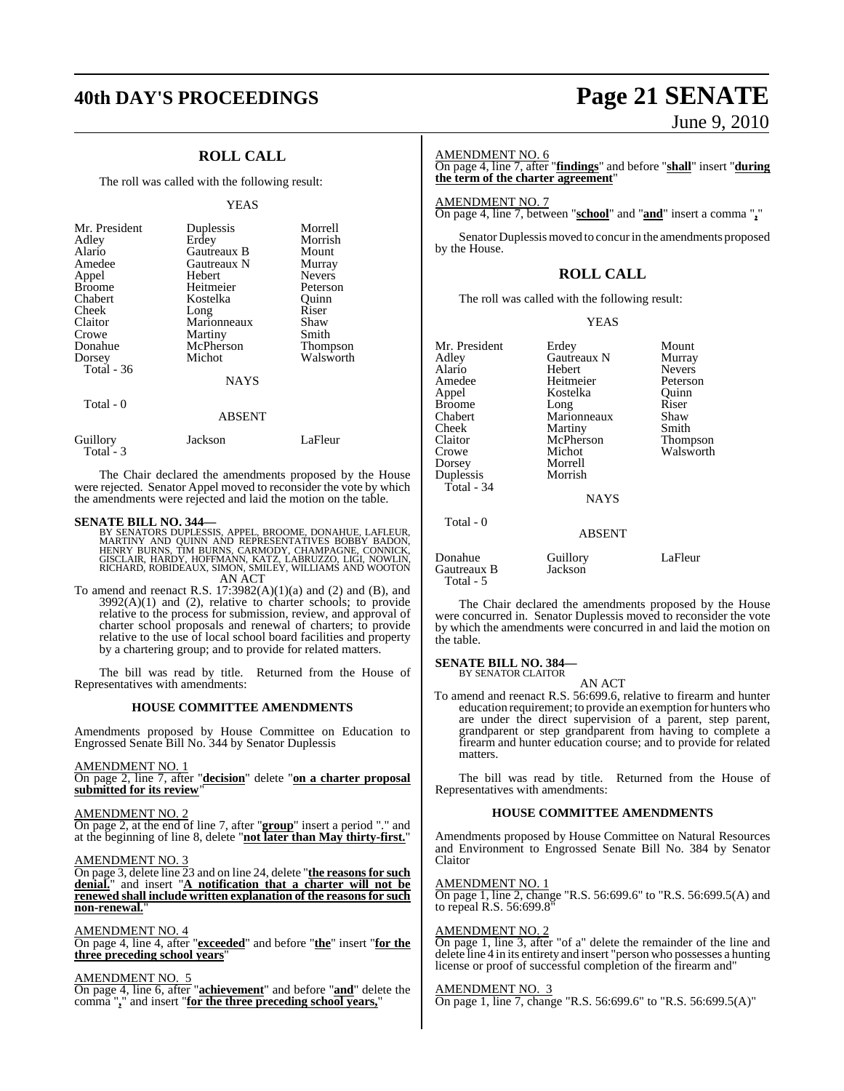### **40th DAY'S PROCEEDINGS Page 21 SENATE**

### **ROLL CALL**

The roll was called with the following result:

#### YEAS

| Mr. President<br>Adley<br>Alario<br>Amedee<br>Appel<br><b>Broome</b><br>Chabert<br>Cheek<br>Claitor<br>Crowe<br>Donahue<br>Dorsey<br>Total $-36$ | Duplessis<br>Erdey<br>Gautreaux B<br>Gautreaux N<br>Hebert<br>Heitmeier<br>Kostelka<br>Long<br>Marionneaux<br>Martiny<br>McPherson<br>Michot<br><b>NAYS</b> | Morrell<br>Morrish<br>Mount<br>Murray<br><b>Nevers</b><br>Peterson<br>Ouinn<br>Riser<br>Shaw<br>Smith<br><b>Thompson</b><br>Walsworth |
|--------------------------------------------------------------------------------------------------------------------------------------------------|-------------------------------------------------------------------------------------------------------------------------------------------------------------|---------------------------------------------------------------------------------------------------------------------------------------|
| Total - 0                                                                                                                                        | <b>ABSENT</b>                                                                                                                                               |                                                                                                                                       |

| Guillory<br>Total $-3$ | Jackson | LaFleur |
|------------------------|---------|---------|
|                        |         |         |

The Chair declared the amendments proposed by the House were rejected. Senator Appel moved to reconsider the vote by which the amendments were rejected and laid the motion on the table.

- **SENATE BILL NO. 344—**<br>BY SENATORS DUPLESSIS, APPEL, BROOME, DONAHUE, LAFLEUR,<br>MARTINY AND QUINN AND REPRESENTATIVES BOBBY BADON,<br>HENRY BURNS, TIM BURNS, CARMODY, CHAMPAGNE, CONNICK, GISCLAIR, HARDY, HOFFMANN, KATZ, LABRUZZO, LIGI, NOWLIN, RICHARD, ROBIDEAUX, SIMON, SMILEY, WILLIAMS AND WOOTON AN ACT
- To amend and reenact R.S.  $17:3982(A)(1)(a)$  and  $(2)$  and  $(B)$ , and  $3992(A)(1)$  and  $(2)$ , relative to charter schools; to provide relative to the process for submission, review, and approval of charter school proposals and renewal of charters; to provide relative to the use of local school board facilities and property by a chartering group; and to provide for related matters.

The bill was read by title. Returned from the House of Representatives with amendments:

#### **HOUSE COMMITTEE AMENDMENTS**

Amendments proposed by House Committee on Education to Engrossed Senate Bill No. 344 by Senator Duplessis

#### AMENDMENT NO. 1

On page 2, line 7, after "**decision**" delete "**on a charter proposal submitted for its review**"

#### AMENDMENT NO. 2

On page 2, at the end of line 7, after "**group**" insert a period "." and at the beginning of line 8, delete "**not later than May thirty-first.**"

#### AMENDMENT NO. 3

On page 3, delete line 23 and on line 24, delete "**the reasonsfor such denial.**" and insert "**A notification that a charter will not be renewed shall include written explanation of the reasons for such non-renewal.**"

#### AMENDMENT NO. 4

On page 4, line 4, after "**exceeded**" and before "**the**" insert "**for the three preceding school years**"

#### AMENDMENT NO. 5

On page 4, line 6, after "**achievement**" and before "**and**" delete the comma "**,**" and insert "**for the three preceding school years,**"

# June 9, 2010

#### AMENDMENT NO. 6

On page 4, line 7, after "**findings**" and before "**shall**" insert "**during the term of the charter agreement**"

#### AMENDMENT NO. 7

On page 4, line 7, between "**school**" and "**and**" insert a comma "**,**"

Senator Duplessis moved to concur in the amendments proposed by the House.

### **ROLL CALL**

The roll was called with the following result:

#### YEAS

| Mr. President<br>Adley | Erdey<br>Gautreaux N | Mount<br>Murray |
|------------------------|----------------------|-----------------|
| Alario                 | Hebert               | <b>Nevers</b>   |
| Amedee                 | Heitmeier            | Peterson        |
| Appel                  | Kostelka             | Quinn           |
| <b>Broome</b>          | Long                 | Riser           |
| Chabert                | Marionneaux          | Shaw            |
| Cheek                  | Martiny              | Smith           |
| Claitor                | McPherson            | Thompson        |
| Crowe                  | Michot               | Walsworth       |
| Dorsey                 | Morrell              |                 |
| Duplessis              | Morrish              |                 |
| Total - 34             |                      |                 |
|                        | <b>NAYS</b>          |                 |
| Total - 0              |                      |                 |
|                        | <b>ABSENT</b>        |                 |
| Donahue<br>Gautreaux B | Guillory<br>Jackson  | LaFleur         |

The Chair declared the amendments proposed by the House were concurred in. Senator Duplessis moved to reconsider the vote by which the amendments were concurred in and laid the motion on the table.

### **SENATE BILL NO. 384—** BY SENATOR CLAITOR

Total - 5

AN ACT

To amend and reenact R.S. 56:699.6, relative to firearm and hunter education requirement; to provide an exemption for hunters who are under the direct supervision of a parent, step parent, grandparent or step grandparent from having to complete a firearm and hunter education course; and to provide for related matters.

The bill was read by title. Returned from the House of Representatives with amendments:

### **HOUSE COMMITTEE AMENDMENTS**

Amendments proposed by House Committee on Natural Resources and Environment to Engrossed Senate Bill No. 384 by Senator Claitor

AMENDMENT NO. 1

On page 1, line 2, change "R.S. 56:699.6" to "R.S. 56:699.5(A) and to repeal R.S. 56:699.8"

#### AMENDMENT NO. 2

On page 1, line 3, after "of a" delete the remainder of the line and delete line 4 in its entirety and insert "person who possesses a hunting license or proof of successful completion of the firearm and"

#### AMENDMENT NO. 3

On page 1, line 7, change "R.S. 56:699.6" to "R.S. 56:699.5(A)"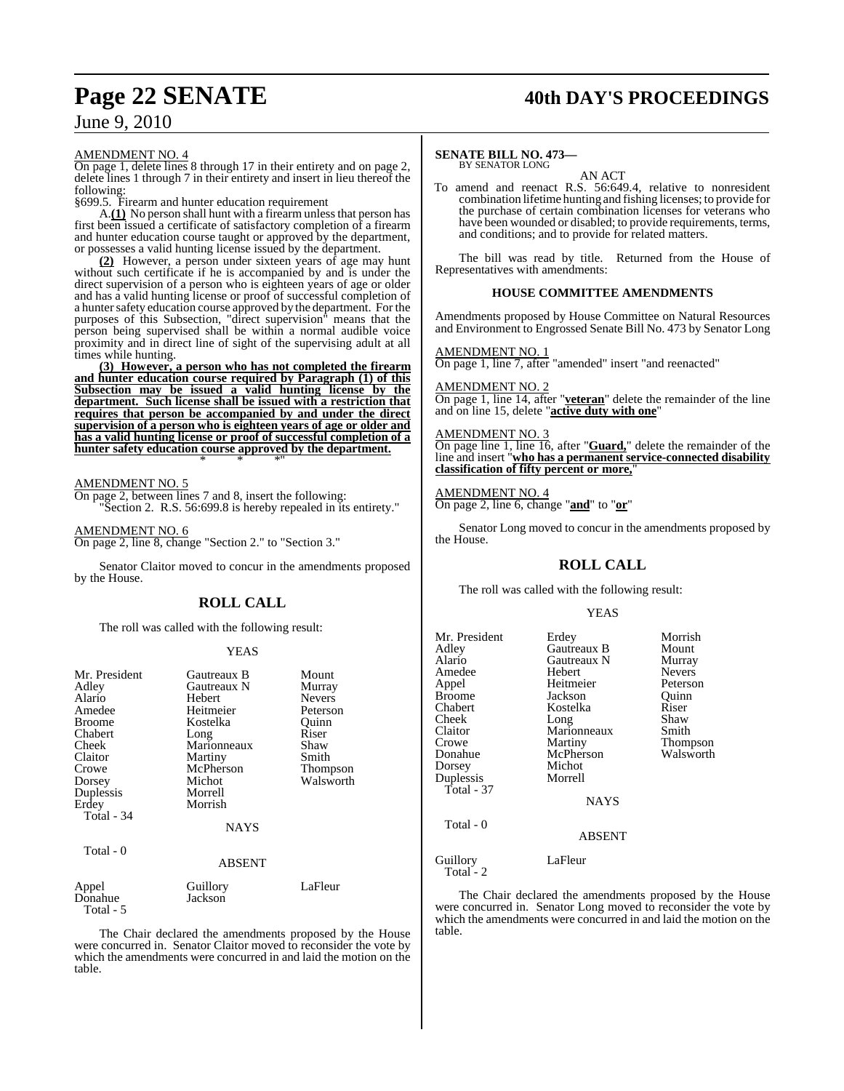### **Page 22 SENATE 40th DAY'S PROCEEDINGS**

AMENDMENT NO. 4

On page 1, delete lines 8 through 17 in their entirety and on page 2, delete lines 1 through 7 in their entirety and insert in lieu thereof the following:

§699.5. Firearm and hunter education requirement

A.**(1)** No person shall hunt with a firearm unless that person has first been issued a certificate of satisfactory completion of a firearm and hunter education course taught or approved by the department, or possesses a valid hunting license issued by the department.

**(2)** However, a person under sixteen years of age may hunt without such certificate if he is accompanied by and is under the direct supervision of a person who is eighteen years of age or older and has a valid hunting license or proof of successful completion of a hunter safety education course approved by the department. For the purposes of this Subsection, "direct supervision" means that the person being supervised shall be within a normal audible voice proximity and in direct line of sight of the supervising adult at all times while hunting.

**(3) However, a person who has not completed the firearm and hunter education course required by Paragraph (1) of this Subsection may be issued a valid hunting license by the department. Such license shall be issued with a restriction that requires that person be accompanied by and under the direct supervision of a person who is eighteen years of age or older and has a valid hunting license or proof of successful completion of a hunter safety education course approved by the department.** \* \* \*"

AMENDMENT NO. 5

On page 2, between lines 7 and 8, insert the following: "Section 2. R.S. 56:699.8 is hereby repealed in its entirety."

AMENDMENT NO. 6

Total - 5

On page 2, line 8, change "Section 2." to "Section 3."

Senator Claitor moved to concur in the amendments proposed by the House.

### **ROLL CALL**

The roll was called with the following result:

#### YEAS

| Mr. President<br>Adley<br>Alario<br>Amedee<br><b>Broome</b><br>Chabert<br>Cheek<br>Claitor<br>Crowe<br>Dorsey<br>Duplessis<br>Erdey<br>Total - 34<br>Total - 0 | Gautreaux B<br>Gautreaux N<br>Hebert<br>Heitmeier<br>Kostelka<br>Long<br>Marionneaux<br>Martiny<br>McPherson<br>Michot<br>Morrell<br>Morrish<br><b>NAYS</b><br><b>ABSENT</b> | Mount<br>Murray<br><b>Nevers</b><br>Peterson<br>Ouinn<br>Riser<br>Shaw<br>Smith<br>Thompson<br>Walsworth |
|----------------------------------------------------------------------------------------------------------------------------------------------------------------|------------------------------------------------------------------------------------------------------------------------------------------------------------------------------|----------------------------------------------------------------------------------------------------------|
|                                                                                                                                                                |                                                                                                                                                                              |                                                                                                          |
| Appel<br>Donahue                                                                                                                                               | Guillory<br>Jackson                                                                                                                                                          | LaFleur                                                                                                  |

The Chair declared the amendments proposed by the House were concurred in. Senator Claitor moved to reconsider the vote by which the amendments were concurred in and laid the motion on the table.

#### **SENATE BILL NO. 473—** BY SENATOR LONG

AN ACT

To amend and reenact R.S. 56:649.4, relative to nonresident combination lifetime hunting and fishing licenses; to provide for the purchase of certain combination licenses for veterans who have been wounded or disabled; to provide requirements, terms, and conditions; and to provide for related matters.

The bill was read by title. Returned from the House of Representatives with amendments:

#### **HOUSE COMMITTEE AMENDMENTS**

Amendments proposed by House Committee on Natural Resources and Environment to Engrossed Senate Bill No. 473 by Senator Long

AMENDMENT NO. 1

On page 1, line 7, after "amended" insert "and reenacted"

AMENDMENT NO. 2

On page 1, line 14, after "**veteran**" delete the remainder of the line and on line 15, delete "**active duty with one**"

#### MENDMENT NO. 3

On page line 1, line 16, after "**Guard,**" delete the remainder of the line and insert "**who has a permanent service-connected disability classification of fifty percent or more,**"

#### AMENDMENT NO. 4

On page 2, line 6, change "**and**" to "**or**"

Senator Long moved to concur in the amendments proposed by the House.

### **ROLL CALL**

The roll was called with the following result:

#### YEAS

| Mr. President<br>Adley<br>Alario<br>Amedee<br>Appel<br><b>Broome</b><br>Chabert<br>Cheek<br>Claitor<br>Crowe<br>Donahue<br>Dorsey<br>Duplessis<br>Total - 37<br>Total - 0 | Erdey<br>Gautreaux B<br>Gautreaux N<br>Hebert<br>Heitmeier<br>Jackson<br>Kostelka<br>Long<br>Marionneaux<br>Martiny<br>McPherson<br>Michot<br>Morrell<br><b>NAYS</b><br><b>ABSENT</b> | Morrish<br>Mount<br>Murray<br><b>Nevers</b><br>Peterson<br>Ouinn<br>Riser<br>Shaw<br>Smith<br>Thompson<br>Walsworth |
|---------------------------------------------------------------------------------------------------------------------------------------------------------------------------|---------------------------------------------------------------------------------------------------------------------------------------------------------------------------------------|---------------------------------------------------------------------------------------------------------------------|
| Guillory<br>Total - 2                                                                                                                                                     | LaFleur                                                                                                                                                                               |                                                                                                                     |

The Chair declared the amendments proposed by the House were concurred in. Senator Long moved to reconsider the vote by which the amendments were concurred in and laid the motion on the table.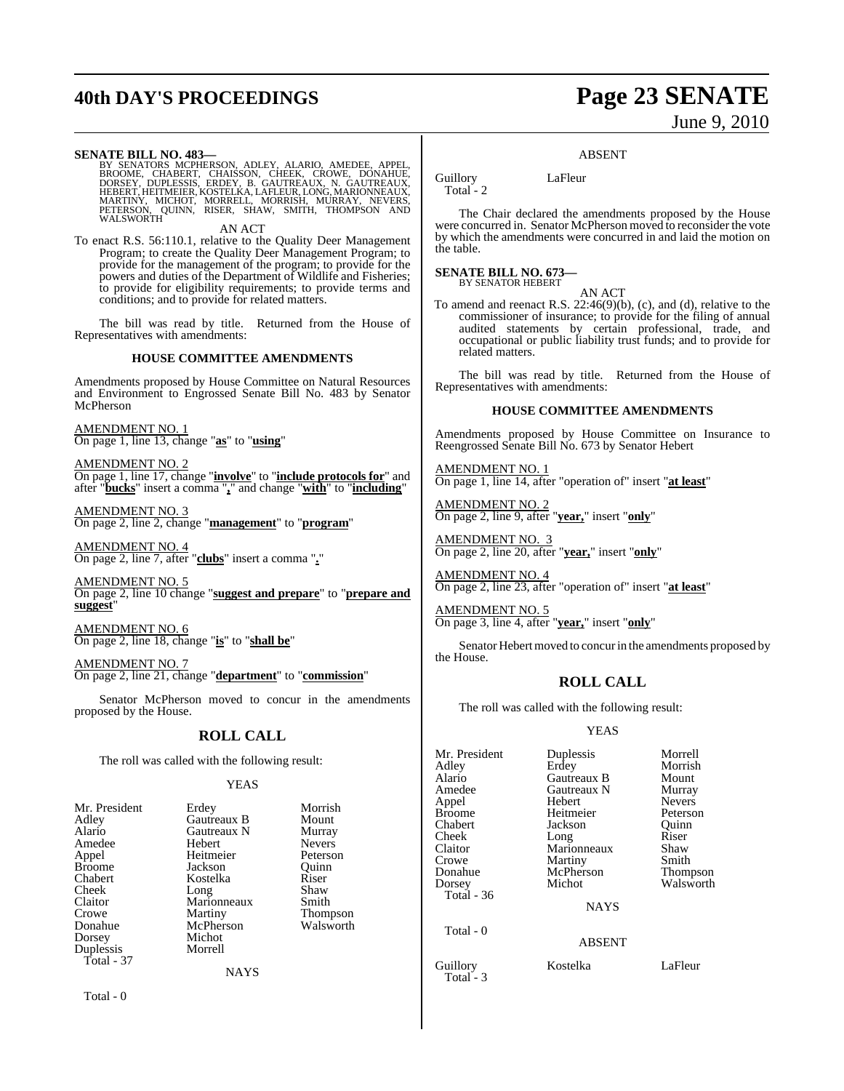## **40th DAY'S PROCEEDINGS Page 23 SENATE**

# June 9, 2010

**SENATE BILL NO. 483—** BY SENATORS MCPHERSON, ADLEY, ALARIO, AMEDEE, APPEL,<br>BROOME, CHABERT, CHAISSON, CHEEK, CROWE, DONAHUE,<br>DORSEY, DUPLESSIS, ERDEY, B. GAUTREAUX, N. GAUTREAUX,<br>HEBERT,HEITMEIER,KOSTELKA,LAFLEUR,LONG,MARIONNEAUX,<br>MARTINY, MICH

AN ACT

To enact R.S. 56:110.1, relative to the Quality Deer Management Program; to create the Quality Deer Management Program; to provide for the management of the program; to provide for the powers and duties of the Department of Wildlife and Fisheries; to provide for eligibility requirements; to provide terms and conditions; and to provide for related matters.

The bill was read by title. Returned from the House of Representatives with amendments:

#### **HOUSE COMMITTEE AMENDMENTS**

Amendments proposed by House Committee on Natural Resources and Environment to Engrossed Senate Bill No. 483 by Senator McPherson

AMENDMENT NO. 1 On page 1, line 13, change "**as**" to "**using**"

AMENDMENT NO. 2 On page 1, line 17, change "**involve**" to "**include protocols for**" and after "**bucks**" insert a comma "**,**" and change "**with**" to "**including**"

AMENDMENT NO. 3 On page 2, line 2, change "**management**" to "**program**"

AMENDMENT NO. 4 On page 2, line 7, after "**clubs**" insert a comma "**.**"

AMENDMENT NO. 5 On page 2, line 10 change "**suggest and prepare**" to "**prepare and suggest**"

AMENDMENT NO. 6 On page 2, line 18, change "**is**" to "**shall be**"

AMENDMENT NO. 7 On page 2, line 21, change "**department**" to "**commission**"

Senator McPherson moved to concur in the amendments proposed by the House.

#### **ROLL CALL**

| Mr. Preside   |
|---------------|
| Adley         |
| Alario        |
| Amedee        |
| Appel         |
| <b>Broome</b> |
| Chabert       |
| Cheek         |
| Claitor       |
| Crowe         |
| Donahue       |
| Dorsey        |
| Duplessis     |
| Total - 37    |

Total - 0

Guillory LaFleur

Total - 2

The Chair declared the amendments proposed by the House were concurred in. Senator McPherson moved to reconsider the vote by which the amendments were concurred in and laid the motion on the table.

ABSENT

**SENATE BILL NO. 673—** BY SENATOR HEBERT

AN ACT

To amend and reenact R.S. 22:46(9)(b), (c), and (d), relative to the commissioner of insurance; to provide for the filing of annual audited statements by certain professional, trade, and occupational or public liability trust funds; and to provide for related matters.

The bill was read by title. Returned from the House of Representatives with amendments:

#### **HOUSE COMMITTEE AMENDMENTS**

Amendments proposed by House Committee on Insurance to Reengrossed Senate Bill No. 673 by Senator Hebert

AMENDMENT NO. 1 On page 1, line 14, after "operation of" insert "**at least**"

AMENDMENT NO. 2 On page 2, line 9, after "**year,**" insert "**only**"

AMENDMENT NO. 3 On page 2, line 20, after "**year,**" insert "**only**"

AMENDMENT NO. 4 On page 2, line 23, after "operation of" insert "**at least**"

AMENDMENT NO. 5 On page 3, line 4, after "**year,**" insert "**only**"

Senator Hebert moved to concur in the amendments proposed by the House.

### **ROLL CALL**

The roll was called with the following result:

Mr. President Duplessis Morrell<br>Adley Erdey Morrish

#### YEAS

| The roll was called with the following result:                                                                                                        |                                                                                                                                                               |                                                                                                                     |
|-------------------------------------------------------------------------------------------------------------------------------------------------------|---------------------------------------------------------------------------------------------------------------------------------------------------------------|---------------------------------------------------------------------------------------------------------------------|
|                                                                                                                                                       | YEAS                                                                                                                                                          |                                                                                                                     |
| Mr. President<br>Adley<br>Alario<br>Amedee<br>Appel<br>Broome<br>Chabert<br>Cheek<br>Claitor<br>Crowe<br>Donahue<br>Dorsey<br>Duplessis<br>Total - 37 | Erdey<br>Gautreaux B<br>Gautreaux N<br>Hebert<br>Heitmeier<br>Jackson<br>Kostelka<br>Long<br>Marionneaux<br>Martiny<br>McPherson<br>Michot<br>Morrell<br>NAYS | Morrish<br>Mount<br>Murray<br><b>Nevers</b><br>Peterson<br>Quinn<br>Riser<br>Shaw<br>Smith<br>Thompson<br>Walsworth |

Donahue McPherson<br>Dorsey Michot Total - 36 Total - 0

Total - 3

Adley Erdey Morrish Alario Gautreaux B Mount<br>Amedee Gautreaux N Murray **Gautreaux N** Murray<br> **Hebert** Nevers Appel Hebert Nevers Broome Heitmeier Peterson<br>Chabert Jackson Quinn Chabert Jackson Quinn<br>
Cheek Long Riser Cheek Long Riser Claitor Marionneaux Shaw Crowe Martiny Smith Walsworth

NAYS

#### ABSENT

- 
- Guillory Kostelka LaFleur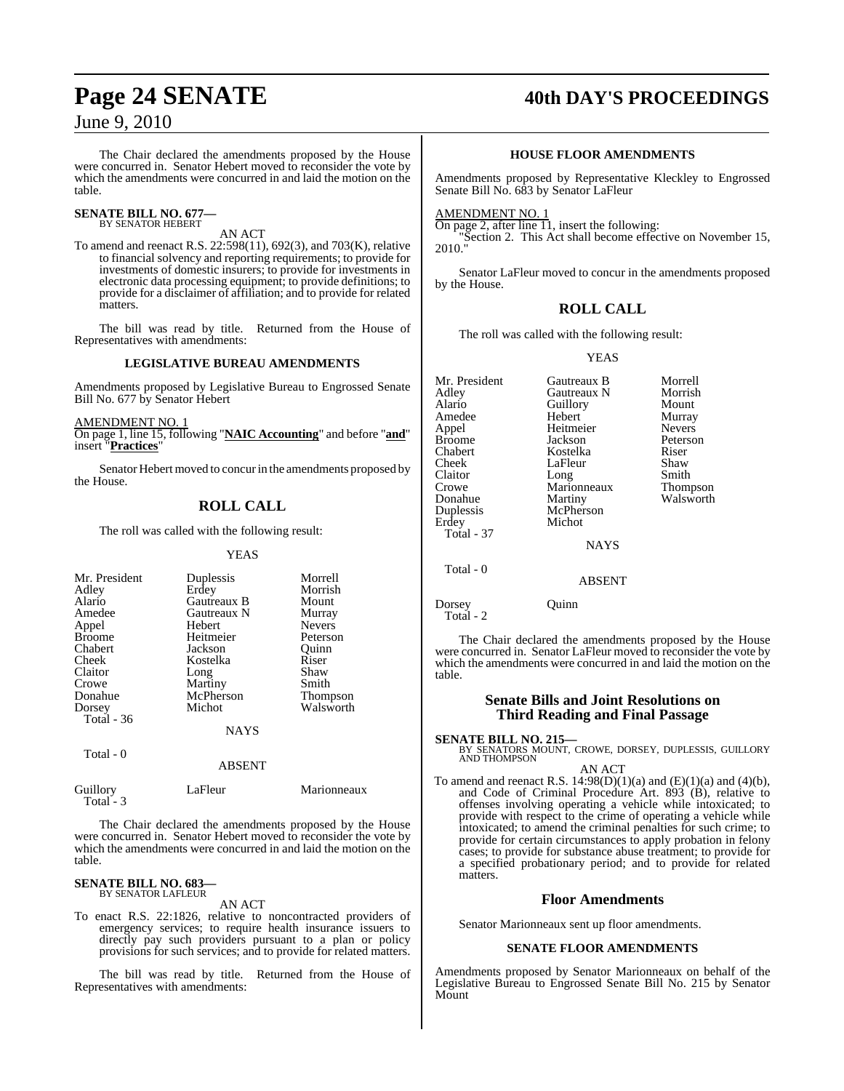The Chair declared the amendments proposed by the House were concurred in. Senator Hebert moved to reconsider the vote by which the amendments were concurred in and laid the motion on the table.

#### **SENATE BILL NO. 677—** BY SENATOR HEBERT

### AN ACT

To amend and reenact R.S. 22:598(11), 692(3), and 703(K), relative to financial solvency and reporting requirements; to provide for investments of domestic insurers; to provide for investments in electronic data processing equipment; to provide definitions; to provide for a disclaimer of affiliation; and to provide for related matters.

The bill was read by title. Returned from the House of Representatives with amendments:

#### **LEGISLATIVE BUREAU AMENDMENTS**

Amendments proposed by Legislative Bureau to Engrossed Senate Bill No. 677 by Senator Hebert

#### AMENDMENT NO. 1

On page 1, line 15, following "**NAIC Accounting**" and before "**and**" insert "**Practices**"

Senator Hebert moved to concurin the amendments proposed by the House.

### **ROLL CALL**

The roll was called with the following result:

#### YEAS

| Mr. President<br>Adley<br>Alario<br>Amedee<br>Appel<br><b>Broome</b><br>Chabert<br>Cheek<br>Claitor<br>Crowe<br>Donahue<br>Dorsey<br>Total - 36 | Duplessis<br>Erdey<br>Gautreaux B<br>Gautreaux N<br>Hebert<br>Heitmeier<br>Jackson<br>Kostelka<br>Long<br>Martiny<br>McPherson<br>Michot<br><b>NAYS</b> | Morrell<br>Morrish<br>Mount<br>Murray<br><b>Nevers</b><br>Peterson<br>Ouinn<br>Riser<br>Shaw<br>Smith<br><b>Thompson</b><br>Walsworth |
|-------------------------------------------------------------------------------------------------------------------------------------------------|---------------------------------------------------------------------------------------------------------------------------------------------------------|---------------------------------------------------------------------------------------------------------------------------------------|
| Total - 0                                                                                                                                       | <b>ABSENT</b>                                                                                                                                           |                                                                                                                                       |

| Guillory  | LaFleur | Marionneaux |
|-----------|---------|-------------|
| Total - 3 |         |             |

The Chair declared the amendments proposed by the House were concurred in. Senator Hebert moved to reconsider the vote by which the amendments were concurred in and laid the motion on the table.

#### **SENATE BILL NO. 683—** BY SENATOR LAFLEUR

AN ACT

To enact R.S. 22:1826, relative to noncontracted providers of emergency services; to require health insurance issuers to directly pay such providers pursuant to a plan or policy provisions for such services; and to provide for related matters.

The bill was read by title. Returned from the House of Representatives with amendments:

## **Page 24 SENATE 40th DAY'S PROCEEDINGS**

### **HOUSE FLOOR AMENDMENTS**

Amendments proposed by Representative Kleckley to Engrossed Senate Bill No. 683 by Senator LaFleur

#### AMENDMENT NO. 1

On page 2, after line  $\overline{11}$ , insert the following: "Section 2. This Act shall become effective on November 15, 2010."

Senator LaFleur moved to concur in the amendments proposed by the House.

### **ROLL CALL**

The roll was called with the following result:

YEAS

| Mr. President | Gautreaux B   | Morrell       |
|---------------|---------------|---------------|
| Adley         | Gautreaux N   | Morrish       |
| Alario        | Guillory      | Mount         |
| Amedee        | Hebert        | Murray        |
| Appel         | Heitmeier     | <b>Nevers</b> |
| <b>Broome</b> | Jackson       | Peterson      |
| Chabert       | Kostelka      | Riser         |
| Cheek         | LaFleur       | Shaw          |
| Claitor       | Long          | Smith         |
| Crowe         | Marionneaux   | Thompson      |
| Donahue       | Martiny       | Walsworth     |
| Duplessis     | McPherson     |               |
| Erdey         | Michot        |               |
| Total - 37    |               |               |
|               | <b>NAYS</b>   |               |
| Total - 0     |               |               |
|               | <b>ABSENT</b> |               |
| Dorsey        | ( )111nn      |               |

Total - 2

The Chair declared the amendments proposed by the House were concurred in. Senator LaFleur moved to reconsider the vote by which the amendments were concurred in and laid the motion on the table.

#### **Senate Bills and Joint Resolutions on Third Reading and Final Passage**

**SENATE BILL NO. 215—**<br>BY SENATORS MOUNT, CROWE, DORSEY, DUPLESSIS, GUILLORY<br>AND THOMPSON

AN ACT To amend and reenact R.S.  $14:98(D)(1)(a)$  and  $(E)(1)(a)$  and  $(4)(b)$ , and Code of Criminal Procedure Art. 893 (B), relative to offenses involving operating a vehicle while intoxicated; to provide with respect to the crime of operating a vehicle while intoxicated; to amend the criminal penalties for such crime; to provide for certain circumstances to apply probation in felony cases; to provide for substance abuse treatment; to provide for a specified probationary period; and to provide for related matters.

#### **Floor Amendments**

Senator Marionneaux sent up floor amendments.

#### **SENATE FLOOR AMENDMENTS**

Amendments proposed by Senator Marionneaux on behalf of the Legislative Bureau to Engrossed Senate Bill No. 215 by Senator Mount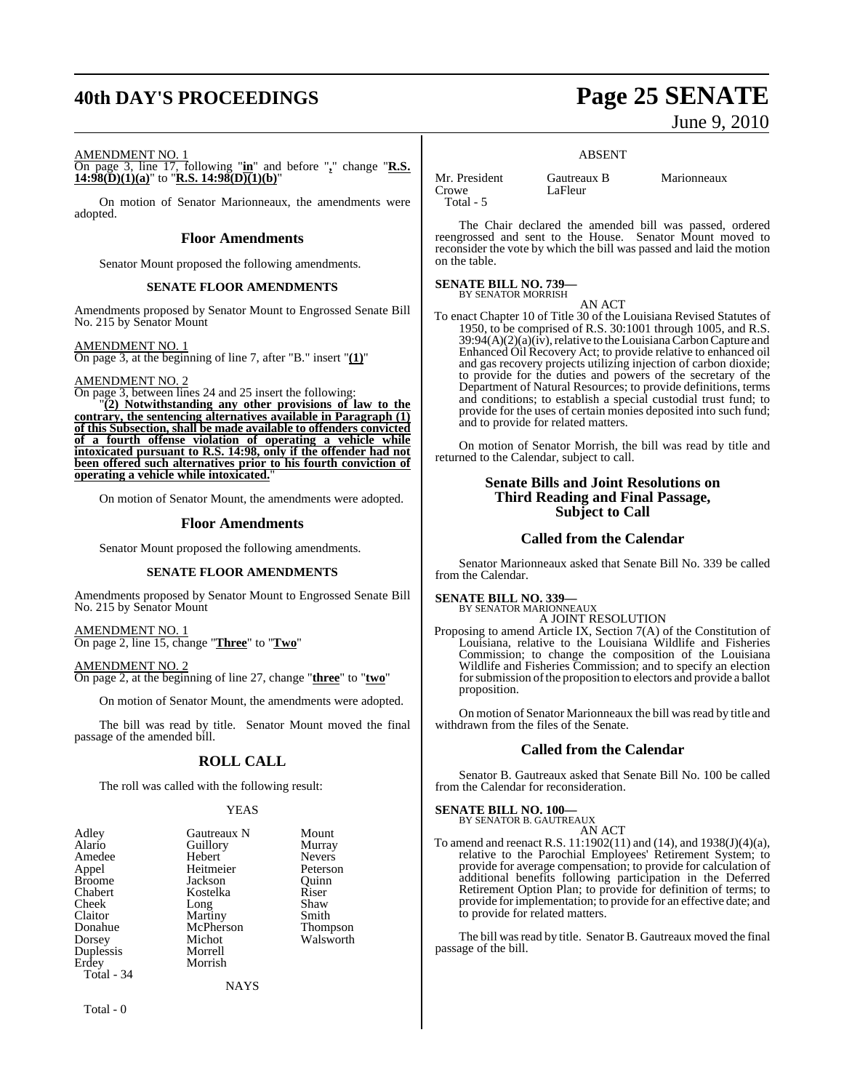## **40th DAY'S PROCEEDINGS Page 25 SENATE**

June 9, 2010

#### AMENDMENT NO. 1

On page 3, line 17, following "**in**" and before "**,**" change "**R.S. 14:98(D)(1)(a)**" to "**R.S. 14:98(D)(1)(b)**"

On motion of Senator Marionneaux, the amendments were adopted.

#### **Floor Amendments**

Senator Mount proposed the following amendments.

#### **SENATE FLOOR AMENDMENTS**

Amendments proposed by Senator Mount to Engrossed Senate Bill No. 215 by Senator Mount

#### AMENDMENT NO. 1

On page 3, at the beginning of line 7, after "B." insert "**(1)**"

#### AMENDMENT NO. 2

On page 3, between lines 24 and 25 insert the following:

"**(2) Notwithstanding any other provisions of law to the contrary, the sentencing alternatives available in Paragraph (1) of this Subsection, shall be made available to offenders convicted of a fourth offense violation of operating a vehicle while intoxicated pursuant to R.S. 14:98, only if the offender had not been offered such alternatives prior to his fourth conviction of operating a vehicle while intoxicated.**"

On motion of Senator Mount, the amendments were adopted.

#### **Floor Amendments**

Senator Mount proposed the following amendments.

#### **SENATE FLOOR AMENDMENTS**

Amendments proposed by Senator Mount to Engrossed Senate Bill No. 215 by Senator Mount

AMENDMENT NO. 1 On page 2, line 15, change "**Three**" to "**Two**"

AMENDMENT NO. 2 On page 2, at the beginning of line 27, change "**three**" to "**two**"

On motion of Senator Mount, the amendments were adopted.

The bill was read by title. Senator Mount moved the final passage of the amended bill.

### **ROLL CALL**

The roll was called with the following result:

#### YEAS

| Adley         | Gautreaux N | Mount           |
|---------------|-------------|-----------------|
| Alario        | Guillory    | Murray          |
| Amedee        | Hebert      | <b>Nevers</b>   |
| Appel         | Heitmeier   | Peterson        |
| <b>Broome</b> | Jackson     | Ouinn           |
| Chabert       | Kostelka    | Riser           |
| Cheek         | Long        | Shaw            |
| Claitor       | Martiny     | Smith           |
| Donahue       | McPherson   | <b>Thompson</b> |
| Dorsey        | Michot      | Walsworth       |
| Duplessis     | Morrell     |                 |
| Erdey         | Morrish     |                 |
| Total - 34    |             |                 |
|               | NAYS        |                 |

**SENATE BILL NO. 739—** BY SENATOR MORRISH AN ACT

To enact Chapter 10 of Title 30 of the Louisiana Revised Statutes of 1950, to be comprised of R.S. 30:1001 through 1005, and R.S.  $39:94(A)(2)(a)(iv)$ , relative to the Louisiana Carbon Capture and Enhanced Oil Recovery Act; to provide relative to enhanced oil and gas recovery projects utilizing injection of carbon dioxide; to provide for the duties and powers of the secretary of the Department of Natural Resources; to provide definitions, terms and conditions; to establish a special custodial trust fund; to provide for the uses of certain monies deposited into such fund; and to provide for related matters.

ABSENT

The Chair declared the amended bill was passed, ordered reengrossed and sent to the House. Senator Mount moved to reconsider the vote by which the bill was passed and laid the motion

Mr. President Gautreaux B Marionneaux<br>Crowe LaFleur LaFleur

Total - 5

on the table.

On motion of Senator Morrish, the bill was read by title and returned to the Calendar, subject to call.

#### **Senate Bills and Joint Resolutions on Third Reading and Final Passage, Subject to Call**

#### **Called from the Calendar**

Senator Marionneaux asked that Senate Bill No. 339 be called from the Calendar.

**SENATE BILL NO. 339—** BY SENATOR MARIONNEAUX

A JOINT RESOLUTION

Proposing to amend Article IX, Section 7(A) of the Constitution of Louisiana, relative to the Louisiana Wildlife and Fisheries Commission; to change the composition of the Louisiana Wildlife and Fisheries Commission; and to specify an election for submission of the proposition to electors and provide a ballot proposition.

On motion of Senator Marionneaux the bill was read by title and withdrawn from the files of the Senate.

#### **Called from the Calendar**

Senator B. Gautreaux asked that Senate Bill No. 100 be called from the Calendar for reconsideration.

#### **SENATE BILL NO. 100—**

BY SENATOR B. GAUTREAUX AN ACT

To amend and reenact R.S. 11:1902(11) and (14), and 1938(J)(4)(a), relative to the Parochial Employees' Retirement System; to provide for average compensation; to provide for calculation of additional benefits following participation in the Deferred Retirement Option Plan; to provide for definition of terms; to provide forimplementation; to provide for an effective date; and to provide for related matters.

The bill was read by title. Senator B. Gautreaux moved the final passage of the bill.

Total - 0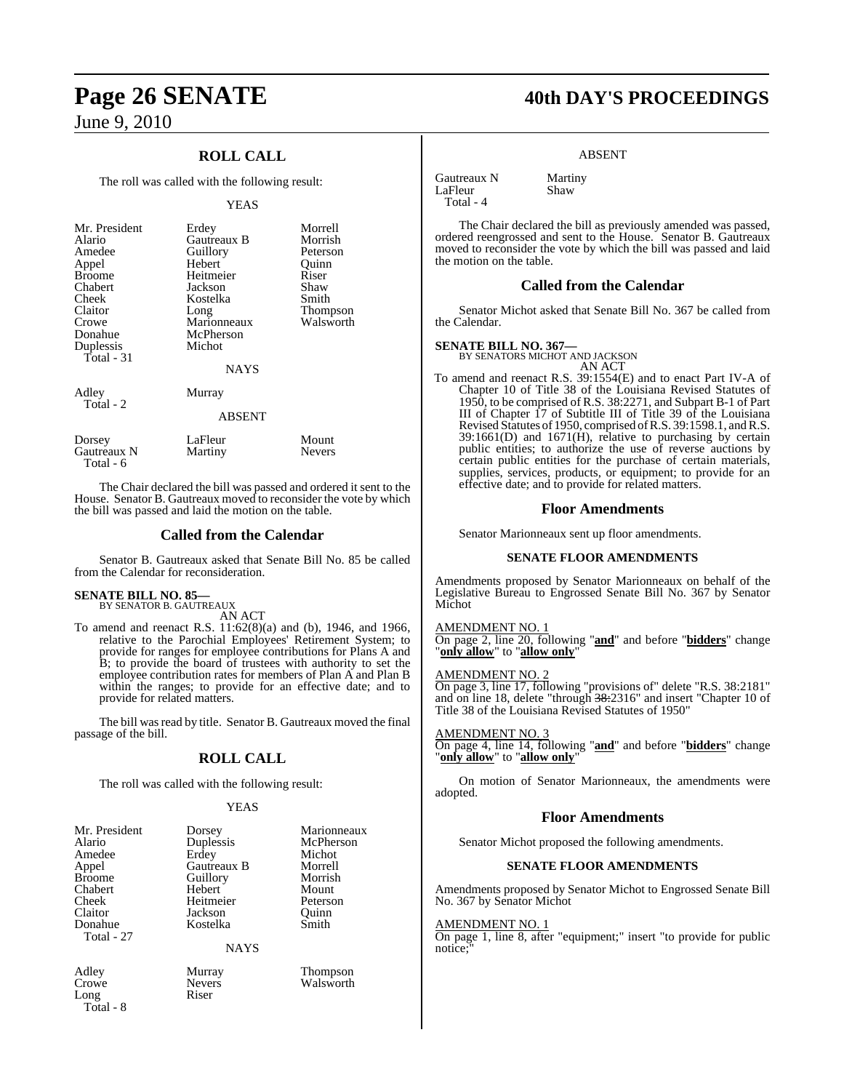### **ROLL CALL**

The roll was called with the following result:

#### YEAS

| Mr. President<br>Alario<br>Amedee<br>Appel<br><b>Broome</b><br>Chabert<br>Cheek<br>Claitor<br>Crowe<br>Donahue<br>Duplessis<br>Total - 31 | Erdey<br>Gautreaux B<br>Guillory<br>Hebert<br>Heitmeier<br>Jackson<br>Kostelka<br>Long<br>Marionneaux<br>McPherson<br>Michot<br><b>NAYS</b> | Morrell<br>Morrish<br>Peterson<br>Quinn<br>Riser<br>Shaw<br>Smith<br>Thompson<br>Walsworth |
|-------------------------------------------------------------------------------------------------------------------------------------------|---------------------------------------------------------------------------------------------------------------------------------------------|--------------------------------------------------------------------------------------------|
| Adley<br>Total - 2                                                                                                                        | Murray<br>ABSENT                                                                                                                            |                                                                                            |
| Dorsey<br>Gautreaux N<br>Total - 6                                                                                                        | LaFleur<br>Martiny                                                                                                                          | Mount<br>Nevers                                                                            |

The Chair declared the bill was passed and ordered it sent to the House. Senator B. Gautreaux moved to reconsider the vote by which the bill was passed and laid the motion on the table.

#### **Called from the Calendar**

Senator B. Gautreaux asked that Senate Bill No. 85 be called from the Calendar for reconsideration.

#### **SENATE BILL NO. 85—** BY SENATOR B. GAUTREAUX

AN ACT

To amend and reenact R.S. 11:62(8)(a) and (b), 1946, and 1966, relative to the Parochial Employees' Retirement System; to provide for ranges for employee contributions for Plans A and B; to provide the board of trustees with authority to set the employee contribution rates for members of Plan A and Plan B within the ranges; to provide for an effective date; and to provide for related matters.

The bill was read by title. Senator B. Gautreaux moved the final passage of the bill.

### **ROLL CALL**

The roll was called with the following result:

#### YEAS

| Mr. President | Dorsey      | Marionneaux |
|---------------|-------------|-------------|
| Alario        | Duplessis   | McPherson   |
| Amedee        | Erdey       | Michot      |
| Appel         | Gautreaux B | Morrell     |
| <b>Broome</b> | Guillory    | Morrish     |
| Chabert       | Hebert      | Mount       |
| Cheek         | Heitmeier   | Peterson    |
| Claitor       | Jackson     | Ouinn       |
| Donahue       | Kostelka    | Smith       |
| Total - 27    |             |             |
|               | NAYS        |             |

Long

Total - 8

Adley Murray Thompson Nevers Walsworth<br>Riser

## **Page 26 SENATE 40th DAY'S PROCEEDINGS**

#### ABSENT

Gautreaux N Martiny<br>LaFleur Shaw LaFleur Total - 4

The Chair declared the bill as previously amended was passed, ordered reengrossed and sent to the House. Senator B. Gautreaux moved to reconsider the vote by which the bill was passed and laid the motion on the table.

#### **Called from the Calendar**

Senator Michot asked that Senate Bill No. 367 be called from the Calendar.

#### **SENATE BILL NO. 367—**

BY SENATORS MICHOT AND JACKSON

AN ACT To amend and reenact R.S. 39:1554(E) and to enact Part IV-A of Chapter 10 of Title 38 of the Louisiana Revised Statutes of 1950, to be comprised of R.S. 38:2271, and Subpart B-1 of Part III of Chapter 17 of Subtitle III of Title 39 of the Louisiana Revised Statutes of 1950, comprised of R.S. 39:1598.1, and R.S. 39:1661(D) and 1671(H), relative to purchasing by certain public entities; to authorize the use of reverse auctions by certain public entities for the purchase of certain materials, supplies, services, products, or equipment; to provide for an effective date; and to provide for related matters.

#### **Floor Amendments**

Senator Marionneaux sent up floor amendments.

#### **SENATE FLOOR AMENDMENTS**

Amendments proposed by Senator Marionneaux on behalf of the Legislative Bureau to Engrossed Senate Bill No. 367 by Senator Michot

#### AMENDMENT NO. 1

On page 2, line 20, following "**and**" and before "**bidders**" change "**only allow**" to "**allow only**"

#### AMENDMENT NO. 2

On page 3, line 17, following "provisions of" delete "R.S. 38:2181" and on line 18, delete "through 38:2316" and insert "Chapter 10 of Title 38 of the Louisiana Revised Statutes of 1950"

#### AMENDMENT NO. 3

On page 4, line 14, following "**and**" and before "**bidders**" change "**only allow**" to "**allow only**"

On motion of Senator Marionneaux, the amendments were adopted.

#### **Floor Amendments**

Senator Michot proposed the following amendments.

#### **SENATE FLOOR AMENDMENTS**

Amendments proposed by Senator Michot to Engrossed Senate Bill No. 367 by Senator Michot

#### AMENDMENT NO. 1

On page 1, line 8, after "equipment;" insert "to provide for public notice: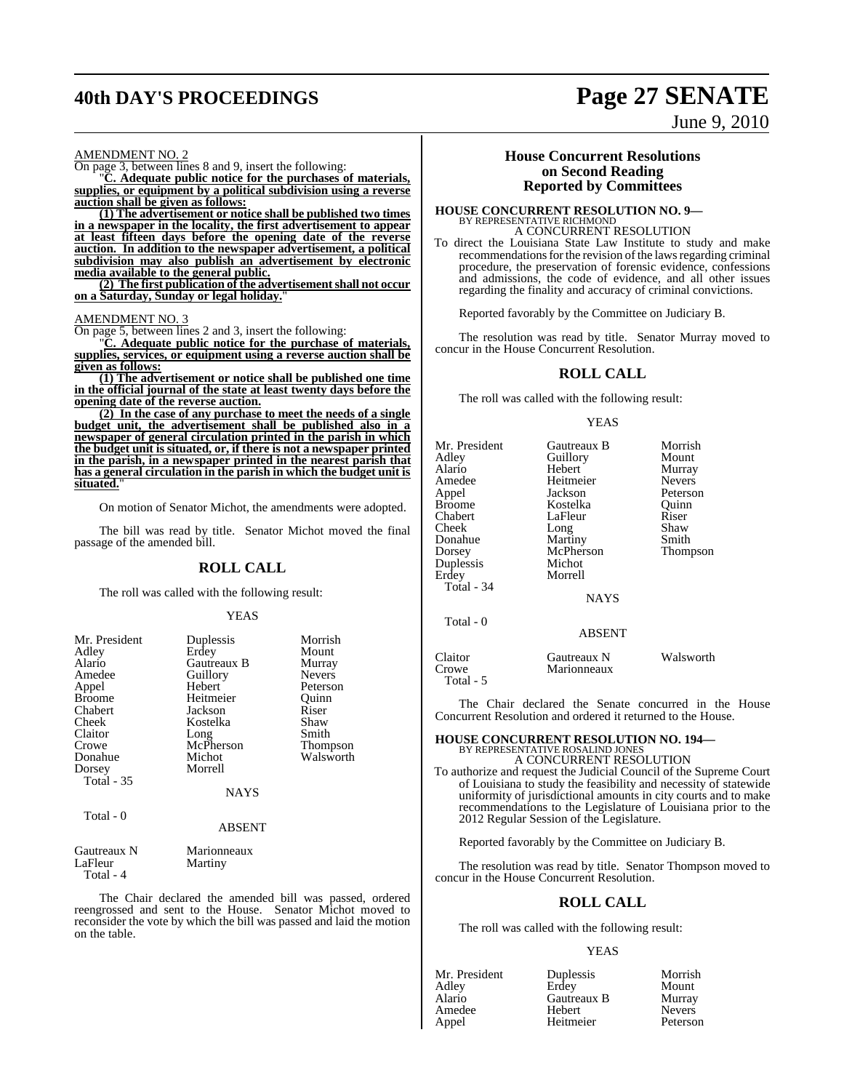## **40th DAY'S PROCEEDINGS Page 27 SENATE**

June 9, 2010

#### AMENDMENT NO. 2

On page 3, between lines 8 and 9, insert the following:

"**C. Adequate public notice for the purchases of materials, supplies, or equipment by a political subdivision using a reverse auction shall be given as follows:**

**(1) The advertisement or notice shall be published two times in a newspaper in the locality, the first advertisement to appear at least fifteen days before the opening date of the reverse auction. In addition to the newspaper advertisement, a political subdivision may also publish an advertisement by electronic media available to the general public.**

**(2) The first publication of the advertisement shall not occur on a Saturday, Sunday or legal holiday.**"

#### AMENDMENT NO. 3

On page 5, between lines 2 and 3, insert the following:

"**C. Adequate public notice for the purchase of materials, supplies, services, or equipment using a reverse auction shall be given as follows:**

**(1) The advertisement or notice shall be published one time in the official journal of the state at least twenty days before the opening date of the reverse auction.**

**(2) In the case of any purchase to meet the needs of a single budget unit, the advertisement shall be published also in a newspaper of general circulation printed in the parish in which the budget unit is situated, or, if there is not a newspaper printed in the parish, in a newspaper printed in the nearest parish that has a general circulation in the parish in which the budget unit is situated.**"

On motion of Senator Michot, the amendments were adopted.

The bill was read by title. Senator Michot moved the final passage of the amended bill.

#### **ROLL CALL**

The roll was called with the following result:

#### YEAS

| Mr. President     | Duplessis          | Morrish         |
|-------------------|--------------------|-----------------|
|                   |                    |                 |
| Adley             | Erdey              | Mount           |
| Alario            | <b>Gautreaux B</b> | Murray          |
| Amedee            | Guillory           | <b>Nevers</b>   |
| Appel             | Hebert             | Peterson        |
| <b>Broome</b>     | Heitmeier          | Ouinn           |
| Chabert           | Jackson            | Riser           |
| Cheek             | Kostelka           | Shaw            |
| Claitor           | Long               | Smith           |
| Crowe             | McPherson          | <b>Thompson</b> |
| Donahue           | Michot             | Walsworth       |
| Dorsey            | Morrell            |                 |
| <b>Total - 35</b> |                    |                 |
|                   | <b>NAYS</b>        |                 |
| Total - 0         |                    |                 |
|                   | <b>ABSENT</b>      |                 |

| Marionneaux |
|-------------|
| Martiny     |
|             |
|             |

The Chair declared the amended bill was passed, ordered reengrossed and sent to the House. Senator Michot moved to reconsider the vote by which the bill was passed and laid the motion on the table.

#### **House Concurrent Resolutions on Second Reading Reported by Committees**

#### **HOUSE CONCURRENT RESOLUTION NO. 9—** BY REPRESENTATIVE RICHMOND A CONCURRENT RESOLUTION

To direct the Louisiana State Law Institute to study and make recommendations for the revision of the laws regarding criminal procedure, the preservation of forensic evidence, confessions and admissions, the code of evidence, and all other issues regarding the finality and accuracy of criminal convictions.

Reported favorably by the Committee on Judiciary B.

The resolution was read by title. Senator Murray moved to concur in the House Concurrent Resolution.

#### **ROLL CALL**

The roll was called with the following result:

#### YEAS

| Claitor   | Gautreaux N | Walsworth |
|-----------|-------------|-----------|
| Crowe     | Marionneaux |           |
| Total - 5 |             |           |

The Chair declared the Senate concurred in the House Concurrent Resolution and ordered it returned to the House.

### **HOUSE CONCURRENT RESOLUTION NO. 194—** BY REPRESENTATIVE ROSALIND JONES A CONCURRENT RESOLUTION

To authorize and request the Judicial Council of the Supreme Court of Louisiana to study the feasibility and necessity of statewide uniformity of jurisdictional amounts in city courts and to make recommendations to the Legislature of Louisiana prior to the 2012 Regular Session of the Legislature.

Reported favorably by the Committee on Judiciary B.

The resolution was read by title. Senator Thompson moved to concur in the House Concurrent Resolution.

### **ROLL CALL**

The roll was called with the following result:

#### YEAS

|             | Morrish       |
|-------------|---------------|
| Erdey       | Mount         |
| Gautreaux B | Murray        |
| Hebert      | <b>Nevers</b> |
| Heitmeier   | Peterson      |
|             | Duplessis     |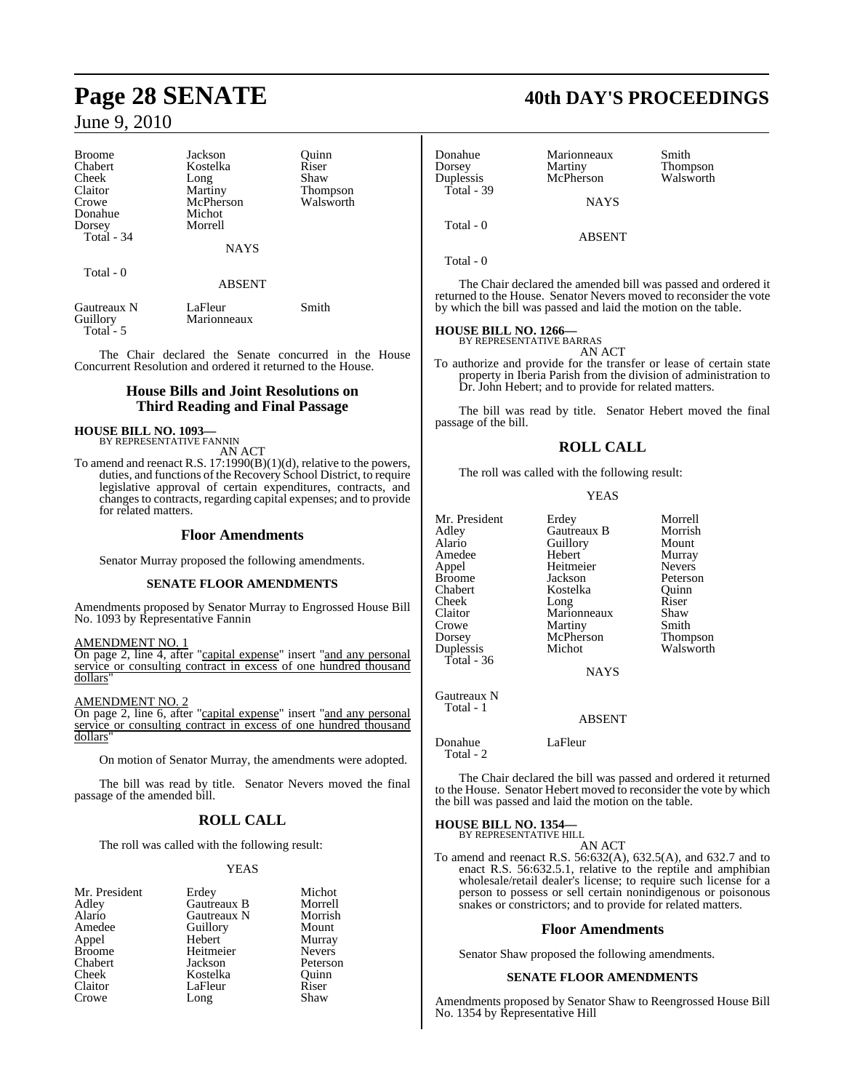| <b>Broome</b>           | Jackson                | Ouinn           |  |
|-------------------------|------------------------|-----------------|--|
| Chabert                 | Kostelka               | Riser           |  |
| Cheek                   | Long                   | Shaw            |  |
| Claitor                 | Martiny                | <b>Thompson</b> |  |
| Crowe                   | McPherson              | Walsworth       |  |
| Donahue                 | Michot                 |                 |  |
| Dorsey                  | Morrell                |                 |  |
| Total - 34              |                        |                 |  |
|                         | <b>NAYS</b>            |                 |  |
| Total - 0               |                        |                 |  |
|                         | <b>ABSENT</b>          |                 |  |
| Gautreaux N<br>Guillory | LaFleur<br>Marionneaux | Smith           |  |
| Total - 5               |                        |                 |  |

The Chair declared the Senate concurred in the House Concurrent Resolution and ordered it returned to the House.

### **House Bills and Joint Resolutions on Third Reading and Final Passage**

## **HOUSE BILL NO. 1093—** BY REPRESENTATIVE FANNIN

AN ACT

To amend and reenact R.S. 17:1990(B)(1)(d), relative to the powers, duties, and functions of the Recovery School District, to require legislative approval of certain expenditures, contracts, and changes to contracts, regarding capital expenses; and to provide for related matters.

### **Floor Amendments**

Senator Murray proposed the following amendments.

#### **SENATE FLOOR AMENDMENTS**

Amendments proposed by Senator Murray to Engrossed House Bill No. 1093 by Representative Fannin

#### AMENDMENT NO. 1

On page 2, line 4, after "capital expense" insert "and any personal service or consulting contract in excess of one hundred thousand dollars"

AMENDMENT NO. 2

On page 2, line 6, after "capital expense" insert "and any personal service or consulting contract in excess of one hundred thousand dollars"

On motion of Senator Murray, the amendments were adopted.

The bill was read by title. Senator Nevers moved the final passage of the amended bill.

### **ROLL CALL**

The roll was called with the following result:

#### YEAS

| Erdey       | Michot        |
|-------------|---------------|
| Gautreaux B | Morrell       |
| Gautreaux N | Morrish       |
| Guillory    | Mount         |
| Hebert      | Murray        |
| Heitmeier   | <b>Nevers</b> |
| Jackson     | Peterson      |
| Kostelka    | Ouinn         |
| LaFleur     | Riser         |
| Long        | Shaw          |
|             |               |

### **Page 28 SENATE 40th DAY'S PROCEEDINGS**

| Donahue<br>Dorsey<br>Duplessis<br>Total - $39$ | Marionneaux<br>Martiny<br>McPherson | Smith<br>Thompson<br>Walsworth |
|------------------------------------------------|-------------------------------------|--------------------------------|
|                                                | <b>NAYS</b>                         |                                |
| Total - 0                                      | <b>ABSENT</b>                       |                                |

Total - 0

The Chair declared the amended bill was passed and ordered it returned to the House. Senator Nevers moved to reconsider the vote by which the bill was passed and laid the motion on the table.

#### **HOUSE BILL NO. 1266—**

BY REPRESENTATIVE BARRAS AN ACT

To authorize and provide for the transfer or lease of certain state property in Iberia Parish from the division of administration to Dr. John Hebert; and to provide for related matters.

The bill was read by title. Senator Hebert moved the final passage of the bill.

### **ROLL CALL**

The roll was called with the following result:

#### YEAS

|               |             | Morrell       |
|---------------|-------------|---------------|
| Mr. President | Erdey       |               |
| Adley         | Gautreaux B | Morrish       |
| Alario        | Guillory    | Mount         |
| Amedee        | Hebert      | Murray        |
| Appel         | Heitmeier   | <b>Nevers</b> |
| Broome        | Jackson     | Peterson      |
| Chabert       | Kostelka    | Ouinn         |
| Cheek         | Long        | Riser         |
| Claitor       | Marionneaux | Shaw          |
| Crowe         | Martiny     | Smith         |
| Dorsey        | McPherson   | Thompson      |
| Duplessis     | Michot      | Walsworth     |
| Total - 36    |             |               |
|               | <b>NAYS</b> |               |

Gautreaux N Total - 1

ABSENT

Donahue LaFleur Total - 2

The Chair declared the bill was passed and ordered it returned to the House. Senator Hebert moved to reconsider the vote by which the bill was passed and laid the motion on the table.

### **HOUSE BILL NO. 1354—**

BY REPRESENTATIVE HILL AN ACT

To amend and reenact R.S. 56:632(A), 632.5(A), and 632.7 and to enact R.S. 56:632.5.1, relative to the reptile and amphibian wholesale/retail dealer's license; to require such license for a person to possess or sell certain nonindigenous or poisonous snakes or constrictors; and to provide for related matters.

#### **Floor Amendments**

Senator Shaw proposed the following amendments.

#### **SENATE FLOOR AMENDMENTS**

Amendments proposed by Senator Shaw to Reengrossed House Bill No. 1354 by Representative Hill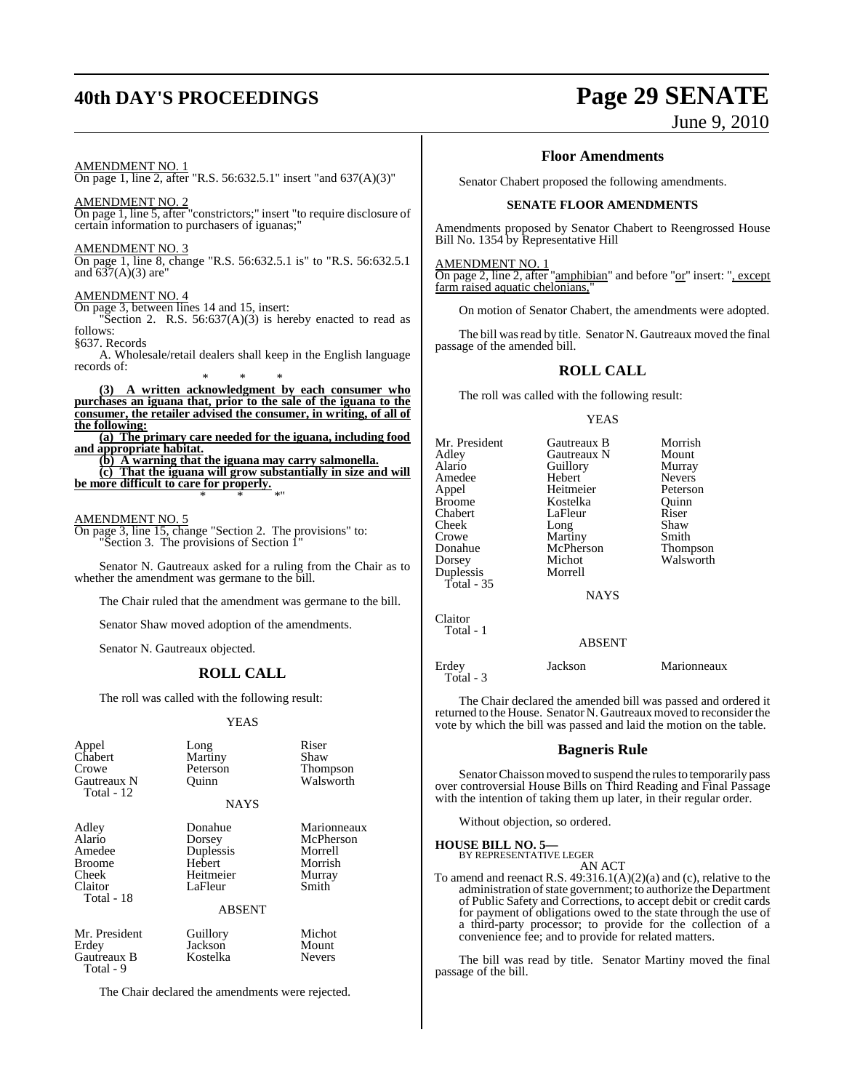## **40th DAY'S PROCEEDINGS Page 29 SENATE**

June 9, 2010

AMENDMENT NO. 1 On page 1, line 2, after "R.S. 56:632.5.1" insert "and 637(A)(3)"

AMENDMENT NO. 2 On page 1, line 5, after "constrictors;" insert "to require disclosure of certain information to purchasers of iguanas;"

AMENDMENT NO. 3 On page 1, line 8, change "R.S. 56:632.5.1 is" to "R.S. 56:632.5.1

and  $637(A)(3)$  are

#### AMENDMENT NO. 4

On page 3, between lines 14 and 15, insert:

"Section 2. R.S.  $56:637(A)(3)$  is hereby enacted to read as follows: §637. Records

A. Wholesale/retail dealers shall keep in the English language records of:

\* \* \* **(3) A written acknowledgment by each consumer who purchases an iguana that, prior to the sale of the iguana to the consumer, the retailer advised the consumer, in writing, of all of the following:**

**(a) The primary care needed for the iguana, including food and appropriate habitat.**

**(b) A warning that the iguana may carry salmonella. (c) That the iguana will grow substantially in size and will be more difficult to care for properly.** \* \* \*"

#### AMENDMENT NO. 5

Total - 9

On page 3, line 15, change "Section 2. The provisions" to: "Section 3. The provisions of Section 1"

Senator N. Gautreaux asked for a ruling from the Chair as to whether the amendment was germane to the bill.

The Chair ruled that the amendment was germane to the bill.

Senator Shaw moved adoption of the amendments.

Senator N. Gautreaux objected.

### **ROLL CALL**

The roll was called with the following result:

#### YEAS

| Appel<br>Chabert<br>Crowe<br>Gautreaux N<br>Total - 12                       | Long<br>Martiny<br>Peterson<br>Ouinn                             | Riser<br>Shaw<br><b>Thompson</b><br>Walsworth                     |
|------------------------------------------------------------------------------|------------------------------------------------------------------|-------------------------------------------------------------------|
|                                                                              | <b>NAYS</b>                                                      |                                                                   |
| Adley<br>Alario<br>Amedee<br><b>Broome</b><br>Cheek<br>Claitor<br>Total - 18 | Donahue<br>Dorsey<br>Duplessis<br>Hebert<br>Heitmeier<br>LaFleur | Marionneaux<br>McPherson<br>Morrell<br>Morrish<br>Murray<br>Smith |
|                                                                              | <b>ABSENT</b>                                                    |                                                                   |
| Mr. President<br>Erdey<br>Gautreaux B                                        | Guillory<br>Jackson<br>Kostelka                                  | Michot<br>Mount<br><b>Nevers</b>                                  |

The Chair declared the amendments were rejected.

#### **Floor Amendments**

Senator Chabert proposed the following amendments.

#### **SENATE FLOOR AMENDMENTS**

Amendments proposed by Senator Chabert to Reengrossed House Bill No. 1354 by Representative Hill

#### AMENDMENT NO. 1

On page 2, line 2, after "amphibian" and before "or" insert: ", except farm raised aquatic chelonians,

On motion of Senator Chabert, the amendments were adopted.

The bill was read by title. Senator N. Gautreaux moved the final passage of the amended bill.

#### **ROLL CALL**

The roll was called with the following result:

#### **YEAS**

| Mr. President<br>Adley<br>Alario<br>Amedee<br>Appel<br><b>Broome</b><br>Chabert<br>Cheek<br>Crowe<br>Donahue<br>Dorsey<br>Duplessis<br>Total - $35$ | Gautreaux B<br>Gautreaux N<br>Guillory<br>Hebert<br>Heitmeier<br>Kostelka<br>LaFleur<br>Long<br>Martiny<br>McPherson<br>Michot<br>Morrell<br><b>NAYS</b> | Morrish<br>Mount<br>Murray<br><b>Nevers</b><br>Peterson<br>Ouinn<br>Riser<br>Shaw<br>Smith<br>Thompson<br>Walsworth |
|-----------------------------------------------------------------------------------------------------------------------------------------------------|----------------------------------------------------------------------------------------------------------------------------------------------------------|---------------------------------------------------------------------------------------------------------------------|
| Claitor<br>Total - 1                                                                                                                                | <b>ABSENT</b>                                                                                                                                            |                                                                                                                     |
| Erdey                                                                                                                                               | Jackson                                                                                                                                                  | Marionneaux                                                                                                         |

The Chair declared the amended bill was passed and ordered it returned to the House. Senator N. Gautreaux moved to reconsider the vote by which the bill was passed and laid the motion on the table.

### **Bagneris Rule**

Senator Chaisson moved to suspend the rules to temporarily pass over controversial House Bills on Third Reading and Final Passage with the intention of taking them up later, in their regular order.

Without objection, so ordered.

**HOUSE BILL NO. 5—**

Total - 3

BY REPRESENTATIVE LEGER AN ACT

To amend and reenact R.S. 49:316.1(A)(2)(a) and (c), relative to the administration of state government; to authorize the Department of Public Safety and Corrections, to accept debit or credit cards for payment of obligations owed to the state through the use of a third-party processor; to provide for the collection of a convenience fee; and to provide for related matters.

The bill was read by title. Senator Martiny moved the final passage of the bill.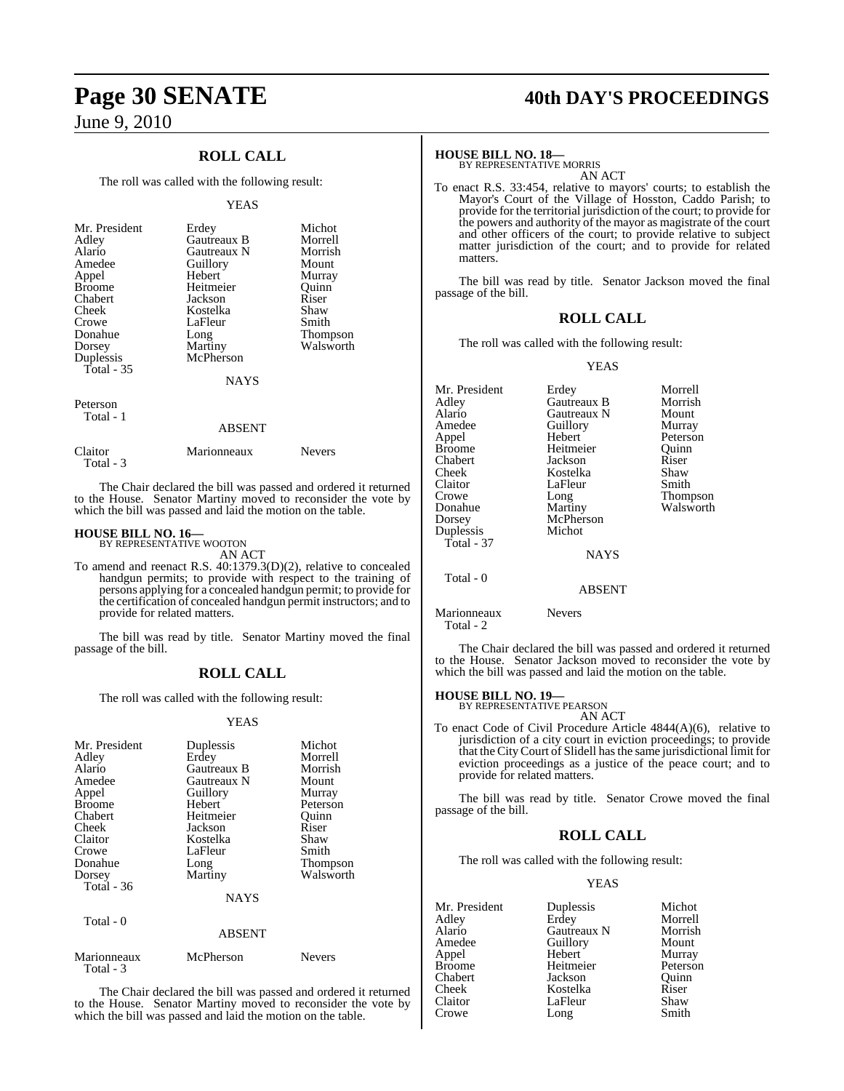### **ROLL CALL**

The roll was called with the following result:

#### YEAS

| Mr. President<br>Adley<br>Alario<br>Amedee<br>Appel<br><b>Broome</b><br>Chabert<br>Cheek<br>Crowe<br>Donahue<br>Dorsey<br>Duplessis<br>Total - 35 | Erdey<br>Gautreaux B<br>Gautreaux N<br>Guillory<br>Hebert<br>Heitmeier<br>Jackson<br>Kostelka<br>LaFleur<br>Long<br>Martiny<br>McPherson<br><b>NAYS</b> | Michot<br>Morrell<br>Morrish<br>Mount<br>Murray<br>Ouinn<br>Riser<br>Shaw<br>Smith<br><b>Thompson</b><br>Walsworth |
|---------------------------------------------------------------------------------------------------------------------------------------------------|---------------------------------------------------------------------------------------------------------------------------------------------------------|--------------------------------------------------------------------------------------------------------------------|
| Peterson<br>Total - 1                                                                                                                             |                                                                                                                                                         |                                                                                                                    |

| $11111 - 1$          | <b>ABSENT</b> |               |
|----------------------|---------------|---------------|
| Claitor<br>Total - 3 | Marionneaux   | <b>Nevers</b> |

The Chair declared the bill was passed and ordered it returned to the House. Senator Martiny moved to reconsider the vote by which the bill was passed and laid the motion on the table.

### **HOUSE BILL NO. 16—** BY REPRESENTATIVE WOOTON

AN ACT

To amend and reenact R.S. 40:1379.3(D)(2), relative to concealed handgun permits; to provide with respect to the training of persons applying for a concealed handgun permit; to provide for the certification of concealed handgun permit instructors; and to provide for related matters.

The bill was read by title. Senator Martiny moved the final passage of the bill.

### **ROLL CALL**

The roll was called with the following result:

#### YEAS

| Mr. President<br>Adley<br>Alario<br>Amedee<br>Appel<br><b>Broome</b><br>Chabert<br>Cheek<br>Claitor<br>Crowe<br>Donahue<br>Dorsey<br><b>Total</b> - 36 | Duplessis<br>Erdey<br>Gautreaux B<br>Gautreaux N<br>Guillory<br>Hebert<br>Heitmeier<br>Jackson<br>Kostelka<br>LaFleur<br>Long<br>Martiny<br><b>NAYS</b> | Michot<br>Morrell<br>Morrish<br>Mount<br>Murray<br>Peterson<br>Ouinn<br>Riser<br>Shaw<br>Smith<br><b>Thompson</b><br>Walsworth |
|--------------------------------------------------------------------------------------------------------------------------------------------------------|---------------------------------------------------------------------------------------------------------------------------------------------------------|--------------------------------------------------------------------------------------------------------------------------------|
| Total - 0                                                                                                                                              | <b>ABSENT</b>                                                                                                                                           |                                                                                                                                |

| Marionneaux | McPherson | <b>Nevers</b> |
|-------------|-----------|---------------|
| Total - 3   |           |               |

The Chair declared the bill was passed and ordered it returned to the House. Senator Martiny moved to reconsider the vote by which the bill was passed and laid the motion on the table.

## **Page 30 SENATE 40th DAY'S PROCEEDINGS**

#### **HOUSE BILL NO. 18—**

BY REPRESENTATIVE MORRIS AN ACT

To enact R.S. 33:454, relative to mayors' courts; to establish the Mayor's Court of the Village of Hosston, Caddo Parish; to provide for the territorial jurisdiction of the court; to provide for the powers and authority of the mayor as magistrate of the court and other officers of the court; to provide relative to subject matter jurisdiction of the court; and to provide for related matters.

The bill was read by title. Senator Jackson moved the final passage of the bill.

### **ROLL CALL**

The roll was called with the following result:

YEAS

| Mr. President | Erdey         | Morrell   |
|---------------|---------------|-----------|
| Adley         | Gautreaux B   | Morrish   |
| Alario        | Gautreaux N   | Mount     |
| Amedee        | Guillory      | Murray    |
| Appel         | Hebert        | Peterson  |
| <b>Broome</b> | Heitmeier     | Ouinn     |
| Chabert       | Jackson       | Riser     |
| Cheek         | Kostelka      | Shaw      |
| Claitor       | LaFleur       | Smith     |
| Crowe         | Long          | Thompson  |
| Donahue       | Martiny       | Walsworth |
| Dorsey        | McPherson     |           |
| Duplessis     | Michot        |           |
| Total - $37$  |               |           |
|               | <b>NAYS</b>   |           |
| Total - 0     | <b>ABSENT</b> |           |
|               |               |           |

Marionneaux Nevers

Total - 2

The Chair declared the bill was passed and ordered it returned to the House. Senator Jackson moved to reconsider the vote by which the bill was passed and laid the motion on the table.

### **HOUSE BILL NO. 19—** BY REPRESENTATIVE PEARSON

AN ACT

To enact Code of Civil Procedure Article 4844(A)(6), relative to jurisdiction of a city court in eviction proceedings; to provide that the CityCourt of Slidell hasthe same jurisdictional limit for eviction proceedings as a justice of the peace court; and to provide for related matters.

The bill was read by title. Senator Crowe moved the final passage of the bill.

#### **ROLL CALL**

The roll was called with the following result:

#### YEAS

| Mr. President | Duplessis   | Michot   |
|---------------|-------------|----------|
| Adley         | Erdey       | Morrell  |
| Alario        | Gautreaux N | Morrish  |
| Amedee        | Guillory    | Mount    |
| Appel         | Hebert      | Murray   |
| <b>Broome</b> | Heitmeier   | Peterson |
| Chabert       | Jackson     | Ouinn    |
| Cheek         | Kostelka    | Riser    |
| Claitor       | LaFleur     | Shaw     |
| Crowe         | Long        | Smith    |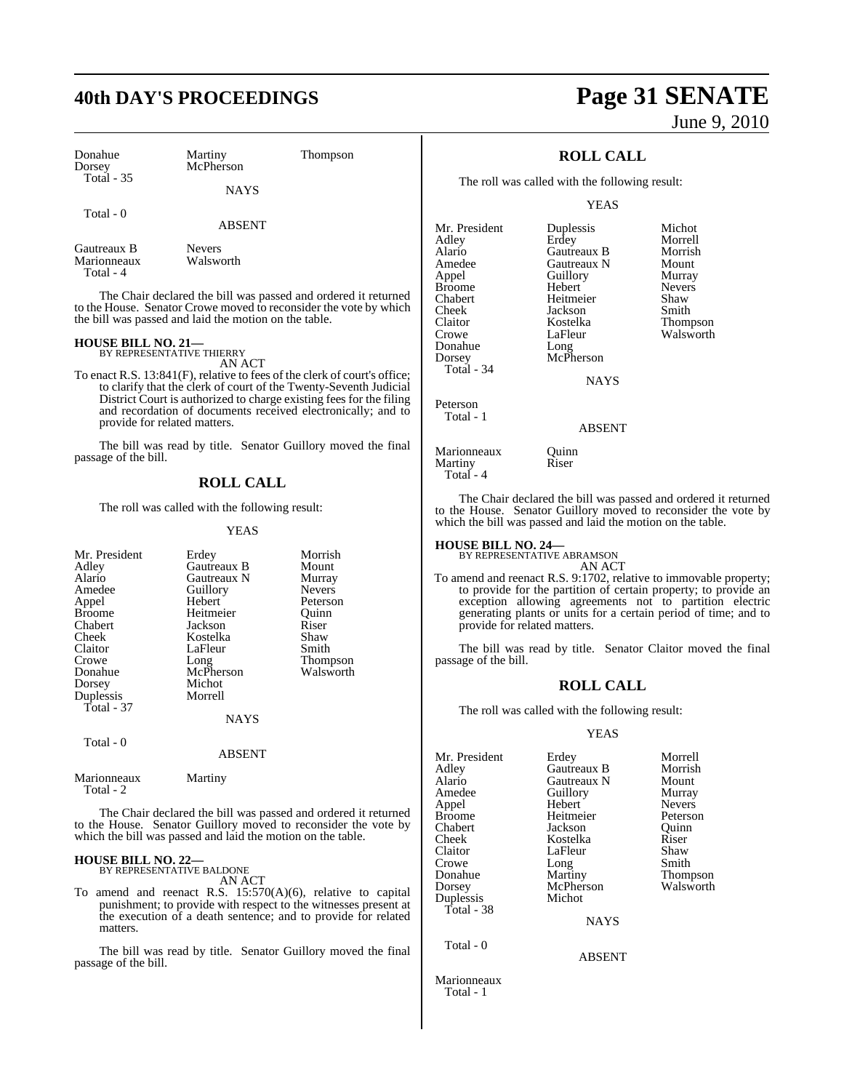## **40th DAY'S PROCEEDINGS Page 31 SENATE**

| Donahue<br>Dorsey<br><b>Total - 35</b> | Martiny<br>McPherson       | Thompson |  |
|----------------------------------------|----------------------------|----------|--|
|                                        | <b>NAYS</b>                |          |  |
| Total - 0                              | <b>ABSENT</b>              |          |  |
| Gautreaux B<br>Marionneaux             | <b>Nevers</b><br>Walsworth |          |  |

Marionneaux Total - 4

The Chair declared the bill was passed and ordered it returned to the House. Senator Crowe moved to reconsider the vote by which the bill was passed and laid the motion on the table.

### **HOUSE BILL NO. 21—** BY REPRESENTATIVE THIERRY

AN ACT

To enact R.S. 13:841(F), relative to fees of the clerk of court's office; to clarify that the clerk of court of the Twenty-Seventh Judicial District Court is authorized to charge existing fees for the filing and recordation of documents received electronically; and to provide for related matters.

The bill was read by title. Senator Guillory moved the final passage of the bill.

#### **ROLL CALL**

The roll was called with the following result:

#### YEAS

| Mr. President<br>Adley<br>Alario<br>Amedee<br>Appel<br><b>Broome</b><br>Chabert<br>Cheek<br>Claitor<br>Crowe<br>Donahue<br>Dorsey<br>Duplessis | Erdey<br>Gautreaux B<br>Gautreaux N<br>Guillory<br>Hebert<br>Heitmeier<br>Jackson<br>Kostelka<br>LaFleur<br>Long<br>McPherson<br>Michot<br>Morrell | Morrish<br>Mount<br>Murray<br><b>Nevers</b><br>Peterson<br>Ouinn<br>Riser<br>Shaw<br>Smith<br>Thompson<br>Walsworth |
|------------------------------------------------------------------------------------------------------------------------------------------------|----------------------------------------------------------------------------------------------------------------------------------------------------|---------------------------------------------------------------------------------------------------------------------|
| Total - 37                                                                                                                                     | <b>NAYS</b>                                                                                                                                        |                                                                                                                     |
| Total - 0                                                                                                                                      | <b>ABSENT</b>                                                                                                                                      |                                                                                                                     |
| Marionneaux                                                                                                                                    | Martiny                                                                                                                                            |                                                                                                                     |

Total - 2

The Chair declared the bill was passed and ordered it returned to the House. Senator Guillory moved to reconsider the vote by which the bill was passed and laid the motion on the table.

### **HOUSE BILL NO. 22—** BY REPRESENTATIVE BALDONE

AN ACT

To amend and reenact R.S. 15:570(A)(6), relative to capital punishment; to provide with respect to the witnesses present at the execution of a death sentence; and to provide for related matters.

The bill was read by title. Senator Guillory moved the final passage of the bill.

# June 9, 2010

### **ROLL CALL**

The roll was called with the following result:

YEAS

| Mr. President | Duplessis   | Michot        |
|---------------|-------------|---------------|
| Adley         | Erdey       | Morrell       |
| Alario        | Gautreaux B | Morrish       |
| Amedee        | Gautreaux N | Mount         |
| Appel         | Guillory    | Murray        |
| <b>Broome</b> | Hebert      | <b>Nevers</b> |
| Chabert       | Heitmeier   | Shaw          |
| Cheek         | Jackson     | Smith         |
| Claitor       | Kostelka    | Thompson      |
| Crowe         | LaFleur     | Walsworth     |
| Donahue       | Long        |               |
| Dorsey        | McPherson   |               |
| Total - 34    |             |               |
|               | <b>NAYS</b> |               |
| Peterson      |             |               |
| Total - 1     |             |               |

#### ABSENT

Marionneaux Quinn<br>
Martiny Riser Martiny Riser

The Chair declared the bill was passed and ordered it returned to the House. Senator Guillory moved to reconsider the vote by which the bill was passed and laid the motion on the table.

### **HOUSE BILL NO. 24—** BY REPRESENTATIVE ABRAMSON

Total - 4

AN ACT

To amend and reenact R.S. 9:1702, relative to immovable property; to provide for the partition of certain property; to provide an exception allowing agreements not to partition electric generating plants or units for a certain period of time; and to provide for related matters.

The bill was read by title. Senator Claitor moved the final passage of the bill.

#### **ROLL CALL**

The roll was called with the following result:

#### YEAS

ABSENT

| Mr. President | Erdey       | Morrell         |
|---------------|-------------|-----------------|
| Adley         | Gautreaux B | Morrish         |
|               |             |                 |
| Alario        | Gautreaux N | Mount           |
| Amedee        | Guillory    | Murray          |
| Appel         | Hebert      | <b>Nevers</b>   |
| Broome        | Heitmeier   | Peterson        |
| Chabert       | Jackson     | Ouinn           |
| Cheek         | Kostelka    | Riser           |
| Claitor       | LaFleur     | Shaw            |
| Crowe         | Long        | Smith           |
| Donahue       | Martiny     | <b>Thompson</b> |
| Dorsey        | McPherson   | Walsworth       |
| Duplessis     | Michot      |                 |
| Total - 38    |             |                 |
|               | <b>NAYS</b> |                 |
|               |             |                 |

Total - 0

Marionneaux Total - 1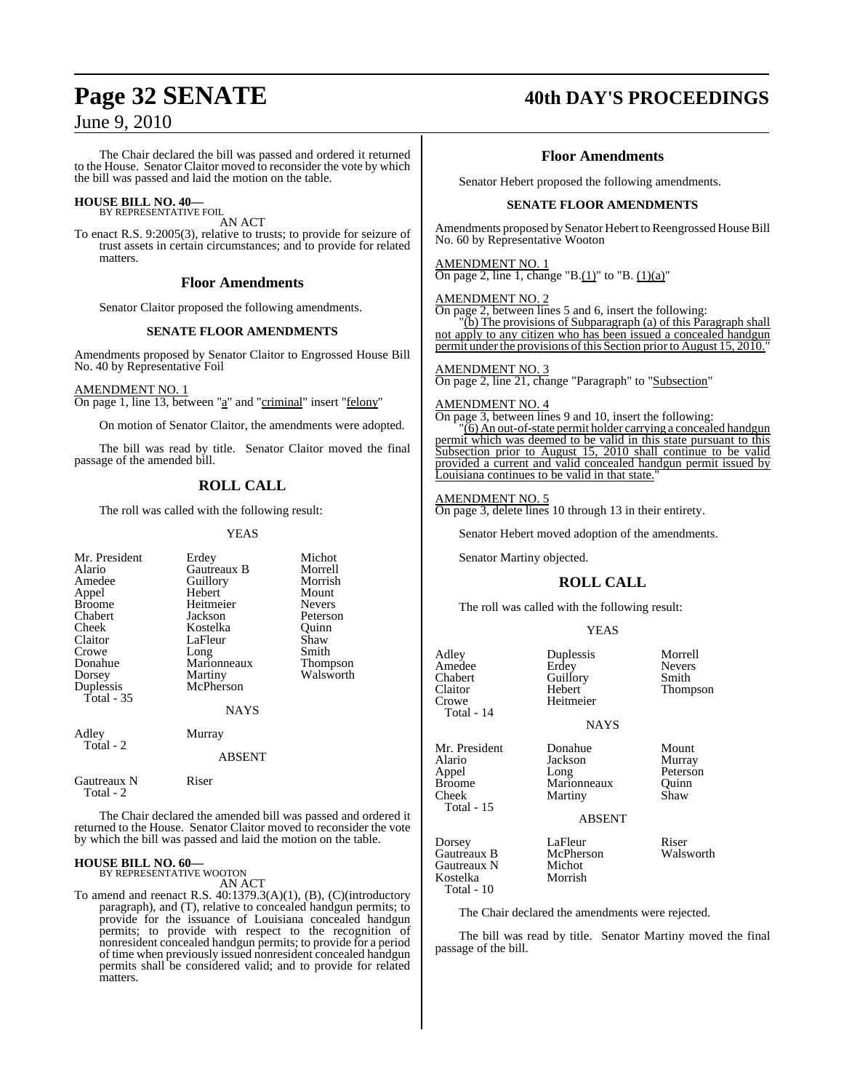The Chair declared the bill was passed and ordered it returned to the House. Senator Claitor moved to reconsider the vote by which the bill was passed and laid the motion on the table.

#### **HOUSE BILL NO. 40—** BY REPRESENTATIVE FOIL

AN ACT

To enact R.S. 9:2005(3), relative to trusts; to provide for seizure of trust assets in certain circumstances; and to provide for related matters.

#### **Floor Amendments**

Senator Claitor proposed the following amendments.

#### **SENATE FLOOR AMENDMENTS**

Amendments proposed by Senator Claitor to Engrossed House Bill No. 40 by Representative Foil

#### AMENDMENT NO. 1

On page 1, line 13, between "a" and "criminal" insert "felony"

On motion of Senator Claitor, the amendments were adopted.

The bill was read by title. Senator Claitor moved the final passage of the amended bill.

### **ROLL CALL**

The roll was called with the following result:

#### YEAS

| Mr. President<br>Alario<br>Amedee<br>Appel<br><b>Broome</b><br>Chabert<br>Cheek<br>Claitor<br>Crowe<br>Donahue<br>Dorsey<br>Duplessis<br>Total - 35 | Erdey<br>Gautreaux B<br>Guillory<br>Hebert<br>Heitmeier<br>Jackson<br>Kostelka<br>LaFleur<br>Long<br>Marionneaux<br>Martiny<br>McPherson<br>NAYS | Michot<br>Morrell<br>Morrish<br>Mount<br><b>Nevers</b><br>Peterson<br>Quinn<br>Shaw<br>Smith<br>Thompson<br>Walsworth |
|-----------------------------------------------------------------------------------------------------------------------------------------------------|--------------------------------------------------------------------------------------------------------------------------------------------------|-----------------------------------------------------------------------------------------------------------------------|
| Adley<br>Total - 2                                                                                                                                  | Murray<br>ABSENT                                                                                                                                 |                                                                                                                       |
| Gautreaux N<br>Total - 2                                                                                                                            | Riser                                                                                                                                            |                                                                                                                       |

The Chair declared the amended bill was passed and ordered it returned to the House. Senator Claitor moved to reconsider the vote by which the bill was passed and laid the motion on the table.

### **HOUSE BILL NO. 60—**

BY REPRESENTATIVE WOOTON AN ACT

To amend and reenact R.S. 40:1379.3(A)(1), (B), (C)(introductory paragraph), and (T), relative to concealed handgun permits; to provide for the issuance of Louisiana concealed handgun permits; to provide with respect to the recognition of nonresident concealed handgun permits; to provide for a period of time when previously issued nonresident concealed handgun permits shall be considered valid; and to provide for related matters.

### **Page 32 SENATE 40th DAY'S PROCEEDINGS**

#### **Floor Amendments**

Senator Hebert proposed the following amendments.

#### **SENATE FLOOR AMENDMENTS**

Amendments proposed by Senator Hebert to Reengrossed House Bill No. 60 by Representative Wooton

#### AMENDMENT NO. 1

On page 2, line 1, change "B. $(1)$ " to "B.  $(1)(a)$ "

#### AMENDMENT NO. 2

On page 2, between lines 5 and 6, insert the following:

"(b) The provisions of Subparagraph (a) of this Paragraph shall not apply to any citizen who has been issued a concealed handgun permit under the provisions of this Section prior to August 15, 2010."

#### AMENDMENT NO. 3

On page 2, line 21, change "Paragraph" to "Subsection"

#### AMENDMENT NO. 4

On page 3, between lines 9 and 10, insert the following: "(6) An out-of-state permit holder carrying a concealed handgun permit which was deemed to be valid in this state pursuant to this Subsection prior to August 15, 2010 shall continue to be valid provided a current and valid concealed handgun permit issued by

#### AMENDMENT NO. 5

On page 3, delete lines 10 through 13 in their entirety.

Senator Hebert moved adoption of the amendments.

Senator Martiny objected.

Louisiana continues to be valid in that state.

### **ROLL CALL**

The roll was called with the following result:

Heitmeier

Martiny

#### YEAS

NAYS

Adley Duplessis Morrell Amedee Erdey Nevers Chabert Guillory<br>Claitor Hebert Claitor Hebert Thompson  $Total - 14$ 

Mr. President Donahue Mount<br>Alario Jackson Murray Alario Jackson<br>Appel Long Broome Marionneaux Quinn<br>
Cheek Martiny Shaw

Total - 15

ABSENT

Dorsey LaFleur Riser Gautreaux B McPher<br>Gautreaux N Michot Gautreaux N Kostelka Morrish Total - 10

Peterson

The Chair declared the amendments were rejected.

The bill was read by title. Senator Martiny moved the final passage of the bill.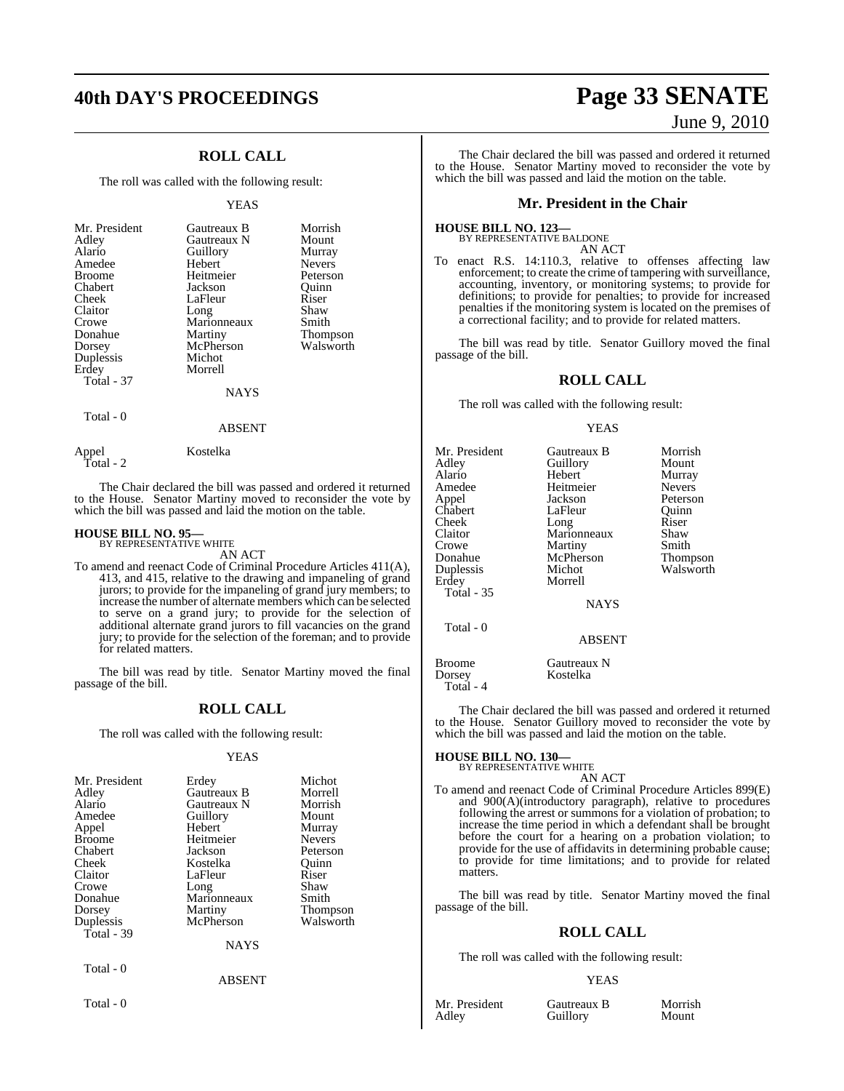## **40th DAY'S PROCEEDINGS Page 33 SENATE**

### **ROLL CALL**

The roll was called with the following result:

#### YEAS

| Gautreaux B<br>Gautreaux N<br>Guillory<br>Hebert<br>Heitmeier<br>Jackson<br>LaFleur<br>Long<br>Marionneaux<br>Martiny<br>McPherson<br>Michot<br>Morrell | Morrish<br>Mount<br>Murray<br><b>Nevers</b><br>Peterson<br>Ouinn<br>Riser<br>Shaw<br>Smith<br><b>Thompson</b><br>Walsworth |
|---------------------------------------------------------------------------------------------------------------------------------------------------------|----------------------------------------------------------------------------------------------------------------------------|
| <b>NAYS</b>                                                                                                                                             |                                                                                                                            |
|                                                                                                                                                         |                                                                                                                            |

Total - 0

Total - 2

ABSENT

The Chair declared the bill was passed and ordered it returned to the House. Senator Martiny moved to reconsider the vote by which the bill was passed and laid the motion on the table.

## **HOUSE BILL NO. 95—** BY REPRESENTATIVE WHITE

Appel Kostelka

AN ACT

To amend and reenact Code of Criminal Procedure Articles 411(A), 413, and 415, relative to the drawing and impaneling of grand jurors; to provide for the impaneling of grand jury members; to increase the number of alternate members which can be selected to serve on a grand jury; to provide for the selection of additional alternate grand jurors to fill vacancies on the grand jury; to provide for the selection of the foreman; and to provide for related matters.

The bill was read by title. Senator Martiny moved the final passage of the bill.

### **ROLL CALL**

The roll was called with the following result:

#### YEAS

| Mr. President           | Erdey                    | Michot          |
|-------------------------|--------------------------|-----------------|
| Adley                   | Gautreaux B              | Morrell         |
| Alario                  | Gautreaux N              | Morrish         |
| Amedee                  | Guillory                 | Mount           |
| Appel                   | Hebert                   | Murray          |
| <b>Broome</b>           | Heitmeier                | <b>Nevers</b>   |
| Chabert                 | Jackson                  | Peterson        |
| Cheek                   | Kostelka                 | Ouinn           |
| Claitor                 | LaFleur                  | Riser           |
| Crowe                   | Long                     | Shaw            |
| Donahue                 | Marionneaux              | Smith           |
| Dorsey                  | Martiny                  | <b>Thompson</b> |
| Duplessis<br>Total - 39 | McPherson<br><b>NAYS</b> | Walsworth       |
| Total - 0               | ABSENT                   |                 |

Total - 0

# June 9, 2010

The Chair declared the bill was passed and ordered it returned to the House. Senator Martiny moved to reconsider the vote by which the bill was passed and laid the motion on the table.

#### **Mr. President in the Chair**

**HOUSE BILL NO. 123—** BY REPRESENTATIVE BALDONE

AN ACT

To enact R.S. 14:110.3, relative to offenses affecting law enforcement; to create the crime of tampering with surveillance, accounting, inventory, or monitoring systems; to provide for definitions; to provide for penalties; to provide for increased penalties if the monitoring system is located on the premises of a correctional facility; and to provide for related matters.

The bill was read by title. Senator Guillory moved the final passage of the bill.

#### **ROLL CALL**

The roll was called with the following result:

#### YEAS

| Mr. President<br>Adley<br>Alario<br>Amedee | Gautreaux B<br>Guillory<br>Hebert<br>Heitmeier<br>Jackson | Morrish<br>Mount<br>Murray<br><b>Nevers</b> |
|--------------------------------------------|-----------------------------------------------------------|---------------------------------------------|
| Appel<br>Chabert                           | LaFleur                                                   | Peterson<br>Ouinn                           |
| Cheek                                      | Long                                                      | Riser                                       |
| Claitor                                    | Marionneaux                                               | Shaw                                        |
| Crowe<br>Donahue                           | Martiny<br>McPherson                                      | Smith<br>Thompson                           |
| Duplessis<br>Erdev<br><b>Total - 35</b>    | Michot<br>Morrell                                         | Walsworth                                   |
|                                            | <b>NAYS</b>                                               |                                             |
| Total - 0                                  | <b>ABSENT</b>                                             |                                             |
| Broome<br>Dorsey<br>Total - 4              | Gautreaux N<br>Kostelka                                   |                                             |

The Chair declared the bill was passed and ordered it returned to the House. Senator Guillory moved to reconsider the vote by which the bill was passed and laid the motion on the table.

#### **HOUSE BILL NO. 130—** BY REPRESENTATIVE WHITE

AN ACT

To amend and reenact Code of Criminal Procedure Articles 899(E) and 900(A)(introductory paragraph), relative to procedures following the arrest or summons for a violation of probation; to increase the time period in which a defendant shall be brought before the court for a hearing on a probation violation; to provide for the use of affidavits in determining probable cause; to provide for time limitations; and to provide for related matters.

The bill was read by title. Senator Martiny moved the final passage of the bill.

### **ROLL CALL**

The roll was called with the following result:

#### YEAS

Mr. President Gautreaux B Morrish<br>Adley Guillory Mount

Guillory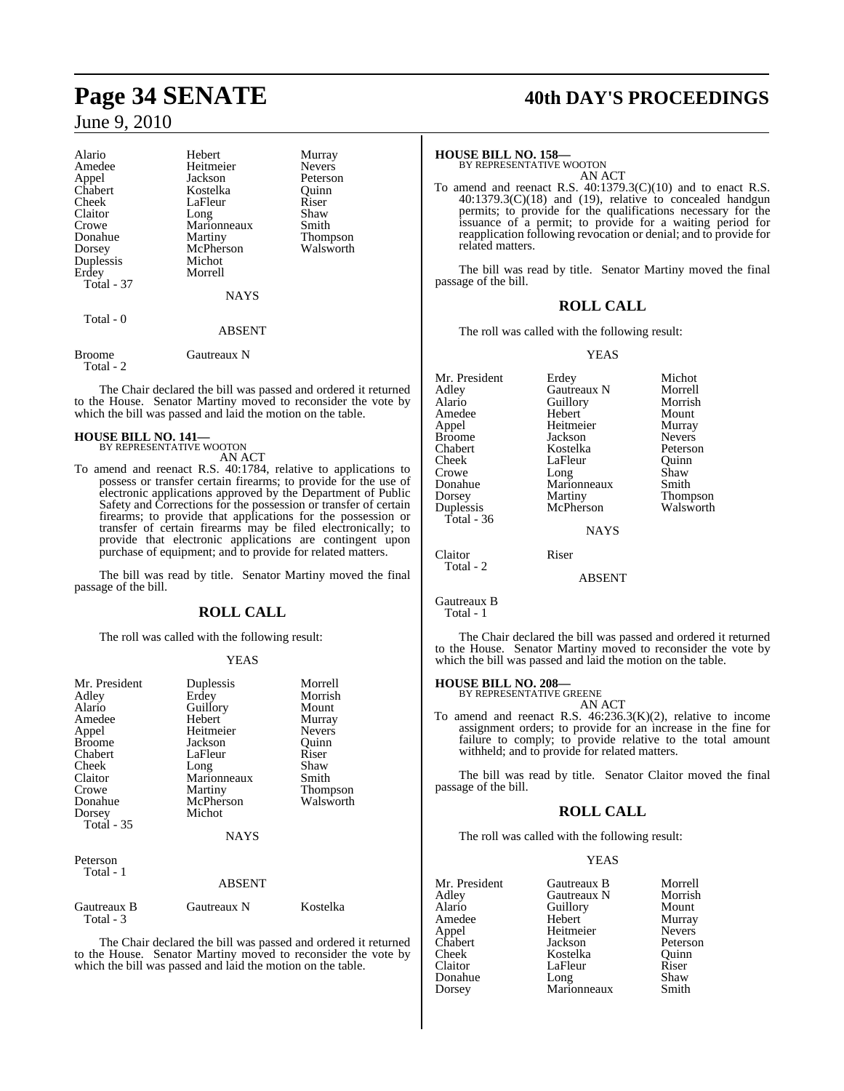| Alario              | Hebert        | Murray          |
|---------------------|---------------|-----------------|
| Amedee              | Heitmeier     | <b>Nevers</b>   |
| Appel               | Jackson       | Peterson        |
| Chabert             | Kostelka      | Quinn           |
| Cheek               | LaFleur       | Riser           |
| Claitor             | Long          | Shaw            |
| Crowe               | Marionneaux   | Smith           |
| Donahue             | Martiny       | <b>Thompson</b> |
| Dorsey              | McPherson     | Walsworth       |
| Duplessis           | Michot        |                 |
| Erdev               | Morrell       |                 |
| <b>Total - 37</b>   |               |                 |
|                     | <b>NAYS</b>   |                 |
| Total - 0           |               |                 |
|                     | <b>ABSENT</b> |                 |
| Broome<br>Total - 2 | Gautreaux N   |                 |

The Chair declared the bill was passed and ordered it returned to the House. Senator Martiny moved to reconsider the vote by which the bill was passed and laid the motion on the table.

#### **HOUSE BILL NO. 141—**

BY REPRESENTATIVE WOOTON

- AN ACT
- To amend and reenact R.S. 40:1784, relative to applications to possess or transfer certain firearms; to provide for the use of electronic applications approved by the Department of Public Safety and Corrections for the possession or transfer of certain firearms; to provide that applications for the possession or transfer of certain firearms may be filed electronically; to provide that electronic applications are contingent upon purchase of equipment; and to provide for related matters.

The bill was read by title. Senator Martiny moved the final passage of the bill.

### **ROLL CALL**

The roll was called with the following result:

#### YEAS

| Mr. President<br>Adley<br>Alario<br>Amedee<br>Appel<br><b>Broome</b><br>Chabert<br><b>Cheek</b><br>Claitor<br>Crowe<br>Donahue<br>Dorsey<br><b>Total</b> - 35 | Duplessis<br>Erdey<br>Guillory<br>Hebert<br>Heitmeier<br>Jackson<br>LaFleur<br>Long<br>Marionneaux<br>Martiny<br>McPherson<br>Michot<br><b>NAYS</b> | Morrell<br>Morrish<br>Mount<br>Murray<br><b>Nevers</b><br>Ouinn<br>Riser<br>Shaw<br>Smith<br>Thompson<br>Walsworth |
|---------------------------------------------------------------------------------------------------------------------------------------------------------------|-----------------------------------------------------------------------------------------------------------------------------------------------------|--------------------------------------------------------------------------------------------------------------------|
| Peterson<br>Total - 1                                                                                                                                         | ABSENT                                                                                                                                              |                                                                                                                    |
| Gautreaux B<br>Total - 3                                                                                                                                      | Gautreaux N                                                                                                                                         | Kostelka                                                                                                           |

The Chair declared the bill was passed and ordered it returned to the House. Senator Martiny moved to reconsider the vote by which the bill was passed and laid the motion on the table.

## **Page 34 SENATE 40th DAY'S PROCEEDINGS**

### **HOUSE BILL NO. 158—** BY REPRESENTATIVE WOOTON

AN ACT

To amend and reenact R.S. 40:1379.3(C)(10) and to enact R.S.  $40:1379.3(C)(18)$  and (19), relative to concealed handgun permits; to provide for the qualifications necessary for the issuance of a permit; to provide for a waiting period for reapplication following revocation or denial; and to provide for related matters.

The bill was read by title. Senator Martiny moved the final passage of the bill.

#### **ROLL CALL**

The roll was called with the following result:

YEAS

| Mr. President<br>Adley<br>Alario<br>Amedee<br>Appel<br><b>Broome</b><br>Chabert<br>Cheek<br>Crowe<br>Donahue | Erdey<br>Gautreaux N<br>Guillory<br>Hebert<br>Heitmeier<br>Jackson<br>Kostelka<br>LaFleur<br>Long<br>Marionneaux | Michot<br>Morrell<br>Morrish<br>Mount<br>Murray<br><b>Nevers</b><br>Peterson<br>Ouinn<br>Shaw<br>Smith |
|--------------------------------------------------------------------------------------------------------------|------------------------------------------------------------------------------------------------------------------|--------------------------------------------------------------------------------------------------------|
| Dorsey<br>Duplessis                                                                                          | Martiny<br>McPherson                                                                                             | Thompson<br>Walsworth                                                                                  |
| Total - $36$                                                                                                 |                                                                                                                  |                                                                                                        |
|                                                                                                              | NAYS                                                                                                             |                                                                                                        |
| Claitor                                                                                                      | Riser                                                                                                            |                                                                                                        |
| Total - 2                                                                                                    | ABSENT                                                                                                           |                                                                                                        |
|                                                                                                              |                                                                                                                  |                                                                                                        |

Gautreaux B Total - 1

The Chair declared the bill was passed and ordered it returned to the House. Senator Martiny moved to reconsider the vote by which the bill was passed and laid the motion on the table.

### **HOUSE BILL NO. 208—**

| BY REPRESENTATIVE GREENE |  |
|--------------------------|--|
| AN ACT                   |  |

To amend and reenact R.S. 46:236.3(K)(2), relative to income assignment orders; to provide for an increase in the fine for failure to comply; to provide relative to the total amount withheld; and to provide for related matters.

The bill was read by title. Senator Claitor moved the final passage of the bill.

#### **ROLL CALL**

The roll was called with the following result:

#### YEAS

| Mr. President | Gautreaux B         | Morrell       |
|---------------|---------------------|---------------|
| Adley         | Gautreaux N         | Morrish       |
| Alario        | Guillory            | Mount         |
| Amedee        | Hebert              | Murray        |
| Appel         | Heitmeier           | <b>Nevers</b> |
| Chabert       | Jackson             | Peterson      |
| Cheek         | Kostelka            | Ouinn         |
| Claitor       | LaFleur             | Riser         |
| Donahue       | Long<br>Marionneaux | Shaw          |
| Dorsey        |                     | Smith         |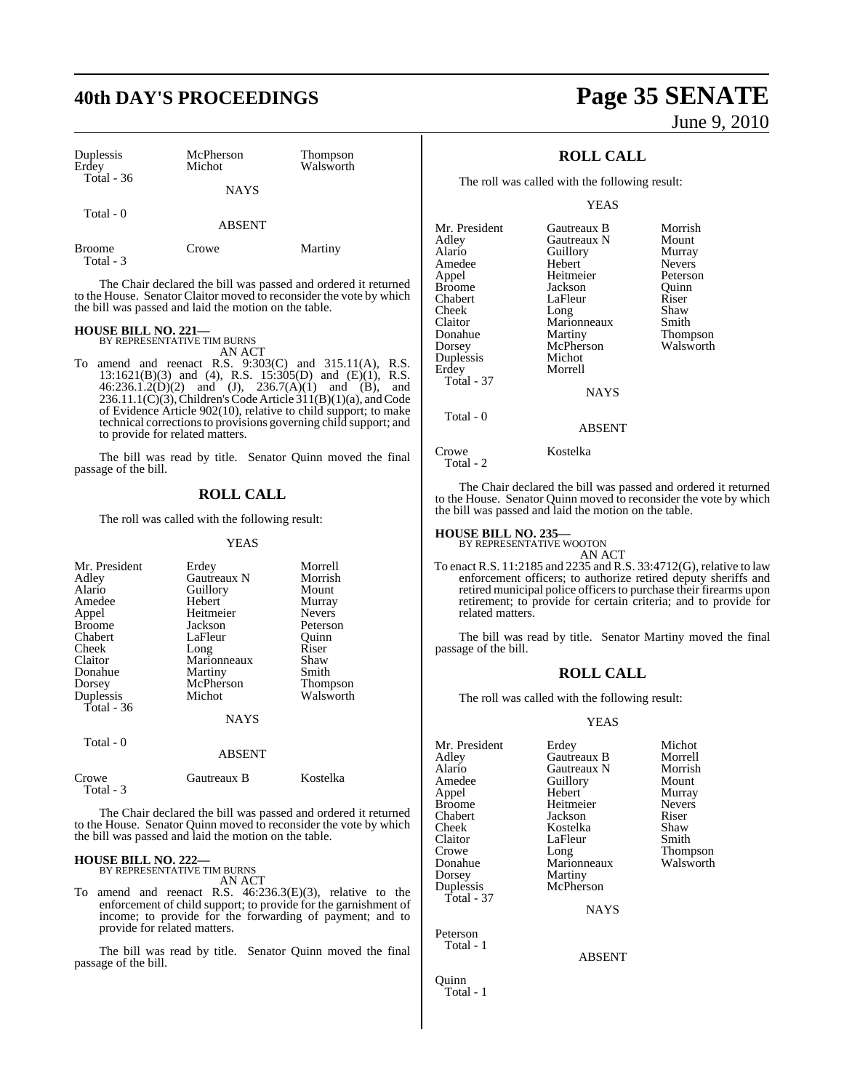| Duplessis<br>Erdey         | McPherson<br>Michot | Thompson<br>Walsworth |
|----------------------------|---------------------|-----------------------|
| Total $-36$                | <b>NAYS</b>         |                       |
| Total - 0                  | <b>ABSENT</b>       |                       |
| <b>Broome</b><br>Total - 3 | Crowe               | Martiny               |

The Chair declared the bill was passed and ordered it returned to the House. Senator Claitor moved to reconsider the vote by which the bill was passed and laid the motion on the table.

#### **HOUSE BILL NO. 221—** BY REPRESENTATIVE TIM BURNS

AN ACT

To amend and reenact R.S. 9:303(C) and 315.11(A), R.S. 13:1621(B)(3) and (4), R.S. 15:305(D) and (E)(1), R.S.  $46:236.1.2(D)(2)$  and  $(J), 236.7(A)(1)$  and  $(B),$  and 236.11.1(C)(3), Children's Code Article  $311(B)(1)(a)$ , and Code of Evidence Article 902(10), relative to child support; to make technical correctionsto provisions governing child support; and to provide for related matters.

The bill was read by title. Senator Quinn moved the final passage of the bill.

### **ROLL CALL**

The roll was called with the following result:

YEAS

| Mr. President |               | Morrell       |
|---------------|---------------|---------------|
|               | Erdey         |               |
| Adley         | Gautreaux N   | Morrish       |
| Alario        | Guillory      | Mount         |
| Amedee        | Hebert        | Murray        |
| Appel         | Heitmeier     | <b>Nevers</b> |
| <b>Broome</b> | Jackson       | Peterson      |
| Chabert       | LaFleur       | Quinn         |
| Cheek         | Long          | Riser         |
| Claitor       | Marionneaux   | Shaw          |
| Donahue       | Martiny       | Smith         |
| Dorsey        | McPherson     | Thompson      |
| Duplessis     | Michot        | Walsworth     |
| Total - 36    |               |               |
|               | NAYS          |               |
| Total - 0     |               |               |
|               | <b>ABSENT</b> |               |
| Crowe         | Gautreaux B   | Kostelka      |

The Chair declared the bill was passed and ordered it returned to the House. Senator Quinn moved to reconsider the vote by which the bill was passed and laid the motion on the table.

## **HOUSE BILL NO. 222—** BY REPRESENTATIVE TIM BURNS

Total - 3

AN ACT

To amend and reenact R.S. 46:236.3(E)(3), relative to the enforcement of child support; to provide for the garnishment of income; to provide for the forwarding of payment; and to provide for related matters.

The bill was read by title. Senator Quinn moved the final passage of the bill.

## **40th DAY'S PROCEEDINGS Page 35 SENATE** June 9, 2010

### **ROLL CALL**

The roll was called with the following result:

YEAS

| Gautreaux B   | Morrish       |
|---------------|---------------|
| Gautreaux N   | Mount         |
| Guillory      | Murray        |
| Hebert        | <b>Nevers</b> |
| Heitmeier     | Peterson      |
| Jackson       | Ouinn         |
| LaFleur       | Riser         |
| Long          | Shaw          |
| Marionneaux   | Smith         |
| Martiny       | Thompson      |
| McPherson     | Walsworth     |
| Michot        |               |
| Morrell       |               |
|               |               |
| <b>NAYS</b>   |               |
|               |               |
| <b>ABSENT</b> |               |
|               |               |

The Chair declared the bill was passed and ordered it returned to the House. Senator Quinn moved to reconsider the vote by which the bill was passed and laid the motion on the table.

### **HOUSE BILL NO. 235—** BY REPRESENTATIVE WOOTON

Crowe Kostelka

Total - 2

AN ACT To enact R.S. 11:2185 and 2235 and R.S. 33:4712(G), relative to law enforcement officers; to authorize retired deputy sheriffs and retired municipal police officers to purchase their firearms upon retirement; to provide for certain criteria; and to provide for related matters.

The bill was read by title. Senator Martiny moved the final passage of the bill.

### **ROLL CALL**

The roll was called with the following result:

#### YEAS

| Mr. President | Erdey         | Michot        |
|---------------|---------------|---------------|
| Adley         | Gautreaux B   | Morrell       |
| Alario        | Gautreaux N   | Morrish       |
| Amedee        | Guillory      | Mount         |
| Appel         | Hebert        | Murray        |
| <b>Broome</b> | Heitmeier     | <b>Nevers</b> |
| Chabert       | Jackson       | Riser         |
| Cheek         | Kostelka      | Shaw          |
| Claitor       | LaFleur       | Smith         |
| Crowe         | Long          | Thompson      |
| Donahue       | Marionneaux   | Walsworth     |
| Dorsey        | Martiny       |               |
| Duplessis     | McPherson     |               |
| Total - 37    |               |               |
|               | NAYS          |               |
| Peterson      |               |               |
| Total - 1     |               |               |
|               | <b>ABSENT</b> |               |
| Ouinn         |               |               |

Total - 1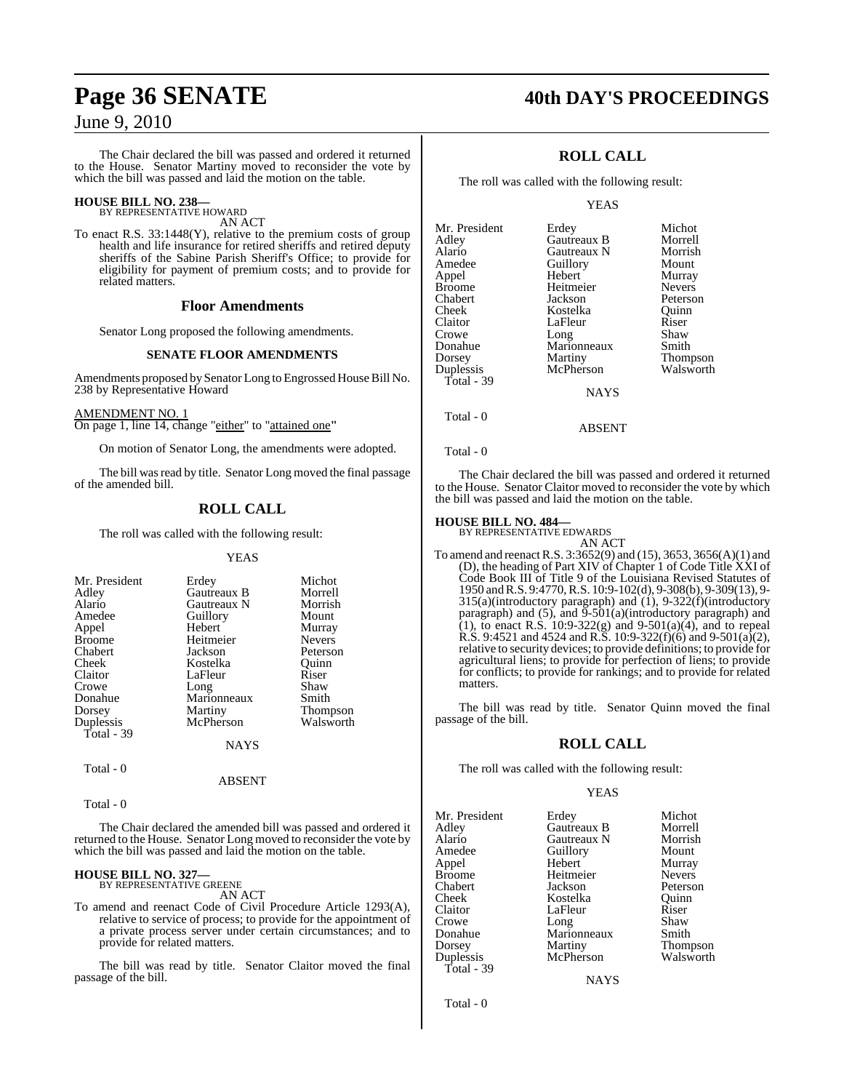The Chair declared the bill was passed and ordered it returned to the House. Senator Martiny moved to reconsider the vote by which the bill was passed and laid the motion on the table.

### **HOUSE BILL NO. 238—** BY REPRESENTATIVE HOWARD

AN ACT

To enact R.S. 33:1448(Y), relative to the premium costs of group health and life insurance for retired sheriffs and retired deputy sheriffs of the Sabine Parish Sheriff's Office; to provide for eligibility for payment of premium costs; and to provide for related matters.

#### **Floor Amendments**

Senator Long proposed the following amendments.

#### **SENATE FLOOR AMENDMENTS**

Amendments proposed by Senator Long to Engrossed House Bill No. 238 by Representative Howard

AMENDMENT NO. 1

On page 1, line 14, change "either" to "attained one**"**

On motion of Senator Long, the amendments were adopted.

The bill was read by title. Senator Long moved the final passage of the amended bill.

#### **ROLL CALL**

The roll was called with the following result:

#### YEAS

| Mr. President | Erdey       | Michot          |
|---------------|-------------|-----------------|
| Adley         | Gautreaux B | Morrell         |
| Alario        | Gautreaux N | Morrish         |
| Amedee        | Guillory    | Mount           |
| Appel         | Hebert      | Murray          |
| <b>Broome</b> | Heitmeier   | <b>Nevers</b>   |
| Chabert       | Jackson     | Peterson        |
| Cheek         | Kostelka    | Ouinn           |
| Claitor       | LaFleur     | Riser           |
| Crowe         | Long        | Shaw            |
| Donahue       | Marionneaux | Smith           |
| Dorsey        | Martiny     | <b>Thompson</b> |
| Duplessis     | McPherson   | Walsworth       |
| Total - 39    |             |                 |
|               | NAYS        |                 |

Total - 0

ABSENT

Total - 0

The Chair declared the amended bill was passed and ordered it returned to the House. Senator Long moved to reconsider the vote by which the bill was passed and laid the motion on the table.

### **HOUSE BILL NO. 327—** BY REPRESENTATIVE GREENE

AN ACT

To amend and reenact Code of Civil Procedure Article 1293(A), relative to service of process; to provide for the appointment of a private process server under certain circumstances; and to provide for related matters.

The bill was read by title. Senator Claitor moved the final passage of the bill.

### **Page 36 SENATE 40th DAY'S PROCEEDINGS**

### **ROLL CALL**

The roll was called with the following result:

YEAS

| Mr. President | Erdey       | Michot          |
|---------------|-------------|-----------------|
| Adlev         | Gautreaux B | Morrell         |
| Alario        | Gautreaux N | Morrish         |
| Amedee        | Guillory    | Mount           |
| Appel         | Hebert      | Murray          |
| Broome        | Heitmeier   | <b>Nevers</b>   |
| Chabert       | Jackson     | Peterson        |
| Cheek         | Kostelka    | Ouinn           |
| Claitor       | LaFleur     | Riser           |
| Crowe         | Long        | Shaw            |
| Donahue       | Marionneaux | Smith           |
| Dorsey        | Martiny     | <b>Thompson</b> |
| Duplessis     | McPherson   | Walsworth       |
| Total - 39    |             |                 |
|               | <b>NAYS</b> |                 |
|               |             |                 |

Total - 0

Total - 0

The Chair declared the bill was passed and ordered it returned to the House. Senator Claitor moved to reconsider the vote by which the bill was passed and laid the motion on the table.

ABSENT

### **HOUSE BILL NO. 484—** BY REPRESENTATIVE EDWARDS

AN ACT To amend and reenactR.S. 3:3652(9) and (15), 3653, 3656(A)(1) and (D), the heading of Part XIV of Chapter 1 of Code Title XXI of Code Book III of Title 9 of the Louisiana Revised Statutes of 1950 and R.S. 9:4770, R.S. 10:9-102(d), 9-308(b), 9-309(13), 9- 315(a)(introductory paragraph) and (1), 9-322(f)(introductory paragraph) and  $(5)$ , and  $\overline{9}$ - $\overline{501}$ (a)(introductory paragraph) and (1), to enact R.S.  $10:9-322(g)$  and  $9-501(a)(4)$ , and to repeal R.S. 9:4521 and 4524 and R.S. 10:9-322(f)(6) and 9-501(a)(2), relative to security devices; to provide definitions; to provide for agricultural liens; to provide for perfection of liens; to provide for conflicts; to provide for rankings; and to provide for related matters.

The bill was read by title. Senator Quinn moved the final passage of the bill.

#### **ROLL CALL**

The roll was called with the following result:

#### YEAS

| Mr. President | Erdey       | Michot        |
|---------------|-------------|---------------|
| Adley         | Gautreaux B | Morrell       |
| Alario        | Gautreaux N | Morrish       |
| Amedee        | Guillory    | Mount         |
| Appel         | Hebert      | Murray        |
| <b>Broome</b> | Heitmeier   | <b>Nevers</b> |
| Chabert       | Jackson     | Peterson      |
| Cheek         | Kostelka    | Ouinn         |
| Claitor       | LaFleur     | Riser         |
| Crowe         | Long        | Shaw          |
| Donahue       | Marionneaux | Smith         |
| Dorsey        | Martiny     | Thompson      |
| Duplessis     | McPherson   | Walsworth     |
| Total - 39    |             |               |

**NAYS** 

Total - 0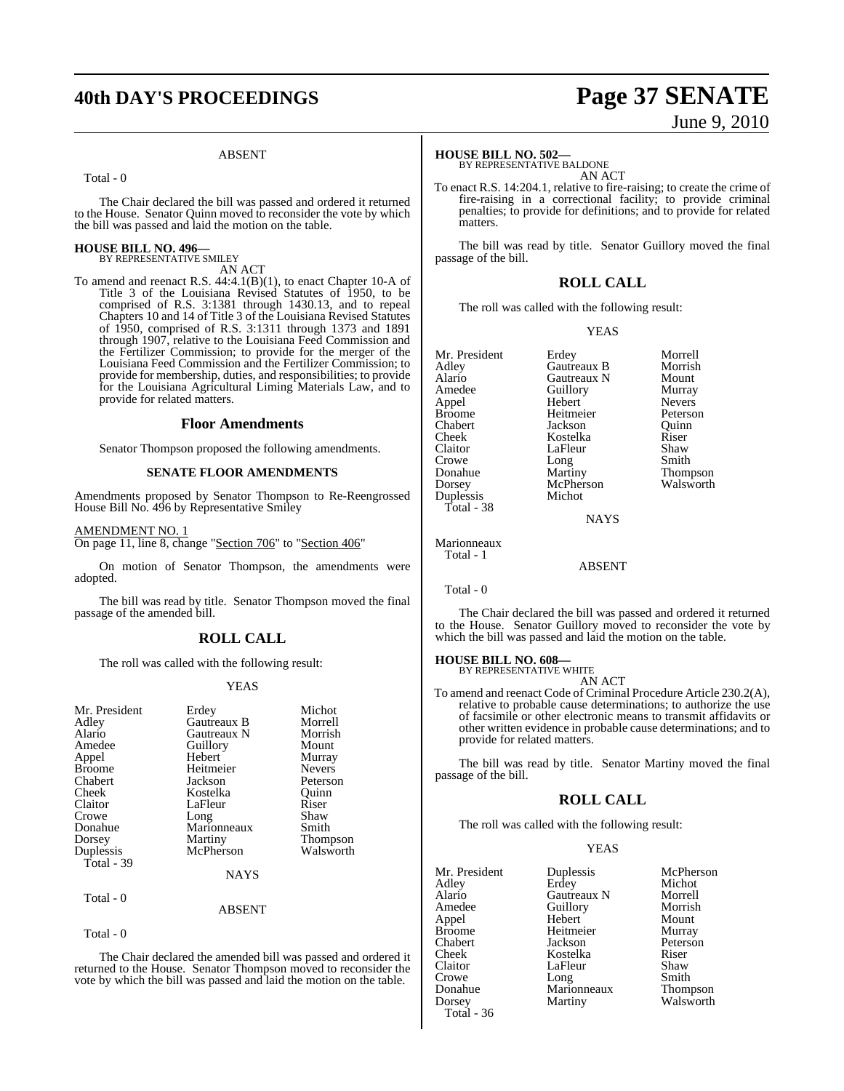## **40th DAY'S PROCEEDINGS Page 37 SENATE**

### ABSENT

Total - 0

The Chair declared the bill was passed and ordered it returned to the House. Senator Quinn moved to reconsider the vote by which the bill was passed and laid the motion on the table.

## **HOUSE BILL NO. 496—** BY REPRESENTATIVE SMILEY

AN ACT

To amend and reenact R.S. 44:4.1(B)(1), to enact Chapter 10-A of Title 3 of the Louisiana Revised Statutes of 1950, to be comprised of R.S. 3:1381 through 1430.13, and to repeal Chapters 10 and 14 of Title 3 of the Louisiana Revised Statutes of 1950, comprised of R.S. 3:1311 through 1373 and 1891 through 1907, relative to the Louisiana Feed Commission and the Fertilizer Commission; to provide for the merger of the Louisiana Feed Commission and the Fertilizer Commission; to provide for membership, duties, and responsibilities; to provide for the Louisiana Agricultural Liming Materials Law, and to provide for related matters.

## **Floor Amendments**

Senator Thompson proposed the following amendments.

## **SENATE FLOOR AMENDMENTS**

Amendments proposed by Senator Thompson to Re-Reengrossed House Bill No. 496 by Representative Smiley

AMENDMENT NO. 1

On page 11, line 8, change "Section 706" to "Section 406"

On motion of Senator Thompson, the amendments were adopted.

The bill was read by title. Senator Thompson moved the final passage of the amended bill.

## **ROLL CALL**

The roll was called with the following result:

## YEAS

| Mr. President<br>Adley<br>Alario<br>Amedee<br>Appel<br><b>Broome</b><br>Chabert<br>Cheek<br>Claitor | Erdey<br><b>Gautreaux B</b><br>Gautreaux N<br>Guillory<br>Hebert<br>Heitmeier<br>Jackson<br>Kostelka<br>LaFleur | Michot<br>Morrell<br>Morrish<br>Mount<br>Murray<br><b>Nevers</b><br>Peterson<br>Ouinn<br>Riser |
|-----------------------------------------------------------------------------------------------------|-----------------------------------------------------------------------------------------------------------------|------------------------------------------------------------------------------------------------|
| Crowe<br>Donahue<br>Dorsey<br>Duplessis<br>Total - $39$                                             | Long<br>Marionneaux<br>Martiny<br>McPherson<br><b>NAYS</b>                                                      | Shaw<br>Smith<br><b>Thompson</b><br>Walsworth                                                  |
| Total - 0                                                                                           |                                                                                                                 |                                                                                                |

ABSENT

Total - 0

The Chair declared the amended bill was passed and ordered it returned to the House. Senator Thompson moved to reconsider the vote by which the bill was passed and laid the motion on the table.

# June 9, 2010

## **HOUSE BILL NO. 502—**

BY REPRESENTATIVE BALDONE AN ACT

To enact R.S. 14:204.1, relative to fire-raising; to create the crime of fire-raising in a correctional facility; to provide criminal penalties; to provide for definitions; and to provide for related matters.

The bill was read by title. Senator Guillory moved the final passage of the bill.

## **ROLL CALL**

The roll was called with the following result:

### YEAS

| Mr. President            | Erdey       | Morrell         |
|--------------------------|-------------|-----------------|
| Adley                    | Gautreaux B | Morrish         |
| Alario                   | Gautreaux N | Mount           |
| Amedee                   | Guillory    | Murray          |
| Appel                    | Hebert      | <b>Nevers</b>   |
| Broome                   | Heitmeier   | Peterson        |
| Chabert                  | Jackson     | Ouinn           |
| Cheek                    | Kostelka    | Riser           |
| Claitor                  | LaFleur     | Shaw            |
| Crowe                    | Long        | Smith           |
| Donahue                  | Martiny     | <b>Thompson</b> |
| Dorsey                   | McPherson   | Walsworth       |
| Duplessis                | Michot      |                 |
| Total - 38               |             |                 |
|                          | <b>NAYS</b> |                 |
| Marionneaux<br>Total - 1 |             |                 |
|                          | ABSENT      |                 |

Total - 0

The Chair declared the bill was passed and ordered it returned to the House. Senator Guillory moved to reconsider the vote by which the bill was passed and laid the motion on the table.

## **HOUSE BILL NO. 608—** BY REPRESENTATIVE WHITE

AN ACT

To amend and reenact Code of Criminal Procedure Article 230.2(A), relative to probable cause determinations; to authorize the use of facsimile or other electronic means to transmit affidavits or other written evidence in probable cause determinations; and to provide for related matters.

The bill was read by title. Senator Martiny moved the final passage of the bill.

## **ROLL CALL**

The roll was called with the following result:

## YEAS

| Mr. President | Duplessis   | McPherson |
|---------------|-------------|-----------|
| Adlev         | Erdey       | Michot    |
| Alario        | Gautreaux N | Morrell   |
| Amedee        | Guillory    | Morrish   |
| Appel         | Hebert      | Mount     |
| Broome        | Heitmeier   | Murray    |
| Chabert       | Jackson     | Peterson  |
| Cheek         | Kostelka    | Riser     |
| Claitor       | LaFleur     | Shaw      |
| Crowe         | Long        | Smith     |
| Donahue       | Marionneaux | Thompson  |
| Dorsey        | Martiny     | Walsworth |
| $Total - 36$  |             |           |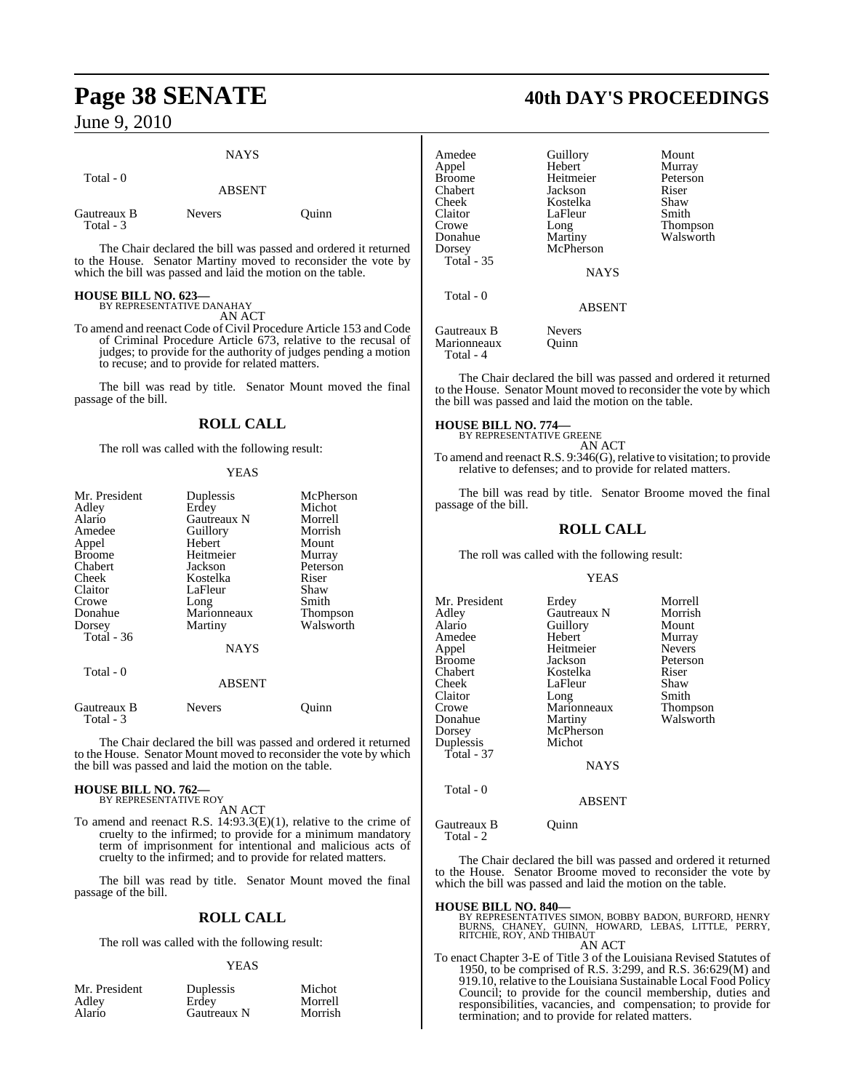Total - 3

## **NAYS**  Total - 0 ABSENT Gautreaux B Nevers Quinn

The Chair declared the bill was passed and ordered it returned to the House. Senator Martiny moved to reconsider the vote by which the bill was passed and laid the motion on the table.

## **HOUSE BILL NO. 623—** BY REPRESENTATIVE DANAHAY

AN ACT

To amend and reenact Code of Civil Procedure Article 153 and Code of Criminal Procedure Article 673, relative to the recusal of judges; to provide for the authority of judges pending a motion to recuse; and to provide for related matters.

The bill was read by title. Senator Mount moved the final passage of the bill.

## **ROLL CALL**

The roll was called with the following result:

## YEAS

| Mr. President<br>Adley<br>Alario<br>Amedee<br>Appel<br><b>Broome</b><br>Chabert<br>Cheek<br>Claitor | Duplessis<br>Erdey<br>Gautreaux N<br>Guillory<br>Hebert<br>Heitmeier<br>Jackson<br>Kostelka<br>LaFleur | McPherson<br>Michot<br>Morrell<br>Morrish<br>Mount<br>Murray<br>Peterson<br>Riser<br>Shaw |
|-----------------------------------------------------------------------------------------------------|--------------------------------------------------------------------------------------------------------|-------------------------------------------------------------------------------------------|
| Crowe                                                                                               | Long                                                                                                   | Smith                                                                                     |
| Donahue                                                                                             | Marionneaux                                                                                            | <b>Thompson</b>                                                                           |
| Dorsey                                                                                              | Martiny                                                                                                | Walsworth                                                                                 |
| Total - 36                                                                                          | <b>NAYS</b>                                                                                            |                                                                                           |
| Total - 0                                                                                           | <b>ABSENT</b>                                                                                          |                                                                                           |
| Gautreaux B<br>Total - 3                                                                            | Nevers                                                                                                 | ∪uınn                                                                                     |

The Chair declared the bill was passed and ordered it returned to the House. Senator Mount moved to reconsider the vote by which the bill was passed and laid the motion on the table.

## **HOUSE BILL NO. 762—** BY REPRESENTATIVE ROY

AN ACT

To amend and reenact R.S. 14:93.3(E)(1), relative to the crime of cruelty to the infirmed; to provide for a minimum mandatory term of imprisonment for intentional and malicious acts of cruelty to the infirmed; and to provide for related matters.

The bill was read by title. Senator Mount moved the final passage of the bill.

## **ROLL CALL**

The roll was called with the following result:

## YEAS

| Mr. President | <b>Duplessis</b> | Michot  |
|---------------|------------------|---------|
| Adley         | Erdey            | Morrell |
| Alario        | Gautreaux N      | Morrish |

## **Page 38 SENATE 40th DAY'S PROCEEDINGS**

| Amedee<br>Appel<br><b>Broome</b><br>Chabert<br>Cheek<br>Claitor<br>Crowe<br>Donahue<br>Dorsey<br><b>Total - 35</b> | Guillory<br>Hebert<br>Heitmeier<br>Jackson<br>Kostelka<br>LaFleur<br>Long<br>Martiny<br>McPherson | Mount<br>Murray<br>Peterson<br>Riser<br>Shaw<br>Smith<br><b>Thompson</b><br>Walsworth |
|--------------------------------------------------------------------------------------------------------------------|---------------------------------------------------------------------------------------------------|---------------------------------------------------------------------------------------|
| Total $-0$                                                                                                         | <b>ABSENT</b>                                                                                     |                                                                                       |
| Gautreaux B<br>Marionneaux<br>Total - 4                                                                            | <b>Nevers</b><br>Ouinn                                                                            |                                                                                       |

The Chair declared the bill was passed and ordered it returned to the House. Senator Mount moved to reconsider the vote by which the bill was passed and laid the motion on the table.

## **HOUSE BILL NO. 774—**

BY REPRESENTATIVE GREENE AN ACT

To amend and reenact R.S.  $9:346(G)$ , relative to visitation; to provide relative to defenses; and to provide for related matters.

The bill was read by title. Senator Broome moved the final passage of the bill.

## **ROLL CALL**

The roll was called with the following result:

## YEAS

| Mr. President     | Erdey       | Morrell         |
|-------------------|-------------|-----------------|
| Adley             | Gautreaux N | Morrish         |
| Alario            | Guillory    | Mount           |
| Amedee            | Hebert      | Murray          |
| Appel             | Heitmeier   | <b>Nevers</b>   |
| Broome            | Jackson     | Peterson        |
| Chabert           | Kostelka    | Riser           |
| Cheek             | LaFleur     | Shaw            |
| Claitor           | Long        | Smith           |
| Crowe             | Marionneaux | <b>Thompson</b> |
| Donahue           | Martiny     | Walsworth       |
| Dorsey            | McPherson   |                 |
| Duplessis         | Michot      |                 |
| <b>Total - 37</b> |             |                 |
|                   | <b>NAYS</b> |                 |
|                   |             |                 |

Total - 0

ABSENT

Gautreaux B Quinn Total - 2

The Chair declared the bill was passed and ordered it returned to the House. Senator Broome moved to reconsider the vote by which the bill was passed and laid the motion on the table.

**HOUSE BILL NO. 840—**<br>BY REPRESENTATIVES SIMON, BOBBY BADON, BURFORD, HENRY<br>BURNS, CHANEY, GUINN, HOWARD, LEBAS, LITTLE, PERRY,<br>RITCHIE, ROY, AND THIBAUT AN ACT

To enact Chapter 3-E of Title 3 of the Louisiana Revised Statutes of 1950, to be comprised of R.S. 3:299, and R.S. 36:629(M) and 919.10, relative to the Louisiana Sustainable Local Food Policy Council; to provide for the council membership, duties and responsibilities, vacancies, and compensation; to provide for termination; and to provide for related matters.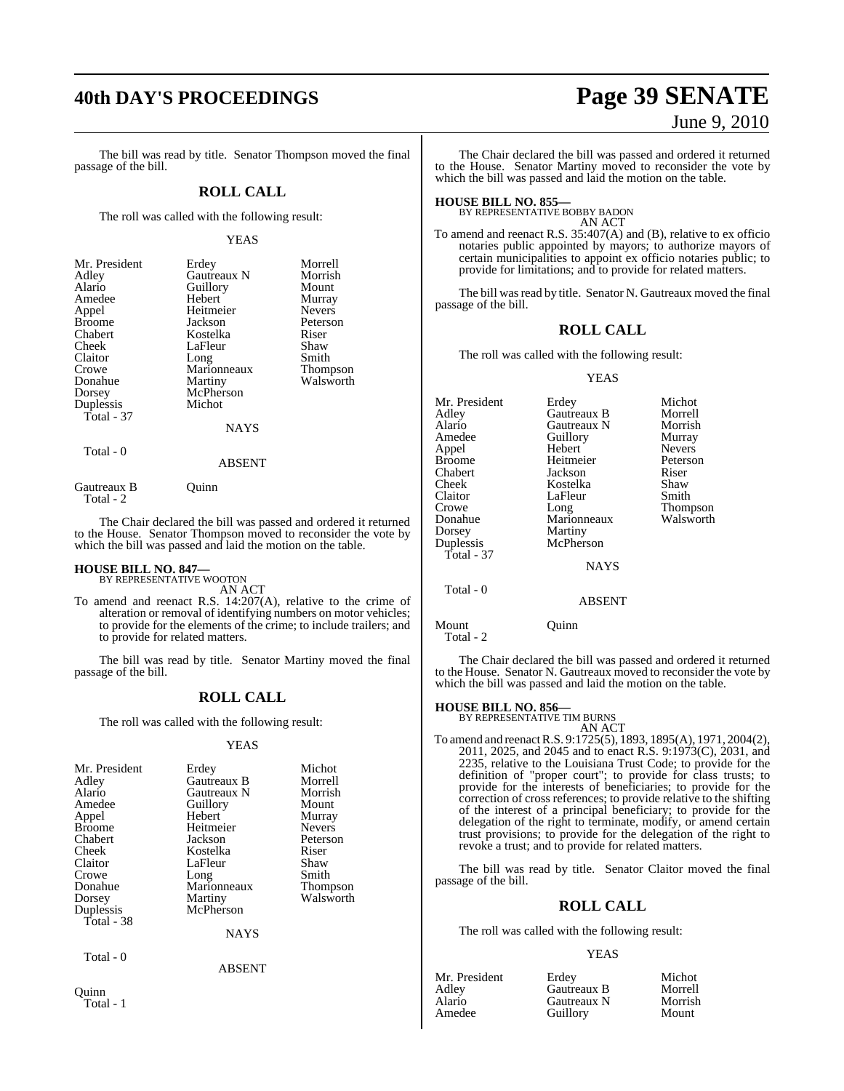The bill was read by title. Senator Thompson moved the final passage of the bill.

## **ROLL CALL**

The roll was called with the following result:

### YEAS

| Mr. President | Erdey       | Morrell         |
|---------------|-------------|-----------------|
| Adley         | Gautreaux N | Morrish         |
| Alario        | Guillory    | Mount           |
| Amedee        | Hebert      | Murray          |
| Appel         | Heitmeier   | <b>Nevers</b>   |
| <b>Broome</b> | Jackson     | Peterson        |
| Chabert       | Kostelka    | Riser           |
| Cheek         | LaFleur     | Shaw            |
| Claitor       | Long        | Smith           |
| Crowe         | Marionneaux | <b>Thompson</b> |
| Donahue       | Martiny     | Walsworth       |
| Dorsey        | McPherson   |                 |
| Duplessis     | Michot      |                 |
| Total $-37$   |             |                 |
|               | <b>NAYS</b> |                 |
|               |             |                 |

## Total - 0

## ABSENT

Gautreaux B Quinn Total - 2

The Chair declared the bill was passed and ordered it returned to the House. Senator Thompson moved to reconsider the vote by which the bill was passed and laid the motion on the table.

## **HOUSE BILL NO. 847—** BY REPRESENTATIVE WOOTON

AN ACT

To amend and reenact R.S. 14:207(A), relative to the crime of alteration or removal of identifying numbers on motor vehicles; to provide for the elements of the crime; to include trailers; and to provide for related matters.

The bill was read by title. Senator Martiny moved the final passage of the bill.

## **ROLL CALL**

The roll was called with the following result:

## YEAS

| Mr. President | Erdey       | Michot          |
|---------------|-------------|-----------------|
| Adley         | Gautreaux B | Morrell         |
| Alario        | Gautreaux N | Morrish         |
| Amedee        | Guillory    | Mount           |
| Appel         | Hebert      | Murray          |
| <b>Broome</b> | Heitmeier   | <b>Nevers</b>   |
| Chabert       | Jackson     | Peterson        |
| Cheek         | Kostelka    | Riser           |
| Claitor       | LaFleur     | Shaw            |
| Crowe         | Long        | Smith           |
| Donahue       | Marionneaux | <b>Thompson</b> |
| Dorsey        | Martiny     | Walsworth       |
| Duplessis     | McPherson   |                 |
| Total - 38    |             |                 |
|               | <b>NAYS</b> |                 |
| Total - 0     |             |                 |
|               | ABSENT      |                 |

**40th DAY'S PROCEEDINGS Page 39 SENATE** June 9, 2010

> The Chair declared the bill was passed and ordered it returned to the House. Senator Martiny moved to reconsider the vote by which the bill was passed and laid the motion on the table.

**HOUSE BILL NO. 855—** BY REPRESENTATIVE BOBBY BADON AN ACT

To amend and reenact R.S. 35:407(A) and (B), relative to ex officio notaries public appointed by mayors; to authorize mayors of certain municipalities to appoint ex officio notaries public; to provide for limitations; and to provide for related matters.

The bill was read by title. Senator N. Gautreaux moved the final passage of the bill.

## **ROLL CALL**

The roll was called with the following result:

### YEAS

| Mr. President | Erdey         | Michot        |
|---------------|---------------|---------------|
| Adley         | Gautreaux B   | Morrell       |
| Alario        | Gautreaux N   | Morrish       |
| Amedee        | Guillory      | Murray        |
| Appel         | Hebert        | <b>Nevers</b> |
| Broome        | Heitmeier     | Peterson      |
| Chabert       | Jackson       | Riser         |
| Cheek         | Kostelka      | Shaw          |
| Claitor       | LaFleur       | Smith         |
| Crowe         | Long          | Thompson      |
| Donahue       | Marionneaux   | Walsworth     |
| Dorsey        | Martiny       |               |
| Duplessis     | McPherson     |               |
| Total - 37    |               |               |
|               | <b>NAYS</b>   |               |
| Total - 0     | <b>ABSENT</b> |               |
|               |               |               |

Mount Quinn Total - 2

The Chair declared the bill was passed and ordered it returned to the House. Senator N. Gautreaux moved to reconsider the vote by which the bill was passed and laid the motion on the table.

## **HOUSE BILL NO. 856—** BY REPRESENTATIVE TIM BURNS

AN ACT To amend and reenactR.S. 9:1725(5), 1893, 1895(A), 1971, 2004(2), 2011, 2025, and 2045 and to enact R.S. 9:1973(C), 2031, and 2235, relative to the Louisiana Trust Code; to provide for the definition of "proper court"; to provide for class trusts; to provide for the interests of beneficiaries; to provide for the correction of cross references; to provide relative to the shifting of the interest of a principal beneficiary; to provide for the delegation of the right to terminate, modify, or amend certain trust provisions; to provide for the delegation of the right to revoke a trust; and to provide for related matters.

The bill was read by title. Senator Claitor moved the final passage of the bill.

## **ROLL CALL**

The roll was called with the following result:

### YEAS

| Mr. President | Erdev       | Michot  |
|---------------|-------------|---------|
| Adlev         | Gautreaux B | Morrell |
| Alario        | Gautreaux N | Morrish |
| Amedee        | Guillory    | Mount   |

**Ouinn** Total - 1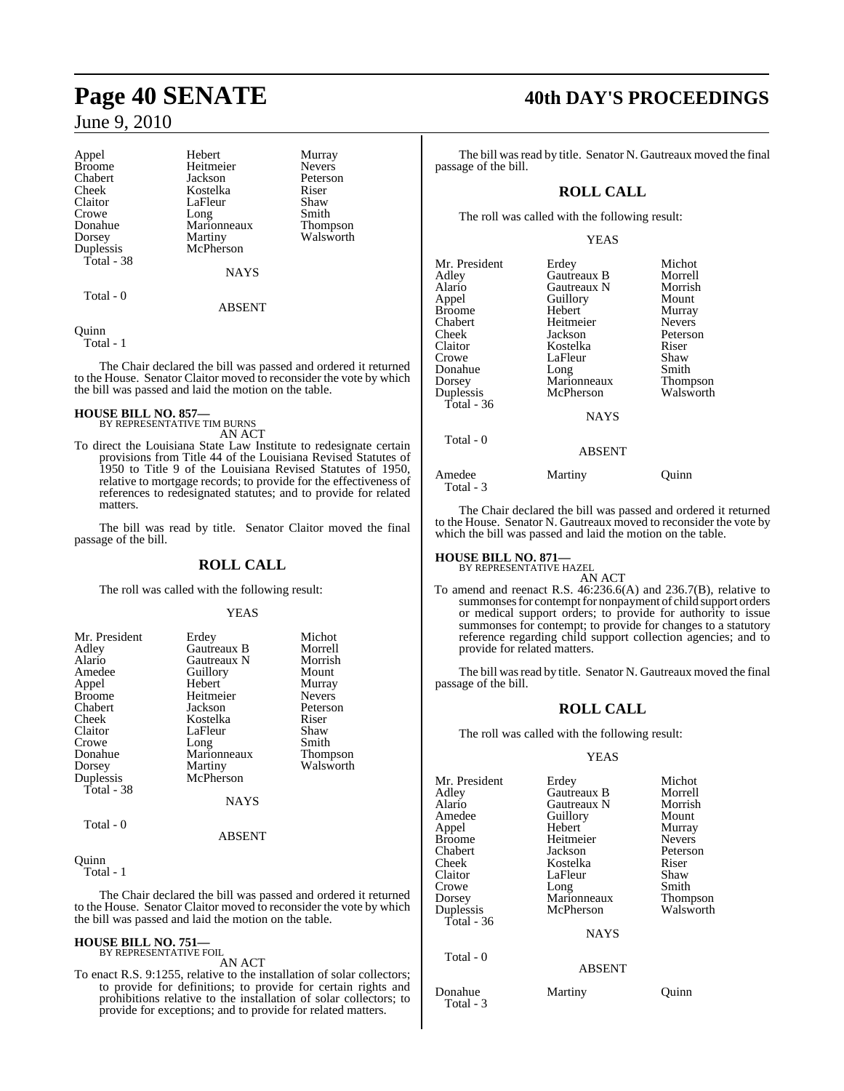| Appel      | Hebert      | Murray          |
|------------|-------------|-----------------|
| Broome     | Heitmeier   | <b>Nevers</b>   |
| Chabert    | Jackson     | Peterson        |
| Cheek      | Kostelka    | Riser           |
| Claitor    | LaFleur     | Shaw            |
| Crowe      | Long        | Smith           |
| Donahue    | Marionneaux | <b>Thompson</b> |
| Dorsey     | Martiny     | Walsworth       |
| Duplessis  | McPherson   |                 |
| Total - 38 |             |                 |
|            | <b>NAYS</b> |                 |
|            |             |                 |
|            |             |                 |

Total - 0

## Quinn

Total - 1

The Chair declared the bill was passed and ordered it returned to the House. Senator Claitor moved to reconsider the vote by which the bill was passed and laid the motion on the table.

ABSENT

## **HOUSE BILL NO. 857—** BY REPRESENTATIVE TIM BURNS

AN ACT

To direct the Louisiana State Law Institute to redesignate certain provisions from Title 44 of the Louisiana Revised Statutes of 1950 to Title 9 of the Louisiana Revised Statutes of 1950, relative to mortgage records; to provide for the effectiveness of references to redesignated statutes; and to provide for related matters.

The bill was read by title. Senator Claitor moved the final passage of the bill.

## **ROLL CALL**

The roll was called with the following result:

## YEAS

| Mr. President<br>Adley | Erdey<br>Gautreaux B | Michot<br>Morrell |
|------------------------|----------------------|-------------------|
| Alario                 | Gautreaux N          | Morrish           |
| Amedee                 | Guillory             | Mount             |
| Appel                  | Hebert               | Murray            |
| <b>Broome</b>          | Heitmeier            | <b>Nevers</b>     |
| Chabert                | Jackson              | Peterson          |
| Cheek                  | Kostelka             | Riser             |
| Claitor                | LaFleur              | Shaw              |
| Crowe                  | Long                 | Smith             |
| Donahue                | Marionneaux          | <b>Thompson</b>   |
| Dorsey                 | Martiny              | Walsworth         |
| Duplessis              | McPherson            |                   |
| Total - 38             |                      |                   |
|                        | <b>NAYS</b>          |                   |
| Total - 0              |                      |                   |
|                        | ABSENT               |                   |

Quinn

Total - 1

The Chair declared the bill was passed and ordered it returned to the House. Senator Claitor moved to reconsider the vote by which the bill was passed and laid the motion on the table.

### **HOUSE BILL NO. 751—** BY REPRESENTATIVE FOIL

## AN ACT

To enact R.S. 9:1255, relative to the installation of solar collectors; to provide for definitions; to provide for certain rights and prohibitions relative to the installation of solar collectors; to provide for exceptions; and to provide for related matters.

## Page 40 SENATE 40th DAY'S PROCEEDINGS

The bill was read by title. Senator N. Gautreaux moved the final passage of the bill.

## **ROLL CALL**

The roll was called with the following result:

## YEAS

| Mr. President       | Erdey         | Michot        |
|---------------------|---------------|---------------|
| Adley               | Gautreaux B   | Morrell       |
| Alario              | Gautreaux N   | Morrish       |
| Appel               | Guillory      | Mount         |
| Broome              | Hebert        | Murray        |
| Chabert             | Heitmeier     | <b>Nevers</b> |
| Cheek               | Jackson       | Peterson      |
| Claitor             | Kostelka      | Riser         |
| Crowe               | LaFleur       | Shaw          |
| Donahue             | Long          | Smith         |
| Dorsey              | Marionneaux   | Thompson      |
| Duplessis           | McPherson     | Walsworth     |
| Total - 36          | <b>NAYS</b>   |               |
| Total - 0           | <b>ABSENT</b> |               |
| Amedee<br>Total - 3 | Martiny       | Ouınn         |

The Chair declared the bill was passed and ordered it returned to the House. Senator N. Gautreaux moved to reconsider the vote by which the bill was passed and laid the motion on the table.

## **HOUSE BILL NO. 871—** BY REPRESENTATIVE HAZEL

Total - 3

AN ACT

To amend and reenact R.S. 46:236.6(A) and 236.7(B), relative to summonses for contempt for nonpayment of child support orders or medical support orders; to provide for authority to issue summonses for contempt; to provide for changes to a statutory reference regarding child support collection agencies; and to provide for related matters.

The bill was read by title. Senator N. Gautreaux moved the final passage of the bill.

## **ROLL CALL**

The roll was called with the following result:

## YEAS

| Mr. President | Erdey         | Michot        |
|---------------|---------------|---------------|
| Adley         | Gautreaux B   | Morrell       |
| Alario        | Gautreaux N   | Morrish       |
| Amedee        | Guillory      | Mount         |
| Appel         | Hebert        | Murray        |
| Broome        | Heitmeier     | <b>Nevers</b> |
| Chabert       | Jackson       | Peterson      |
| Cheek         | Kostelka      | Riser         |
| Claitor       | LaFleur       | Shaw          |
| Crowe         | Long          | Smith         |
| Dorsey        | Marionneaux   | Thompson      |
| Duplessis     | McPherson     | Walsworth     |
| Total - 36    |               |               |
|               | <b>NAYS</b>   |               |
| Total - 0     |               |               |
|               | <b>ABSENT</b> |               |
| Donahue       | Martiny       | Ouinn         |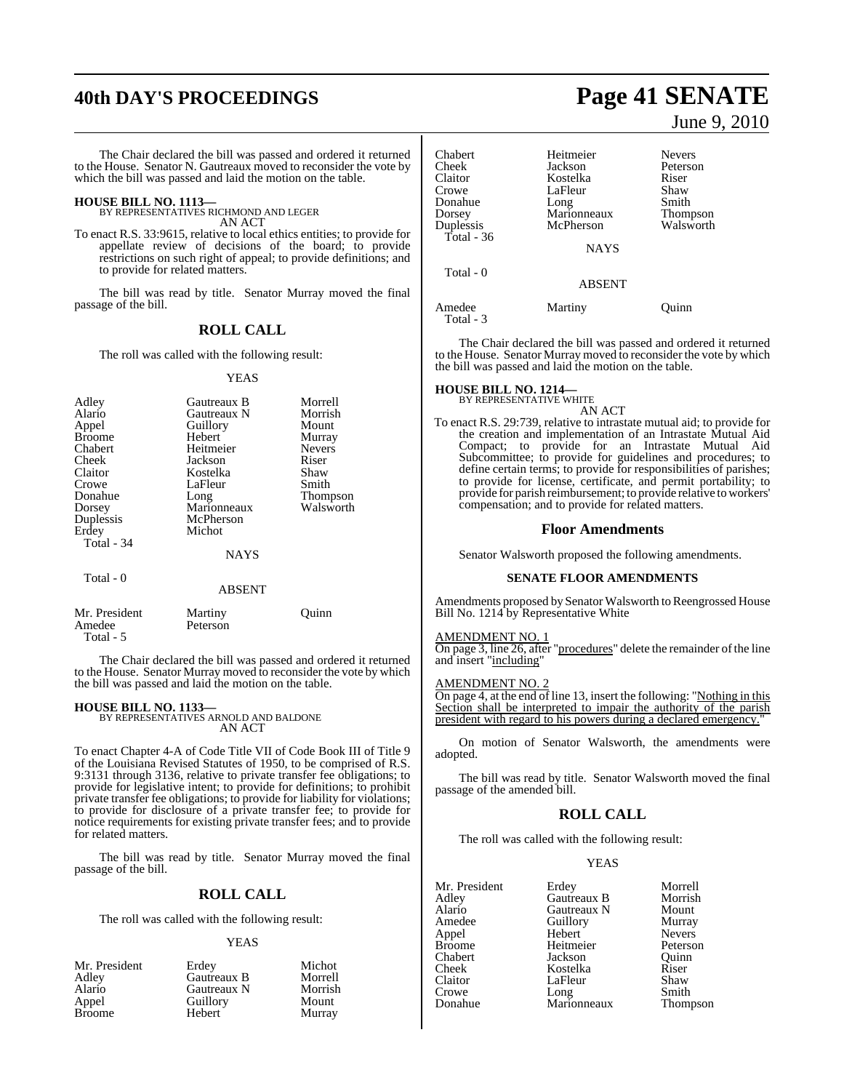## **40th DAY'S PROCEEDINGS Page 41 SENATE**

The Chair declared the bill was passed and ordered it returned to the House. Senator N. Gautreaux moved to reconsider the vote by which the bill was passed and laid the motion on the table.

**HOUSE BILL NO. 1113—** BY REPRESENTATIVES RICHMOND AND LEGER AN ACT

To enact R.S. 33:9615, relative to local ethics entities; to provide for appellate review of decisions of the board; to provide restrictions on such right of appeal; to provide definitions; and to provide for related matters.

The bill was read by title. Senator Murray moved the final passage of the bill.

## **ROLL CALL**

The roll was called with the following result:

### YEAS

| Adley         | Gautreaux B   | Morrell       |
|---------------|---------------|---------------|
| Alario        | Gautreaux N   | Morrish       |
| Appel         | Guillory      | Mount         |
| <b>Broome</b> | <b>Hebert</b> | Murray        |
| Chabert       | Heitmeier     | <b>Nevers</b> |
| Cheek         | Jackson       | Riser         |
| Claitor       | Kostelka      | Shaw          |
| Crowe         | LaFleur       | Smith         |
| Donahue       | Long          | Thompson      |
| Dorsey        | Marionneaux   | Walsworth     |
| Duplessis     | McPherson     |               |
| Erdey         | Michot        |               |
| Total - 34    |               |               |
|               | <b>NAYS</b>   |               |
| Total - 0     | <b>ABSENT</b> |               |

| Mr. President | Martiny  | Ouinn |
|---------------|----------|-------|
| Amedee        | Peterson |       |
| Total - 5     |          |       |

The Chair declared the bill was passed and ordered it returned to the House. Senator Murray moved to reconsider the vote by which the bill was passed and laid the motion on the table.

**HOUSE BILL NO. 1133—** BY REPRESENTATIVES ARNOLD AND BALDONE AN ACT

To enact Chapter 4-A of Code Title VII of Code Book III of Title 9 of the Louisiana Revised Statutes of 1950, to be comprised of R.S. 9:3131 through 3136, relative to private transfer fee obligations; to provide for legislative intent; to provide for definitions; to prohibit private transfer fee obligations; to provide for liability for violations; to provide for disclosure of a private transfer fee; to provide for notice requirements for existing private transfer fees; and to provide for related matters.

The bill was read by title. Senator Murray moved the final passage of the bill.

## **ROLL CALL**

The roll was called with the following result:

### YEAS

| Mr. President | Erdev       | Michot  |
|---------------|-------------|---------|
| Adley         | Gautreaux B | Morrell |
| Alario        | Gautreaux N | Morrish |
| Appel         | Guillory    | Mount   |
| <b>Broome</b> | Hebert      | Murray  |

June 9, 2010

| Chabert             | Heitmeier     | <b>Nevers</b>   |
|---------------------|---------------|-----------------|
| Cheek               | Jackson       | Peterson        |
| Claitor             | Kostelka      | Riser           |
| Crowe               | LaFleur       | Shaw            |
| Donahue             | Long          | Smith           |
| Dorsey              | Marionneaux   | <b>Thompson</b> |
| Duplessis           | McPherson     | Walsworth       |
| Total - 36          |               |                 |
|                     | <b>NAYS</b>   |                 |
| Total - 0           |               |                 |
|                     | <b>ABSENT</b> |                 |
| Amedee<br>Total - 3 | Martiny       | Ouinn           |

The Chair declared the bill was passed and ordered it returned to the House. Senator Murray moved to reconsider the vote by which the bill was passed and laid the motion on the table.

## **HOUSE BILL NO. 1214—** BY REPRESENTATIVE WHITE

AN ACT

To enact R.S. 29:739, relative to intrastate mutual aid; to provide for the creation and implementation of an Intrastate Mutual Aid Compact; to provide for an Intrastate Mutual Aid Subcommittee; to provide for guidelines and procedures; to define certain terms; to provide for responsibilities of parishes; to provide for license, certificate, and permit portability; to provide for parish reimbursement; to provide relative to workers' compensation; and to provide for related matters.

### **Floor Amendments**

Senator Walsworth proposed the following amendments.

## **SENATE FLOOR AMENDMENTS**

Amendments proposed by Senator Walsworth to Reengrossed House Bill No. 1214 by Representative White

### AMENDMENT NO. 1

On page 3, line 26, after "procedures" delete the remainder of the line and insert "including"

### AMENDMENT NO. 2

On page 4, at the end of line 13, insert the following: "Nothing in this Section shall be interpreted to impair the authority of the parish president with regard to his powers during a declared emergency."

On motion of Senator Walsworth, the amendments were adopted.

The bill was read by title. Senator Walsworth moved the final passage of the amended bill.

## **ROLL CALL**

The roll was called with the following result:

### YEAS

| Mr. President | Erdey       | Morrell       |
|---------------|-------------|---------------|
| Adley         | Gautreaux B | Morrish       |
| Alario        | Gautreaux N | Mount         |
| Amedee        | Guillory    | Murray        |
| Appel         | Hebert      | Nevers        |
| <b>Broome</b> | Heitmeier   | Peterson      |
| Chabert       | Jackson     | Ouinn         |
| Cheek         | Kostelka    | Riser         |
| Claitor       | LaFleur     | Shaw          |
| Crowe         | Long        | Smith         |
| Donahue       | Marionneaux | <b>Thomps</b> |

Morrish<br>Mount Murray Nevers Peterson **Ouinn** Smith Thompson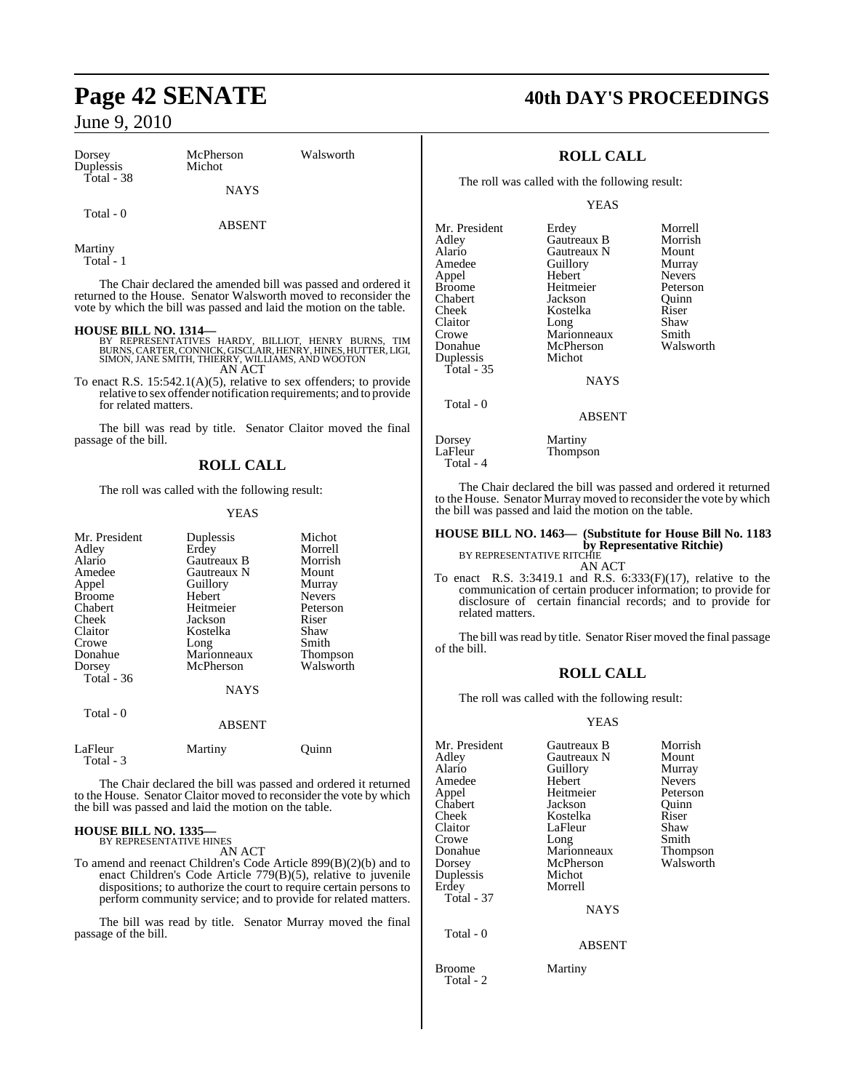| Dorsey<br>Duplessis | McPherson<br>Michot | Walsworth |
|---------------------|---------------------|-----------|
| Total - $38$        | <b>NAYS</b>         |           |
| Total - 0           | <b>ABSENT</b>       |           |

Martiny Total - 1

The Chair declared the amended bill was passed and ordered it returned to the House. Senator Walsworth moved to reconsider the vote by which the bill was passed and laid the motion on the table.

**HOUSE BILL NO. 1314—**<br>BY REPRESENTATIVES HARDY, BILLIOT, HENRY BURNS, TIM<br>BURNS, CARTER, CONNICK, GISCLAIR, HENRY, HINES, HUTTER, LIGI,<br>SIMON, JANE SMITH, THIERRY, WILLIAMS, AND WOOTON AN ACT

To enact R.S. 15:542.1(A)(5), relative to sex offenders; to provide relative to sex offender notification requirements; and to provide for related matters.

The bill was read by title. Senator Claitor moved the final passage of the bill.

## **ROLL CALL**

The roll was called with the following result:

### YEAS

| Mr. President<br>Adley<br>Alario<br>Amedee<br>Appel<br><b>Broome</b><br>Chabert<br>Cheek<br>Claitor<br>Crowe<br>Donahue<br>Dorsey | Duplessis<br>Erdey<br>Gautreaux B<br>Gautreaux N<br>Guillory<br>Hebert<br>Heitmeier<br>Jackson<br>Kostelka<br>Long<br>Marionneaux<br>McPherson | Michot<br>Morrell<br>Morrish<br>Mount<br>Murray<br><b>Nevers</b><br>Peterson<br>Riser<br>Shaw<br>Smith<br>Thompson<br>Walsworth |
|-----------------------------------------------------------------------------------------------------------------------------------|------------------------------------------------------------------------------------------------------------------------------------------------|---------------------------------------------------------------------------------------------------------------------------------|
| Total - 36                                                                                                                        | <b>NAYS</b>                                                                                                                                    |                                                                                                                                 |
| Total - 0                                                                                                                         | <b>ABSENT</b>                                                                                                                                  |                                                                                                                                 |
| LaFleur<br>Total - 3                                                                                                              | Martiny                                                                                                                                        | Ouınn                                                                                                                           |

The Chair declared the bill was passed and ordered it returned to the House. Senator Claitor moved to reconsider the vote by which the bill was passed and laid the motion on the table.

## **HOUSE BILL NO. 1335—** BY REPRESENTATIVE HINES

AN ACT

To amend and reenact Children's Code Article 899(B)(2)(b) and to enact Children's Code Article 779(B)(5), relative to juvenile dispositions; to authorize the court to require certain persons to perform community service; and to provide for related matters.

The bill was read by title. Senator Murray moved the final passage of the bill.

## **Page 42 SENATE 40th DAY'S PROCEEDINGS**

## **ROLL CALL**

The roll was called with the following result:

YEAS

| Mr. President | Erdey         | Morrell       |
|---------------|---------------|---------------|
| Adley         | Gautreaux B   | Morrish       |
| Alario        | Gautreaux N   | Mount         |
| Amedee        | Guillory      | Murray        |
| Appel         | Hebert        | <b>Nevers</b> |
| Broome        | Heitmeier     | Peterson      |
| Chabert       | Jackson       | Ouinn         |
| Cheek         | Kostelka      | Riser         |
| Claitor       | Long          | Shaw          |
| Crowe         | Marionneaux   | Smith         |
| Donahue       | McPherson     | Walsworth     |
| Duplessis     | Michot        |               |
| Total - 35    |               |               |
|               | <b>NAYS</b>   |               |
| Total - 0     |               |               |
|               | <b>ABSENT</b> |               |
|               |               |               |

Dorsey Martiny Total - 4

The Chair declared the bill was passed and ordered it returned to the House. Senator Murray moved to reconsider the vote by which the bill was passed and laid the motion on the table.

### **HOUSE BILL NO. 1463— (Substitute for House Bill No. 1183 by Representative Ritchie)** BY REPRESENTATIVE RITCHIE

AN ACT

Thompson

To enact R.S. 3:3419.1 and R.S. 6:333(F)(17), relative to the communication of certain producer information; to provide for disclosure of certain financial records; and to provide for related matters.

The bill was read by title. Senator Riser moved the final passage of the bill.

## **ROLL CALL**

The roll was called with the following result:

## YEAS

| Mr. President<br>Adley<br>Alario<br>Amedee<br>Appel<br>Chabert<br>Cheek<br>Claitor<br>Crowe<br>Donahue<br>Dorsey<br>Duplessis<br>Erdey<br>Total - 37 | Gautreaux B<br>Gautreaux N<br>Guillory<br>Hebert<br>Heitmeier<br>Jackson<br>Kostelka<br>LaFleur<br>Long<br>Marionneaux<br>McPherson<br>Michot<br>Morrell | Morrish<br>Mount<br>Murray<br><b>Nevers</b><br>Peterson<br>Ouinn<br>Riser<br>Shaw<br>Smith<br><b>Thompson</b><br>Walsworth |
|------------------------------------------------------------------------------------------------------------------------------------------------------|----------------------------------------------------------------------------------------------------------------------------------------------------------|----------------------------------------------------------------------------------------------------------------------------|
|                                                                                                                                                      | <b>NAYS</b>                                                                                                                                              |                                                                                                                            |
| Total - 0                                                                                                                                            | <b>ABSENT</b>                                                                                                                                            |                                                                                                                            |

Broome Martiny Total - 2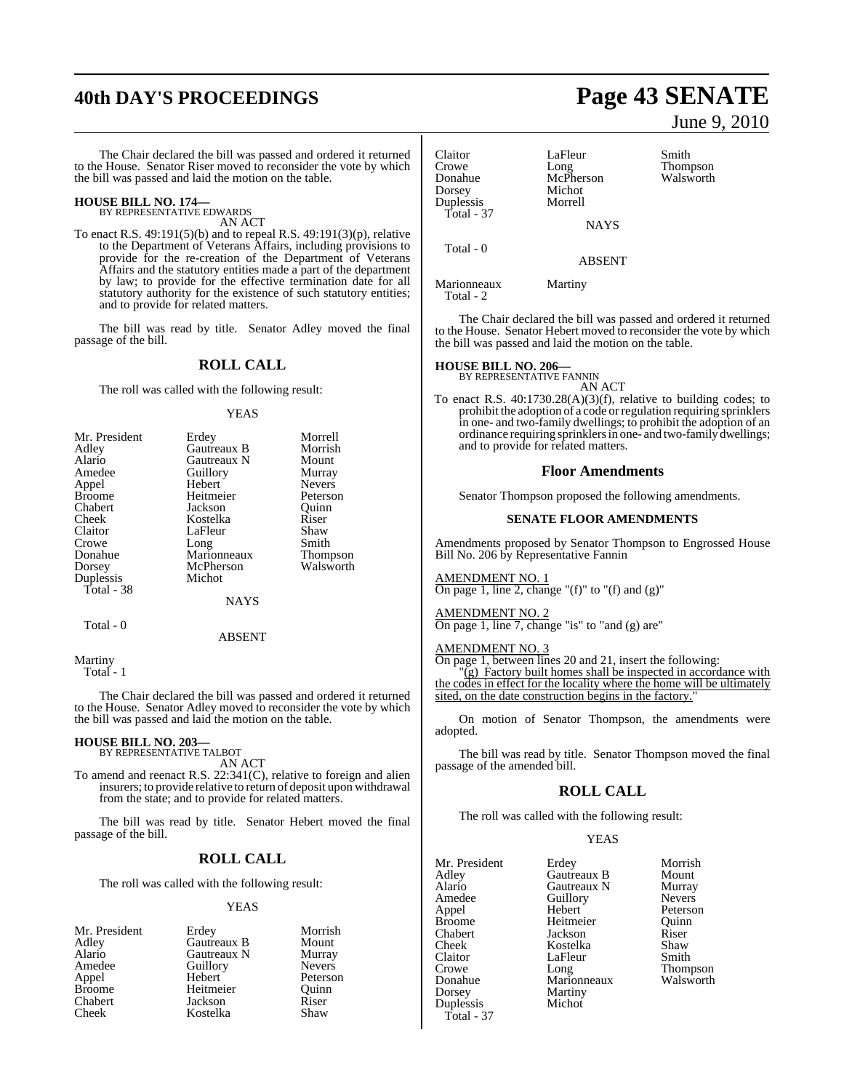## **40th DAY'S PROCEEDINGS Page 43 SENATE**

The Chair declared the bill was passed and ordered it returned to the House. Senator Riser moved to reconsider the vote by which the bill was passed and laid the motion on the table.

## **HOUSE BILL NO. 174—** BY REPRESENTATIVE EDWARDS

AN ACT

To enact R.S. 49:191(5)(b) and to repeal R.S. 49:191(3)(p), relative to the Department of Veterans Affairs, including provisions to provide for the re-creation of the Department of Veterans Affairs and the statutory entities made a part of the department by law; to provide for the effective termination date for all statutory authority for the existence of such statutory entities; and to provide for related matters.

The bill was read by title. Senator Adley moved the final passage of the bill.

## **ROLL CALL**

The roll was called with the following result:

### YEAS

| Mr. President | Erdey       | Morrell       |
|---------------|-------------|---------------|
| Adley         | Gautreaux B | Morrish       |
| Alario        | Gautreaux N | Mount         |
| Amedee        | Guillory    | Murray        |
| Appel         | Hebert      | <b>Nevers</b> |
| <b>Broome</b> | Heitmeier   | Peterson      |
| Chabert       | Jackson     | Ouinn         |
| Cheek         | Kostelka    | Riser         |
| Claitor       | LaFleur     | Shaw          |
| Crowe         | Long        | Smith         |
| Donahue       | Marionneaux | Thompson      |
| Dorsey        | McPherson   | Walsworth     |
| Duplessis     | Michot      |               |
| Total - 38    |             |               |
|               | <b>NAYS</b> |               |
| Total - 0     |             |               |

ABSENT

Martiny Total - 1

The Chair declared the bill was passed and ordered it returned to the House. Senator Adley moved to reconsider the vote by which the bill was passed and laid the motion on the table.

## **HOUSE BILL NO. 203—** BY REPRESENTATIVE TALBOT

AN ACT

To amend and reenact R.S. 22:341(C), relative to foreign and alien insurers; to provide relative to return of deposit upon withdrawal from the state; and to provide for related matters.

The bill was read by title. Senator Hebert moved the final passage of the bill.

## **ROLL CALL**

The roll was called with the following result:

### YEAS

| Mr. President | Erdey       | Morrish       |
|---------------|-------------|---------------|
| Adley         | Gautreaux B | Mount         |
| Alario        | Gautreaux N | Murray        |
| Amedee        | Guillory    | <b>Nevers</b> |
| Appel         | Hebert      | Peterson      |
| <b>Broome</b> | Heitmeier   | Ouinn         |
| Chabert       | Jackson     | Riser         |
| Cheek         | Kostelka    | Shaw          |
|               |             |               |

June 9, 2010

Claitor LaFleur Smith<br>Crowe Long Thompson Crowe Long Thompson Donahue McPherson Walsworth Dorsey Michot<br>Duplessis Morrell Duplessis Total - 37 **NAYS**  Total - 0 ABSENT

Marionneaux Martiny Total - 2

The Chair declared the bill was passed and ordered it returned to the House. Senator Hebert moved to reconsider the vote by which the bill was passed and laid the motion on the table.

## **HOUSE BILL NO. 206—** BY REPRESENTATIVE FANNIN

AN ACT

To enact R.S. 40:1730.28(A)(3)(f), relative to building codes; to prohibit the adoption of a code orregulation requiring sprinklers in one- and two-family dwellings; to prohibit the adoption of an ordinance requiring sprinklersin one- and two-family dwellings; and to provide for related matters.

### **Floor Amendments**

Senator Thompson proposed the following amendments.

### **SENATE FLOOR AMENDMENTS**

Amendments proposed by Senator Thompson to Engrossed House Bill No. 206 by Representative Fannin

## AMENDMENT NO. 1

On page 1, line 2, change "(f)" to "(f) and  $(g)$ "

## AMENDMENT NO. 2

On page 1, line 7, change "is" to "and (g) are"

## AMENDMENT NO. 3

On page 1, between lines 20 and 21, insert the following:  $\overline{g}$ ) Factory built homes shall be inspected in accordance with the codes in effect for the locality where the home will be ultimately sited, on the date construction begins in the factory.

On motion of Senator Thompson, the amendments were adopted.

The bill was read by title. Senator Thompson moved the final passage of the amended bill.

## **ROLL CALL**

The roll was called with the following result:

## YEAS

| Mr. President | Erdey       | Morrish       |
|---------------|-------------|---------------|
| Adley         | Gautreaux B | Mount         |
| Alario        | Gautreaux N | Murray        |
| Amedee        | Guillory    | <b>Nevers</b> |
| Appel         | Hebert      | Peterson      |
| <b>Broome</b> | Heitmeier   | Ouinn         |
| Chabert       | Jackson     | Riser         |
| Cheek         | Kostelka    | Shaw          |
| Claitor       | LaFleur     | Smith         |
| Crowe         | Long        | Thompson      |
| Donahue       | Marionneaux | Walsworth     |
| Dorsey        | Martiny     |               |
| Duplessis     | Michot      |               |
| Total - 37    |             |               |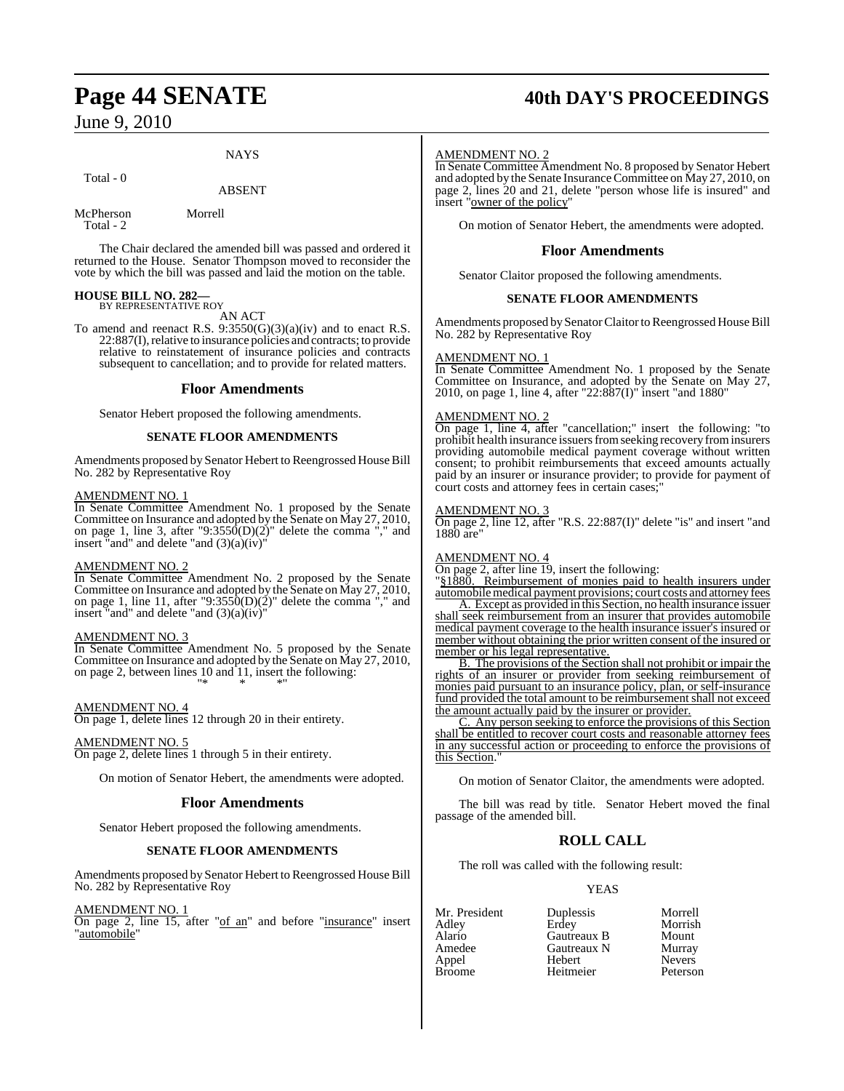## **NAYS**

## Total - 0

## ABSENT

McPherson Morrell Total - 2

The Chair declared the amended bill was passed and ordered it returned to the House. Senator Thompson moved to reconsider the vote by which the bill was passed and laid the motion on the table.

## **HOUSE BILL NO. 282—** BY REPRESENTATIVE ROY

AN ACT

To amend and reenact R.S.  $9:3550(G)(3)(a)(iv)$  and to enact R.S. 22:887(I), relative to insurance policies and contracts; to provide relative to reinstatement of insurance policies and contracts subsequent to cancellation; and to provide for related matters.

## **Floor Amendments**

Senator Hebert proposed the following amendments.

## **SENATE FLOOR AMENDMENTS**

Amendments proposed by Senator Hebert to Reengrossed House Bill No. 282 by Representative Roy

## AMENDMENT NO. 1

In Senate Committee Amendment No. 1 proposed by the Senate Committee on Insurance and adopted by the Senate on May 27, 2010, on page 1, line 3, after "9:3550 $(D)(2)$ " delete the comma "," and insert "and" and delete "and  $(3)(a)(iv)$ "

## AMENDMENT NO. 2

In Senate Committee Amendment No. 2 proposed by the Senate Committee on Insurance and adopted by the Senate on May 27, 2010, on page 1, line 11, after "9:3550 $(D)(2)$ " delete the comma "," and insert "and" and delete "and  $(3)(a)(iv)$ "

## AMENDMENT NO. 3

In Senate Committee Amendment No. 5 proposed by the Senate Committee on Insurance and adopted by the Senate on May 27, 2010, on page 2, between lines 10 and 11, insert the following: "\* \* \*"

## AMENDMENT NO. 4

On page 1, delete lines 12 through 20 in their entirety.

## AMENDMENT NO. 5

On page 2, delete lines 1 through 5 in their entirety.

On motion of Senator Hebert, the amendments were adopted.

## **Floor Amendments**

Senator Hebert proposed the following amendments.

## **SENATE FLOOR AMENDMENTS**

Amendments proposed by Senator Hebert to Reengrossed House Bill No. 282 by Representative Roy

## AMENDMENT NO. 1

On page 2, line 15, after "of an" and before "insurance" insert "automobile"

## **Page 44 SENATE 40th DAY'S PROCEEDINGS**

### AMENDMENT NO. 2

In Senate Committee Amendment No. 8 proposed by Senator Hebert and adopted by the Senate InsuranceCommittee on May 27, 2010, on page 2, lines 20 and 21, delete "person whose life is insured" and insert "owner of the policy"

On motion of Senator Hebert, the amendments were adopted.

## **Floor Amendments**

Senator Claitor proposed the following amendments.

## **SENATE FLOOR AMENDMENTS**

Amendments proposed by Senator Claitor to Reengrossed House Bill No. 282 by Representative Roy

## AMENDMENT NO. 1

In Senate Committee Amendment No. 1 proposed by the Senate Committee on Insurance, and adopted by the Senate on May 27, 2010, on page 1, line 4, after "22:887(I)" insert "and 1880"

## AMENDMENT NO. 2

On page 1, line 4, after "cancellation;" insert the following: "to prohibit health insurance issuers from seeking recovery from insurers providing automobile medical payment coverage without written consent; to prohibit reimbursements that exceed amounts actually paid by an insurer or insurance provider; to provide for payment of court costs and attorney fees in certain cases;

## AMENDMENT NO. 3

On page 2, line 12, after "R.S. 22:887(I)" delete "is" and insert "and 1880 are"

## AMENDMENT NO. 4

On page 2, after line 19, insert the following:

"§1880. Reimbursement of monies paid to health insurers under automobilemedical payment provisions; court costs and attorney fees

A. Except as provided in this Section, no health insurance issuer shall seek reimbursement from an insurer that provides automobile medical payment coverage to the health insurance issuer's insured or member without obtaining the prior written consent of the insured or member or his legal representative.

B. The provisions of the Section shall not prohibit or impair the rights of an insurer or provider from seeking reimbursement of monies paid pursuant to an insurance policy, plan, or self-insurance fund provided the total amount to be reimbursement shall not exceed the amount actually paid by the insurer or provider.

C. Any person seeking to enforce the provisions of this Section shall be entitled to recover court costs and reasonable attorney fees in any successful action or proceeding to enforce the provisions of this Section.

On motion of Senator Claitor, the amendments were adopted.

The bill was read by title. Senator Hebert moved the final passage of the amended bill.

## **ROLL CALL**

The roll was called with the following result:

Heitmeier

## YEAS

Mr. President Duplessis Morrell<br>Adley Erdey Morrish Alario Gautreaux B Mount Amedee Gautreaux N Murray Appel Hebert Nevers

Morrish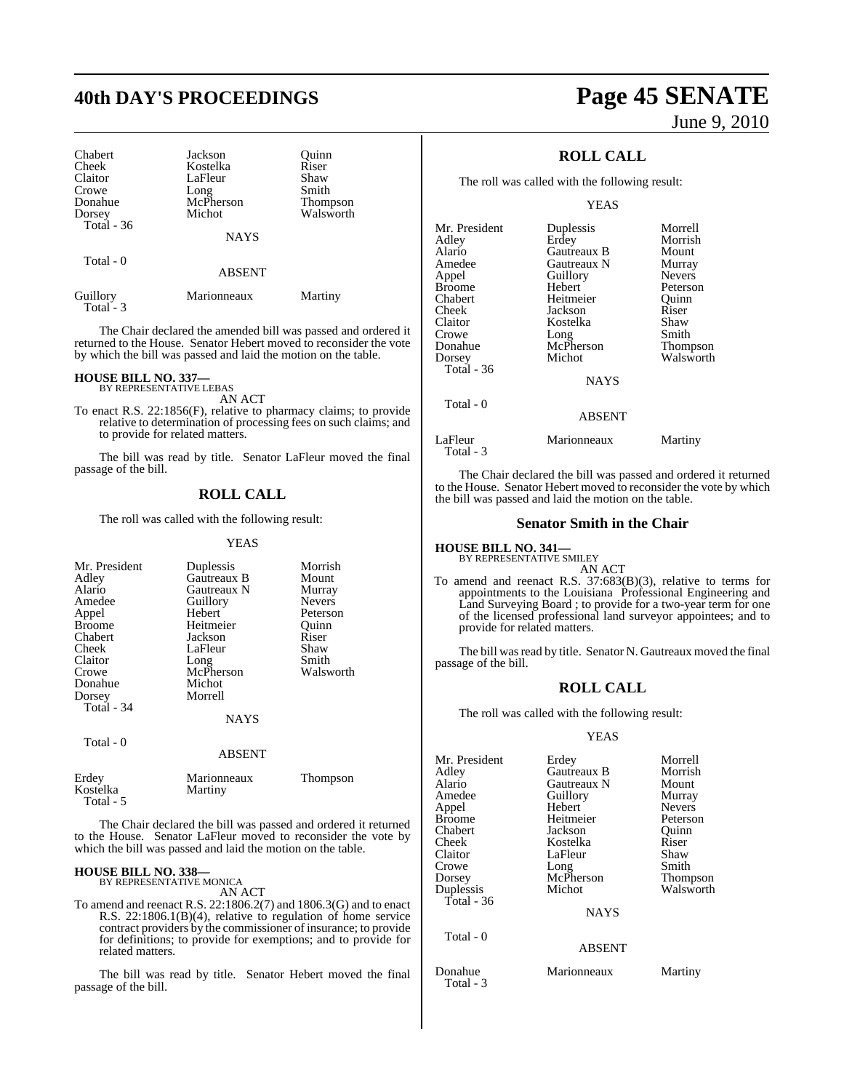| Chabert<br>Cheek<br>Claitor<br>Crowe<br>Donahue<br>Dorsey<br>Total $-36$ | Jackson<br>Kostelka<br>LaFleur<br>Long<br>McPherson<br>Michot<br><b>NAYS</b> | Ouinn<br>Riser<br>Shaw<br>Smith<br><b>Thompson</b><br>Walsworth |
|--------------------------------------------------------------------------|------------------------------------------------------------------------------|-----------------------------------------------------------------|
| Total - 0                                                                | <b>ABSENT</b>                                                                |                                                                 |
| Guillory                                                                 | Marionneaux                                                                  | Martiny                                                         |

Total - 3

The Chair declared the amended bill was passed and ordered it returned to the House. Senator Hebert moved to reconsider the vote by which the bill was passed and laid the motion on the table.

### **HOUSE BILL NO. 337—** BY REPRESENTATIVE LEBAS

AN ACT

To enact R.S. 22:1856(F), relative to pharmacy claims; to provide relative to determination of processing fees on such claims; and to provide for related matters.

The bill was read by title. Senator LaFleur moved the final passage of the bill.

## **ROLL CALL**

The roll was called with the following result:

YEAS

| Mr. President<br>Adley<br>Alario<br>Amedee<br>Appel<br><b>Broome</b><br>Chabert<br>Cheek<br>Claitor<br>Crowe<br>Donahue<br>Dorsey<br>Total - 34<br>Total - 0 | Duplessis<br>Gautreaux B<br>Gautreaux N<br>Guillory<br>Hebert<br>Heitmeier<br>Jackson<br>LaFleur<br>Long<br>McPherson<br>Michot<br>Morrell<br>NAYS<br><b>ABSENT</b> | Morrish<br>Mount<br>Murray<br><b>Nevers</b><br>Peterson<br>Ouinn<br>Riser<br>Shaw<br>Smith<br>Walsworth |
|--------------------------------------------------------------------------------------------------------------------------------------------------------------|---------------------------------------------------------------------------------------------------------------------------------------------------------------------|---------------------------------------------------------------------------------------------------------|
| Erdey<br>Kostelka                                                                                                                                            | Marionneaux<br>Martiny                                                                                                                                              | Thompson                                                                                                |

The Chair declared the bill was passed and ordered it returned to the House. Senator LaFleur moved to reconsider the vote by which the bill was passed and laid the motion on the table.

# **HOUSE BILL NO. 338—** BY REPRESENTATIVE MONICA AN ACT

Total - 5

To amend and reenact R.S. 22:1806.2(7) and 1806.3(G) and to enact R.S. 22:1806.1(B)(4), relative to regulation of home service contract providers by the commissioner of insurance; to provide for definitions; to provide for exemptions; and to provide for related matters.

The bill was read by title. Senator Hebert moved the final passage of the bill.

## **40th DAY'S PROCEEDINGS Page 45 SENATE** June 9, 2010

## **ROLL CALL**

The roll was called with the following result:

YEAS

| Mr. President        | Duplessis     | Morrell       |
|----------------------|---------------|---------------|
| Adley                | Erdey         | Morrish       |
| Alario               | Gautreaux B   | Mount         |
| Amedee               | Gautreaux N   | Murray        |
| Appel                | Guillory      | <b>Nevers</b> |
| <b>Broome</b>        | Hebert        | Peterson      |
| Chabert              | Heitmeier     | Quinn         |
| Cheek                | Jackson       | Riser         |
| Claitor              | Kostelka      | Shaw          |
| Crowe                | Long          | Smith         |
| Donahue              | McPherson     | Thompson      |
| Dorsey               | Michot        | Walsworth     |
| Total $-36$          |               |               |
|                      | <b>NAYS</b>   |               |
| Total - 0            |               |               |
|                      | <b>ABSENT</b> |               |
| LaFleur<br>Total - 3 | Marionneaux   | Martiny       |

The Chair declared the bill was passed and ordered it returned to the House. Senator Hebert moved to reconsider the vote by which the bill was passed and laid the motion on the table.

## **Senator Smith in the Chair**

## **HOUSE BILL NO. 341—**

BY REPRESENTATIVE SMILEY

AN ACT

To amend and reenact R.S. 37:683(B)(3), relative to terms for appointments to the Louisiana Professional Engineering and Land Surveying Board ; to provide for a two-year term for one of the licensed professional land surveyor appointees; and to provide for related matters.

The bill was read by title. Senator N. Gautreaux moved the final passage of the bill.

## **ROLL CALL**

The roll was called with the following result:

### YEAS

| Mr. President        | Erdey         | Morrell       |
|----------------------|---------------|---------------|
| Adlev                | Gautreaux B   | Morrish       |
| Alario               | Gautreaux N   | Mount         |
| Amedee               | Guillory      | Murray        |
| Appel                | Hebert        | <b>Nevers</b> |
| Broome               | Heitmeier     | Peterson      |
| Chabert              | Jackson       | Ouinn         |
| Cheek                | Kostelka      | Riser         |
| Claitor              | LaFleur       | Shaw          |
| Crowe                | Long          | Smith         |
| Dorsey               | McPherson     | Thompson      |
| Duplessis            | Michot        | Walsworth     |
| Total - 36           |               |               |
|                      | <b>NAYS</b>   |               |
| Total - 0            |               |               |
|                      | <b>ABSENT</b> |               |
| Donahue<br>Total - 3 | Marionneaux   | Martiny       |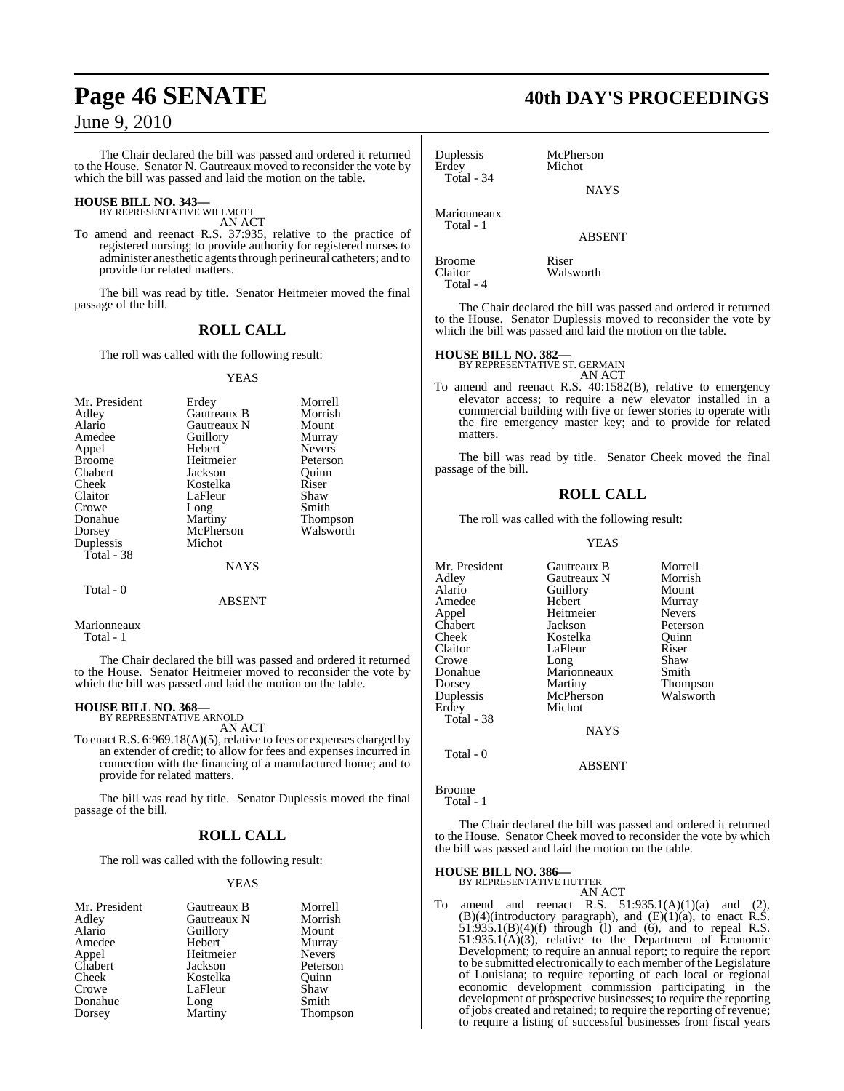The Chair declared the bill was passed and ordered it returned to the House. Senator N. Gautreaux moved to reconsider the vote by which the bill was passed and laid the motion on the table.

## **HOUSE BILL NO. 343—** BY REPRESENTATIVE WILLMOTT

AN ACT

To amend and reenact R.S. 37:935, relative to the practice of registered nursing; to provide authority for registered nurses to administer anesthetic agents through perineural catheters; and to provide for related matters.

The bill was read by title. Senator Heitmeier moved the final passage of the bill.

## **ROLL CALL**

The roll was called with the following result:

### YEAS

| Mr. President | Erdey       | Morrell       |
|---------------|-------------|---------------|
| Adley         | Gautreaux B | Morrish       |
| Alario        | Gautreaux N | Mount         |
| Amedee        | Guillory    | Murray        |
| Appel         | Hebert      | <b>Nevers</b> |
| <b>Broome</b> | Heitmeier   | Peterson      |
| Chabert       | Jackson     | Quinn         |
| Cheek         | Kostelka    | Riser         |
| Claitor       | LaFleur     | Shaw          |
| Crowe         | Long        | Smith         |
| Donahue       | Martiny     | Thompson      |
| Dorsey        | McPherson   | Walsworth     |
| Duplessis     | Michot      |               |
| Total - 38    |             |               |
|               | NAYS        |               |

## Total - 0

Marionneaux

Total - 1

The Chair declared the bill was passed and ordered it returned to the House. Senator Heitmeier moved to reconsider the vote by which the bill was passed and laid the motion on the table.

ABSENT

## **HOUSE BILL NO. 368—** BY REPRESENTATIVE ARNOLD

AN ACT

To enact R.S. 6:969.18(A)(5), relative to fees or expenses charged by an extender of credit; to allow for fees and expenses incurred in connection with the financing of a manufactured home; and to provide for related matters.

The bill was read by title. Senator Duplessis moved the final passage of the bill.

## **ROLL CALL**

The roll was called with the following result:

## YEAS

| Gautreaux B | Morrell       |
|-------------|---------------|
| Gautreaux N | Morrish       |
| Guillory    | Mount         |
| Hebert      | Murray        |
| Heitmeier   | <b>Nevers</b> |
| Jackson     | Peterson      |
| Kostelka    | Ouinn         |
| LaFleur     | Shaw          |
| Long        | Smith         |
| Martiny     | Thompson      |
|             |               |

## **Page 46 SENATE 40th DAY'S PROCEEDINGS**

Duplessis McPherson<br>Erdey Michot Michot Total - 34 **NAYS** Marionneaux Total - 1 ABSENT Broome<br>Claitor Walsy Walsworth Total - 4

The Chair declared the bill was passed and ordered it returned to the House. Senator Duplessis moved to reconsider the vote by which the bill was passed and laid the motion on the table.

## **HOUSE BILL NO. 382—** BY REPRESENTATIVE ST. GERMAIN

AN ACT

To amend and reenact R.S. 40:1582(B), relative to emergency elevator access; to require a new elevator installed in a commercial building with five or fewer stories to operate with the fire emergency master key; and to provide for related matters.

The bill was read by title. Senator Cheek moved the final passage of the bill.

## **ROLL CALL**

The roll was called with the following result:

### YEAS

| Mr. President | Gautreaux B | Morrell         |
|---------------|-------------|-----------------|
| Adley         | Gautreaux N | Morrish         |
| Alario        | Guillory    | Mount           |
| Amedee        | Hebert      | Murray          |
| Appel         | Heitmeier   | <b>Nevers</b>   |
| Chabert       | Jackson     | Peterson        |
| Cheek         | Kostelka    | Ouinn           |
| Claitor       | LaFleur     | Riser           |
| Crowe         | Long        | Shaw            |
| Donahue       | Marionneaux | Smith           |
| Dorsey        | Martiny     | <b>Thompson</b> |
| Duplessis     | McPherson   | Walsworth       |
| Erdey         | Michot      |                 |
| Total - 38    |             |                 |
|               | <b>NAYS</b> |                 |
| Total - $0$   |             |                 |

Total - 1

Broome

The Chair declared the bill was passed and ordered it returned to the House. Senator Cheek moved to reconsider the vote by which the bill was passed and laid the motion on the table.

ABSENT

### **HOUSE BILL NO. 386—** BY REPRESENTATIVE HUTTER

AN ACT

To amend and reenact R.S.  $51:935.1(A)(1)(a)$  and (2),  $(B)(4)$ (introductory paragraph), and  $(E)(1)(a)$ , to enact R.S.  $51:935.1(B)(4)(f)$  through (1) and (6), and to repeal R.S. 51:935.1(A)(3), relative to the Department of Economic Development; to require an annual report; to require the report to be submitted electronically to each member of the Legislature of Louisiana; to require reporting of each local or regional economic development commission participating in the development of prospective businesses; to require the reporting of jobs created and retained; to require the reporting of revenue; to require a listing of successful businesses from fiscal years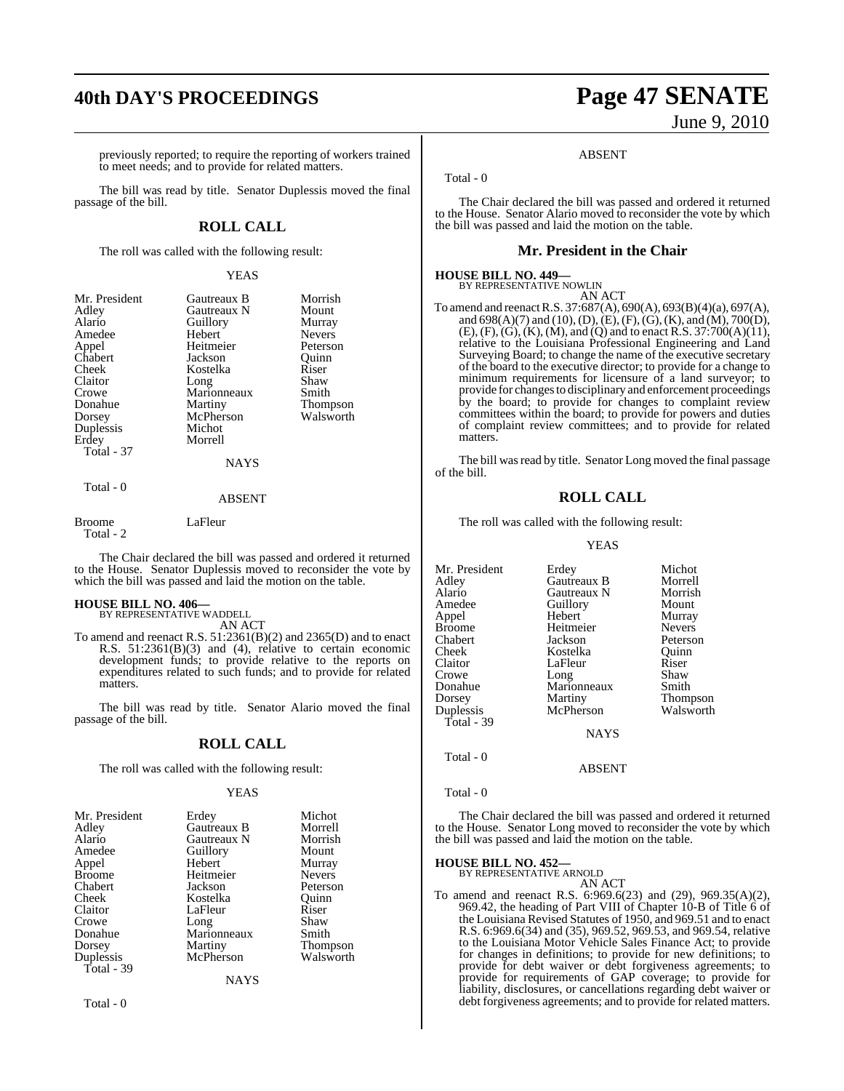## **40th DAY'S PROCEEDINGS Page 47 SENATE**

previously reported; to require the reporting of workers trained to meet needs; and to provide for related matters.

The bill was read by title. Senator Duplessis moved the final passage of the bill.

## **ROLL CALL**

The roll was called with the following result:

## YEAS

| Mr. President | Gautreaux B   | Morrish       |
|---------------|---------------|---------------|
| Adley         | Gautreaux N   | Mount         |
| Alario        | Guillory      | Murray        |
| Amedee        | Hebert        | <b>Nevers</b> |
| Appel         | Heitmeier     | Peterson      |
| Chabert       | Jackson       | Ouinn         |
| Cheek         | Kostelka      | Riser         |
| Claitor       | Long          | Shaw          |
| Crowe         | Marionneaux   | Smith         |
| Donahue       | Martiny       | Thompson      |
| Dorsey        | McPherson     | Walsworth     |
| Duplessis     | Michot        |               |
| Erdey         | Morrell       |               |
| Total - 37    |               |               |
|               | <b>NAYS</b>   |               |
| Total - 0     | <b>ABSENT</b> |               |

Broome LaFleur Total - 2

The Chair declared the bill was passed and ordered it returned to the House. Senator Duplessis moved to reconsider the vote by which the bill was passed and laid the motion on the table.

### **HOUSE BILL NO. 406—**

BY REPRESENTATIVE WADDELL AN ACT

To amend and reenact R.S. 51:2361(B)(2) and 2365(D) and to enact R.S. 51:2361(B)(3) and (4), relative to certain economic development funds; to provide relative to the reports on expenditures related to such funds; and to provide for related matters.

The bill was read by title. Senator Alario moved the final passage of the bill.

## **ROLL CALL**

The roll was called with the following result:

### YEAS

| Erdey       | Michot          |
|-------------|-----------------|
| Gautreaux B | Morrell         |
| Gautreaux N | Morrish         |
| Guillory    | Mount           |
| Hebert      | Murray          |
| Heitmeier   | <b>Nevers</b>   |
| Jackson     | Peterson        |
| Kostelka    | Ouinn           |
| LaFleur     | Riser           |
|             | Shaw            |
| Marionneaux | Smith           |
| Martiny     | <b>Thompson</b> |
| McPherson   | Walsworth       |
|             |                 |
| <b>NAYS</b> |                 |
|             | Long            |

Total - 0

# June 9, 2010

### ABSENT

Total - 0

The Chair declared the bill was passed and ordered it returned to the House. Senator Alario moved to reconsider the vote by which the bill was passed and laid the motion on the table.

## **Mr. President in the Chair**

## **HOUSE BILL NO. 449—** BY REPRESENTATIVE NOWLIN

AN ACT To amend and reenactR.S. 37:687(A), 690(A), 693(B)(4)(a), 697(A), and 698(A)(7) and (10), (D), (E),(F),(G),(K), and (M), 700(D),  $(E)$ ,  $(F)$ ,  $(G)$ ,  $(K)$ ,  $(M)$ , and  $(Q)$  and to enact R.S. 37:700 $(A)(11)$ , relative to the Louisiana Professional Engineering and Land Surveying Board; to change the name of the executive secretary of the board to the executive director; to provide for a change to minimum requirements for licensure of a land surveyor; to provide for changes to disciplinary and enforcement proceedings by the board; to provide for changes to complaint review committees within the board; to provide for powers and duties of complaint review committees; and to provide for related matters.

The bill was read by title. Senator Long moved the final passage of the bill.

## **ROLL CALL**

The roll was called with the following result:

YEAS

| Mr. President<br>Adley<br>Alario<br>Amedee | Erdey<br>Gautreaux B<br>Gautreaux N<br>Guillory | Michot<br>Morrell<br>Morrish<br>Mount |
|--------------------------------------------|-------------------------------------------------|---------------------------------------|
| Appel<br><b>Broome</b>                     | Hebert<br>Heitmeier                             | Murray<br><b>Nevers</b>               |
| Chabert                                    | Jackson                                         | Peterson                              |
| Cheek                                      | Kostelka                                        | Ouinn                                 |
| Claitor                                    | LaFleur                                         | Riser                                 |
| Crowe                                      | Long                                            | Shaw                                  |
| Donahue                                    | Marionneaux                                     | Smith                                 |
| Dorsey                                     | Martiny                                         | Thompson                              |
| Duplessis<br>Total - 39                    | McPherson                                       | Walsworth                             |
|                                            | <b>NAYS</b>                                     |                                       |
| Total - 0                                  |                                                 |                                       |

The Chair declared the bill was passed and ordered it returned to the House. Senator Long moved to reconsider the vote by which the bill was passed and laid the motion on the table.

ABSENT

### **HOUSE BILL NO. 452—**

BY REPRESENTATIVE ARNOLD AN ACT

To amend and reenact R.S. 6:969.6(23) and (29), 969.35(A)(2), 969.42, the heading of Part VIII of Chapter 10-B of Title 6 of the Louisiana Revised Statutes of 1950, and 969.51 and to enact R.S. 6:969.6(34) and (35), 969.52, 969.53, and 969.54, relative to the Louisiana Motor Vehicle Sales Finance Act; to provide for changes in definitions; to provide for new definitions; to provide for debt waiver or debt forgiveness agreements; to provide for requirements of GAP coverage; to provide for liability, disclosures, or cancellations regarding debt waiver or debt forgiveness agreements; and to provide for related matters.

Total - 0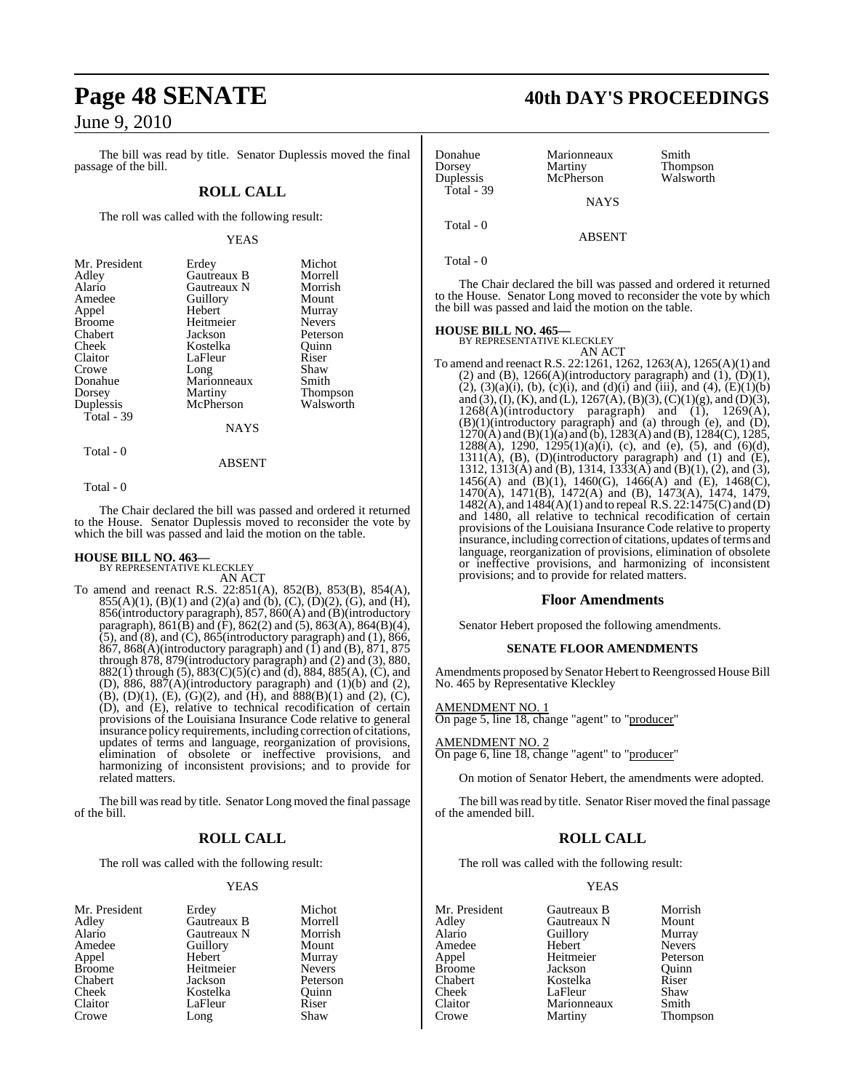The bill was read by title. Senator Duplessis moved the final passage of the bill.

## **ROLL CALL**

The roll was called with the following result:

### YEAS

| Mr. President | Erdey       | Michot          |
|---------------|-------------|-----------------|
| Adley         | Gautreaux B | Morrell         |
| Alario        | Gautreaux N | Morrish         |
| Amedee        | Guillory    | Mount           |
| Appel         | Hebert      | Murray          |
| <b>Broome</b> | Heitmeier   | <b>Nevers</b>   |
| Chabert       | Jackson     | Peterson        |
| Cheek         | Kostelka    | Ouinn           |
| Claitor       | LaFleur     | Riser           |
| Crowe         | Long        | Shaw            |
| Donahue       | Marionneaux | Smith           |
| Dorsey        | Martiny     | <b>Thompson</b> |
| Duplessis     | McPherson   | Walsworth       |
| Total - 39    |             |                 |
|               | NAYS        |                 |

Total - 0

## ABSENT

Total - 0

The Chair declared the bill was passed and ordered it returned to the House. Senator Duplessis moved to reconsider the vote by which the bill was passed and laid the motion on the table.

### **HOUSE BILL NO. 463—** BY REPRESENTATIVE KLECKLEY

AN ACT

To amend and reenact R.S. 22:851(A), 852(B), 853(B), 854(A), 855(A)(1), (B)(1) and (2)(a) and (b), (C), (D)(2), (G), and (H), 856(introductory paragraph), 857, 860(A) and (B)(introductory paragraph),  $861(\overrightarrow{B})$  and  $(\overrightarrow{F})$ ,  $862(2)$  and  $(5)$ ,  $863(\overrightarrow{A})$ ,  $864(B)(4)$ ,  $(5)$ , and  $(8)$ , and  $(C)$ ,  $865$ (introductory paragraph) and  $(1)$ ,  $866$ ,  $867$ ,  $868(A)$ (introductory paragraph) and  $(1)$  and  $(B)$ ,  $871$ ,  $875$ through 878, 879(introductory paragraph) and (2) and (3), 880, 882(1) through (5), 883(C)(5)(c) and (d), 884, 885(A), (C), and (D), 886, 887 $(A)$ (introductory paragraph) and  $(1)(b)$  and  $(2)$ ,  $(B)$ ,  $(D)(1)$ ,  $(E)$ ,  $(G)(2)$ , and  $(H)$ , and  $888(B)(1)$  and  $(2)$ ,  $(C)$ , (D), and (E), relative to technical recodification of certain provisions of the Louisiana Insurance Code relative to general insurance policy requirements, including correction of citations, updates of terms and language, reorganization of provisions, elimination of obsolete or ineffective provisions, and harmonizing of inconsistent provisions; and to provide for related matters.

The bill was read by title. Senator Long moved the final passage of the bill.

## **ROLL CALL**

The roll was called with the following result:

Long

## YEAS

- Mr. President Erdey Michot<br>Adlev Gautreaux B Morrell Adley Gautreaux B Morrell Alario Gautreaux N Morrish Appel Hebert Murray<br>Broome Heitmeier Nevers Broome<br>
Chabert Heitmeier<br>
Lackson Chabert Jackson Peterson Cheek Kostelka Quinn Claitor LaFleur Riser<br>Crowe Long Shaw
- Amedeu<br>
Amedeu<br>
Amedeu<br>
Amedeu<br>
Mount<br>
Murray
- **Page 48 SENATE 40th DAY'S PROCEEDINGS**
	- Donahue Marionneaux Smith<br>
	Dorsey Martiny Thom Dorsey Martiny Thompson McPherson Total - 39 **NAYS**  Total - 0 ABSENT

Total - 0

The Chair declared the bill was passed and ordered it returned to the House. Senator Long moved to reconsider the vote by which the bill was passed and laid the motion on the table.

### **HOUSE BILL NO. 465—** BY REPRESENTATIVE KLECKLEY

AN ACT To amend and reenact R.S. 22:1261, 1262, 1263(A), 1265(A)(1) and (2) and (B),  $1266(A)$ (introductory paragraph) and (1), (D)(1),  $(2)$ ,  $(3)(a)(i)$ ,  $(b)$ ,  $(c)(i)$ , and  $(d)(i)$  and  $(iii)$ , and  $(4)$ ,  $(E)(1)(b)$ and (3), (I), (K), and (L), 1267(A), (B)(3), (C)(1)(g), and (D)(3),  $1268(A)$ (introductory paragraph) and  $(1)$ ,  $1269(A)$ , (B)(1)(introductory paragraph) and (a) through (e), and (D),  $1270(A)$  and  $(B)(1)(a)$  and  $(b)$ ,  $1283(A)$  and  $(B)$ ,  $1284(C)$ ,  $1285$ , 1288(A), 1290, 1295(1)(a)(i), (c), and (e), (5), and (6)(d), 1311(A), (B), (D)(introductory paragraph) and (1) and (E), 1312, 1313(A) and (B), 1314, 1333(A) and (B)(1), (2), and (3),  $1456(A)$  and  $(B)(1)$ ,  $1460(G)$ ,  $1466(A)$  and  $(E)$ ,  $1468(C)$ , 1470(A), 1471(B), 1472(A) and (B), 1473(A), 1474, 1479, 1482(A), and 1484(A)(1) and to repeal R.S. 22:1475(C) and (D) and 1480, all relative to technical recodification of certain provisions of the Louisiana Insurance Code relative to property insurance, including correction of citations, updates of terms and language, reorganization of provisions, elimination of obsolete or ineffective provisions, and harmonizing of inconsistent provisions; and to provide for related matters.

## **Floor Amendments**

Senator Hebert proposed the following amendments.

### **SENATE FLOOR AMENDMENTS**

Amendments proposed by Senator Hebert to Reengrossed House Bill No. 465 by Representative Kleckley

## <u>AMENDMENT NO. 1</u>

On page 5, line 18, change "agent" to "producer"

## AMENDMENT NO. 2

On page 6, line 18, change "agent" to "producer"

On motion of Senator Hebert, the amendments were adopted.

The bill was read by title. Senator Riser moved the final passage of the amended bill.

## **ROLL CALL**

The roll was called with the following result:

## YEAS

Mr. President Gautreaux B Morrish<br>Adlev Gautreaux N Mount Adley Gautreaux N Mount Aussum Guillory<br>
Hebert Nevers Amedee Hebert Nevers<br>
Appel Heitmeier Peterson Heitmeier<br>Jackson Broome **Jackson** Quinn<br>
Chabert **Chabert** Kostelka Riser Chabert Kostelka Riser Cheek LaFleur Shaw<br>Claitor Marionneaux Smith Claitor Marionneaux<br>Crowe Martiny

Martiny Thompson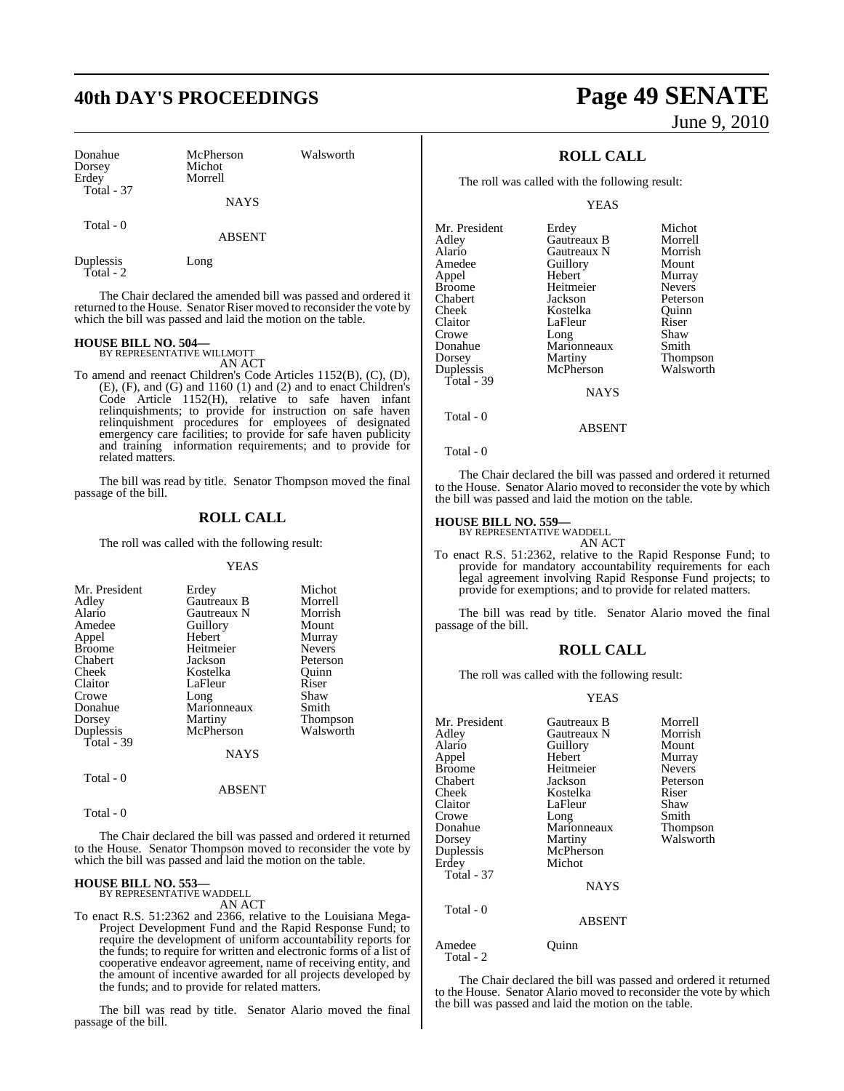## **40th DAY'S PROCEEDINGS Page 49 SENATE**

| Donahue<br>Dorsey<br>Erdey | McPherson<br>Michot<br>Morrell | Walsworth |
|----------------------------|--------------------------------|-----------|
| Total - 37                 | <b>NAYS</b>                    |           |
| Total - 0                  | <b>ABSENT</b>                  |           |

Duplessis Long Total - 2

The Chair declared the amended bill was passed and ordered it returned to the House. Senator Riser moved to reconsider the vote by which the bill was passed and laid the motion on the table.

## **HOUSE BILL NO. 504—** BY REPRESENTATIVE WILLMOTT

AN ACT

To amend and reenact Children's Code Articles 1152(B), (C), (D), (E), (F), and (G) and 1160 (1) and (2) and to enact Children's Code Article 1152(H), relative to safe haven infant relinquishments; to provide for instruction on safe haven relinquishment procedures for employees of designated emergency care facilities; to provide for safe haven publicity and training information requirements; and to provide for related matters.

The bill was read by title. Senator Thompson moved the final passage of the bill.

## **ROLL CALL**

The roll was called with the following result:

## YEAS

| Mr. President<br>Adley<br>Alario<br>Amedee<br>Appel<br><b>Broome</b><br>Chabert | Erdey<br>Gautreaux B<br>Gautreaux N<br>Guillory<br>Hebert<br>Heitmeier<br>Jackson | Michot<br>Morrell<br>Morrish<br>Mount<br>Murray<br><b>Nevers</b><br>Peterson |
|---------------------------------------------------------------------------------|-----------------------------------------------------------------------------------|------------------------------------------------------------------------------|
| Cheek                                                                           | Kostelka                                                                          | Ouinn                                                                        |
| Claitor                                                                         | LaFleur                                                                           | Riser                                                                        |
| Crowe                                                                           | Long                                                                              | Shaw                                                                         |
| Donahue                                                                         | Marionneaux                                                                       | Smith                                                                        |
| Dorsey                                                                          | Martiny                                                                           | Thompson                                                                     |
| Duplessis                                                                       | McPherson                                                                         | Walsworth                                                                    |
| Total - 39                                                                      |                                                                                   |                                                                              |
|                                                                                 | NAYS                                                                              |                                                                              |
| Total - 0                                                                       |                                                                                   |                                                                              |

## ABSENT

Total - 0

The Chair declared the bill was passed and ordered it returned to the House. Senator Thompson moved to reconsider the vote by which the bill was passed and laid the motion on the table.

### **HOUSE BILL NO. 553—**

BY REPRESENTATIVE WADDELI AN ACT

The bill was read by title. Senator Alario moved the final passage of the bill.

# June 9, 2010

## **ROLL CALL**

The roll was called with the following result:

YEAS

| Mr. President | Erdey       | Michot          |
|---------------|-------------|-----------------|
| Adley         | Gautreaux B | Morrell         |
| Alario        | Gautreaux N | Morrish         |
| Amedee        | Guillory    | Mount           |
| Appel         | Hebert      | Murray          |
| Broome        | Heitmeier   | <b>Nevers</b>   |
| Chabert       | Jackson     | Peterson        |
| Cheek         | Kostelka    | Ouinn           |
| Claitor       | LaFleur     | Riser           |
| Crowe         | Long        | Shaw            |
| Donahue       | Marionneaux | Smith           |
| Dorsey        | Martiny     | <b>Thompson</b> |
| Duplessis     | McPherson   | Walsworth       |
| Total - 39    |             |                 |
|               | <b>NAYS</b> |                 |
| Total - 0     |             |                 |

Total - 0

The Chair declared the bill was passed and ordered it returned to the House. Senator Alario moved to reconsider the vote by which the bill was passed and laid the motion on the table.

ABSENT

## **HOUSE BILL NO. 559—** BY REPRESENTATIVE WADDELL

AN ACT

To enact R.S. 51:2362, relative to the Rapid Response Fund; to provide for mandatory accountability requirements for each legal agreement involving Rapid Response Fund projects; to provide for exemptions; and to provide for related matters.

The bill was read by title. Senator Alario moved the final passage of the bill.

## **ROLL CALL**

The roll was called with the following result:

### YEAS

| Mr. President<br>Adley<br>Alario<br>Appel<br><b>Broome</b><br>Chabert<br>Cheek<br>Claitor<br>Crowe<br>Donahue<br>Dorsey<br>Duplessis<br>Erdey<br>Total - 37 | Gautreaux B<br>Gautreaux N<br>Guillory<br>Hebert<br>Heitmeier<br>Jackson<br>Kostelka<br>LaFleur<br>Long<br>Marionneaux<br>Martiny<br>McPherson<br>Michot<br><b>NAYS</b> | Morrell<br>Morrish<br>Mount<br>Murray<br><b>Nevers</b><br>Peterson<br>Riser<br>Shaw<br>Smith<br>Thompson<br>Walsworth |
|-------------------------------------------------------------------------------------------------------------------------------------------------------------|-------------------------------------------------------------------------------------------------------------------------------------------------------------------------|-----------------------------------------------------------------------------------------------------------------------|
| Total - 0                                                                                                                                                   | ABSENT                                                                                                                                                                  |                                                                                                                       |
| Amedee<br>Total - 2                                                                                                                                         | Ouınn                                                                                                                                                                   |                                                                                                                       |

The Chair declared the bill was passed and ordered it returned to the House. Senator Alario moved to reconsider the vote by which the bill was passed and laid the motion on the table.

To enact R.S. 51:2362 and 2366, relative to the Louisiana Mega-Project Development Fund and the Rapid Response Fund; to require the development of uniform accountability reports for the funds; to require for written and electronic forms of a list of cooperative endeavor agreement, name of receiving entity, and the amount of incentive awarded for all projects developed by the funds; and to provide for related matters.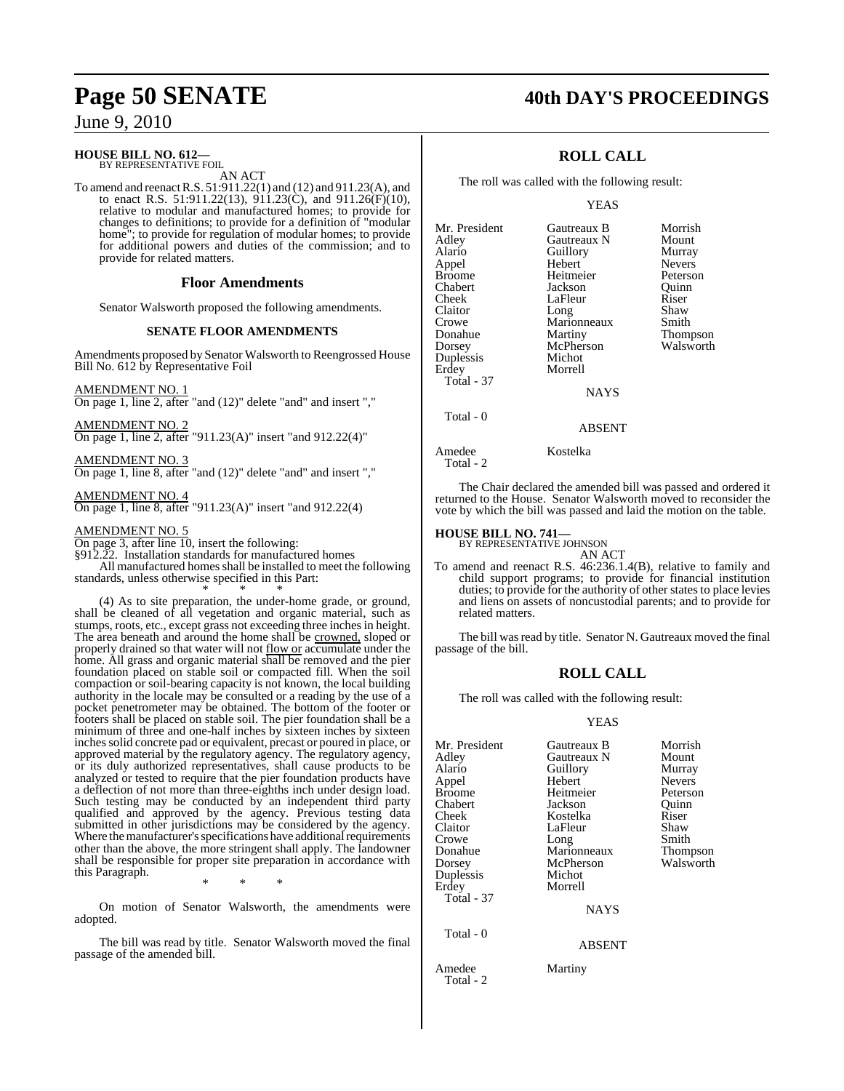### **HOUSE BILL NO. 612—** BY REPRESENTATIVE FOIL

AN ACT

To amend and reenactR.S. 51:911.22(1) and (12) and 911.23(A), and to enact R.S. 51:911.22(13), 911.23(C), and 911.26(F)(10), relative to modular and manufactured homes; to provide for changes to definitions; to provide for a definition of "modular home"; to provide for regulation of modular homes; to provide for additional powers and duties of the commission; and to provide for related matters.

## **Floor Amendments**

Senator Walsworth proposed the following amendments.

## **SENATE FLOOR AMENDMENTS**

Amendments proposed by Senator Walsworth to Reengrossed House Bill No. 612 by Representative Foil

AMENDMENT NO. 1

On page 1, line 2, after "and (12)" delete "and" and insert ","

AMENDMENT NO. 2 On page 1, line 2, after "911.23(A)" insert "and 912.22(4)"

AMENDMENT NO. 3 On page 1, line 8, after "and (12)" delete "and" and insert ","

AMENDMENT NO. 4 On page 1, line 8, after "911.23(A)" insert "and 912.22(4)

## AMENDMENT NO. 5

On page 3, after line 10, insert the following:

§912.22. Installation standards for manufactured homes

All manufactured homes shall be installed to meet the following standards, unless otherwise specified in this Part:

\* \* \* (4) As to site preparation, the under-home grade, or ground, shall be cleaned of all vegetation and organic material, such as stumps, roots, etc., except grass not exceeding three inches in height. The area beneath and around the home shall be crowned, sloped or properly drained so that water will not flow or accumulate under the home. All grass and organic material shall be removed and the pier foundation placed on stable soil or compacted fill. When the soil compaction or soil-bearing capacity is not known, the local building authority in the locale may be consulted or a reading by the use of a pocket penetrometer may be obtained. The bottom of the footer or footers shall be placed on stable soil. The pier foundation shall be a minimum of three and one-half inches by sixteen inches by sixteen inchessolid concrete pad or equivalent, precast or poured in place, or approved material by the regulatory agency. The regulatory agency, or its duly authorized representatives, shall cause products to be analyzed or tested to require that the pier foundation products have a deflection of not more than three-eighths inch under design load. Such testing may be conducted by an independent third party qualified and approved by the agency. Previous testing data submitted in other jurisdictions may be considered by the agency. Where the manufacturer's specifications have additional requirements other than the above, the more stringent shall apply. The landowner shall be responsible for proper site preparation in accordance with this Paragraph.

\* \* \*

On motion of Senator Walsworth, the amendments were adopted.

The bill was read by title. Senator Walsworth moved the final passage of the amended bill.

## **Page 50 SENATE 40th DAY'S PROCEEDINGS**

## **ROLL CALL**

The roll was called with the following result:

### YEAS

| Mr. President     | Gautreaux B   | Morrish       |
|-------------------|---------------|---------------|
| Adley             | Gautreaux N   | Mount         |
| Alario            | Guillory      | Murray        |
| Appel             | Hebert        | <b>Nevers</b> |
| <b>Broome</b>     | Heitmeier     | Peterson      |
| Chabert           | Jackson       | Quinn         |
| Cheek             | LaFleur       | Riser         |
| Claitor           | Long          | Shaw          |
| Crowe             | Marionneaux   | Smith         |
| Donahue           | Martiny       | Thompson      |
| Dorsey            | McPherson     | Walsworth     |
| Duplessis         | Michot        |               |
| Erdey             | Morrell       |               |
| <b>Total - 37</b> |               |               |
|                   | NAYS          |               |
| Total - 0         |               |               |
|                   | <b>ABSENT</b> |               |
| Amedee            | Kostelka      |               |

The Chair declared the amended bill was passed and ordered it returned to the House. Senator Walsworth moved to reconsider the vote by which the bill was passed and laid the motion on the table.

## **HOUSE BILL NO. 741—** BY REPRESENTATIVE JOHNSON

Total - 2

AN ACT

To amend and reenact R.S. 46:236.1.4(B), relative to family and child support programs; to provide for financial institution duties; to provide for the authority of other states to place levies and liens on assets of noncustodial parents; and to provide for related matters.

The bill was read by title. Senator N. Gautreaux moved the final passage of the bill.

## **ROLL CALL**

The roll was called with the following result:

## YEAS

| Gautreaux B   | Morrish       |
|---------------|---------------|
| Gautreaux N   | Mount         |
| Guillory      | Murray        |
| Hebert        | <b>Nevers</b> |
| Heitmeier     | Peterson      |
| Jackson       | Ouinn         |
| Kostelka      | Riser         |
| LaFleur       | Shaw          |
| Long          | Smith         |
| Marionneaux   | Thompson      |
| McPherson     | Walsworth     |
| Michot        |               |
| Morrell       |               |
|               |               |
| <b>NAYS</b>   |               |
|               |               |
| <b>ABSENT</b> |               |
| Martiny       |               |
|               |               |

Total - 2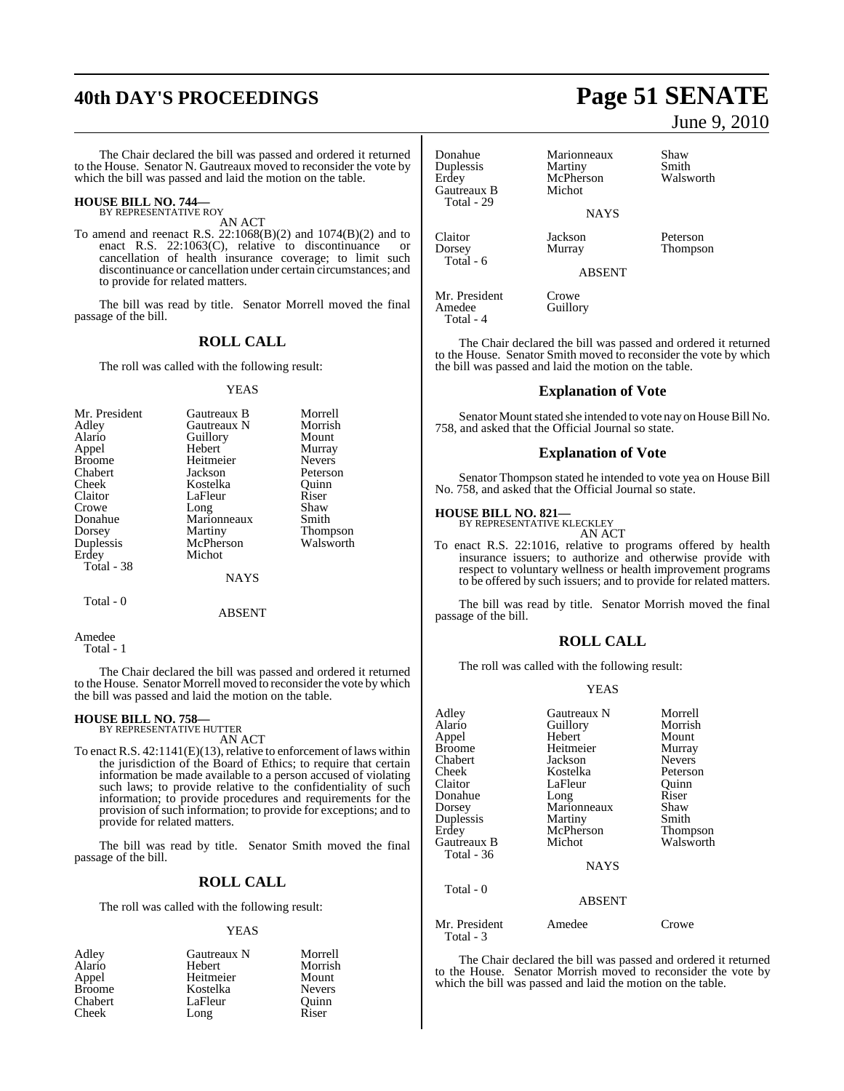## **40th DAY'S PROCEEDINGS Page 51 SENATE**

The Chair declared the bill was passed and ordered it returned to the House. Senator N. Gautreaux moved to reconsider the vote by which the bill was passed and laid the motion on the table.

## **HOUSE BILL NO. 744—** BY REPRESENTATIVE ROY

AN ACT

To amend and reenact R.S. 22:1068(B)(2) and 1074(B)(2) and to enact R.S.  $22:1063(C)$ , relative to discontinuance cancellation of health insurance coverage; to limit such discontinuance or cancellation under certain circumstances; and to provide for related matters.

The bill was read by title. Senator Morrell moved the final passage of the bill.

## **ROLL CALL**

The roll was called with the following result:

### YEAS

| Mr. President | Gautreaux B | Morrell       |
|---------------|-------------|---------------|
| Adley         | Gautreaux N | Morrish       |
| Alario        | Guillory    | Mount         |
| Appel         | Hebert      | Murray        |
| <b>Broome</b> | Heitmeier   | <b>Nevers</b> |
| Chabert       | Jackson     | Peterson      |
| Cheek         | Kostelka    | Ouinn         |
| Claitor       | LaFleur     | Riser         |
| Crowe         | Long        | Shaw          |
| Donahue       | Marionneaux | Smith         |
| Dorsey        | Martiny     | Thompson      |
| Duplessis     | McPherson   | Walsworth     |
| Erdey         | Michot      |               |
| Total - 38    |             |               |
|               | NAYS        |               |

Total - 0

ABSENT

Amedee Total - 1

The Chair declared the bill was passed and ordered it returned to the House. Senator Morrell moved to reconsider the vote by which the bill was passed and laid the motion on the table.

## **HOUSE BILL NO. 758—** BY REPRESENTATIVE HUTTER

AN ACT

To enact R.S.  $42:1141(E)(13)$ , relative to enforcement of laws within the jurisdiction of the Board of Ethics; to require that certain information be made available to a person accused of violating such laws; to provide relative to the confidentiality of such information; to provide procedures and requirements for the provision of such information; to provide for exceptions; and to provide for related matters.

The bill was read by title. Senator Smith moved the final passage of the bill.

## **ROLL CALL**

The roll was called with the following result:

## YEAS

| Adley         | Gautreaux N | Morrell       |
|---------------|-------------|---------------|
| Alario        | Hebert      | Morrish       |
| Appel         | Heitmeier   | Mount         |
| <b>Broome</b> | Kostelka    | <b>Nevers</b> |
| Chabert       | LaFleur     | Ouinn         |
| Cheek         | Long        | Riser         |

June 9, 2010

| Donahue<br>Duplessis<br>Erdey<br>Gautreaux B<br>Total - 29 | Marionneaux<br>Martiny<br>McPherson<br>Michot | Shaw<br>Smith<br>Walsworth |
|------------------------------------------------------------|-----------------------------------------------|----------------------------|
|                                                            | <b>NAYS</b>                                   |                            |
| Claitor<br>Dorsey<br>Total - 6                             | Jackson<br>Murray                             | Peterson<br>Thompson       |
|                                                            | <b>ABSENT</b>                                 |                            |

Amedee Total - 4

Mr. President Crowe<br>Amedee Guillory

The Chair declared the bill was passed and ordered it returned to the House. Senator Smith moved to reconsider the vote by which the bill was passed and laid the motion on the table.

## **Explanation of Vote**

Senator Mount stated she intended to vote nay on House Bill No. 758, and asked that the Official Journal so state.

## **Explanation of Vote**

Senator Thompson stated he intended to vote yea on House Bill No. 758, and asked that the Official Journal so state.

## **HOUSE BILL NO. 821—**

Total - 3

BY REPRESENTATIVE KLECKLEY AN ACT

To enact R.S. 22:1016, relative to programs offered by health insurance issuers; to authorize and otherwise provide with respect to voluntary wellness or health improvement programs to be offered by such issuers; and to provide for related matters.

The bill was read by title. Senator Morrish moved the final passage of the bill.

## **ROLL CALL**

The roll was called with the following result:

## YEAS

| Adley         | Gautreaux N   | Morrell       |
|---------------|---------------|---------------|
| Alario        | Guillory      | Morrish       |
| Appel         | Hebert        | Mount         |
| <b>Broome</b> | Heitmeier     | Murray        |
| Chabert       | Jackson       | <b>Nevers</b> |
| Cheek         | Kostelka      | Peterson      |
| Claitor       | LaFleur       | Ouinn         |
| Donahue       | Long          | Riser         |
| Dorsey        | Marionneaux   | Shaw          |
| Duplessis     | Martiny       | Smith         |
| Erdey         | McPherson     | Thompson      |
| Gautreaux B   | Michot        | Walsworth     |
| Total - 36    |               |               |
|               | <b>NAYS</b>   |               |
| Total - 0     |               |               |
|               | <b>ABSENT</b> |               |
| Mr. President | Amedee        | Crowe         |

The Chair declared the bill was passed and ordered it returned to the House. Senator Morrish moved to reconsider the vote by which the bill was passed and laid the motion on the table.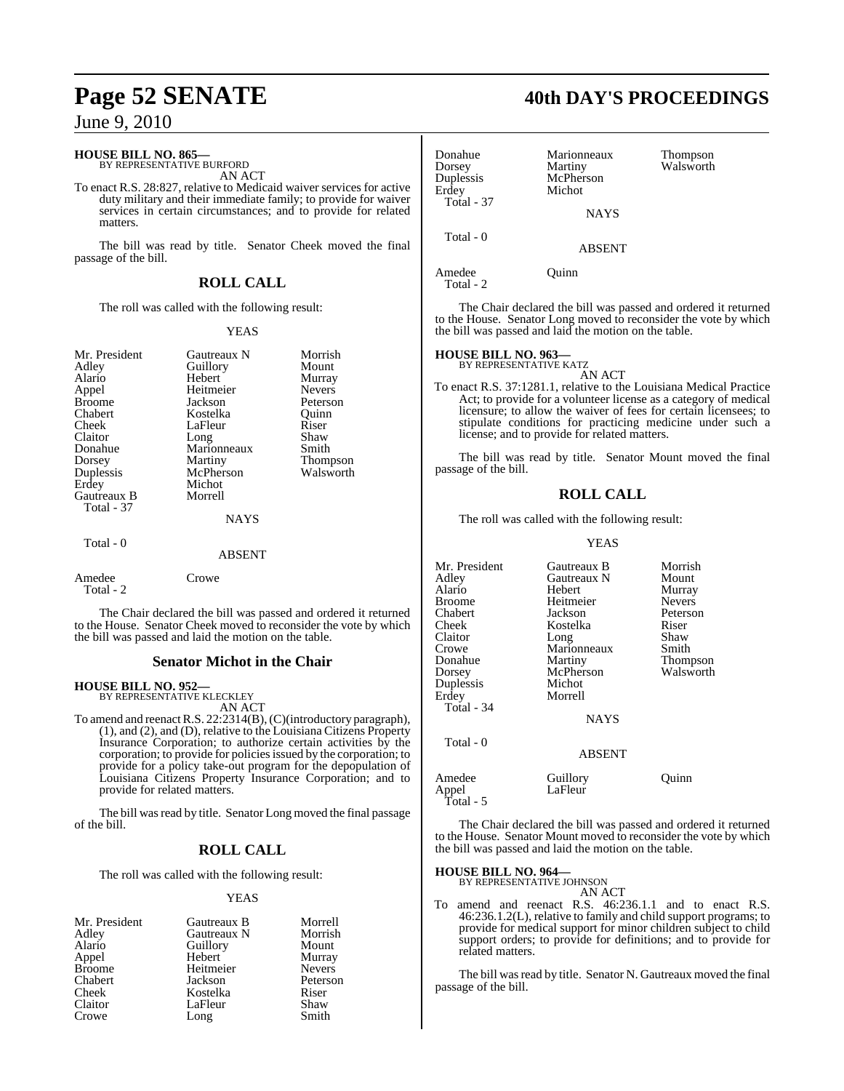## **HOUSE BILL NO. 865—**

BY REPRESENTATIVE BURFORD AN ACT

To enact R.S. 28:827, relative to Medicaid waiver services for active duty military and their immediate family; to provide for waiver services in certain circumstances; and to provide for related matters.

The bill was read by title. Senator Cheek moved the final passage of the bill.

## **ROLL CALL**

The roll was called with the following result:

## YEAS

| Mr. President<br>Adley<br>Alario<br>Appel<br><b>Broome</b><br>Chabert<br>Cheek<br>Claitor<br>Donahue<br>Dorsey<br>Duplessis<br>Erdey<br>Gautreaux B<br>Total - 37 | Gautreaux N<br>Guillory<br>Hebert<br>Heitmeier<br>Jackson<br>Kostelka<br>LaFleur<br>Long<br>Marionneaux<br>Martiny<br>McPherson<br>Michot<br>Morrell<br><b>NAYS</b> | Morrish<br>Mount<br>Murray<br><b>Nevers</b><br>Peterson<br>Ouinn<br>Riser<br>Shaw<br>Smith<br>Thompson<br>Walsworth |
|-------------------------------------------------------------------------------------------------------------------------------------------------------------------|---------------------------------------------------------------------------------------------------------------------------------------------------------------------|---------------------------------------------------------------------------------------------------------------------|
| Total - 0                                                                                                                                                         | ABSENT                                                                                                                                                              |                                                                                                                     |
| Amedee<br>Total - 2                                                                                                                                               | Crowe                                                                                                                                                               |                                                                                                                     |

The Chair declared the bill was passed and ordered it returned to the House. Senator Cheek moved to reconsider the vote by which the bill was passed and laid the motion on the table.

## **Senator Michot in the Chair**

## **HOUSE BILL NO. 952—**

BY REPRESENTATIVE KLECKLEY AN ACT

To amend and reenactR.S. 22:2314(B),(C)(introductory paragraph), (1), and (2), and (D), relative to the Louisiana Citizens Property Insurance Corporation; to authorize certain activities by the corporation; to provide for policies issued by the corporation; to provide for a policy take-out program for the depopulation of Louisiana Citizens Property Insurance Corporation; and to provide for related matters.

The bill was read by title. Senator Long moved the final passage of the bill.

## **ROLL CALL**

The roll was called with the following result:

## YEAS

| Mr. President | Gautreaux B | Morrell       |
|---------------|-------------|---------------|
| Adley         | Gautreaux N | Morrish       |
| Alario        | Guillory    | Mount         |
| Appel         | Hebert      | Murray        |
| <b>Broome</b> | Heitmeier   | <b>Nevers</b> |
| Chabert       | Jackson     | Peterson      |
| Cheek         | Kostelka    | Riser         |
| Claitor       | LaFleur     | Shaw          |
| Crowe         | Long        | Smith         |

## **Page 52 SENATE 40th DAY'S PROCEEDINGS**

| Donahue<br>Dorsey<br>Duplessis<br>Erdey<br><b>Total - 37</b> | Marionneaux<br>Martiny<br>McPherson<br>Michot | Thompson<br>Walsworth |
|--------------------------------------------------------------|-----------------------------------------------|-----------------------|
|                                                              | <b>NAYS</b>                                   |                       |
| Total - 0                                                    | <b>ABSENT</b>                                 |                       |
| Amedee                                                       | uinn                                          |                       |

Total - 2

The Chair declared the bill was passed and ordered it returned to the House. Senator Long moved to reconsider the vote by which the bill was passed and laid the motion on the table.

## **HOUSE BILL NO. 963—** BY REPRESENTATIVE KATZ

AN ACT

To enact R.S. 37:1281.1, relative to the Louisiana Medical Practice Act; to provide for a volunteer license as a category of medical licensure; to allow the waiver of fees for certain licensees; to stipulate conditions for practicing medicine under such a license; and to provide for related matters.

The bill was read by title. Senator Mount moved the final passage of the bill.

## **ROLL CALL**

The roll was called with the following result:

### YEAS

| Mr. President   | Gautreaux B         | Morrish       |
|-----------------|---------------------|---------------|
| Adlev           | Gautreaux N         | Mount         |
| Alario          | Hebert              | Murray        |
| Broome          | Heitmeier           | <b>Nevers</b> |
| Chabert         | Jackson             | Peterson      |
| Cheek           | Kostelka            | Riser         |
| Claitor         | Long                | Shaw          |
| Crowe           | Marionneaux         | Smith         |
| Donahue         | Martiny             | Thompson      |
| Dorsey          | McPherson           | Walsworth     |
| Duplessis       | Michot              |               |
| Erdey           | Morrell             |               |
| Total - 34      |                     |               |
|                 | NAYS                |               |
| Total - 0       |                     |               |
|                 | <b>ABSENT</b>       |               |
| Amedee<br>Appel | Guillory<br>LaFleur | Ouınn         |

The Chair declared the bill was passed and ordered it returned to the House. Senator Mount moved to reconsider the vote by which the bill was passed and laid the motion on the table.

**HOUSE BILL NO. 964—** BY REPRESENTATIVE JOHNSON

Total - 5

AN ACT

To amend and reenact R.S. 46:236.1.1 and to enact R.S. 46:236.1.2(L), relative to family and child support programs; to provide for medical support for minor children subject to child support orders; to provide for definitions; and to provide for related matters.

The bill was read by title. Senator N. Gautreaux moved the final passage of the bill.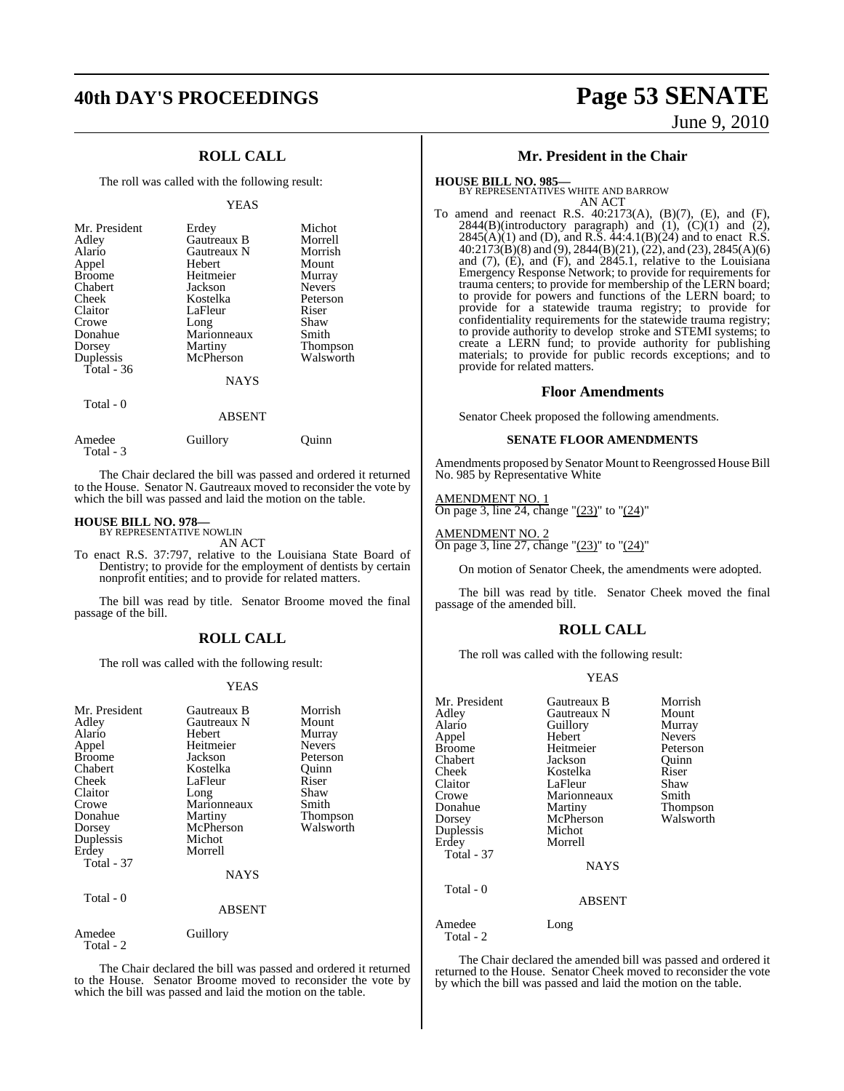## **ROLL CALL**

The roll was called with the following result:

### YEAS

| Mr. President<br>Adley<br>Alario<br>Appel<br><b>Broome</b><br>Chabert<br>Cheek<br>Claitor<br>Crowe | Erdey<br>Gautreaux B<br>Gautreaux N<br>Hebert<br>Heitmeier<br>Jackson<br>Kostelka<br>LaFleur<br>Long | Michot<br>Morrell<br>Morrish<br>Mount<br>Murray<br><b>Nevers</b><br>Peterson<br>Riser<br>Shaw |
|----------------------------------------------------------------------------------------------------|------------------------------------------------------------------------------------------------------|-----------------------------------------------------------------------------------------------|
| Dorsey<br>Duplessis                                                                                | Martiny<br>McPherson                                                                                 | <b>Thompson</b><br>Walsworth                                                                  |
| Total - $36$                                                                                       |                                                                                                      |                                                                                               |
|                                                                                                    | <b>NAYS</b>                                                                                          |                                                                                               |
| Total - 0                                                                                          | ABSENT                                                                                               |                                                                                               |

| Amedee    | Guillory | Ouinn |
|-----------|----------|-------|
| Total - 3 |          |       |

The Chair declared the bill was passed and ordered it returned to the House. Senator N. Gautreaux moved to reconsider the vote by which the bill was passed and laid the motion on the table.

### **HOUSE BILL NO. 978—**

BY REPRESENTATIVE NOWLIN AN ACT

To enact R.S. 37:797, relative to the Louisiana State Board of Dentistry; to provide for the employment of dentists by certain nonprofit entities; and to provide for related matters.

The bill was read by title. Senator Broome moved the final passage of the bill.

## **ROLL CALL**

The roll was called with the following result:

### YEAS

| Mr. President<br>Adley<br>Alario<br>Appel<br><b>Broome</b><br>Chabert<br>Cheek<br>Claitor<br>Crowe<br>Donahue<br>Dorsey<br>Duplessis<br>Erdey<br><b>Total - 37</b><br>Total - 0 | Gautreaux B<br>Gautreaux N<br>Hebert<br>Heitmeier<br>Jackson<br>Kostelka<br>LaFleur<br>Long<br>Marionneaux<br>Martiny<br>McPherson<br>Michot<br>Morrell<br><b>NAYS</b> | Morrish<br>Mount<br>Murray<br><b>Nevers</b><br>Peterson<br>Ouinn<br>Riser<br>Shaw<br>Smith<br>Thompson<br>Walsworth |
|---------------------------------------------------------------------------------------------------------------------------------------------------------------------------------|------------------------------------------------------------------------------------------------------------------------------------------------------------------------|---------------------------------------------------------------------------------------------------------------------|
|                                                                                                                                                                                 | <b>ABSENT</b>                                                                                                                                                          |                                                                                                                     |
| Amedee<br>Total - 2                                                                                                                                                             | Guillory                                                                                                                                                               |                                                                                                                     |

The Chair declared the bill was passed and ordered it returned to the House. Senator Broome moved to reconsider the vote by which the bill was passed and laid the motion on the table.

## **40th DAY'S PROCEEDINGS Page 53 SENATE** June 9, 2010

## **Mr. President in the Chair**

# **HOUSE BILL NO. 985—** BY REPRESENTATIVES WHITE AND BARROW AN ACT

To amend and reenact R.S. 40:2173(A), (B)(7), (E), and (F),  $2844(B)$ (introductory paragraph) and  $(1)$ ,  $(C)(1)$  and  $(2)$ ,  $2845(A)(1)$  and (D), and R.S.  $44:4.1(B)(24)$  and to enact R.S.  $40:2173(B)(8)$  and (9), 2844(B)(21), (22), and (23), 2845(A)(6) and  $(7)$ ,  $(E)$ , and  $(F)$ , and  $2845.1$ , relative to the Louisiana Emergency Response Network; to provide for requirements for trauma centers; to provide for membership of the LERN board; to provide for powers and functions of the LERN board; to provide for a statewide trauma registry; to provide for confidentiality requirements for the statewide trauma registry; to provide authority to develop stroke and STEMI systems; to create a LERN fund; to provide authority for publishing materials; to provide for public records exceptions; and to provide for related matters.

## **Floor Amendments**

Senator Cheek proposed the following amendments.

## **SENATE FLOOR AMENDMENTS**

Amendments proposed by Senator Mount to Reengrossed House Bill No. 985 by Representative White

### AMENDMENT NO. 1

On page 3, line 24, change " $(23)$ " to " $(24)$ "

## AMENDMENT NO. 2

On page 3, line 27, change " $(23)$ " to " $(24)$ "

On motion of Senator Cheek, the amendments were adopted.

The bill was read by title. Senator Cheek moved the final passage of the amended bill.

## **ROLL CALL**

The roll was called with the following result:

### YEAS

| Mr. President<br>Adley<br>Alario<br>Appel<br><b>Broome</b><br>Chabert<br>Cheek<br>Claitor<br>Crowe<br>Donahue<br>Dorsey<br>Duplessis<br>Erdey<br><b>Total - 37</b><br>Total - 0 | Gautreaux B<br>Gautreaux N<br>Guillory<br>Hebert<br>Heitmeier<br>Jackson<br>Kostelka<br>LaFleur<br>Marionneaux<br>Martiny<br>McPherson<br>Michot<br>Morrell<br><b>NAYS</b><br>ABSENT | Morrish<br>Mount<br>Murray<br><b>Nevers</b><br>Peterson<br>Quinn<br>Riser<br>Shaw<br>Smith<br>Thompson<br>Walsworth |
|---------------------------------------------------------------------------------------------------------------------------------------------------------------------------------|--------------------------------------------------------------------------------------------------------------------------------------------------------------------------------------|---------------------------------------------------------------------------------------------------------------------|
| Amedee<br>Total - 2                                                                                                                                                             | Long                                                                                                                                                                                 |                                                                                                                     |

The Chair declared the amended bill was passed and ordered it returned to the House. Senator Cheek moved to reconsider the vote by which the bill was passed and laid the motion on the table.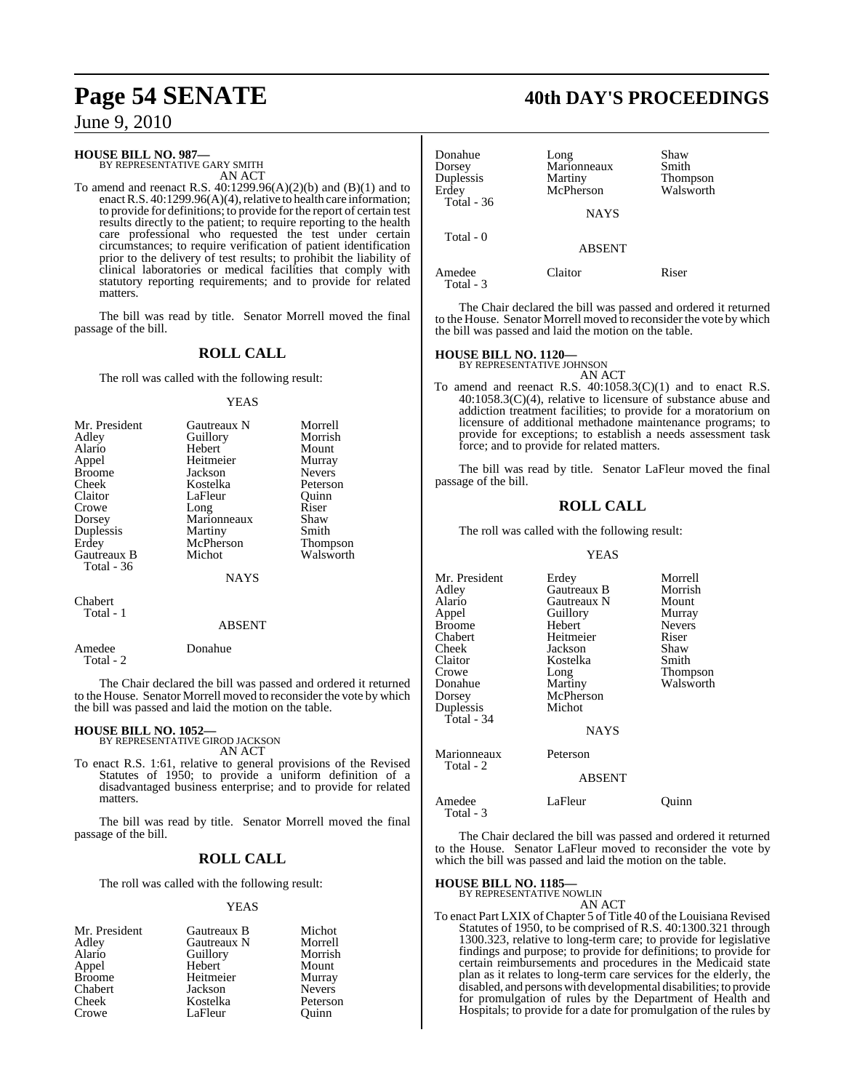## **HOUSE BILL NO. 987—**

BY REPRESENTATIVE GARY SMITH AN ACT

To amend and reenact R.S. 40:1299.96(A)(2)(b) and (B)(1) and to enact R.S. 40:1299.96(A)(4), relative to health care information; to provide for definitions; to provide for the report of certain test results directly to the patient; to require reporting to the health care professional who requested the test under certain circumstances; to require verification of patient identification prior to the delivery of test results; to prohibit the liability of clinical laboratories or medical facilities that comply with statutory reporting requirements; and to provide for related matters.

The bill was read by title. Senator Morrell moved the final passage of the bill.

## **ROLL CALL**

The roll was called with the following result:

### YEAS

| Mr. President | Gautreaux N | Morrell         |
|---------------|-------------|-----------------|
| Adley         | Guillory    | Morrish         |
| Alario        | Hebert      | Mount           |
| Appel         | Heitmeier   | Murray          |
| <b>Broome</b> | Jackson     | <b>Nevers</b>   |
| Cheek         | Kostelka    | Peterson        |
| Claitor       | LaFleur     | Ouinn           |
| Crowe         | Long        | Riser           |
| Dorsey        | Marionneaux | Shaw            |
| Duplessis     | Martiny     | Smith           |
| Erdey         | McPherson   | <b>Thompson</b> |
| Gautreaux B   | Michot      | Walsworth       |
| Total - 36    |             |                 |
|               | NAYS        |                 |

Chabert Total - 1

### ABSENT

Amedee Donahue Total - 2

The Chair declared the bill was passed and ordered it returned to the House. Senator Morrell moved to reconsider the vote by which the bill was passed and laid the motion on the table.

## **HOUSE BILL NO. 1052—**

BY REPRESENTATIVE GIROD JACKSON AN ACT

To enact R.S. 1:61, relative to general provisions of the Revised Statutes of 1950; to provide a uniform definition of a disadvantaged business enterprise; and to provide for related matters.

The bill was read by title. Senator Morrell moved the final passage of the bill.

## **ROLL CALL**

The roll was called with the following result:

### YEAS

| Mr. President | Gautreaux B | Michot        |
|---------------|-------------|---------------|
| Adley         | Gautreaux N | Morrell       |
| Alario        | Guillory    | Morrish       |
| Appel         | Hebert      | Mount         |
| <b>Broome</b> | Heitmeier   | Murray        |
| Chabert       | Jackson     | <b>Nevers</b> |
| Cheek         | Kostelka    | Peterson      |
| Crowe         | LaFleur     | Ouinn         |

## **Page 54 SENATE 40th DAY'S PROCEEDINGS**

| Donahue<br>Dorsey<br>Duplessis<br>Erdev<br>Total - 36 | Long<br>Marionneaux<br>Martiny<br>McPherson<br><b>NAYS</b> | Shaw<br>Smith<br>Thompson<br>Walsworth |
|-------------------------------------------------------|------------------------------------------------------------|----------------------------------------|
| Total - 0                                             | <b>ABSENT</b>                                              |                                        |
| Amedee                                                | Claitor                                                    | Riser                                  |

Total - 3

The Chair declared the bill was passed and ordered it returned to the House. Senator Morrell moved to reconsider the vote by which the bill was passed and laid the motion on the table.

## **HOUSE BILL NO. 1120—** BY REPRESENTATIVE JOHNSON

AN ACT To amend and reenact R.S.  $40:1058.3(C)(1)$  and to enact R.S. 40:1058.3(C)(4), relative to licensure of substance abuse and addiction treatment facilities; to provide for a moratorium on licensure of additional methadone maintenance programs; to provide for exceptions; to establish a needs assessment task force; and to provide for related matters.

The bill was read by title. Senator LaFleur moved the final passage of the bill.

## **ROLL CALL**

The roll was called with the following result:

### YEAS

| Mr. President | Erdey         | Morrell       |
|---------------|---------------|---------------|
| Adley         | Gautreaux B   | Morrish       |
| Alario        | Gautreaux N   | Mount         |
| Appel         | Guillory      | Murray        |
| <b>Broome</b> | Hebert        | <b>Nevers</b> |
| Chabert       | Heitmeier     | Riser         |
| Cheek         | Jackson       | Shaw          |
| Claitor       | Kostelka      | Smith         |
| Crowe         | Long          | Thompson      |
| Donahue       | Martiny       | Walsworth     |
| Dorsey        | McPherson     |               |
| Duplessis     | Michot        |               |
| Total - 34    |               |               |
|               | <b>NAYS</b>   |               |
| Marionneaux   | Peterson      |               |
| Total - 2     |               |               |
|               | <b>ABSENT</b> |               |
| Amedee        | LaFleur       | Ouınn         |

The Chair declared the bill was passed and ordered it returned to the House. Senator LaFleur moved to reconsider the vote by which the bill was passed and laid the motion on the table.

## **HOUSE BILL NO. 1185—**

Total - 3

BY REPRESENTATIVE NOWLIN AN ACT

To enact Part LXIX of Chapter 5 of Title 40 of the Louisiana Revised Statutes of 1950, to be comprised of R.S. 40:1300.321 through 1300.323, relative to long-term care; to provide for legislative findings and purpose; to provide for definitions; to provide for certain reimbursements and procedures in the Medicaid state plan as it relates to long-term care services for the elderly, the disabled, and persons with developmental disabilities; to provide for promulgation of rules by the Department of Health and Hospitals; to provide for a date for promulgation of the rules by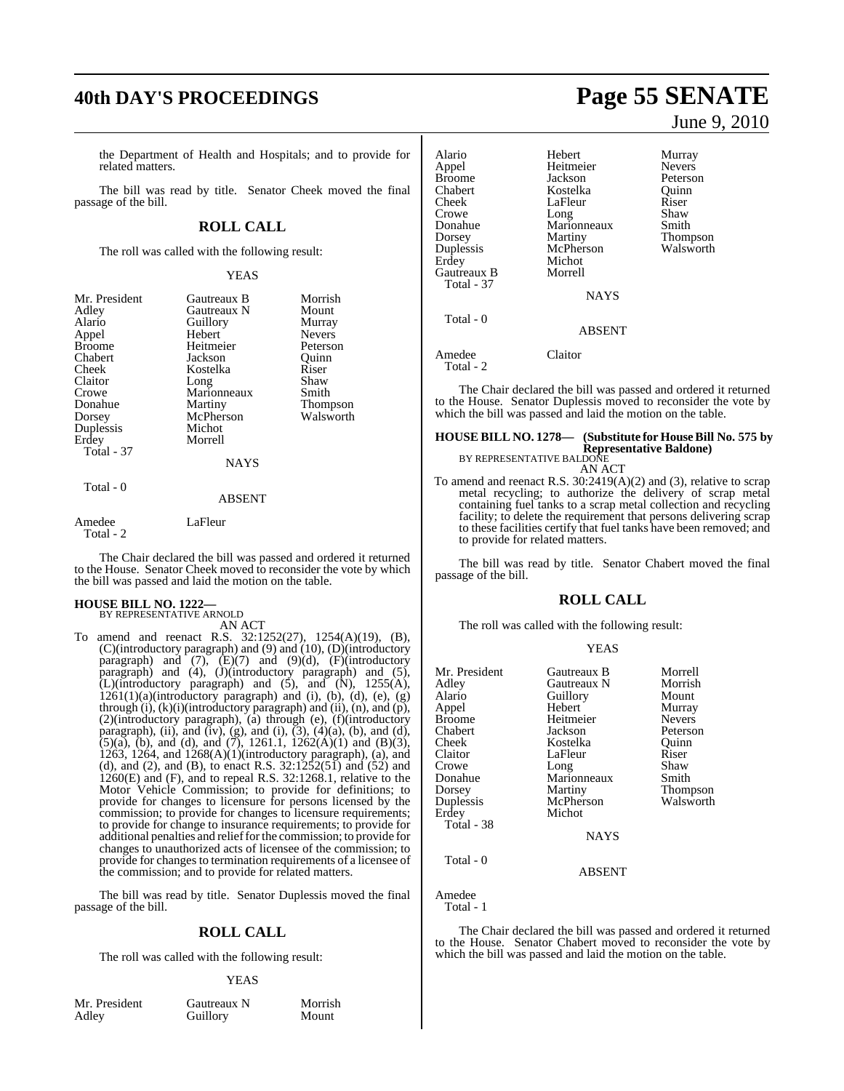## **40th DAY'S PROCEEDINGS Page 55 SENATE**

the Department of Health and Hospitals; and to provide for related matters.

The bill was read by title. Senator Cheek moved the final passage of the bill.

## **ROLL CALL**

The roll was called with the following result:

## YEAS

| Mr. President<br>Adley<br>Alario<br>Appel<br><b>Broome</b><br>Chabert<br>Cheek<br>Claitor<br>Crowe<br>Donahue<br>Dorsey<br>Duplessis<br>Erdey<br><b>Total - 37</b> | Gautreaux B<br>Gautreaux N<br>Guillory<br>Hebert<br>Heitmeier<br>Jackson<br>Kostelka<br>Long<br>Marionneaux<br>Martiny<br>McPherson<br>Michot<br>Morrell<br><b>NAYS</b> | Morrish<br>Mount<br>Murray<br><b>Nevers</b><br>Peterson<br>Ouinn<br>Riser<br>Shaw<br>Smith<br>Thompson<br>Walsworth |
|--------------------------------------------------------------------------------------------------------------------------------------------------------------------|-------------------------------------------------------------------------------------------------------------------------------------------------------------------------|---------------------------------------------------------------------------------------------------------------------|
| Total - 0                                                                                                                                                          | <b>ABSENT</b>                                                                                                                                                           |                                                                                                                     |
| Amedee                                                                                                                                                             | LaFleur                                                                                                                                                                 |                                                                                                                     |

Total - 2

The Chair declared the bill was passed and ordered it returned to the House. Senator Cheek moved to reconsider the vote by which the bill was passed and laid the motion on the table.

## **HOUSE BILL NO. 1222—**

BY REPRESENTATIVE ARNOLD AN ACT

To amend and reenact R.S. 32:1252(27), 1254(A)(19), (B), (C)(introductory paragraph) and (9) and (10), (D)(introductory paragraph) and  $(7)$ ,  $(E)(7)$  and  $(9)(d)$ ,  $(F)(introductory)$ paragraph) and (4), (J)(introductory paragraph) and (5),  $\tilde{L}$ )(introductory paragraph) and  $(5)$ , and  $(\tilde{N})$ , 1255 $(A)$ ,  $1261(1)(a)$ (introductory paragraph) and (i), (b), (d), (e), (g) through  $(i)$ ,  $(k)(i)$ (introductory paragraph) and  $(ii)$ ,  $(n)$ , and  $(p)$ , (2)(introductory paragraph), (a) through (e), (f)(introductory paragraph), (ii), and (iv), (g), and (i),  $(3)$ ,  $(4)(a)$ ,  $(b)$ , and  $(d)$ ,  $(5)(a)$ ,  $(b)$ , and  $(d)$ , and  $(7)$ , 1261.1, 1262 $(A)(1)$  and  $(B)(3)$ , 1263, 1264, and 1268(A)(1)(introductory paragraph), (a), and (d), and (2), and (B), to enact R.S.  $32:1252(51)$  and  $(52)$  and 1260(E) and (F), and to repeal R.S. 32:1268.1, relative to the Motor Vehicle Commission; to provide for definitions; to provide for changes to licensure for persons licensed by the commission; to provide for changes to licensure requirements; to provide for change to insurance requirements; to provide for additional penalties and relieffor the commission; to provide for changes to unauthorized acts of licensee of the commission; to provide for changes to termination requirements of a licensee of the commission; and to provide for related matters.

The bill was read by title. Senator Duplessis moved the final passage of the bill.

## **ROLL CALL**

The roll was called with the following result:

### YEAS

Mr. President Gautreaux N Morrish<br>Adley Guillory Mount

Guillory

June 9, 2010

Alario Hebert Murray Appel Heitmeier<br>Broome Jackson Broome Jackson Peterson<br>Chabert Rostelka Ouinn Chabert Kostelka Quinn LaFleur Crowe Long Shaw<br>Donahue Marionneaux Smith Donahue Marionneaux<br>Dorsey Martiny Martiny Thompson<br>
McPherson Walsworth Duplessis McPherson Walsworth Michot<br>Morrell Gautreaux B Total - 37 **NAYS**  Total - 0 ABSENT Amedee Claitor

Total - 2

The Chair declared the bill was passed and ordered it returned to the House. Senator Duplessis moved to reconsider the vote by which the bill was passed and laid the motion on the table.

## **HOUSE BILL NO. 1278— (Substitute for HouseBill No. 575 by Representative Baldone)** BY REPRESENTATIVE BALDONE

AN ACT To amend and reenact R.S. 30:2419(A)(2) and (3), relative to scrap

metal recycling; to authorize the delivery of scrap metal containing fuel tanks to a scrap metal collection and recycling facility; to delete the requirement that persons delivering scrap to these facilities certify that fuel tanks have been removed; and to provide for related matters.

The bill was read by title. Senator Chabert moved the final passage of the bill.

## **ROLL CALL**

The roll was called with the following result:

## YEAS

| Mr. President | Gautreaux B | Morrell       |
|---------------|-------------|---------------|
| Adlev         | Gautreaux N | Morrish       |
| Alario        | Guillory    | Mount         |
| Appel         | Hebert      | Murray        |
| Broome        | Heitmeier   | <b>Nevers</b> |
| Chabert       | Jackson     | Peterson      |
| Cheek         | Kostelka    | Quinn         |
| Claitor       | LaFleur     | Riser         |
| Crowe         | Long        | Shaw          |
| Donahue       | Marionneaux | Smith         |
| Dorsey        | Martiny     | Thompson      |
| Duplessis     | McPherson   | Walsworth     |
| Erdey         | Michot      |               |
| Total - 38    |             |               |
|               | <b>NAYS</b> |               |
| Total - 0     |             |               |

Amedee Total - 1

The Chair declared the bill was passed and ordered it returned to the House. Senator Chabert moved to reconsider the vote by which the bill was passed and laid the motion on the table.

ABSENT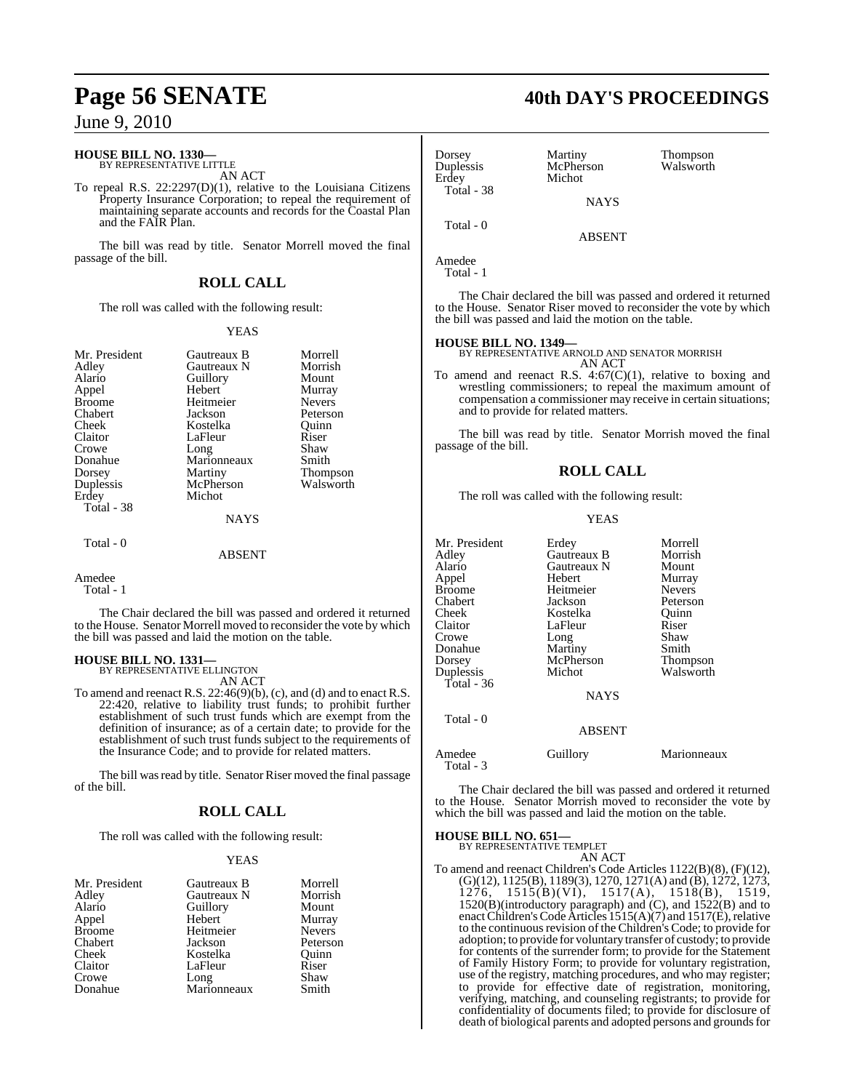## **HOUSE BILL NO. 1330—**

BY REPRESENTATIVE LITTLE AN ACT

To repeal R.S. 22:2297(D)(1), relative to the Louisiana Citizens Property Insurance Corporation; to repeal the requirement of maintaining separate accounts and records for the Coastal Plan and the FAIR Plan.

The bill was read by title. Senator Morrell moved the final passage of the bill.

## **ROLL CALL**

The roll was called with the following result:

## YEAS

| Mr. President | Gautreaux B   | Morrell         |
|---------------|---------------|-----------------|
| Adley         | Gautreaux N   | Morrish         |
| Alario        | Guillory      | Mount           |
| Appel         | Hebert        | Murray          |
| <b>Broome</b> | Heitmeier     | <b>Nevers</b>   |
| Chabert       | Jackson       | Peterson        |
| Cheek         | Kostelka      | Quinn           |
| Claitor       | LaFleur       | Riser           |
| Crowe         | Long          | Shaw            |
| Donahue       | Marionneaux   | Smith           |
| Dorsey        | Martiny       | <b>Thompson</b> |
| Duplessis     | McPherson     | Walsworth       |
| Erdey         | Michot        |                 |
| Total - 38    |               |                 |
|               | <b>NAYS</b>   |                 |
| Total - 0     |               |                 |
|               | <b>ABSENT</b> |                 |
|               |               |                 |

Amedee

Total - 1

The Chair declared the bill was passed and ordered it returned to the House. Senator Morrell moved to reconsider the vote by which the bill was passed and laid the motion on the table.

## **HOUSE BILL NO. 1331—** BY REPRESENTATIVE ELLINGTON

AN ACT

To amend and reenact R.S.  $22:46(9)(b)$ , (c), and (d) and to enact R.S. 22:420, relative to liability trust funds; to prohibit further establishment of such trust funds which are exempt from the definition of insurance; as of a certain date; to provide for the establishment of such trust funds subject to the requirements of the Insurance Code; and to provide for related matters.

The bill was read by title. Senator Riser moved the final passage of the bill.

## **ROLL CALL**

The roll was called with the following result:

## YEAS

| Mr. President | Gautreaux B         | Morrell       |
|---------------|---------------------|---------------|
| Adley         | Gautreaux N         | Morrish       |
| Alario        | Guillory            | Mount         |
| Appel         | Hebert              | Murray        |
| <b>Broome</b> | Heitmeier           | <b>Nevers</b> |
| Chabert       | Jackson             | Peterson      |
| Cheek         | Kostelka            | Ouinn         |
| Claitor       | LaFleur             | Riser         |
| Crowe         |                     | Shaw          |
| Donahue       | Long<br>Marionneaux | Smith         |

## **Page 56 SENATE 40th DAY'S PROCEEDINGS**

| Dorsey<br>Duplessis<br>Erdey<br>Total - 38 | Martiny<br>McPherson<br>Michot | Thompson<br>Walsworth |
|--------------------------------------------|--------------------------------|-----------------------|
|                                            | <b>NAYS</b>                    |                       |
| Total - 0                                  | <b>ABSENT</b>                  |                       |
| $\Lambda$ modes                            |                                |                       |

Amedee Total - 1

Erd

The Chair declared the bill was passed and ordered it returned to the House. Senator Riser moved to reconsider the vote by which the bill was passed and laid the motion on the table.

**HOUSE BILL NO. 1349—** BY REPRESENTATIVE ARNOLD AND SENATOR MORRISH AN ACT

To amend and reenact R.S.  $4.67(C)(1)$ , relative to boxing and wrestling commissioners; to repeal the maximum amount of compensation a commissioner may receive in certain situations; and to provide for related matters.

The bill was read by title. Senator Morrish moved the final passage of the bill.

## **ROLL CALL**

The roll was called with the following result:

### YEAS

| Mr. President       | Erdey         | Morrell       |
|---------------------|---------------|---------------|
| Adley               | Gautreaux B   | Morrish       |
| Alario              | Gautreaux N   | Mount         |
| Appel               | Hebert        | Murray        |
| Broome              | Heitmeier     | <b>Nevers</b> |
| Chabert             | Jackson       | Peterson      |
| Cheek               | Kostelka      | Ouinn         |
| Claitor             | LaFleur       | Riser         |
| Crowe               | Long          | Shaw          |
| Donahue             | Martiny       | Smith         |
| Dorsey              | McPherson     | Thompson      |
| Duplessis           | Michot        | Walsworth     |
| Total - 36          |               |               |
|                     | <b>NAYS</b>   |               |
| Total - 0           |               |               |
|                     | <b>ABSENT</b> |               |
| Amedee<br>Total - 3 | Guillory      | Marionneaux   |

The Chair declared the bill was passed and ordered it returned to the House. Senator Morrish moved to reconsider the vote by which the bill was passed and laid the motion on the table.

## **HOUSE BILL NO. 651—**

BY REPRESENTATIVE TEMPLET AN ACT

To amend and reenact Children's Code Articles 1122(B)(8), (F)(12), (G)(12), 1125(B), 1189(3), 1270, 1271(A) and (B), 1272, 1273, 1276, 1515(B)(VI), 1517(A), 1518(B), 1519, 1520(B)(introductory paragraph) and (C), and 1522(B) and to enact Children's Code Articles 1515(A)(7) and 1517(E), relative to the continuous revision of the Children's Code; to provide for adoption; to provide for voluntary transfer of custody; to provide for contents of the surrender form; to provide for the Statement of Family History Form; to provide for voluntary registration, use of the registry, matching procedures, and who may register; to provide for effective date of registration, monitoring, verifying, matching, and counseling registrants; to provide for confidentiality of documents filed; to provide for disclosure of death of biological parents and adopted persons and grounds for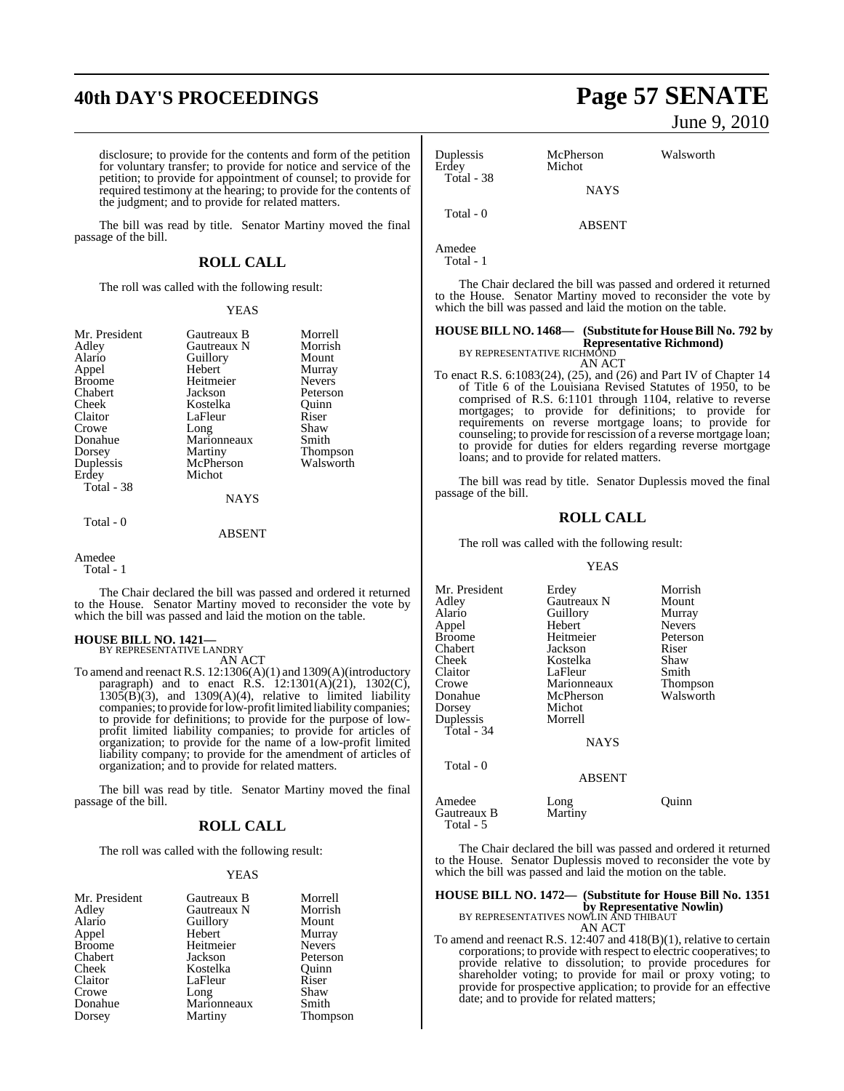disclosure; to provide for the contents and form of the petition for voluntary transfer; to provide for notice and service of the petition; to provide for appointment of counsel; to provide for required testimony at the hearing; to provide for the contents of the judgment; and to provide for related matters.

The bill was read by title. Senator Martiny moved the final passage of the bill.

## **ROLL CALL**

The roll was called with the following result:

### YEAS

| Mr. President | Gautreaux B | Morrell         |
|---------------|-------------|-----------------|
| Adley         | Gautreaux N | Morrish         |
| Alario        | Guillory    | Mount           |
| Appel         | Hebert      | Murray          |
| <b>Broome</b> | Heitmeier   | <b>Nevers</b>   |
| Chabert       | Jackson     | Peterson        |
| Cheek         | Kostelka    | Ouinn           |
| Claitor       | LaFleur     | Riser           |
| Crowe         | Long        | Shaw            |
| Donahue       | Marionneaux | Smith           |
| Dorsey        | Martiny     | <b>Thompson</b> |
| Duplessis     | McPherson   | Walsworth       |
| Erdey         | Michot      |                 |
| Total - 38    |             |                 |
|               | <b>NAYS</b> |                 |
|               |             |                 |

## Total - 0

## ABSENT

## Amedee

Total - 1

The Chair declared the bill was passed and ordered it returned to the House. Senator Martiny moved to reconsider the vote by which the bill was passed and laid the motion on the table.

## **HOUSE BILL NO. 1421—**

BY REPRESENTATIVE LANDRY AN ACT

To amend and reenact R.S. 12:1306(A)(1) and 1309(A)(introductory paragraph) and to enact R.S.  $12:1301(A)(21)$ ,  $1302(C)$ ,  $1305(B)(3)$ , and  $1309(A)(4)$ , relative to limited liability companies; to provide forlow-profit limited liability companies; to provide for definitions; to provide for the purpose of lowprofit limited liability companies; to provide for articles of organization; to provide for the name of a low-profit limited liability company; to provide for the amendment of articles of organization; and to provide for related matters.

The bill was read by title. Senator Martiny moved the final passage of the bill.

## **ROLL CALL**

The roll was called with the following result:

### YEAS

| Mr. President | Gautreaux B | Morrell         |
|---------------|-------------|-----------------|
| Adley         | Gautreaux N | Morrish         |
| Alario        | Guillory    | Mount           |
| Appel         | Hebert      | Murray          |
| <b>Broome</b> | Heitmeier   | <b>Nevers</b>   |
| Chabert       | Jackson     | Peterson        |
| Cheek         | Kostelka    | Ouinn           |
| Claitor       | LaFleur     | Riser           |
| Crowe         | Long        | Shaw            |
| Donahue       | Marionneaux | Smith           |
| Dorsey        | Martiny     | <b>Thompson</b> |

## **40th DAY'S PROCEEDINGS Page 57 SENATE** June 9, 2010

| Duplessis<br>Erdey | McPherson<br>Michot | Walsworth |
|--------------------|---------------------|-----------|
| Total - 38         | <b>NAYS</b>         |           |
| Total - 0          | <b>ABSENT</b>       |           |

Amedee Total - 1

Gautreaux B Total - 5

The Chair declared the bill was passed and ordered it returned to the House. Senator Martiny moved to reconsider the vote by which the bill was passed and laid the motion on the table.

## **HOUSE BILL NO. 1468— (Substitute for HouseBill No. 792 by**

**Representative Richmond)** BY REPRESENTATIVE RICHMOND

AN ACT

To enact R.S. 6:1083(24), (25), and (26) and Part IV of Chapter 14 of Title 6 of the Louisiana Revised Statutes of 1950, to be comprised of R.S. 6:1101 through 1104, relative to reverse mortgages; to provide for definitions; to provide for requirements on reverse mortgage loans; to provide for counseling; to provide for rescission of a reverse mortgage loan; to provide for duties for elders regarding reverse mortgage loans; and to provide for related matters.

The bill was read by title. Senator Duplessis moved the final passage of the bill.

## **ROLL CALL**

The roll was called with the following result:

### YEAS

| Mr. President | Erdey         | Morrish       |
|---------------|---------------|---------------|
| Adlev         | Gautreaux N   | Mount         |
| Alario        | Guillory      | Murray        |
| Appel         | Hebert        | <b>Nevers</b> |
| Broome        | Heitmeier     | Peterson      |
| Chabert       | Jackson       | Riser         |
| Cheek         | Kostelka      | Shaw          |
| Claitor       | LaFleur       | Smith         |
| Crowe         | Marionneaux   | Thompson      |
| Donahue       | McPherson     | Walsworth     |
| Dorsey        | Michot        |               |
| Duplessis     | Morrell       |               |
| Total - 34    |               |               |
|               | <b>NAYS</b>   |               |
| Total - 0     |               |               |
|               | <b>ABSENT</b> |               |
| Amedee        | Long          | Ouinn         |
| Gautreaux B   | Martiny       |               |

The Chair declared the bill was passed and ordered it returned to the House. Senator Duplessis moved to reconsider the vote by which the bill was passed and laid the motion on the table.

## **HOUSE BILL NO. 1472— (Substitute for House Bill No. 1351 by Representative Nowlin)**<br>BY REPRESENTATIVES NOWLIN AND THIBAUT

AN ACT

To amend and reenact R.S. 12:407 and 418(B)(1), relative to certain corporations; to provide with respect to electric cooperatives; to provide relative to dissolution; to provide procedures for shareholder voting; to provide for mail or proxy voting; to provide for prospective application; to provide for an effective date; and to provide for related matters;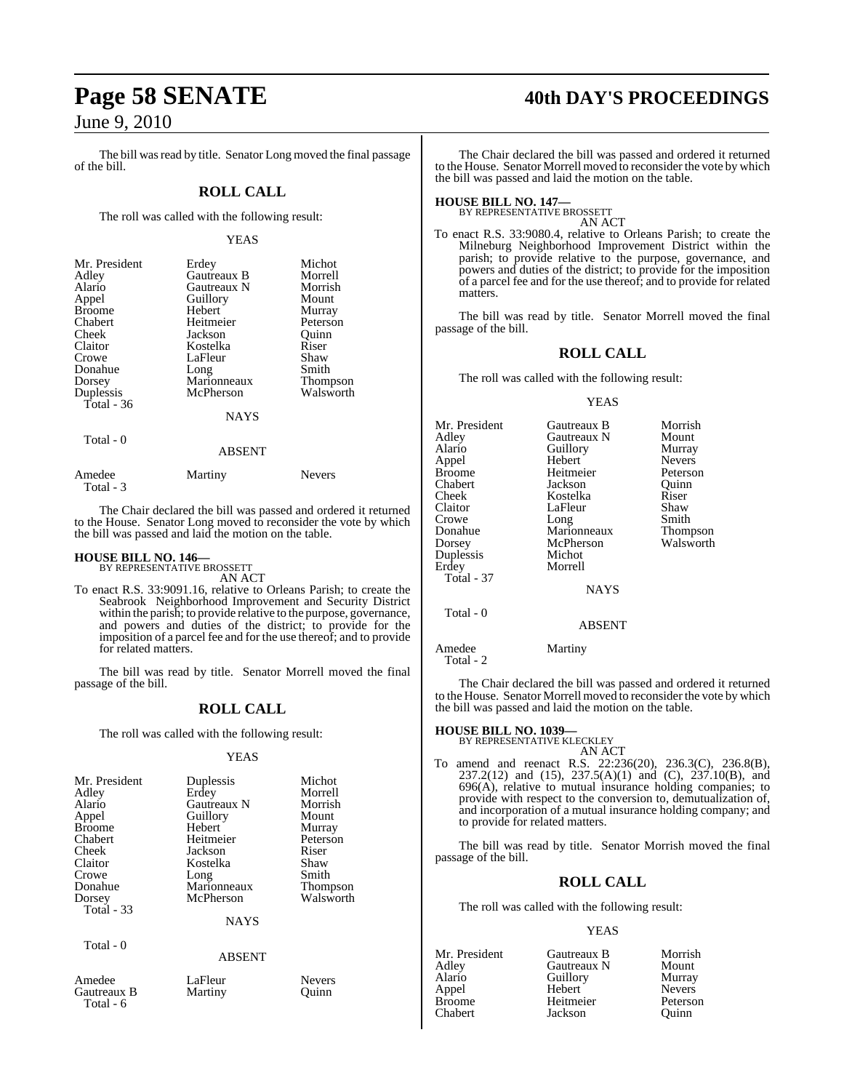The bill was read by title. Senator Long moved the final passage of the bill.

## **ROLL CALL**

The roll was called with the following result:

### YEAS

| Mr. President | Erdey         | Michot          |
|---------------|---------------|-----------------|
| Adley         | Gautreaux B   | Morrell         |
| Alario        | Gautreaux N   | Morrish         |
| Appel         | Guillory      | Mount           |
| <b>Broome</b> | Hebert        | Murray          |
| Chabert       | Heitmeier     | Peterson        |
| Cheek         | Jackson       | Ouinn           |
| Claitor       | Kostelka      | Riser           |
| Crowe         | LaFleur       | Shaw            |
| Donahue       | Long          | Smith           |
| Dorsey        | Marionneaux   | <b>Thompson</b> |
| Duplessis     | McPherson     | Walsworth       |
| Total - 36    |               |                 |
|               | <b>NAYS</b>   |                 |
| Total - 0     |               |                 |
|               | <b>ABSENT</b> |                 |
|               |               |                 |

Amedee Martiny Nevers Total - 3

The Chair declared the bill was passed and ordered it returned to the House. Senator Long moved to reconsider the vote by which the bill was passed and laid the motion on the table.

## **HOUSE BILL NO. 146—** BY REPRESENTATIVE BROSSETT

AN ACT

To enact R.S. 33:9091.16, relative to Orleans Parish; to create the Seabrook Neighborhood Improvement and Security District within the parish; to provide relative to the purpose, governance, and powers and duties of the district; to provide for the imposition of a parcel fee and for the use thereof; and to provide for related matters.

The bill was read by title. Senator Morrell moved the final passage of the bill.

## **ROLL CALL**

The roll was called with the following result:

### YEAS

| Mr. President                    | Duplessis   | Michot          |
|----------------------------------|-------------|-----------------|
| Adley                            | Erdey       | Morrell         |
| Alario                           | Gautreaux N | Morrish         |
| Appel                            | Guillory    | Mount           |
| <b>Broome</b>                    | Hebert      | Murray          |
| Chabert                          | Heitmeier   | Peterson        |
| Cheek                            | Jackson     | Riser           |
| Claitor                          | Kostelka    | Shaw            |
| Crowe                            | Long        | Smith           |
| Donahue                          | Marionneaux | <b>Thompson</b> |
| Dorsey                           | McPherson   | Walsworth       |
| Total - 33                       |             |                 |
|                                  | <b>NAYS</b> |                 |
| $T_{\alpha \text{tol}}$ $\alpha$ |             |                 |

Total - 0

## ABSENT

| Amedee    |
|-----------|
| Gautreaux |
| Total - 6 |

- Example LaFleur Nevers<br>B Martiny Duinn **Martiny**
- 

## **Page 58 SENATE 40th DAY'S PROCEEDINGS**

The Chair declared the bill was passed and ordered it returned to the House. Senator Morrell moved to reconsider the vote by which the bill was passed and laid the motion on the table.

## **HOUSE BILL NO. 147—** BY REPRESENTATIVE BROSSETT

AN ACT

To enact R.S. 33:9080.4, relative to Orleans Parish; to create the Milneburg Neighborhood Improvement District within the parish; to provide relative to the purpose, governance, and powers and duties of the district; to provide for the imposition of a parcel fee and for the use thereof; and to provide for related matters.

The bill was read by title. Senator Morrell moved the final passage of the bill.

## **ROLL CALL**

The roll was called with the following result:

### YEAS

| Mr. President | Gautreaux B   | Morrish       |
|---------------|---------------|---------------|
| Adley         | Gautreaux N   | Mount         |
| Alario        | Guillory      | Murray        |
| Appel         | Hebert        | <b>Nevers</b> |
| Broome        | Heitmeier     | Peterson      |
| Chabert       | Jackson       | Ouinn         |
| Cheek         | Kostelka      | Riser         |
| Claitor       | LaFleur       | Shaw          |
| Crowe         | Long          | Smith         |
| Donahue       | Marionneaux   | Thompson      |
| Dorsey        | McPherson     | Walsworth     |
| Duplessis     | Michot        |               |
| Erdey         | Morrell       |               |
| Total - 37    |               |               |
|               | <b>NAYS</b>   |               |
| Total - 0     |               |               |
|               | <b>ABSENT</b> |               |
|               |               |               |

Amedee Martiny Total - 2

The Chair declared the bill was passed and ordered it returned to the House. Senator Morrell moved to reconsider the vote by which the bill was passed and laid the motion on the table.

### **HOUSE BILL NO. 1039—**

BY REPRESENTATIVE KLECKLEY

AN ACT To amend and reenact R.S. 22:236(20), 236.3(C), 236.8(B), 237.2(12) and (15), 237.5(A)(1) and (C), 237.10(B), and 696(A), relative to mutual insurance holding companies; to provide with respect to the conversion to, demutualization of, and incorporation of a mutual insurance holding company; and to provide for related matters.

The bill was read by title. Senator Morrish moved the final passage of the bill.

## **ROLL CALL**

The roll was called with the following result:

## YEAS

| Gautreaux B | Morrish       |
|-------------|---------------|
| Gautreaux N | Mount         |
| Guillory    | Murray        |
| Hebert      | <b>Nevers</b> |
| Heitmeier   | Peterson      |
| Jackson     | Ouinn         |
|             |               |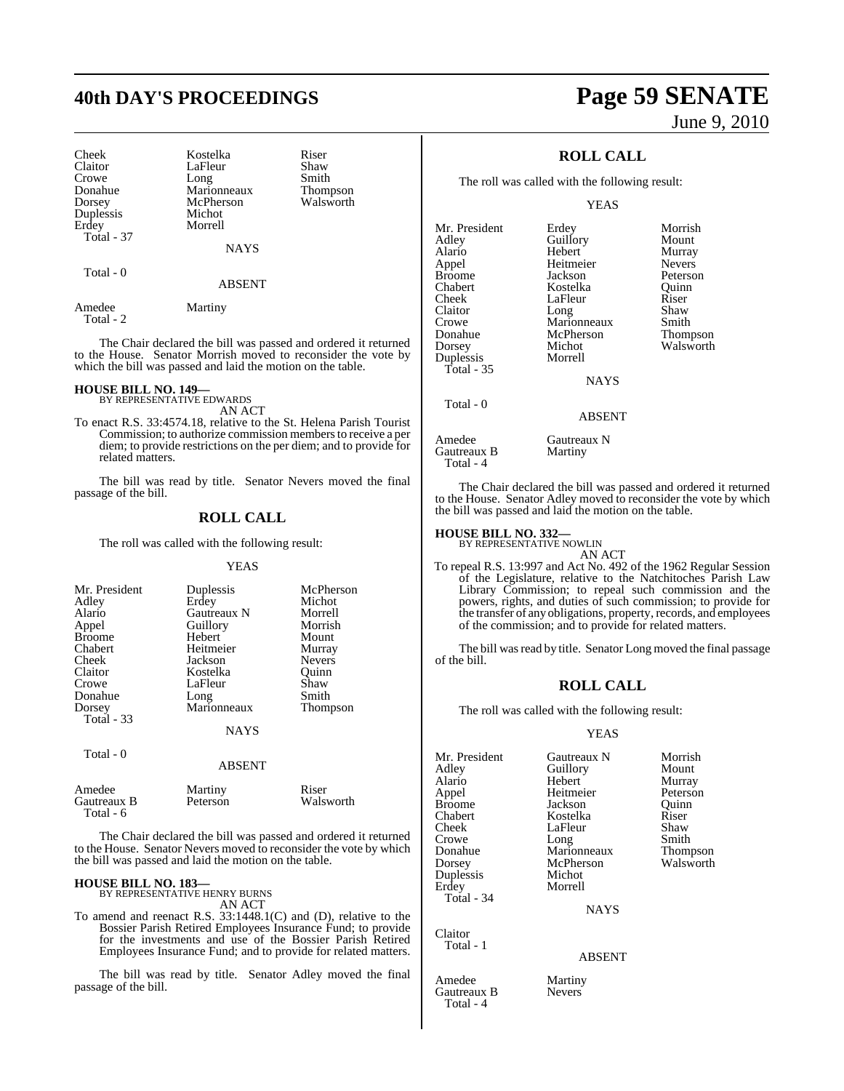Duplessis<br>Erdev Total - 37

Cheek Kostelka Riser<br>Claitor LaFleur Shaw Claitor LaFleur Shaw<br>Crowe Long Smith Crowe Long Smith<br>Donahue Marionneaux Thompson Donahue Marionneaux Thompson McPherson<br>Michot Morrell

NAYS

Total - 0

### ABSENT

Amedee Martiny Total - 2

The Chair declared the bill was passed and ordered it returned to the House. Senator Morrish moved to reconsider the vote by which the bill was passed and laid the motion on the table.

## **HOUSE BILL NO. 149—** BY REPRESENTATIVE EDWARDS

AN ACT

To enact R.S. 33:4574.18, relative to the St. Helena Parish Tourist Commission; to authorize commission members to receive a per diem; to provide restrictions on the per diem; and to provide for related matters.

The bill was read by title. Senator Nevers moved the final passage of the bill.

## **ROLL CALL**

The roll was called with the following result:

## YEAS

| Mr. President<br>Adley      | Duplessis<br>Erdey  | McPherson<br>Michot |
|-----------------------------|---------------------|---------------------|
| Alario                      | Gautreaux N         | Morrell             |
| Appel                       | Guillory            | Morrish             |
| <b>Broome</b>               | Hebert              | Mount               |
| Chabert                     | Heitmeier           | Murray              |
| Cheek                       | Jackson             | <b>Nevers</b>       |
| Claitor                     | Kostelka            | Quinn               |
| Crowe                       | LaFleur             | Shaw                |
| Donahue                     | Long                | Smith               |
| Dorsey<br><b>Total - 33</b> | Marionneaux         | <b>Thompson</b>     |
|                             | <b>NAYS</b>         |                     |
| Total - 0                   |                     |                     |
|                             | <b>ABSENT</b>       |                     |
| Amedee<br>Gautreaux B       | Martiny<br>Peterson | Riser<br>Walsworth  |

Gautreaux B Total - 6 The Chair declared the bill was passed and ordered it returned to the House. Senator Nevers moved to reconsider the vote by which

**HOUSE BILL NO. 183—**

BY REPRESENTATIVE HENRY BURNS AN ACT

the bill was passed and laid the motion on the table.

To amend and reenact R.S. 33:1448.1(C) and (D), relative to the Bossier Parish Retired Employees Insurance Fund; to provide for the investments and use of the Bossier Parish Retired Employees Insurance Fund; and to provide for related matters.

The bill was read by title. Senator Adley moved the final passage of the bill.

## **40th DAY'S PROCEEDINGS Page 59 SENATE** June 9, 2010

## **ROLL CALL**

The roll was called with the following result:

YEAS

| Mr. President  | Erdey         | Morrish       |
|----------------|---------------|---------------|
| Adley          | Guillory      | Mount         |
| Alario         | Hebert        | Murray        |
| Appel          | Heitmeier     | <b>Nevers</b> |
| <b>Broome</b>  | Jackson       | Peterson      |
| Chabert        | Kostelka      | Ouinn         |
| Cheek          | LaFleur       | Riser         |
| Claitor        | Long          | Shaw          |
| Crowe          | Marionneaux   | Smith         |
| Donahue        | McPherson     | Thompson      |
| Dorsey         | Michot        | Walsworth     |
| Duplessis      | Morrell       |               |
| Total - 35     |               |               |
|                | <b>NAYS</b>   |               |
| Total - 0      |               |               |
|                | <b>ABSENT</b> |               |
| $\blacksquare$ |               |               |

Amedee Gautreaux N<br>Gautreaux B Martiny Gautreaux B Total - 4

The Chair declared the bill was passed and ordered it returned to the House. Senator Adley moved to reconsider the vote by which the bill was passed and laid the motion on the table.

## **HOUSE BILL NO. 332—** BY REPRESENTATIVE NOWLIN

AN ACT

To repeal R.S. 13:997 and Act No. 492 of the 1962 Regular Session of the Legislature, relative to the Natchitoches Parish Law Library Commission; to repeal such commission and the powers, rights, and duties of such commission; to provide for the transfer of any obligations, property, records, and employees of the commission; and to provide for related matters.

The bill was read by title. Senator Long moved the final passage of the bill.

## **ROLL CALL**

The roll was called with the following result:

### YEAS

Mr. President Gautreaux N Morrish<br>Adley Guillory Mount Adley Guillory<br>Alario Hebert Alario Hebert Murray Appel Heitmeier Peterson **Sackson** Quinn<br> **Broomer Contains Container**<br> **Riser** Chabert **Kostelka** Riser<br>Cheek LaFleur Shaw Cheek LaFleur Shaw<br>Crowe Long Smith Crowe Long Smith Donahue Marionneaux Thompson Dorsey McPherson Walsworth<br>
Duplessis Michot Duplessis<br>Erdey Morrell Total - 34 **NAYS** Claitor

Total - 1

Amedee Martiny<br>Gautreaux B Nevers Gautreaux B Total - 4

ABSENT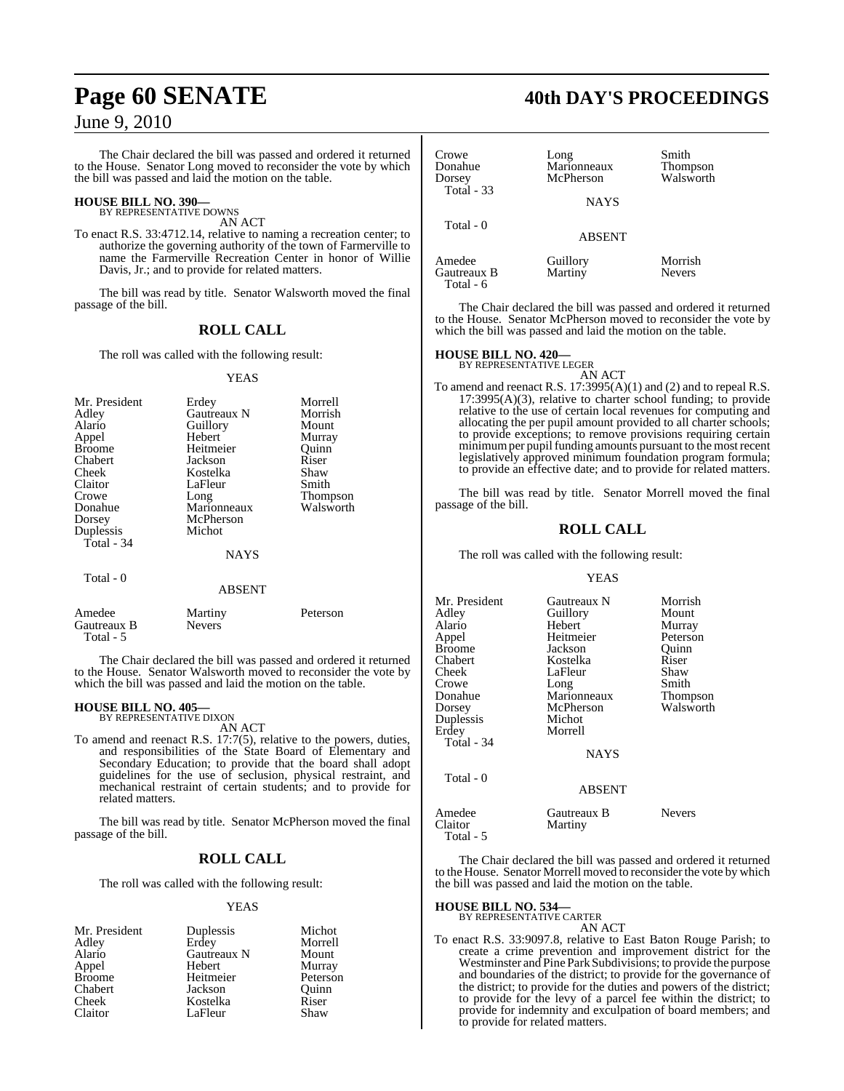The Chair declared the bill was passed and ordered it returned to the House. Senator Long moved to reconsider the vote by which the bill was passed and laid the motion on the table.

### **HOUSE BILL NO. 390—** BY REPRESENTATIVE DOWNS

AN ACT

To enact R.S. 33:4712.14, relative to naming a recreation center; to authorize the governing authority of the town of Farmerville to name the Farmerville Recreation Center in honor of Willie Davis, Jr.; and to provide for related matters.

The bill was read by title. Senator Walsworth moved the final passage of the bill.

## **ROLL CALL**

The roll was called with the following result:

### YEAS

| Mr. President | Erdey       | Morrell         |
|---------------|-------------|-----------------|
| Adley         | Gautreaux N | Morrish         |
| Alario        | Guillory    | Mount           |
| Appel         | Hebert      | Murray          |
| <b>Broome</b> | Heitmeier   | Ouinn           |
| Chabert       | Jackson     | Riser           |
| Cheek         | Kostelka    | Shaw            |
| Claitor       | LaFleur     | Smith           |
| Crowe         | Long        | <b>Thompson</b> |
| Donahue       | Marionneaux | Walsworth       |
| Dorsey        | McPherson   |                 |
| Duplessis     | Michot      |                 |
| Total - 34    |             |                 |
|               | NAYS        |                 |
| Total - 0     |             |                 |
|               | ABSENT      |                 |

| Amedee      | Martiny       | Peterson |
|-------------|---------------|----------|
| Gautreaux B | <b>Nevers</b> |          |
| Total - 5   |               |          |

The Chair declared the bill was passed and ordered it returned to the House. Senator Walsworth moved to reconsider the vote by which the bill was passed and laid the motion on the table.

## **HOUSE BILL NO. 405—** BY REPRESENTATIVE DIXON

AN ACT

To amend and reenact R.S. 17:7(5), relative to the powers, duties, and responsibilities of the State Board of Elementary and Secondary Education; to provide that the board shall adopt guidelines for the use of seclusion, physical restraint, and mechanical restraint of certain students; and to provide for related matters.

The bill was read by title. Senator McPherson moved the final passage of the bill.

## **ROLL CALL**

The roll was called with the following result:

## YEAS

| Mr. President | Duplessis   | Michot   |
|---------------|-------------|----------|
| Adley         | Erdey       | Morrell  |
| Alario        | Gautreaux N | Mount    |
| Appel         | Hebert      | Murray   |
| <b>Broome</b> | Heitmeier   | Peterson |
| Chabert       | Jackson     | Ouinn    |
| Cheek         | Kostelka    | Riser    |
| Claitor       | LaFleur     | Shaw     |

## **Page 60 SENATE 40th DAY'S PROCEEDINGS**

| Crowe<br>Donahue<br>Dorsey         | Long<br>Marionneaux<br>McPherson | Smith<br><b>Thompson</b><br>Walsworth |
|------------------------------------|----------------------------------|---------------------------------------|
| <b>Total - 33</b>                  | <b>NAYS</b>                      |                                       |
| Total - 0                          | <b>ABSENT</b>                    |                                       |
| Amedee<br>Gautreaux B<br>Total - 6 | Guillory<br>Martiny              | Morrish<br><b>Nevers</b>              |

The Chair declared the bill was passed and ordered it returned to the House. Senator McPherson moved to reconsider the vote by which the bill was passed and laid the motion on the table.

## **HOUSE BILL NO. 420—** BY REPRESENTATIVE LEGER

AN ACT To amend and reenact R.S. 17:3995(A)(1) and (2) and to repeal R.S.  $17:3995(A)(3)$ , relative to charter school funding; to provide relative to the use of certain local revenues for computing and allocating the per pupil amount provided to all charter schools; to provide exceptions; to remove provisions requiring certain minimum per pupil funding amounts pursuant to the most recent legislatively approved minimum foundation program formula; to provide an effective date; and to provide for related matters.

The bill was read by title. Senator Morrell moved the final passage of the bill.

## **ROLL CALL**

The roll was called with the following result:

## YEAS

| Mr. President<br>Adley<br>Alario<br>Appel<br><b>Broome</b><br>Chabert<br>Cheek<br>Crowe<br>Donahue<br>Dorsey<br>Duplessis<br>Erdey<br><b>Total - 34</b> | Gautreaux N<br>Guillory<br>Hebert<br>Heitmeier<br>Jackson<br>Kostelka<br>LaFleur<br>Long<br>Marionneaux<br>McPherson<br>Michot<br>Morrell<br><b>NAYS</b> | Morrish<br>Mount<br>Murray<br>Peterson<br>Ouinn<br>Riser<br>Shaw<br>Smith<br>Thompson<br>Walsworth |
|---------------------------------------------------------------------------------------------------------------------------------------------------------|----------------------------------------------------------------------------------------------------------------------------------------------------------|----------------------------------------------------------------------------------------------------|
| Total - 0                                                                                                                                               | <b>ABSENT</b>                                                                                                                                            |                                                                                                    |
| Amedee<br>Claitor                                                                                                                                       | Gautreaux B<br>Martiny                                                                                                                                   | <b>Nevers</b>                                                                                      |

The Chair declared the bill was passed and ordered it returned to the House. Senator Morrell moved to reconsider the vote by which the bill was passed and laid the motion on the table.

## **HOUSE BILL NO. 534—** BY REPRESENTATIVE CARTER

Total - 5

AN ACT

To enact R.S. 33:9097.8, relative to East Baton Rouge Parish; to create a crime prevention and improvement district for the Westminster and Pine Park Subdivisions; to provide the purpose and boundaries of the district; to provide for the governance of the district; to provide for the duties and powers of the district; to provide for the levy of a parcel fee within the district; to provide for indemnity and exculpation of board members; and to provide for related matters.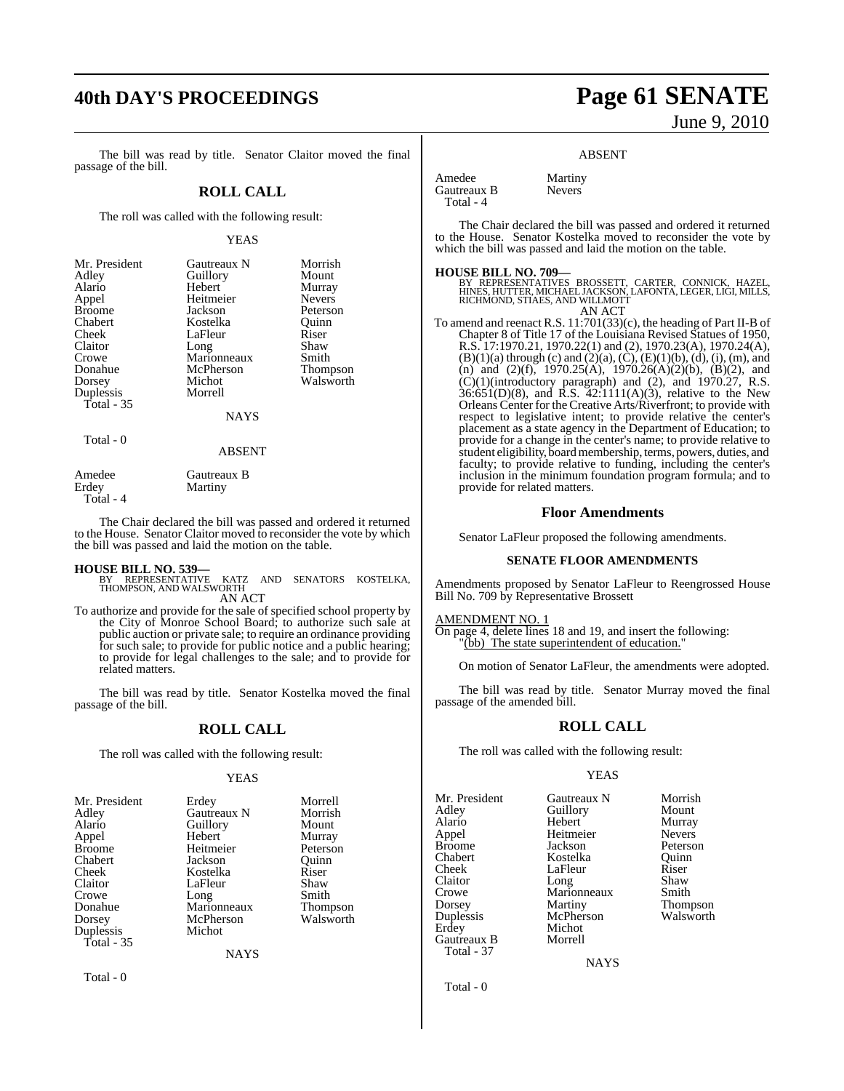## **40th DAY'S PROCEEDINGS Page 61 SENATE**

The bill was read by title. Senator Claitor moved the final passage of the bill.

## **ROLL CALL**

The roll was called with the following result:

### YEAS

| Mr. President<br>Adley<br>Alario<br>Appel<br><b>Broome</b><br>Chabert<br>Cheek<br>Claitor<br>Crowe<br>Donahue<br>Dorsey<br>Duplessis | Gautreaux N<br>Guillory<br>Hebert<br>Heitmeier<br>Jackson<br>Kostelka<br>LaFleur<br>Long<br>Marionneaux<br>McPherson<br>Michot<br>Morrell | Morrish<br>Mount<br>Murray<br><b>Nevers</b><br>Peterson<br>Ouinn<br>Riser<br>Shaw<br>Smith<br>Thompson<br>Walsworth |
|--------------------------------------------------------------------------------------------------------------------------------------|-------------------------------------------------------------------------------------------------------------------------------------------|---------------------------------------------------------------------------------------------------------------------|
| Total $-35$<br>m. 10                                                                                                                 | <b>NAYS</b>                                                                                                                               |                                                                                                                     |

Total - 0

ABSENT

| Amedee    | Gautreaux B |
|-----------|-------------|
| Erdev     | Martiny     |
| Total - 4 |             |

The Chair declared the bill was passed and ordered it returned to the House. Senator Claitor moved to reconsider the vote by which the bill was passed and laid the motion on the table.

**HOUSE BILL NO. 539—** BY REPRESENTATIVE KATZ AND SENATORS KOSTELKA, THOMPSON, AND WALSWORTH AN ACT

To authorize and provide for the sale of specified school property by the City of Monroe School Board; to authorize such sale at public auction or private sale; to require an ordinance providing for such sale; to provide for public notice and a public hearing; to provide for legal challenges to the sale; and to provide for related matters.

The bill was read by title. Senator Kostelka moved the final passage of the bill.

## **ROLL CALL**

The roll was called with the following result:

### YEAS

| Mr. President | Erdey       | Morrell   |
|---------------|-------------|-----------|
| Adley         | Gautreaux N | Morrish   |
| Alario        | Guillory    | Mount     |
| Appel         | Hebert      | Murray    |
| <b>Broome</b> | Heitmeier   | Peterson  |
| Chabert       | Jackson     | Ouinn     |
| Cheek         | Kostelka    | Riser     |
| Claitor       | LaFleur     | Shaw      |
| Crowe         | Long        | Smith     |
| Donahue       | Marionneaux | Thompson  |
| Dorsey        | McPherson   | Walsworth |
| Duplessis     | Michot      |           |
| Total $-35$   |             |           |
|               | <b>NAYS</b> |           |

Total - 0

# June 9, 2010

### ABSENT

Amedee Martiny<br>Gautreaux B Nevers Gautreaux B Total - 4

The Chair declared the bill was passed and ordered it returned to the House. Senator Kostelka moved to reconsider the vote by which the bill was passed and laid the motion on the table.

### **HOUSE BILL NO. 709—**

BY REPRESENTATIVES BROSSETT, CARTER, CONNICK, HAZEL,<br>HINES,HUTTER,MICHAEL JACKSON,LAFONTA,LEGER,LIGI,MILLS,<br>RICHMOND,STIAES,AND WILLMOTT AN ACT

To amend and reenact R.S. 11:701(33)(c), the heading of Part II-B of Chapter 8 of Title 17 of the Louisiana Revised Statues of 1950, R.S. 17:1970.21, 1970.22(1) and (2), 1970.23(A), 1970.24(A), (B)(1)(a) through (c) and (2)(a), (C), (E)(1)(b), (d), (i), (m), and (n) and (2)(f), 1970.25(A), 1970.26(A)(2)(b), (B)(2), and  $(C)(1)$ (introductory paragraph) and  $(2)$ , and  $1970.27$ , R.S.  $36:651(D)(8)$ , and R.S.  $42:1111(A)(3)$ , relative to the New Orleans Center for the Creative Arts/Riverfront; to provide with respect to legislative intent; to provide relative the center's placement as a state agency in the Department of Education; to provide for a change in the center's name; to provide relative to student eligibility, board membership, terms, powers, duties, and faculty; to provide relative to funding, including the center's inclusion in the minimum foundation program formula; and to provide for related matters.

## **Floor Amendments**

Senator LaFleur proposed the following amendments.

### **SENATE FLOOR AMENDMENTS**

Amendments proposed by Senator LaFleur to Reengrossed House Bill No. 709 by Representative Brossett

### AMENDMENT NO. 1

On page 4, delete lines 18 and 19, and insert the following: "(bb) The state superintendent of education."

On motion of Senator LaFleur, the amendments were adopted.

The bill was read by title. Senator Murray moved the final passage of the amended bill.

## **ROLL CALL**

The roll was called with the following result:

### YEAS

Mr. President Gautreaux N Morrish<br>Adley Guillory Mount Adley Guillory<br>Alario Hebert Alario Hebert Murray Broome Jackson Peterson<br>Chabert Kostelka Quinn Chabert Kostelka Quinn Cheek LaFleur Riser<br>Claitor Long Shaw Claitor Long Shaw<br>Crowe Marionneaux Smith Crowe Marionneaux<br>Dorsey Martiny Dorsey Martiny Thompson<br>
Duplessis McPherson Walsworth Duplessis McPherson<br>Erdev Michot Gautreaux B Total - 37

Heitmeier Michot<br>Morrell

**NAYS** 

Total - 0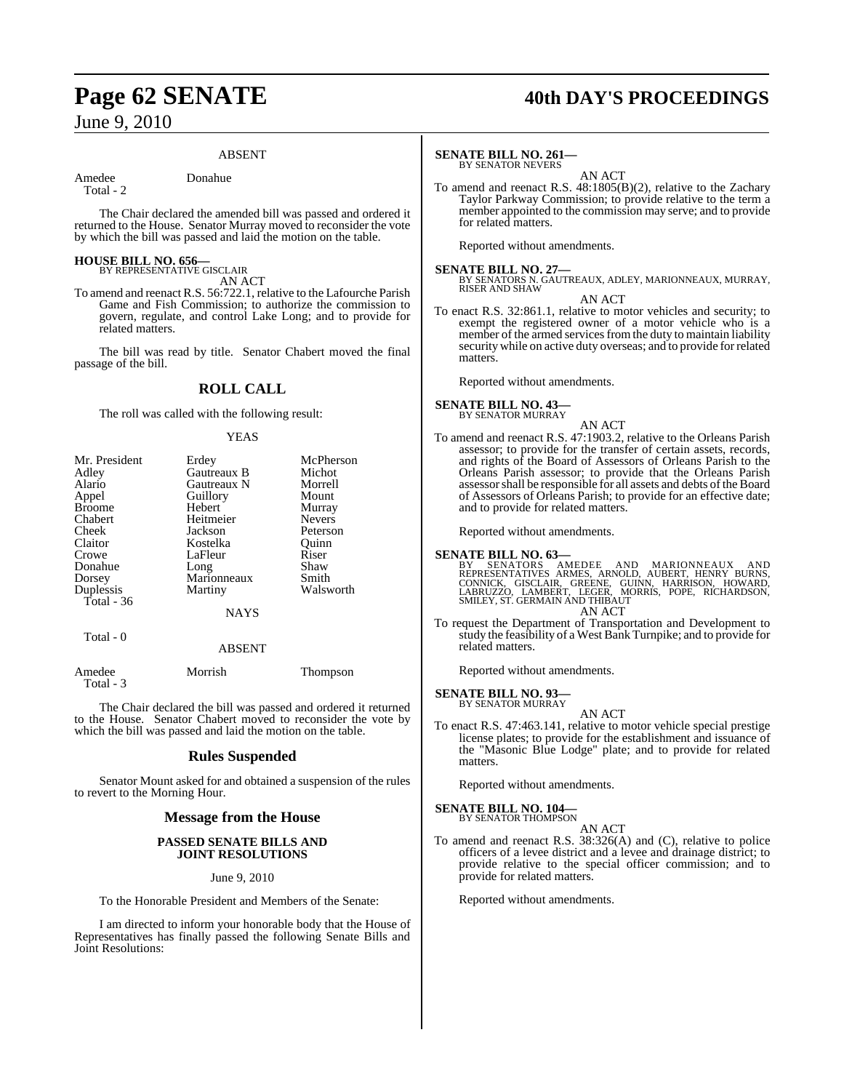## ABSENT

Amedee Donahue

Total - 2

The Chair declared the amended bill was passed and ordered it returned to the House. Senator Murray moved to reconsider the vote by which the bill was passed and laid the motion on the table.

## **HOUSE BILL NO. 656—** BY REPRESENTATIVE GISCLAIR

AN ACT

To amend and reenact R.S. 56:722.1, relative to the Lafourche Parish Game and Fish Commission; to authorize the commission to govern, regulate, and control Lake Long; and to provide for related matters.

The bill was read by title. Senator Chabert moved the final passage of the bill.

## **ROLL CALL**

The roll was called with the following result:

## YEAS

| Mr. President | Erdey       | McPherson     |
|---------------|-------------|---------------|
|               |             |               |
| Adley         | Gautreaux B | Michot        |
| Alario        | Gautreaux N | Morrell       |
| Appel         | Guillory    | Mount         |
| <b>Broome</b> | Hebert      | Murray        |
| Chabert       | Heitmeier   | <b>Nevers</b> |
| Cheek         | Jackson     | Peterson      |
| Claitor       | Kostelka    | Ouinn         |
| Crowe         | LaFleur     | Riser         |
| Donahue       | Long        | Shaw          |
| Dorsey        | Marionneaux | Smith         |
| Duplessis     | Martiny     | Walsworth     |
| Total $-36$   |             |               |
|               | <b>NAYS</b> |               |
| Total - 0     |             |               |
|               | ABSENT      |               |

| Amedee<br>Total - 3 | Morrish | <b>Thompson</b> |
|---------------------|---------|-----------------|
|                     |         |                 |

The Chair declared the bill was passed and ordered it returned to the House. Senator Chabert moved to reconsider the vote by which the bill was passed and laid the motion on the table.

## **Rules Suspended**

Senator Mount asked for and obtained a suspension of the rules to revert to the Morning Hour.

## **Message from the House**

## **PASSED SENATE BILLS AND JOINT RESOLUTIONS**

## June 9, 2010

To the Honorable President and Members of the Senate:

I am directed to inform your honorable body that the House of Representatives has finally passed the following Senate Bills and Joint Resolutions:

## **Page 62 SENATE 40th DAY'S PROCEEDINGS**

## **SENATE BILL NO. 261—**

BY SENATOR NEVERS

AN ACT To amend and reenact R.S. 48:1805(B)(2), relative to the Zachary Taylor Parkway Commission; to provide relative to the term a member appointed to the commission may serve; and to provide for related matters.

Reported without amendments.

**SENATE BILL NO. 27—**<br>BY SENATORS N. GAUTREAUX, ADLEY, MARIONNEAUX, MURRAY,<br>RISER AND SHAW

AN ACT

To enact R.S. 32:861.1, relative to motor vehicles and security; to exempt the registered owner of a motor vehicle who is a member of the armed services from the duty to maintain liability securitywhile on active duty overseas; and to provide forrelated matters.

Reported without amendments.

### **SENATE BILL NO. 43—** BY SENATOR MURRAY

AN ACT To amend and reenact R.S. 47:1903.2, relative to the Orleans Parish assessor; to provide for the transfer of certain assets, records, and rights of the Board of Assessors of Orleans Parish to the Orleans Parish assessor; to provide that the Orleans Parish assessor shall be responsible for all assets and debts of the Board of Assessors of Orleans Parish; to provide for an effective date; and to provide for related matters.

Reported without amendments.

## **SENATE BILL NO. 63—**

BY SENATORS AMEDEE AND MARIONNEAUX AND<br>REPRESENTATIVES ARMES, ARNOLD, AUBERT, HENRY BURNS,<br>CONNICK, GISCLAIR, GREENE, GUINN, HARRISON, HOWARD,<br>LABRUZZO, LAMBERT, LEGER, MORRIS, POPE, RICHARDSON,<br>SMILEY, ST. GERMAIN AND THI AN ACT

To request the Department of Transportation and Development to study the feasibility of a West Bank Turnpike; and to provide for related matters.

Reported without amendments.

### **SENATE BILL NO. 93—** BY SENATOR MURRAY

AN ACT

To enact R.S. 47:463.141, relative to motor vehicle special prestige license plates; to provide for the establishment and issuance of the "Masonic Blue Lodge" plate; and to provide for related matters.

Reported without amendments.

## **SENATE BILL NO. 104—**<br>BY SENATOR THOMPSON

AN ACT

To amend and reenact R.S. 38:326(A) and (C), relative to police officers of a levee district and a levee and drainage district; to provide relative to the special officer commission; and to provide for related matters.

Reported without amendments.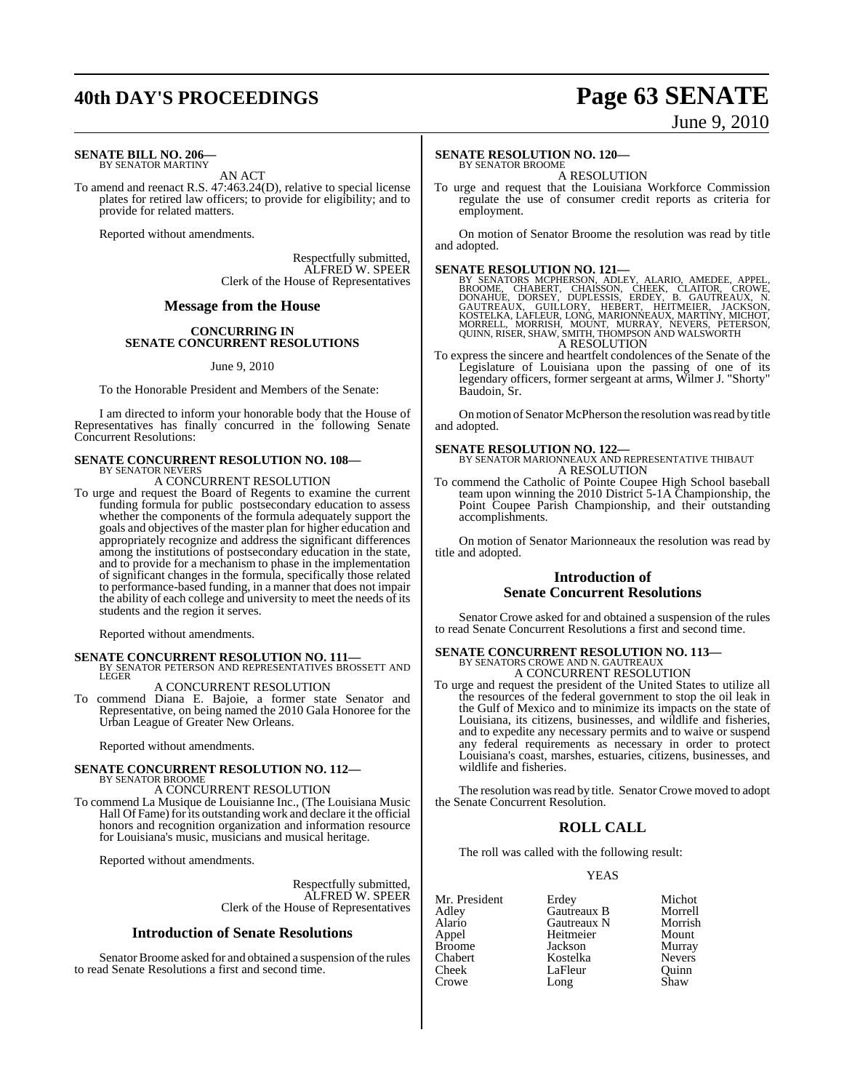## **40th DAY'S PROCEEDINGS Page 63 SENATE**

# June 9, 2010

### **SENATE BILL NO. 206—** BY SENATOR MARTINY

AN ACT

To amend and reenact R.S. 47:463.24(D), relative to special license plates for retired law officers; to provide for eligibility; and to provide for related matters.

Reported without amendments.

Respectfully submitted, ALFRED W. SPEER Clerk of the House of Representatives

## **Message from the House**

## **CONCURRING IN SENATE CONCURRENT RESOLUTIONS**

June 9, 2010

To the Honorable President and Members of the Senate:

I am directed to inform your honorable body that the House of Representatives has finally concurred in the following Senate Concurrent Resolutions:

### **SENATE CONCURRENT RESOLUTION NO. 108—** BY SENATOR NEVERS

A CONCURRENT RESOLUTION

To urge and request the Board of Regents to examine the current funding formula for public postsecondary education to assess whether the components of the formula adequately support the goals and objectives of the master plan for higher education and appropriately recognize and address the significant differences among the institutions of postsecondary education in the state, and to provide for a mechanism to phase in the implementation of significant changes in the formula, specifically those related to performance-based funding, in a manner that does not impair the ability of each college and university to meet the needs of its students and the region it serves.

Reported without amendments.

**SENATE CONCURRENT RESOLUTION NO. 111—BY SENATOR PETERSON AND REPRESENTATIVES BROSSETT AND LEGER** 

## A CONCURRENT RESOLUTION

To commend Diana E. Bajoie, a former state Senator and Representative, on being named the 2010 Gala Honoree for the Urban League of Greater New Orleans.

Reported without amendments.

## **SENATE CONCURRENT RESOLUTION NO. 112—**

BY SENATOR BROOME A CONCURRENT RESOLUTION

To commend La Musique de Louisianne Inc., (The Louisiana Music Hall Of Fame) for its outstanding work and declare it the official honors and recognition organization and information resource for Louisiana's music, musicians and musical heritage.

Reported without amendments.

Respectfully submitted, ALFRED W. SPEER Clerk of the House of Representatives

## **Introduction of Senate Resolutions**

Senator Broome asked for and obtained a suspension of the rules to read Senate Resolutions a first and second time.

## **SENATE RESOLUTION NO. 120—**

BY SENATOR BROOME A RESOLUTION

To urge and request that the Louisiana Workforce Commission regulate the use of consumer credit reports as criteria for employment.

On motion of Senator Broome the resolution was read by title and adopted.

SENATE RESOLUTION NO. 121—<br>BY SENATORS MCPHERSON, ADLEY, ALARIO, AMEDEE, APPEL, BROOME, CHABERT, CHAISSON, CHEEK, CLAITOR, CROWE, DONAHUE, DORSEY, DUPLESSIS, ERDEY, B. GAUTREAUX, N.<br>GAUTREAUX, GUILLORY, HEBERT, HEITMEIER, A RESOLUTION

To express the sincere and heartfelt condolences of the Senate of the Legislature of Louisiana upon the passing of one of its legendary officers, former sergeant at arms, Wilmer J. "Shorty" Baudoin, Sr.

On motion of Senator McPherson the resolution was read by title and adopted.

**SENATE RESOLUTION NO. 122—**<br>BY SENATOR MARIONNEAUX AND REPRESENTATIVE THIBAUT A RESOLUTION

To commend the Catholic of Pointe Coupee High School baseball team upon winning the 2010 District 5-1A Championship, the Point Coupee Parish Championship, and their outstanding accomplishments.

On motion of Senator Marionneaux the resolution was read by title and adopted.

## **Introduction of Senate Concurrent Resolutions**

Senator Crowe asked for and obtained a suspension of the rules to read Senate Concurrent Resolutions a first and second time.

# **SENATE CONCURRENT RESOLUTION NO. 113—**<br>BY SENATORS CROWE AND N. GAUTREAUX<br>A CONCURRENT RESOLUTION

To urge and request the president of the United States to utilize all the resources of the federal government to stop the oil leak in the Gulf of Mexico and to minimize its impacts on the state of Louisiana, its citizens, businesses, and wildlife and fisheries, and to expedite any necessary permits and to waive or suspend any federal requirements as necessary in order to protect Louisiana's coast, marshes, estuaries, citizens, businesses, and wildlife and fisheries.

The resolution was read by title. Senator Crowe moved to adopt the Senate Concurrent Resolution.

## **ROLL CALL**

The roll was called with the following result:

## YEAS

| Mr. President | Erdey       | Michot        |
|---------------|-------------|---------------|
| Adley         | Gautreaux B | Morrell       |
| Alario        | Gautreaux N | Morrish       |
| Appel         | Heitmeier   | Mount         |
| <b>Broome</b> | Jackson     | Murray        |
| Chabert       | Kostelka    | <b>Nevers</b> |
| Cheek         | LaFleur     | Ouinn         |
| Crowe         | Long        | Shaw          |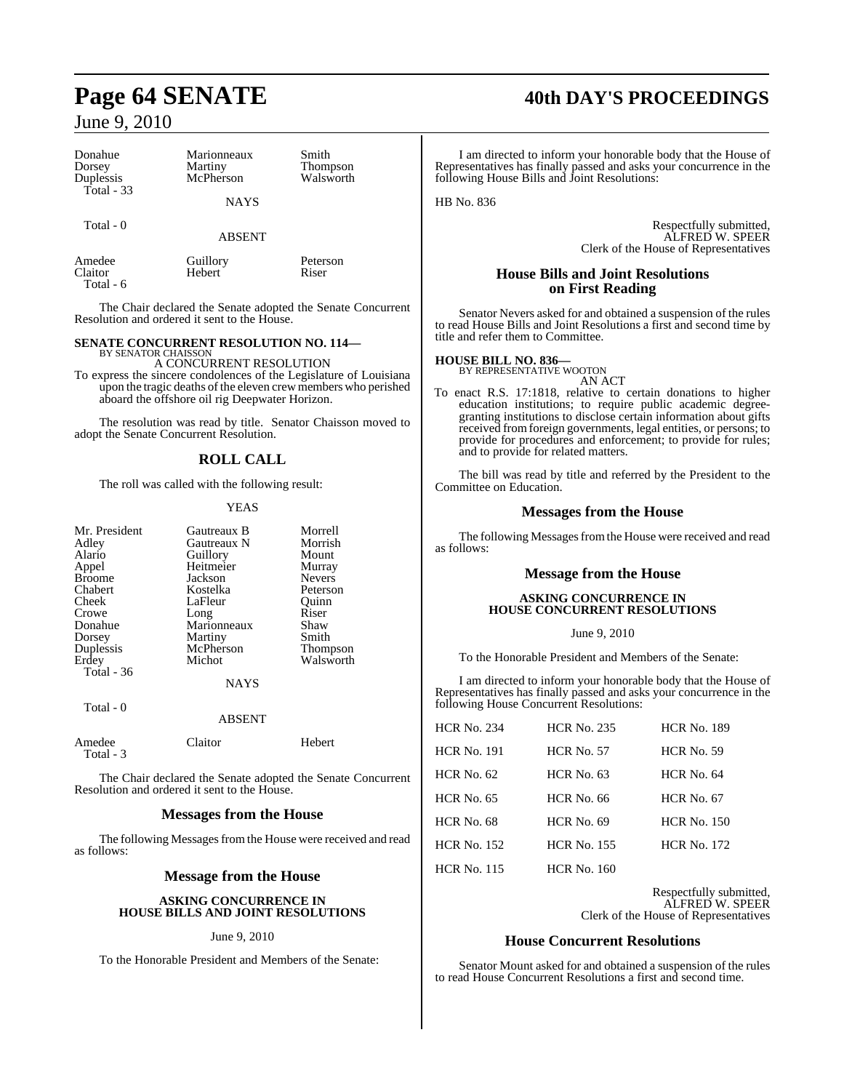Total - 6

| Donahue     | Marionneaux   | Smith     |  |
|-------------|---------------|-----------|--|
| Dorsey      | Martiny       | Thompson  |  |
| Duplessis   | McPherson     | Walsworth |  |
| Total $-33$ | <b>NAYS</b>   |           |  |
| Total - 0   | <b>ABSENT</b> |           |  |
| Amedee      | Guillory      | Peterson  |  |
| Claitor     | Hebert        | Riser     |  |

The Chair declared the Senate adopted the Senate Concurrent Resolution and ordered it sent to the House.

### **SENATE CONCURRENT RESOLUTION NO. 114—** BY SENATOR CHAISSO

A CONCURRENT RESOLUTION

To express the sincere condolences of the Legislature of Louisiana upon the tragic deaths of the eleven crew members who perished aboard the offshore oil rig Deepwater Horizon.

The resolution was read by title. Senator Chaisson moved to adopt the Senate Concurrent Resolution.

## **ROLL CALL**

The roll was called with the following result:

## YEAS

| Gautreaux B   | Morrell       |
|---------------|---------------|
| Gautreaux N   | Morrish       |
| Guillory      | Mount         |
| Heitmeier     | Murray        |
| Jackson       | <b>Nevers</b> |
| Kostelka      | Peterson      |
| LaFleur       | Ouinn         |
| Long          | Riser         |
| Marionneaux   | Shaw          |
| Martiny       | Smith         |
| McPherson     | Thompson      |
| Michot        | Walsworth     |
|               |               |
| <b>NAYS</b>   |               |
|               |               |
| <b>ABSENT</b> |               |
|               |               |

Amedee Claitor Hebert  $Total - 3$ 

The Chair declared the Senate adopted the Senate Concurrent Resolution and ordered it sent to the House.

## **Messages from the House**

The following Messages from the House were received and read as follows:

## **Message from the House**

## **ASKING CONCURRENCE IN HOUSE BILLS AND JOINT RESOLUTIONS**

## June 9, 2010

To the Honorable President and Members of the Senate:

## **Page 64 SENATE 40th DAY'S PROCEEDINGS**

I am directed to inform your honorable body that the House of Representatives has finally passed and asks your concurrence in the following House Bills and Joint Resolutions:

HB No. 836

Respectfully submitted, ALFRED W. SPEER Clerk of the House of Representatives

## **House Bills and Joint Resolutions on First Reading**

Senator Nevers asked for and obtained a suspension of the rules to read House Bills and Joint Resolutions a first and second time by title and refer them to Committee.

## **HOUSE BILL NO. 836—**

BY REPRESENTATIVE WOOTON AN ACT

To enact R.S. 17:1818, relative to certain donations to higher education institutions; to require public academic degreegranting institutions to disclose certain information about gifts received from foreign governments, legal entities, or persons; to provide for procedures and enforcement; to provide for rules; and to provide for related matters.

The bill was read by title and referred by the President to the Committee on Education.

## **Messages from the House**

The following Messages from the House were received and read as follows:

## **Message from the House**

### **ASKING CONCURRENCE IN HOUSE CONCURRENT RESOLUTIONS**

### June 9, 2010

To the Honorable President and Members of the Senate:

I am directed to inform your honorable body that the House of Representatives has finally passed and asks your concurrence in the following House Concurrent Resolutions:

| <b>HCR No. 234</b> | <b>HCR No. 235</b> | <b>HCR No. 189</b> |
|--------------------|--------------------|--------------------|
| <b>HCR No. 191</b> | <b>HCR No. 57</b>  | <b>HCR No. 59</b>  |
| $HCR$ No. 62       | <b>HCR No. 63</b>  | $HCR$ No. 64       |
| <b>HCR No. 65</b>  | <b>HCR No. 66</b>  | <b>HCR No. 67</b>  |
| <b>HCR No. 68</b>  | <b>HCR No. 69</b>  | <b>HCR No. 150</b> |
| <b>HCR No. 152</b> | <b>HCR No. 155</b> | $HCR$ No. 172      |
| <b>HCR No. 115</b> | <b>HCR No. 160</b> |                    |

Respectfully submitted, ALFRED W. SPEER Clerk of the House of Representatives

## **House Concurrent Resolutions**

Senator Mount asked for and obtained a suspension of the rules to read House Concurrent Resolutions a first and second time.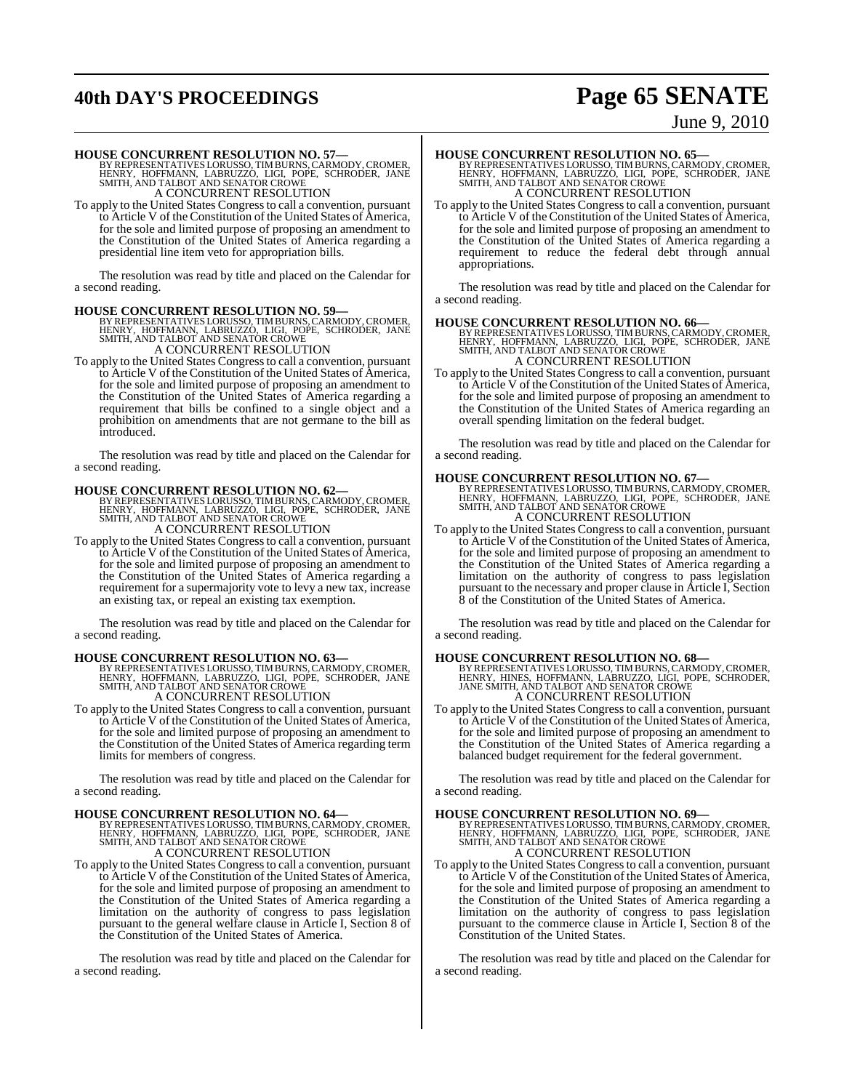## **40th DAY'S PROCEEDINGS Page 65 SENATE**

## June 9, 2010

**HOUSE CONCURRENT RESOLUTION NO. 57—**<br>BY REPRESENTATIVES LORUSSO, TIMBURNS, CARMODY, CROMER,<br>HENRY, HOFFMANN, LABRUZZO, LIGI, POPE, SCHRODER, JANE<br>SMITH, AND TALBOT AND SENATOR CROWE A CONCURRENT RESOLUTION

To apply to the United States Congressto call a convention, pursuant to Article V of the Constitution of the United States of America, for the sole and limited purpose of proposing an amendment to the Constitution of the United States of America regarding a presidential line item veto for appropriation bills.

The resolution was read by title and placed on the Calendar for a second reading.

**HOUSE CONCURRENT RESOLUTION NO. 59—**<br>BY REPRESENTATIVES LORUSSO, TIMBURNS, CARMODY, CROMER,<br>HENRY, HOFFMANN, LABRUZZO, LIGI, POPE, SCHRODER, JANE<br>SMITH, AND TALBOT AND SENATOR CROWE A CONCURRENT RESOLUTION

To apply to the United States Congressto call a convention, pursuant to Article V of the Constitution of the United States of America, for the sole and limited purpose of proposing an amendment to the Constitution of the United States of America regarding a requirement that bills be confined to a single object and a prohibition on amendments that are not germane to the bill as introduced.

The resolution was read by title and placed on the Calendar for a second reading.

- **HOUSE CONCURRENT RESOLUTION NO. 62—**<br>BY REPRESENTATIVES LORUSSO, TIMBURNS, CARMODY, CROMER,<br>HENRY, HOFFMANN, LABRUZZO, LIGI, POPE, SCHRODER, JANE<br>SMITH, AND TALBOT AND SENATOR CROWE A CONCURRENT RESOLUTION
- To apply to the United States Congressto call a convention, pursuant to Article V of the Constitution of the United States of America, for the sole and limited purpose of proposing an amendment to the Constitution of the United States of America regarding a requirement for a supermajority vote to levy a new tax, increase an existing tax, or repeal an existing tax exemption.

The resolution was read by title and placed on the Calendar for a second reading.

**HOUSE CONCURRENT RESOLUTION NO. 63—**<br>BY REPRESENTATIVES LORUSSO, TIMBURNS, CARMODY, CROMER,<br>HENRY, HOFFMANN, LABRUZZO, LIGI, POPE, SCHRODER, JANE<br>SMITH, AND TALBOT AND SENATOR CROWE

A CONCURRENT RESOLUTION

To apply to the United States Congressto call a convention, pursuant to Article V of the Constitution of the United States of America, for the sole and limited purpose of proposing an amendment to the Constitution of the United States of America regarding term limits for members of congress.

The resolution was read by title and placed on the Calendar for a second reading.

**HOUSE CONCURRENT RESOLUTION NO. 64—**<br>BY REPRESENTATIVES LORUSSO, TIMBURNS, CARMODY, CROMER,<br>HENRY, HOFFMANN, LABRUZZO, LIGI, POPE, SCHRODER, JANE<br>SMITH, AND TALBOT AND SENATOR CROWE A CONCURRENT RESOLUTION

To apply to the United States Congressto call a convention, pursuant to Article V of the Constitution of the United States of America, for the sole and limited purpose of proposing an amendment to the Constitution of the United States of America regarding a limitation on the authority of congress to pass legislation pursuant to the general welfare clause in Article I, Section 8 of the Constitution of the United States of America.

The resolution was read by title and placed on the Calendar for a second reading.

**HOUSE CONCURRENT RESOLUTION NO. 65—**<br>BY REPRESENTATIVES LORUSSO, TIMBURNS, CARMODY, CROMER,<br>HENRY, HOFFMANN, LABRUZZO, LIGI, POPE, SCHRODER, JANE<br>SMITH, AND TALBOT AND SENATOR CROWE A CONCURRENT RESOLUTION

To apply to the United States Congressto call a convention, pursuant to Article V of the Constitution of the United States of America, for the sole and limited purpose of proposing an amendment to the Constitution of the United States of America regarding a requirement to reduce the federal debt through annual appropriations.

The resolution was read by title and placed on the Calendar for a second reading.

- **HOUSE CONCURRENT RESOLUTION NO. 66—**<br>BY REPRESENTATIVES LORUSSO, TIM BURNS, CARMODY, CROMER,<br>HENRY, HOFFMANN, LABRUZZO, LIGI, POPE, SCHRODER, JANE<br>SMITH, AND TALBOT AND SENATOR CROWE A CONCURRENT RESOLUTION
- To apply to the United States Congressto call a convention, pursuant to Article V of the Constitution of the United States of America, for the sole and limited purpose of proposing an amendment to the Constitution of the United States of America regarding an overall spending limitation on the federal budget.

The resolution was read by title and placed on the Calendar for a second reading.

**HOUSE CONCURRENT RESOLUTION NO. 67—**<br>BY REPRESENTATIVES LORUSSO, TIM BURNS, CARMODY, CROMER,<br>HENRY, HOFFMANN, LABRUZZO, LIGI, POPE, SCHRODER, JANE<br>SMITH, AND TALBOT AND SENATOR CROWE A CONCURRENT RESOLUTION

To apply to the United States Congressto call a convention, pursuant to Article V of the Constitution of the United States of America, for the sole and limited purpose of proposing an amendment to the Constitution of the United States of America regarding a limitation on the authority of congress to pass legislation pursuant to the necessary and proper clause in Article I, Section 8 of the Constitution of the United States of America.

The resolution was read by title and placed on the Calendar for a second reading.

**HOUSE CONCURRENT RESOLUTION NO. 68—**<br>BY REPRESENTATIVES LORUSSO, TIMBURNS, CARMODY, CROMER,<br>HENRY, HINES, HOFFMANN, LABRUZZO, LIGI, POPE, SCHRODER,<br>JANE SMITH, AND TALBOT AND SENATOR CROWE A CONCURRENT RESOLUTION

To apply to the United States Congressto call a convention, pursuant to Article V of the Constitution of the United States of America, for the sole and limited purpose of proposing an amendment to the Constitution of the United States of America regarding a balanced budget requirement for the federal government.

The resolution was read by title and placed on the Calendar for a second reading.

## **HOUSE CONCURRENT RESOLUTION NO. 69—**

BY REPRESENTATIVES LORUSSO, TIM BURNS, CARMODY, CROMER,<br>HENRY, HOFFMANN, LABRUZZO, LIGI, POPE, SCHRODER, JANE<br>SMITH, AND TALBOT AND SENATOR CROWE A CONCURRENT RESOLUTION

To apply to the United States Congressto call a convention, pursuant to Article V of the Constitution of the United States of America, for the sole and limited purpose of proposing an amendment to the Constitution of the United States of America regarding a limitation on the authority of congress to pass legislation pursuant to the commerce clause in Article I, Section 8 of the Constitution of the United States.

The resolution was read by title and placed on the Calendar for a second reading.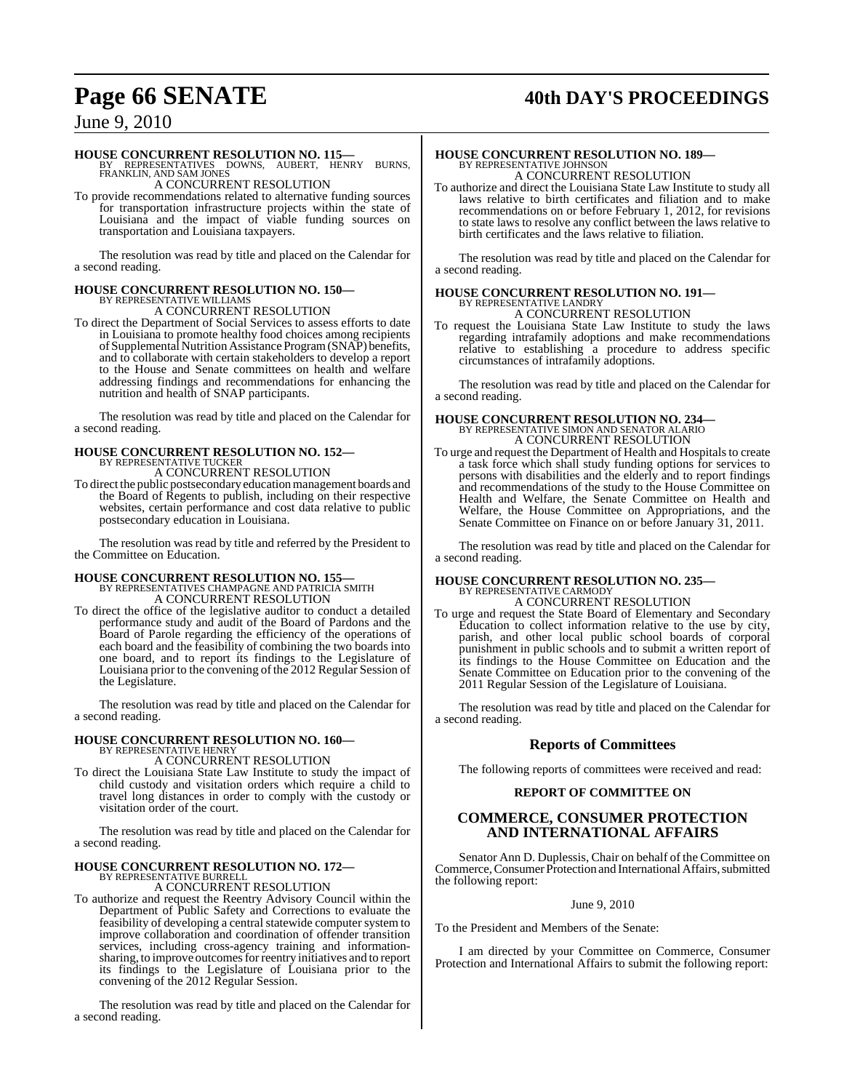## **Page 66 SENATE 40th DAY'S PROCEEDINGS**

## June 9, 2010

## **HOUSE CONCURRENT RESOLUTION NO. 115—**

BY REPRESENTATIVES DOWNS, AUBERT, HENRY BURNS, FRANKLIN, AND SAM JONES A CONCURRENT RESOLUTION

To provide recommendations related to alternative funding sources for transportation infrastructure projects within the state of Louisiana and the impact of viable funding sources on transportation and Louisiana taxpayers.

The resolution was read by title and placed on the Calendar for a second reading.

# **HOUSE CONCURRENT RESOLUTION NO. 150—** BY REPRESENTATIVE WILLIAMS A CONCURRENT RESOLUTION

To direct the Department of Social Services to assess efforts to date in Louisiana to promote healthy food choices among recipients ofSupplemental Nutrition Assistance Program (SNAP) benefits, and to collaborate with certain stakeholders to develop a report to the House and Senate committees on health and welfare addressing findings and recommendations for enhancing the nutrition and health of SNAP participants.

The resolution was read by title and placed on the Calendar for a second reading.

## **HOUSE CONCURRENT RESOLUTION NO. 152—** BY REPRESENTATIVE TUCKER

A CONCURRENT RESOLUTION

To direct the public postsecondary education management boards and the Board of Regents to publish, including on their respective websites, certain performance and cost data relative to public postsecondary education in Louisiana.

The resolution was read by title and referred by the President to the Committee on Education.

## **HOUSE CONCURRENT RESOLUTION NO. 155—**

BY REPRESENTATIVES CHAMPAGNE AND PATRICIA SMITH A CONCURRENT RESOLUTION

To direct the office of the legislative auditor to conduct a detailed performance study and audit of the Board of Pardons and the Board of Parole regarding the efficiency of the operations of each board and the feasibility of combining the two boards into one board, and to report its findings to the Legislature of Louisiana prior to the convening of the 2012 Regular Session of the Legislature.

The resolution was read by title and placed on the Calendar for a second reading.

# **HOUSE CONCURRENT RESOLUTION NO. 160—** BY REPRESENTATIVE HENRY A CONCURRENT RESOLUTION

To direct the Louisiana State Law Institute to study the impact of child custody and visitation orders which require a child to travel long distances in order to comply with the custody or visitation order of the court.

The resolution was read by title and placed on the Calendar for a second reading.

## **HOUSE CONCURRENT RESOLUTION NO. 172—** BY REPRESENTATIVE BURRELL

A CONCURRENT RESOLUTION

To authorize and request the Reentry Advisory Council within the Department of Public Safety and Corrections to evaluate the feasibility of developing a central statewide computer system to improve collaboration and coordination of offender transition services, including cross-agency training and informationsharing, to improve outcomes for reentry initiatives and to report its findings to the Legislature of Louisiana prior to the convening of the 2012 Regular Session.

The resolution was read by title and placed on the Calendar for a second reading.

## **HOUSE CONCURRENT RESOLUTION NO. 189—** BY REPRESENTATIVE JOHNSON A CONCURRENT RESOLUTION

To authorize and direct the Louisiana State Law Institute to study all laws relative to birth certificates and filiation and to make recommendations on or before February 1, 2012, for revisions to state laws to resolve any conflict between the laws relative to birth certificates and the laws relative to filiation.

The resolution was read by title and placed on the Calendar for a second reading.

## **HOUSE CONCURRENT RESOLUTION NO. 191—** BY REPRESENTATIVE LANDRY

A CONCURRENT RESOLUTION

To request the Louisiana State Law Institute to study the laws regarding intrafamily adoptions and make recommendations relative to establishing a procedure to address specific circumstances of intrafamily adoptions.

The resolution was read by title and placed on the Calendar for a second reading.

# **HOUSE CONCURRENT RESOLUTION NO. 234—** BY REPRESENTATIVE SIMON AND SENATOR ALARIO A CONCURRENT RESOLUTION

To urge and request the Department of Health and Hospitals to create a task force which shall study funding options for services to persons with disabilities and the elderly and to report findings and recommendations of the study to the House Committee on Health and Welfare, the Senate Committee on Health and Welfare, the House Committee on Appropriations, and the Senate Committee on Finance on or before January 31, 2011.

The resolution was read by title and placed on the Calendar for a second reading.

## **HOUSE CONCURRENT RESOLUTION NO. 235—** BY REPRESENTATIVE CARMODY

A CONCURRENT RESOLUTION

To urge and request the State Board of Elementary and Secondary Education to collect information relative to the use by city, parish, and other local public school boards of corporal punishment in public schools and to submit a written report of its findings to the House Committee on Education and the Senate Committee on Education prior to the convening of the 2011 Regular Session of the Legislature of Louisiana.

The resolution was read by title and placed on the Calendar for a second reading.

## **Reports of Committees**

The following reports of committees were received and read:

## **REPORT OF COMMITTEE ON**

## **COMMERCE, CONSUMER PROTECTION AND INTERNATIONAL AFFAIRS**

Senator Ann D. Duplessis, Chair on behalf of the Committee on Commerce, Consumer Protection and International Affairs, submitted the following report:

## June 9, 2010

To the President and Members of the Senate:

I am directed by your Committee on Commerce, Consumer Protection and International Affairs to submit the following report: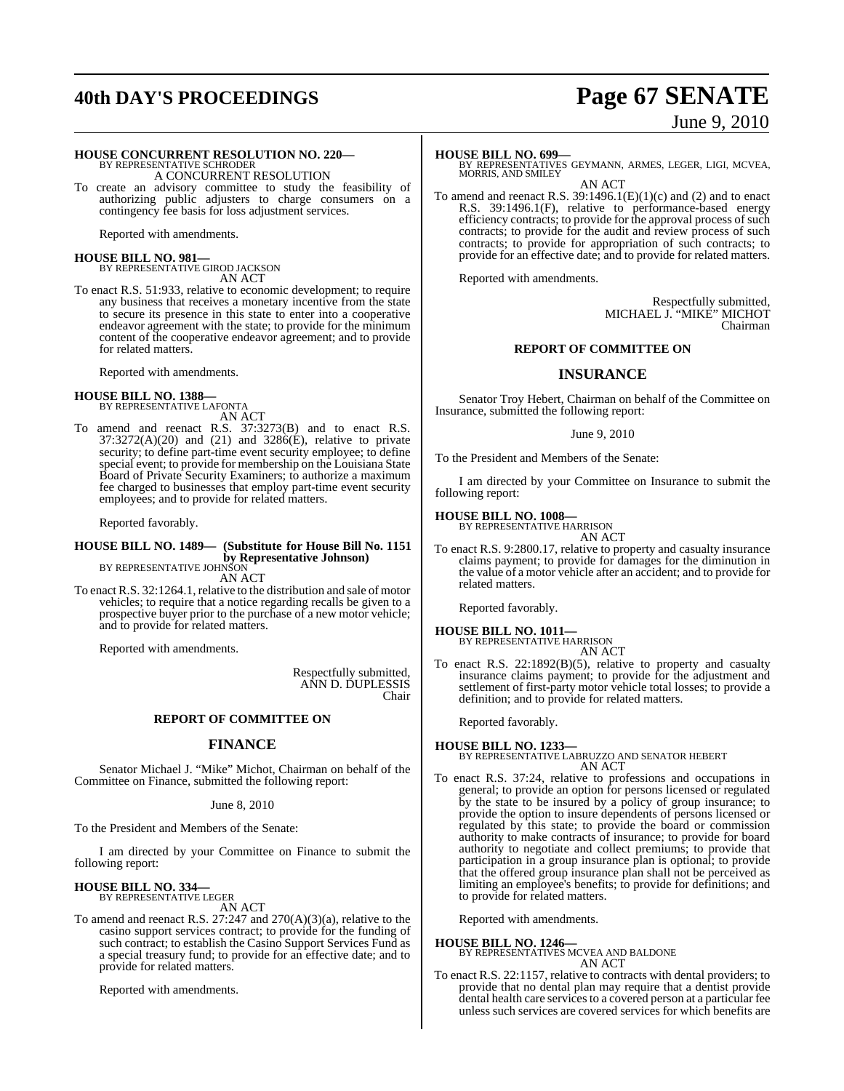## **40th DAY'S PROCEEDINGS Page 67 SENATE**

# June 9, 2010

## **HOUSE CONCURRENT RESOLUTION NO. 220—**

BY REPRESENTATIVE SCHRODER A CONCURRENT RESOLUTION

To create an advisory committee to study the feasibility of authorizing public adjusters to charge consumers on a contingency fee basis for loss adjustment services.

Reported with amendments.

### **HOUSE BILL NO. 981—** BY REPRESENTATIVE GIROD JACKSON

AN ACT

To enact R.S. 51:933, relative to economic development; to require any business that receives a monetary incentive from the state to secure its presence in this state to enter into a cooperative endeavor agreement with the state; to provide for the minimum content of the cooperative endeavor agreement; and to provide for related matters.

Reported with amendments.

### **HOUSE BILL NO. 1388—** BY REPRESENTATIVE LAFONTA

AN ACT

To amend and reenact R.S. 37:3273(B) and to enact R.S.  $37:3272(A)(20)$  and  $(21)$  and  $3286(E)$ , relative to private security; to define part-time event security employee; to define special event; to provide for membership on the Louisiana State Board of Private Security Examiners; to authorize a maximum fee charged to businesses that employ part-time event security employees; and to provide for related matters.

Reported favorably.

### **HOUSE BILL NO. 1489— (Substitute for House Bill No. 1151 by Representative Johnson)** BY REPRESENTATIVE JOHNSON

AN ACT

To enact R.S. 32:1264.1, relative to the distribution and sale of motor vehicles; to require that a notice regarding recalls be given to a prospective buyer prior to the purchase of a new motor vehicle; and to provide for related matters.

Reported with amendments.

Respectfully submitted, ANN D. DUPLESSIS Chair

## **REPORT OF COMMITTEE ON**

## **FINANCE**

Senator Michael J. "Mike" Michot, Chairman on behalf of the Committee on Finance, submitted the following report:

## June 8, 2010

To the President and Members of the Senate:

I am directed by your Committee on Finance to submit the following report:

### **HOUSE BILL NO. 334—** BY REPRESENTATIVE LEGER

AN ACT

To amend and reenact R.S. 27:247 and 270(A)(3)(a), relative to the casino support services contract; to provide for the funding of such contract; to establish the Casino Support Services Fund as a special treasury fund; to provide for an effective date; and to provide for related matters.

Reported with amendments.

**HOUSE BILL NO. 699—** BY REPRESENTATIVES GEYMANN, ARMES, LEGER, LIGI, MCVEA, MORRIS, AND SMILEY AN ACT

To amend and reenact R.S.  $39:1496.1(E)(1)(c)$  and (2) and to enact R.S. 39:1496.1(F), relative to performance-based energy efficiency contracts; to provide for the approval process of such contracts; to provide for the audit and review process of such contracts; to provide for appropriation of such contracts; to provide for an effective date; and to provide for related matters.

Reported with amendments.

Respectfully submitted, MICHAEL J. "MIKE" MICHOT Chairman

## **REPORT OF COMMITTEE ON**

## **INSURANCE**

Senator Troy Hebert, Chairman on behalf of the Committee on Insurance, submitted the following report:

### June 9, 2010

To the President and Members of the Senate:

I am directed by your Committee on Insurance to submit the following report:

## **HOUSE BILL NO. 1008—**

BY REPRESENTATIVE HARRISON AN ACT

To enact R.S. 9:2800.17, relative to property and casualty insurance claims payment; to provide for damages for the diminution in the value of a motor vehicle after an accident; and to provide for related matters.

Reported favorably.

## **HOUSE BILL NO. 1011—** BY REPRESENTATIVE HARRISON AN ACT

To enact R.S. 22:1892(B)(5), relative to property and casualty insurance claims payment; to provide for the adjustment and settlement of first-party motor vehicle total losses; to provide a definition; and to provide for related matters.

Reported favorably.

### **HOUSE BILL NO. 1233—** BY REPRESENTATIVE LABRUZZO AND SENATOR HEBERT AN ACT

To enact R.S. 37:24, relative to professions and occupations in general; to provide an option for persons licensed or regulated by the state to be insured by a policy of group insurance; to provide the option to insure dependents of persons licensed or regulated by this state; to provide the board or commission authority to make contracts of insurance; to provide for board authority to negotiate and collect premiums; to provide that participation in a group insurance plan is optional; to provide that the offered group insurance plan shall not be perceived as limiting an employee's benefits; to provide for definitions; and to provide for related matters.

Reported with amendments.

**HOUSE BILL NO. 1246—** BY REPRESENTATIVES MCVEA AND BALDONE AN ACT

To enact R.S. 22:1157, relative to contracts with dental providers; to provide that no dental plan may require that a dentist provide dental health care services to a covered person at a particular fee unless such services are covered services for which benefits are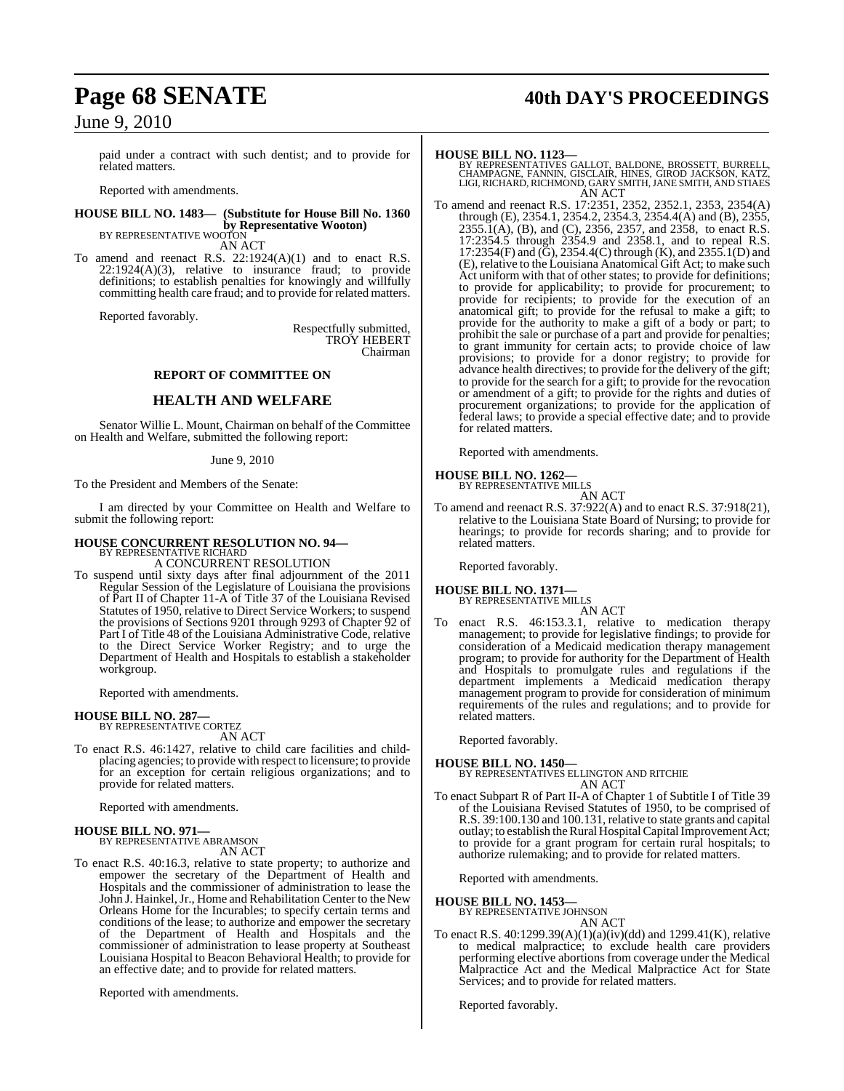paid under a contract with such dentist; and to provide for related matters.

Reported with amendments.

**HOUSE BILL NO. 1483— (Substitute for House Bill No. 1360 by Representative Wooton)** BY REPRESENTATIVE WOOTON

AN ACT

To amend and reenact R.S. 22:1924(A)(1) and to enact R.S. 22:1924(A)(3), relative to insurance fraud; to provide definitions; to establish penalties for knowingly and willfully committing health care fraud; and to provide for related matters.

Reported favorably.

Respectfully submitted, TROY HEBERT Chairman

## **REPORT OF COMMITTEE ON**

## **HEALTH AND WELFARE**

Senator Willie L. Mount, Chairman on behalf of the Committee on Health and Welfare, submitted the following report:

### June 9, 2010

To the President and Members of the Senate:

I am directed by your Committee on Health and Welfare to submit the following report:

## **HOUSE CONCURRENT RESOLUTION NO. 94—** BY REPRESENTATIVE RICHARD

A CONCURRENT RESOLUTION

To suspend until sixty days after final adjournment of the 2011 Regular Session of the Legislature of Louisiana the provisions of Part II of Chapter 11-A of Title 37 of the Louisiana Revised Statutes of 1950, relative to Direct Service Workers; to suspend the provisions of Sections 9201 through 9293 of Chapter 92 of Part I of Title 48 of the Louisiana Administrative Code, relative to the Direct Service Worker Registry; and to urge the Department of Health and Hospitals to establish a stakeholder workgroup.

Reported with amendments.

## **HOUSE BILL NO. 287—**

BY REPRESENTATIVE CORTEZ AN ACT

To enact R.S. 46:1427, relative to child care facilities and childplacing agencies; to provide with respect to licensure; to provide for an exception for certain religious organizations; and to provide for related matters.

Reported with amendments.

## **HOUSE BILL NO. 971—** BY REPRESENTATIVE ABRAMSON

AN ACT

To enact R.S. 40:16.3, relative to state property; to authorize and empower the secretary of the Department of Health and Hospitals and the commissioner of administration to lease the John J. Hainkel, Jr., Home and Rehabilitation Center to the New Orleans Home for the Incurables; to specify certain terms and conditions of the lease; to authorize and empower the secretary of the Department of Health and Hospitals and the commissioner of administration to lease property at Southeast Louisiana Hospital to Beacon Behavioral Health; to provide for an effective date; and to provide for related matters.

Reported with amendments.

## **Page 68 SENATE 40th DAY'S PROCEEDINGS**

**HOUSE BILL NO. 1123—** BY REPRESENTATIVES GALLOT, BALDONE, BROSSETT, BURRELL, CHAMPAGNE, FANNIN, GISCLAIR, HINES, GIROD JACKSON, KATZ, LIGI, RICHARD, RICHMOND, GARY SMITH, JANE SMITH, AND STIAES AN ACT

To amend and reenact R.S. 17:2351, 2352, 2352.1, 2353, 2354(A) through (E), 2354.1, 2354.2, 2354.3, 2354.4(A) and (B), 2355,  $2355.\overline{1}(\text{A})$ , (B), and (C),  $2356$ ,  $2357$ , and  $2358$ , to enact R.S. 17:2354.5 through 2354.9 and 2358.1, and to repeal R.S. 17:2354(F) and ( $\ddot{G}$ ), 2354.4(C) through (K), and 2355.1(D) and (E), relative to the Louisiana Anatomical Gift Act; to make such Act uniform with that of other states; to provide for definitions; to provide for applicability; to provide for procurement; to provide for recipients; to provide for the execution of an anatomical gift; to provide for the refusal to make a gift; to provide for the authority to make a gift of a body or part; to prohibit the sale or purchase of a part and provide for penalties; to grant immunity for certain acts; to provide choice of law provisions; to provide for a donor registry; to provide for advance health directives; to provide for the delivery of the gift; to provide for the search for a gift; to provide for the revocation or amendment of a gift; to provide for the rights and duties of procurement organizations; to provide for the application of federal laws; to provide a special effective date; and to provide for related matters.

Reported with amendments.

### **HOUSE BILL NO. 1262—** BY REPRESENTATIVE MILLS

AN ACT To amend and reenact R.S. 37:922(A) and to enact R.S. 37:918(21), relative to the Louisiana State Board of Nursing; to provide for hearings; to provide for records sharing; and to provide for related matters.

Reported favorably.

## **HOUSE BILL NO. 1371—** BY REPRESENTATIVE MILLS

- AN ACT
- enact R.S. 46:153.3.1, relative to medication therapy management; to provide for legislative findings; to provide for consideration of a Medicaid medication therapy management program; to provide for authority for the Department of Health and Hospitals to promulgate rules and regulations if the department implements a Medicaid medication therapy management program to provide for consideration of minimum requirements of the rules and regulations; and to provide for related matters.

Reported favorably.

**HOUSE BILL NO. 1450—** BY REPRESENTATIVES ELLINGTON AND RITCHIE AN ACT

To enact Subpart R of Part II-A of Chapter 1 of Subtitle I of Title 39 of the Louisiana Revised Statutes of 1950, to be comprised of R.S. 39:100.130 and 100.131, relative to state grants and capital outlay; to establish the Rural Hospital Capital Improvement Act; to provide for a grant program for certain rural hospitals; to authorize rulemaking; and to provide for related matters.

Reported with amendments.

## **HOUSE BILL NO. 1453—**

BY REPRESENTATIVE JOHNSON AN ACT

To enact R.S. 40:1299.39(A)(1)(a)(iv)(dd) and 1299.41(K), relative to medical malpractice; to exclude health care providers performing elective abortions from coverage under the Medical Malpractice Act and the Medical Malpractice Act for State Services; and to provide for related matters.

Reported favorably.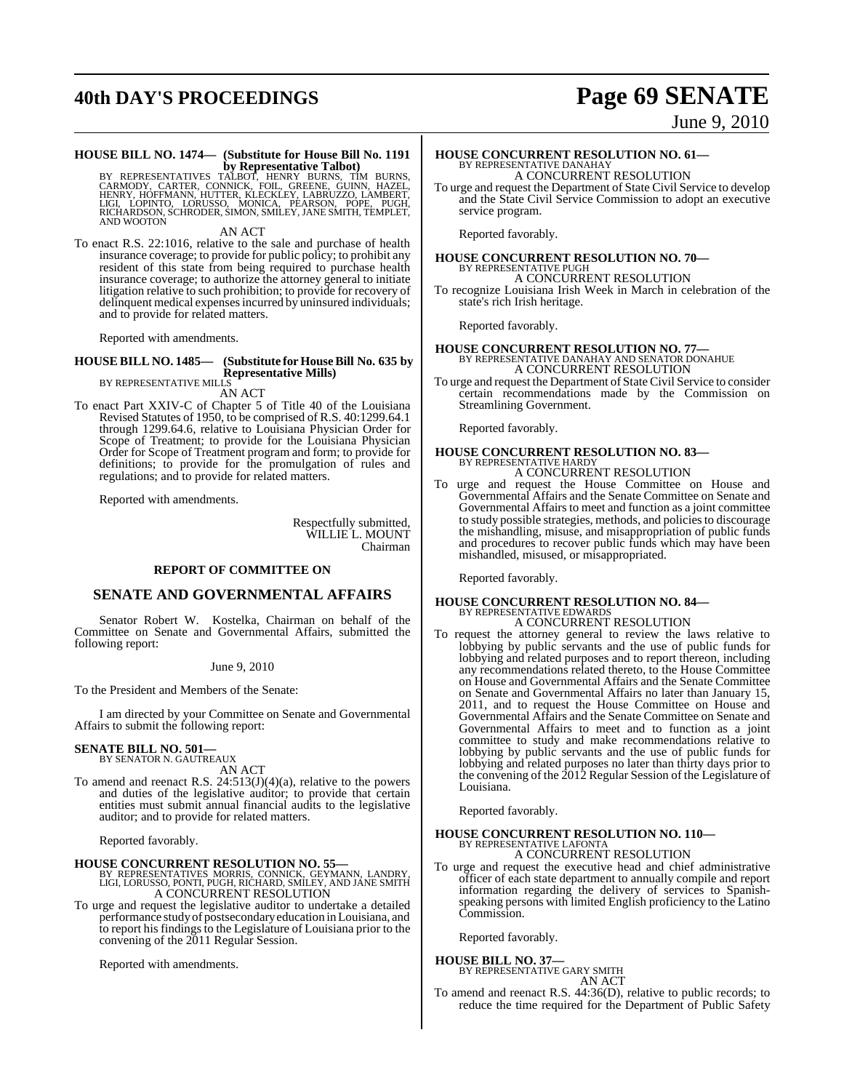## **40th DAY'S PROCEEDINGS Page 69 SENATE**

## June 9, 2010

## **HOUSE BILL NO. 1474— (Substitute for House Bill No. 1191**

**by Representative Talbot)**<br>BY REPRESENTATIVES TALBOT, HENRY BURNS, TIM BURNS,<br>CARMODY, CARTER, CONNICK, FOIL, GREENE, GUINN, HAZEL,<br>HENRY, HOFFMANN, HUTTER, KLECKLEY, LABRUZZO, LAMBERT,<br>RICHARDSON, SCHRODER, SIMON, SMILEY

AN ACT

To enact R.S. 22:1016, relative to the sale and purchase of health insurance coverage; to provide for public policy; to prohibit any resident of this state from being required to purchase health insurance coverage; to authorize the attorney general to initiate litigation relative to such prohibition; to provide for recovery of delinquent medical expenses incurred by uninsured individuals; and to provide for related matters.

Reported with amendments.

## **HOUSE BILL NO. 1485— (Substitute for HouseBill No. 635 by Representative Mills)** BY REPRESENTATIVE MILLS

AN ACT

To enact Part XXIV-C of Chapter 5 of Title 40 of the Louisiana Revised Statutes of 1950, to be comprised of R.S. 40:1299.64.1 through 1299.64.6, relative to Louisiana Physician Order for Scope of Treatment; to provide for the Louisiana Physician Order for Scope of Treatment program and form; to provide for definitions; to provide for the promulgation of rules and regulations; and to provide for related matters.

Reported with amendments.

Respectfully submitted, WILLIE L. MOUNT Chairman

## **REPORT OF COMMITTEE ON**

## **SENATE AND GOVERNMENTAL AFFAIRS**

Senator Robert W. Kostelka, Chairman on behalf of the Committee on Senate and Governmental Affairs, submitted the following report:

June 9, 2010

To the President and Members of the Senate:

I am directed by your Committee on Senate and Governmental Affairs to submit the following report:

### **SENATE BILL NO. 501—** BY SENATOR N. GAUTREAUX

AN ACT

To amend and reenact R.S. 24:513(J)(4)(a), relative to the powers and duties of the legislative auditor; to provide that certain entities must submit annual financial audits to the legislative auditor; and to provide for related matters.

Reported favorably.

## **HOUSE CONCURRENT RESOLUTION NO. 55—**

- BY REPRESENTATIVES MORRIS, CONNICK, GEYMANN, LANDRY, LIGI, LORUSSO, PONTI, PUGH, RICHARD, SMILEY, AND JANE SMITH A CONCURRENT RESOLUTION
- To urge and request the legislative auditor to undertake a detailed performance study of postsecondary education in Louisiana, and to report his findings to the Legislature of Louisiana prior to the convening of the 2011 Regular Session.

Reported with amendments.

### **HOUSE CONCURRENT RESOLUTION NO. 61—** BY REPRESENTATIVE DANAHA A CONCURRENT RESOLUTION

To urge and request the Department of State Civil Service to develop and the State Civil Service Commission to adopt an executive service program.

Reported favorably.

### **HOUSE CONCURRENT RESOLUTION NO. 70—** BY REPRESENTATIVE PUGH A CONCURRENT RESOLUTION

To recognize Louisiana Irish Week in March in celebration of the state's rich Irish heritage.

Reported favorably.

## **HOUSE CONCURRENT RESOLUTION NO. 77—**

BY REPRESENTATIVE DANAHAY AND SENATOR DONAHUE A CONCURRENT RESOLUTION

To urge and request the Department of State Civil Service to consider certain recommendations made by the Commission on Streamlining Government.

Reported favorably.

## **HOUSE CONCURRENT RESOLUTION NO. 83—** BY REPRESENTATIVE HARDY

A CONCURRENT RESOLUTION

To urge and request the House Committee on House and Governmental Affairs and the Senate Committee on Senate and Governmental Affairs to meet and function as a joint committee to study possible strategies, methods, and policies to discourage the mishandling, misuse, and misappropriation of public funds and procedures to recover public funds which may have been mishandled, misused, or misappropriated.

Reported favorably.

## **HOUSE CONCURRENT RESOLUTION NO. 84—** BY REPRESENTATIVE EDWARDS A CONCURRENT RESOLUTION

To request the attorney general to review the laws relative to lobbying by public servants and the use of public funds for lobbying and related purposes and to report thereon, including any recommendations related thereto, to the House Committee on House and Governmental Affairs and the Senate Committee on Senate and Governmental Affairs no later than January 15, 2011, and to request the House Committee on House and Governmental Affairs and the Senate Committee on Senate and Governmental Affairs to meet and to function as a joint committee to study and make recommendations relative to lobbying by public servants and the use of public funds for lobbying and related purposes no later than thirty days prior to the convening of the 2012 Regular Session of the Legislature of Louisiana.

Reported favorably.

## **HOUSE CONCURRENT RESOLUTION NO. 110—** BY REPRESENTATIVE LAFONTA A CONCURRENT RESOLUTION

To urge and request the executive head and chief administrative officer of each state department to annually compile and report information regarding the delivery of services to Spanishspeaking persons with limited English proficiency to the Latino Commission.

Reported favorably.

## **HOUSE BILL NO. 37—**

BY REPRESENTATIVE GARY SMITH AN ACT

To amend and reenact R.S. 44:36(D), relative to public records; to reduce the time required for the Department of Public Safety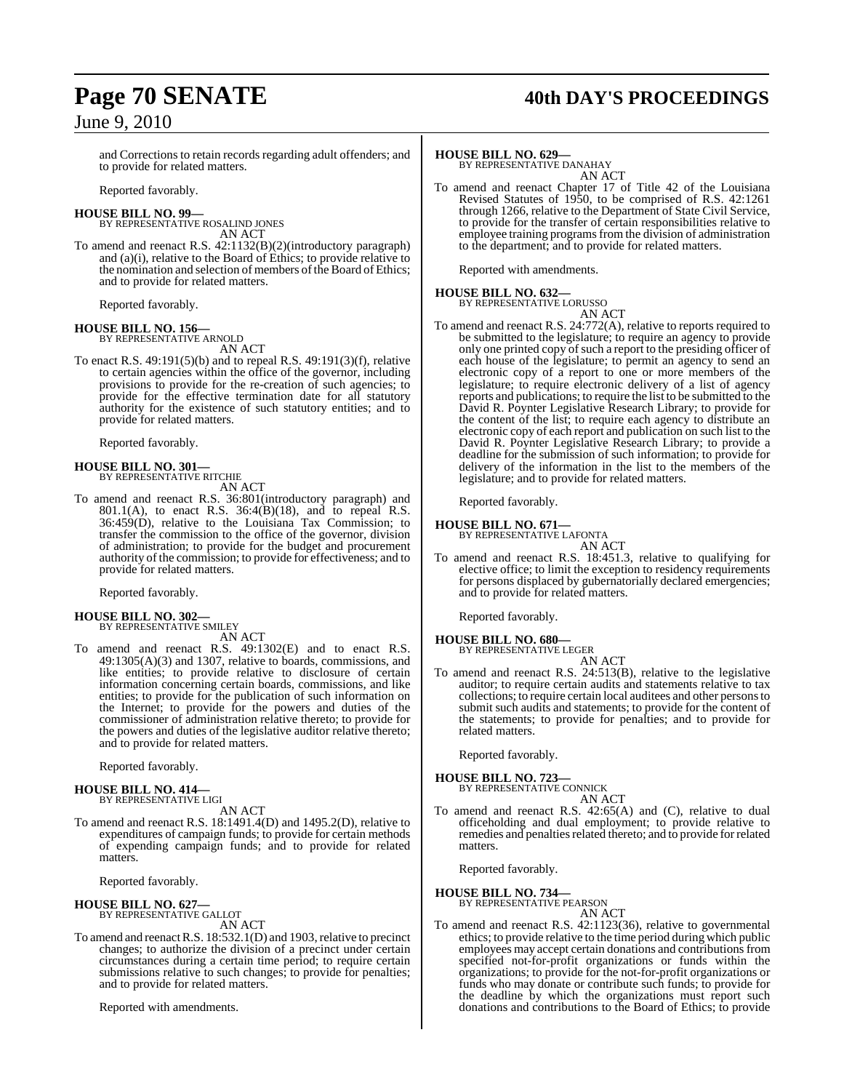## **Page 70 SENATE 40th DAY'S PROCEEDINGS**

and Corrections to retain records regarding adult offenders; and to provide for related matters.

Reported favorably.

## **HOUSE BILL NO. 99—**

BY REPRESENTATIVE ROSALIND JONES AN ACT

To amend and reenact R.S. 42:1132(B)(2)(introductory paragraph) and (a)(i), relative to the Board of Ethics; to provide relative to the nomination and selection of members of the Board of Ethics; and to provide for related matters.

Reported favorably.

## **HOUSE BILL NO. 156—**

BY REPRESENTATIVE ARNOLD AN ACT

To enact R.S. 49:191(5)(b) and to repeal R.S. 49:191(3)(f), relative to certain agencies within the office of the governor, including provisions to provide for the re-creation of such agencies; to provide for the effective termination date for all statutory authority for the existence of such statutory entities; and to provide for related matters.

Reported favorably.

## **HOUSE BILL NO. 301—** BY REPRESENTATIVE RITCHIE

AN ACT

To amend and reenact R.S. 36:801(introductory paragraph) and 801.1(A), to enact R.S.  $36:4(B)(18)$ , and to repeal R.S. 36:459(D), relative to the Louisiana Tax Commission; to transfer the commission to the office of the governor, division of administration; to provide for the budget and procurement authority of the commission; to provide for effectiveness; and to provide for related matters.

Reported favorably.

## **HOUSE BILL NO. 302—** BY REPRESENTATIVE SMILEY

AN ACT

To amend and reenact R.S. 49:1302(E) and to enact R.S. 49:1305(A)(3) and 1307, relative to boards, commissions, and like entities; to provide relative to disclosure of certain information concerning certain boards, commissions, and like entities; to provide for the publication of such information on the Internet; to provide for the powers and duties of the commissioner of administration relative thereto; to provide for the powers and duties of the legislative auditor relative thereto; and to provide for related matters.

Reported favorably.

### **HOUSE BILL NO. 414—** BY REPRESENTATIVE LIGI

AN ACT

To amend and reenact R.S. 18:1491.4(D) and 1495.2(D), relative to expenditures of campaign funds; to provide for certain methods of expending campaign funds; and to provide for related matters.

Reported favorably.

**HOUSE BILL NO. 627—** BY REPRESENTATIVE GALLOT

AN ACT

To amend and reenact R.S. 18:532.1(D) and 1903, relative to precinct changes; to authorize the division of a precinct under certain circumstances during a certain time period; to require certain submissions relative to such changes; to provide for penalties; and to provide for related matters.

Reported with amendments.

## **HOUSE BILL NO. 629—**

BY REPRESENTATIVE DANAHAY AN ACT

To amend and reenact Chapter 17 of Title 42 of the Louisiana Revised Statutes of 1950, to be comprised of R.S. 42:1261 through 1266, relative to the Department of State Civil Service, to provide for the transfer of certain responsibilities relative to employee training programs from the division of administration to the department; and to provide for related matters.

Reported with amendments.

## **HOUSE BILL NO. 632—**

BY REPRESENTATIVE LORUSSO AN ACT

To amend and reenact R.S. 24:772(A), relative to reports required to be submitted to the legislature; to require an agency to provide only one printed copy of such a report to the presiding officer of each house of the legislature; to permit an agency to send an electronic copy of a report to one or more members of the legislature; to require electronic delivery of a list of agency reports and publications; to require the list to be submitted to the David R. Poynter Legislative Research Library; to provide for the content of the list; to require each agency to distribute an electronic copy of each report and publication on such list to the David R. Poynter Legislative Research Library; to provide a deadline for the submission of such information; to provide for delivery of the information in the list to the members of the legislature; and to provide for related matters.

Reported favorably.

## **HOUSE BILL NO. 671—** BY REPRESENTATIVE LAFONTA

AN ACT To amend and reenact R.S. 18:451.3, relative to qualifying for elective office; to limit the exception to residency requirements for persons displaced by gubernatorially declared emergencies; and to provide for related matters.

Reported favorably.

**HOUSE BILL NO. 680—**

BY REPRESENTATIVE LEGER

AN ACT To amend and reenact R.S. 24:513(B), relative to the legislative auditor; to require certain audits and statements relative to tax collections; to require certain local auditees and other personsto submit such audits and statements; to provide for the content of the statements; to provide for penalties; and to provide for related matters.

Reported favorably.

## **HOUSE BILL NO. 723—**

BY REPRESENTATIVE CONNICK AN ACT

To amend and reenact R.S. 42:65(A) and (C), relative to dual officeholding and dual employment; to provide relative to remedies and penalties related thereto; and to provide for related matters.

Reported favorably.

## **HOUSE BILL NO. 734—**

BY REPRESENTATIVE PEARSON AN ACT

To amend and reenact R.S. 42:1123(36), relative to governmental ethics; to provide relative to the time period during which public employees may accept certain donations and contributions from specified not-for-profit organizations or funds within the organizations; to provide for the not-for-profit organizations or funds who may donate or contribute such funds; to provide for the deadline by which the organizations must report such donations and contributions to the Board of Ethics; to provide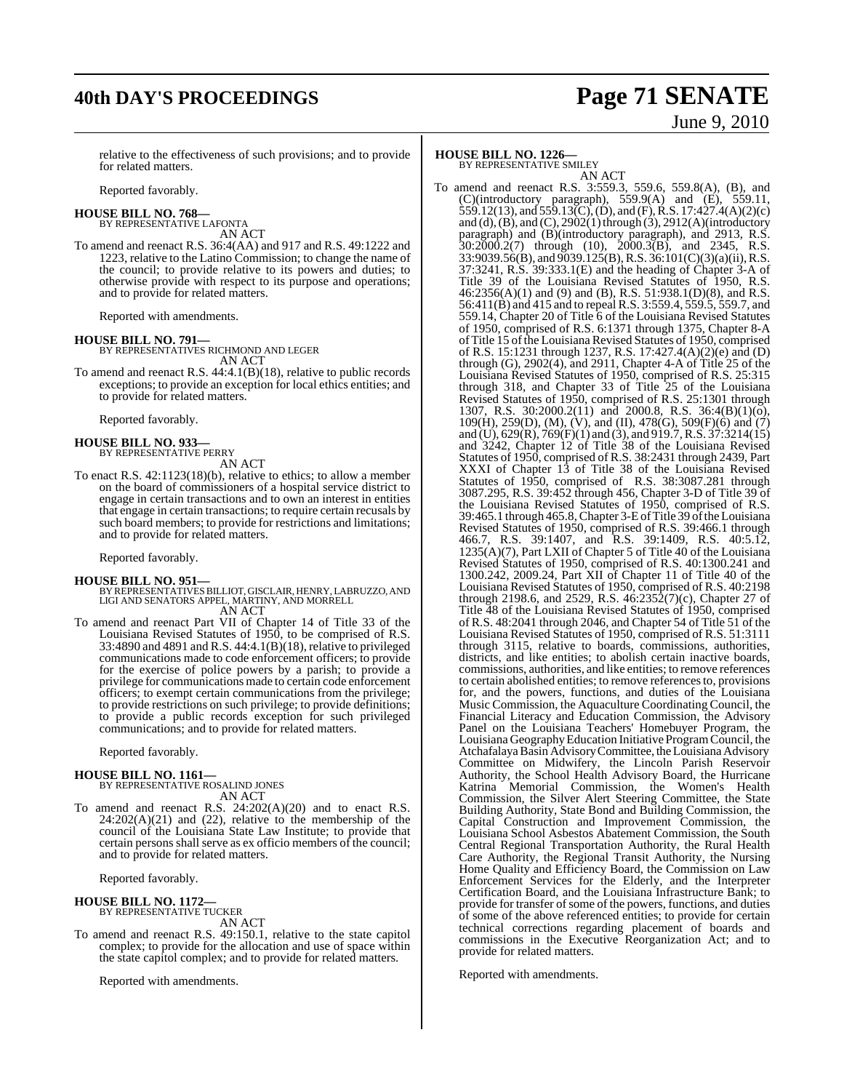## **40th DAY'S PROCEEDINGS Page 71 SENATE** June 9, 2010

relative to the effectiveness of such provisions; and to provide for related matters.

Reported favorably.

**HOUSE BILL NO. 768—**

BY REPRESENTATIVE LAFONTA AN ACT

To amend and reenact R.S. 36:4(AA) and 917 and R.S. 49:1222 and 1223, relative to the Latino Commission; to change the name of the council; to provide relative to its powers and duties; to otherwise provide with respect to its purpose and operations; and to provide for related matters.

Reported with amendments.

**HOUSE BILL NO. 791—** BY REPRESENTATIVES RICHMOND AND LEGER AN ACT

To amend and reenact R.S. 44:4.1(B)(18), relative to public records exceptions; to provide an exception for local ethics entities; and to provide for related matters.

Reported favorably.

**HOUSE BILL NO. 933—** BY REPRESENTATIVE PERRY AN ACT

To enact R.S. 42:1123(18)(b), relative to ethics; to allow a member on the board of commissioners of a hospital service district to engage in certain transactions and to own an interest in entities that engage in certain transactions; to require certain recusals by such board members; to provide for restrictions and limitations; and to provide for related matters.

Reported favorably.

### **HOUSE BILL NO. 951—**

- BY REPRESENTATIVES BILLIOT, GISCLAIR, HENRY, LABRUZZO, AND<br>LIGI AND SENATORS APPEL, MARTINY, AND MORRELL AN ACT
- To amend and reenact Part VII of Chapter 14 of Title 33 of the Louisiana Revised Statutes of 1950, to be comprised of R.S. 33:4890 and 4891 and R.S. 44:4.1(B)(18), relative to privileged communications made to code enforcement officers; to provide for the exercise of police powers by a parish; to provide a privilege for communications made to certain code enforcement officers; to exempt certain communications from the privilege; to provide restrictions on such privilege; to provide definitions; to provide a public records exception for such privileged communications; and to provide for related matters.

Reported favorably.

**HOUSE BILL NO. 1161—** BY REPRESENTATIVE ROSALIND JONES AN ACT

To amend and reenact R.S. 24:202(A)(20) and to enact R.S.  $24:202(A)(21)$  and  $(22)$ , relative to the membership of the council of the Louisiana State Law Institute; to provide that certain persons shall serve as ex officio members of the council; and to provide for related matters.

Reported favorably.

## **HOUSE BILL NO. 1172—**

BY REPRESENTATIVE TUCKER AN ACT

To amend and reenact R.S. 49:150.1, relative to the state capitol complex; to provide for the allocation and use of space within the state capitol complex; and to provide for related matters.

Reported with amendments.

## **HOUSE BILL NO. 1226—**

BY REPRESENTATIVE SMILEY

AN ACT To amend and reenact R.S. 3:559.3, 559.6, 559.8(A), (B), and (C)(introductory paragraph), 559.9(A) and (E), 559.11, 559.12(13), and 559.13(C), (D), and (F), R.S. 17:427.4(A)(2)(c) and (d),  $(B)$ , and  $(C)$ , 2902 $(1)$  through  $(3)$ , 2912 $(A)$ (introductory paragraph) and (B)(introductory paragraph), and 2913, R.S.  $30:2000.2(7)$  through (10),  $2000.3(B)$ , and 2345, R.S. 33:9039.56(B), and 9039.125(B), R.S. 36:101(C)(3)(a)(ii), R.S. 37:3241, R.S. 39:333.1(E) and the heading of Chapter 3-A of Title 39 of the Louisiana Revised Statutes of 1950, R.S. 46:2356(A)(1) and (9) and (B), R.S. 51:938.1(D)(8), and R.S. 56:411(B) and 415 and to repeal R.S. 3:559.4, 559.5, 559.7, and 559.14, Chapter 20 of Title 6 of the Louisiana Revised Statutes of 1950, comprised of R.S. 6:1371 through 1375, Chapter 8-A of Title 15 of the Louisiana Revised Statutes of 1950, comprised of R.S. 15:1231 through 1237, R.S. 17:427.4(A)(2)(e) and (D) through  $(G)$ , 2902 $(4)$ , and 2911, Chapter 4-A of Title 25 of the Louisiana Revised Statutes of 1950, comprised of R.S. 25:315 through 318, and Chapter 33 of Title 25 of the Louisiana Revised Statutes of 1950, comprised of R.S. 25:1301 through 1307, R.S. 30:2000.2(11) and 2000.8, R.S. 36:4(B)(1)(o), 109(H), 259(D), (M), (V), and (II), 478(G), 509(F)(6) and (7) and (U), 629(R), 769(F)(1) and (3), and 919.7,R.S. 37:3214(15) and 3242, Chapter 12 of Title 38 of the Louisiana Revised Statutes of 1950, comprised of R.S. 38:2431 through 2439, Part XXXI of Chapter 13 of Title 38 of the Louisiana Revised Statutes of 1950, comprised of R.S. 38:3087.281 through 3087.295, R.S. 39:452 through 456, Chapter 3-D of Title 39 of the Louisiana Revised Statutes of 1950, comprised of R.S. 39:465.1 through 465.8,Chapter 3-EofTitle 39 oftheLouisiana Revised Statutes of 1950, comprised of R.S. 39:466.1 through 466.7, R.S. 39:1407, and R.S. 39:1409, R.S. 40:5.12, 1235(A)(7), Part LXII of Chapter 5 of Title 40 of the Louisiana Revised Statutes of 1950, comprised of R.S. 40:1300.241 and 1300.242, 2009.24, Part XII of Chapter 11 of Title 40 of the Louisiana Revised Statutes of 1950, comprised of R.S. 40:2198 through 2198.6, and 2529, R.S.  $46:2352(7)(c)$ , Chapter 27 of Title 48 of the Louisiana Revised Statutes of 1950, comprised of R.S. 48:2041 through 2046, and Chapter 54 of Title 51 of the Louisiana Revised Statutes of 1950, comprised of R.S. 51:3111 through 3115, relative to boards, commissions, authorities, districts, and like entities; to abolish certain inactive boards, commissions, authorities, and like entities; to remove references to certain abolished entities; to remove references to, provisions for, and the powers, functions, and duties of the Louisiana Music Commission, the Aquaculture Coordinating Council, the Financial Literacy and Education Commission, the Advisory Panel on the Louisiana Teachers' Homebuyer Program, the Louisiana GeographyEducation Initiative ProgramCouncil, the Atchafalaya Basin Advisory Committee, the Louisiana Advisory Committee on Midwifery, the Lincoln Parish Reservoir Authority, the School Health Advisory Board, the Hurricane Katrina Memorial Commission, the Women's Health Commission, the Silver Alert Steering Committee, the State Building Authority, State Bond and Building Commission, the Capital Construction and Improvement Commission, the Louisiana School Asbestos Abatement Commission, the South Central Regional Transportation Authority, the Rural Health Care Authority, the Regional Transit Authority, the Nursing Home Quality and Efficiency Board, the Commission on Law Enforcement Services for the Elderly, and the Interpreter Certification Board, and the Louisiana Infrastructure Bank; to provide for transfer of some of the powers, functions, and duties of some of the above referenced entities; to provide for certain technical corrections regarding placement of boards and commissions in the Executive Reorganization Act; and to provide for related matters.

Reported with amendments.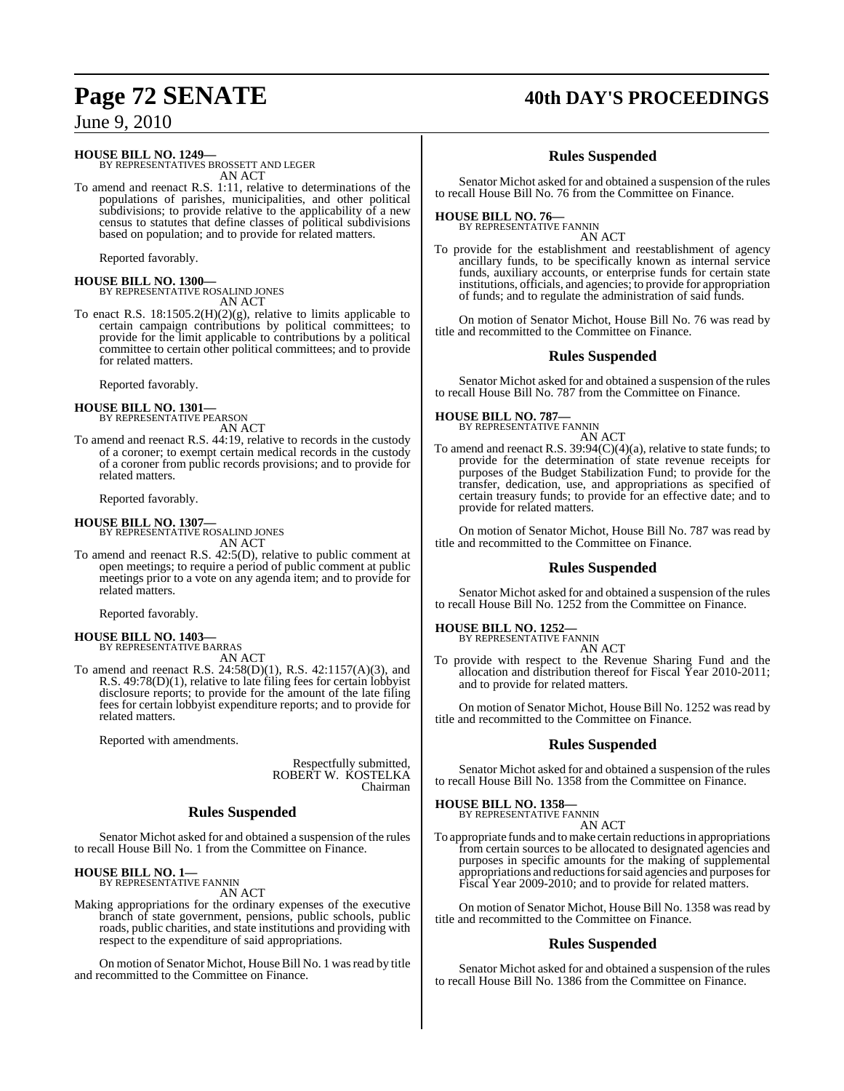## **Page 72 SENATE 40th DAY'S PROCEEDINGS**

June 9, 2010

**HOUSE BILL NO. 1249—** BY REPRESENTATIVES BROSSETT AND LEGER AN ACT

To amend and reenact R.S. 1:11, relative to determinations of the populations of parishes, municipalities, and other political subdivisions; to provide relative to the applicability of a new census to statutes that define classes of political subdivisions based on population; and to provide for related matters.

Reported favorably.

**HOUSE BILL NO. 1300—** BY REPRESENTATIVE ROSALIND JONES AN ACT

To enact R.S. 18:1505.2(H)(2)(g), relative to limits applicable to certain campaign contributions by political committees; to provide for the limit applicable to contributions by a political committee to certain other political committees; and to provide for related matters.

Reported favorably.

**HOUSE BILL NO. 1301—** BY REPRESENTATIVE PEARSON

AN ACT To amend and reenact R.S. 44:19, relative to records in the custody of a coroner; to exempt certain medical records in the custody of a coroner from public records provisions; and to provide for related matters.

Reported favorably.

**HOUSE BILL NO. 1307—**

BY REPRESENTATIVE ROSALIND JONES AN ACT

To amend and reenact R.S. 42:5(D), relative to public comment at open meetings; to require a period of public comment at public meetings prior to a vote on any agenda item; and to provide for related matters.

Reported favorably.

## **HOUSE BILL NO. 1403—** BY REPRESENTATIVE BARRAS

AN ACT

To amend and reenact R.S. 24:58(D)(1), R.S. 42:1157(A)(3), and R.S. 49:78(D)(1), relative to late filing fees for certain lobbyist disclosure reports; to provide for the amount of the late filing fees for certain lobbyist expenditure reports; and to provide for related matters.

Reported with amendments.

Respectfully submitted, ROBERT W. KOSTELKA Chairman

## **Rules Suspended**

Senator Michot asked for and obtained a suspension of the rules to recall House Bill No. 1 from the Committee on Finance.

### **HOUSE BILL NO. 1—** BY REPRESENTATIVE FANNIN

AN ACT

Making appropriations for the ordinary expenses of the executive branch of state government, pensions, public schools, public roads, public charities, and state institutions and providing with respect to the expenditure of said appropriations.

On motion of Senator Michot, House Bill No. 1 wasread by title and recommitted to the Committee on Finance.

## **Rules Suspended**

Senator Michot asked for and obtained a suspension of the rules to recall House Bill No. 76 from the Committee on Finance.

### **HOUSE BILL NO. 76—** BY REPRESENTATIVE FANNIN

AN ACT

To provide for the establishment and reestablishment of agency ancillary funds, to be specifically known as internal service funds, auxiliary accounts, or enterprise funds for certain state institutions, officials, and agencies; to provide for appropriation of funds; and to regulate the administration of said funds.

On motion of Senator Michot, House Bill No. 76 was read by title and recommitted to the Committee on Finance.

## **Rules Suspended**

Senator Michot asked for and obtained a suspension of the rules to recall House Bill No. 787 from the Committee on Finance.

**HOUSE BILL NO. 787—** BY REPRESENTATIVE FANNIN

AN ACT To amend and reenact R.S. 39:94(C)(4)(a), relative to state funds; to provide for the determination of state revenue receipts for purposes of the Budget Stabilization Fund; to provide for the transfer, dedication, use, and appropriations as specified of certain treasury funds; to provide for an effective date; and to provide for related matters.

On motion of Senator Michot, House Bill No. 787 was read by title and recommitted to the Committee on Finance.

## **Rules Suspended**

Senator Michot asked for and obtained a suspension of the rules to recall House Bill No. 1252 from the Committee on Finance.

## **HOUSE BILL NO. 1252—** BY REPRESENTATIVE FANNIN

AN ACT

To provide with respect to the Revenue Sharing Fund and the allocation and distribution thereof for Fiscal Year 2010-2011; and to provide for related matters.

On motion of Senator Michot, House Bill No. 1252 was read by title and recommitted to the Committee on Finance.

## **Rules Suspended**

Senator Michot asked for and obtained a suspension of the rules to recall House Bill No. 1358 from the Committee on Finance.

**HOUSE BILL NO. 1358—**

### BY REPRESENTATIVE FANNIN AN ACT

To appropriate funds and to make certain reductions in appropriations from certain sources to be allocated to designated agencies and purposes in specific amounts for the making of supplemental appropriations and reductions for said agencies and purposes for Fiscal Year 2009-2010; and to provide for related matters.

On motion of Senator Michot, House Bill No. 1358 was read by title and recommitted to the Committee on Finance.

## **Rules Suspended**

Senator Michot asked for and obtained a suspension of the rules to recall House Bill No. 1386 from the Committee on Finance.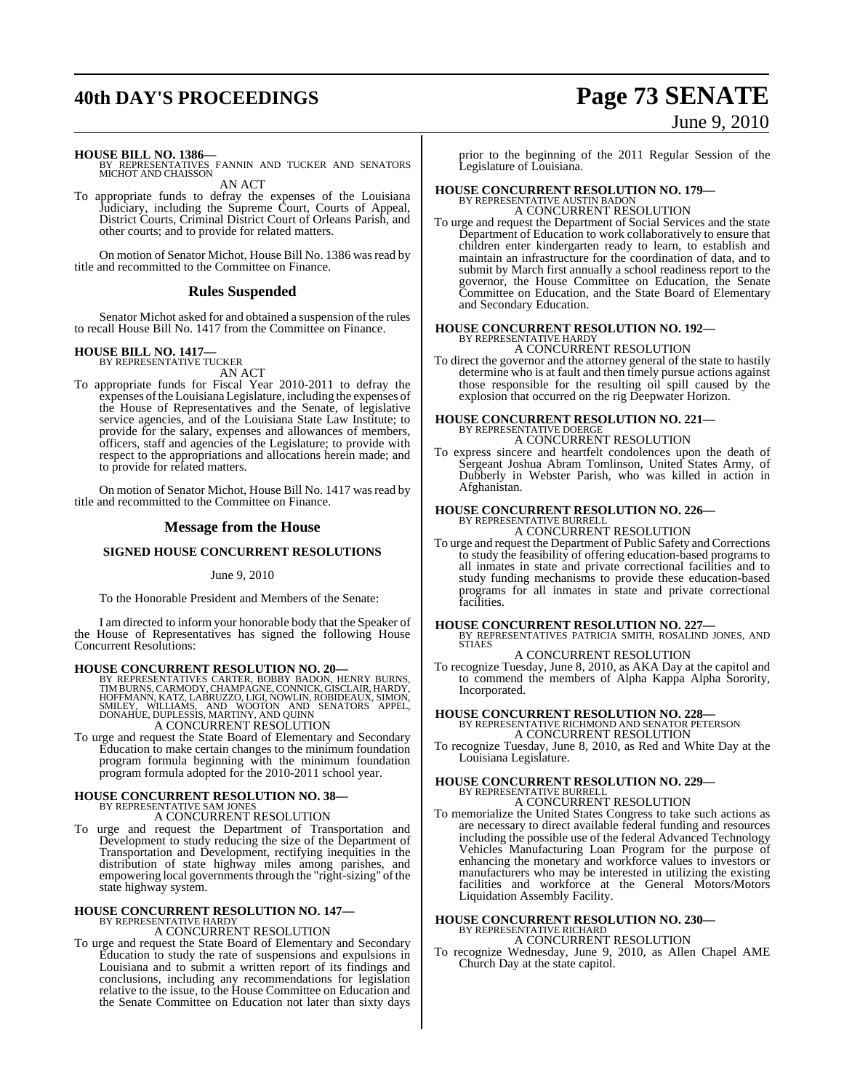## **40th DAY'S PROCEEDINGS Page 73 SENATE**

# June 9, 2010

**HOUSE BILL NO. 1386—** BY REPRESENTATIVES FANNIN AND TUCKER AND SENATORS MICHOT AND CHAISSON

AN ACT

To appropriate funds to defray the expenses of the Louisiana Judiciary, including the Supreme Court, Courts of Appeal, District Courts, Criminal District Court of Orleans Parish, and other courts; and to provide for related matters.

On motion of Senator Michot, House Bill No. 1386 was read by title and recommitted to the Committee on Finance.

#### **Rules Suspended**

Senator Michot asked for and obtained a suspension of the rules to recall House Bill No. 1417 from the Committee on Finance.

## **HOUSE BILL NO. 1417—** BY REPRESENTATIVE TUCKER

AN ACT

To appropriate funds for Fiscal Year 2010-2011 to defray the expenses ofthe Louisiana Legislature, including the expenses of the House of Representatives and the Senate, of legislative service agencies, and of the Louisiana State Law Institute; to provide for the salary, expenses and allowances of members, officers, staff and agencies of the Legislature; to provide with respect to the appropriations and allocations herein made; and to provide for related matters.

On motion of Senator Michot, House Bill No. 1417 was read by title and recommitted to the Committee on Finance.

#### **Message from the House**

#### **SIGNED HOUSE CONCURRENT RESOLUTIONS**

#### June 9, 2010

To the Honorable President and Members of the Senate:

I am directed to inform your honorable body that the Speaker of the House of Representatives has signed the following House Concurrent Resolutions:

#### **HOUSE CONCURRENT RESOLUTION NO. 20—**

BY REPRESENTATIVES CARTER, BOBBY BADON, HENRY BURNS,<br>TIMBURNS, CARMODY, CHAMPAGNE, CONNICK, GISCLAIR, HARDY,<br>HOFFMANN, KATZ, LABRUZZO, LIGI, NOWLIN, ROBIDEAUX, SIMON,<br>SMILEY, WILLIAMS, AND WOOTON AND SENATORS APPEL,<br>DONAHU

### A CONCURRENT RESOLUTION

To urge and request the State Board of Elementary and Secondary Education to make certain changes to the minimum foundation program formula beginning with the minimum foundation program formula adopted for the 2010-2011 school year.

## **HOUSE CONCURRENT RESOLUTION NO. 38—** BY REPRESENTATIVE SAM JONES A CONCURRENT RESOLUTION

- 
- To urge and request the Department of Transportation and Development to study reducing the size of the Department of Transportation and Development, rectifying inequities in the distribution of state highway miles among parishes, and empowering local governments through the "right-sizing" of the state highway system.

## **HOUSE CONCURRENT RESOLUTION NO. 147—** BY REPRESENTATIVE HARDY

#### A CONCURRENT RESOLUTION

To urge and request the State Board of Elementary and Secondary Education to study the rate of suspensions and expulsions in Louisiana and to submit a written report of its findings and conclusions, including any recommendations for legislation relative to the issue, to the House Committee on Education and the Senate Committee on Education not later than sixty days

prior to the beginning of the 2011 Regular Session of the Legislature of Louisiana.

### **HOUSE CONCURRENT RESOLUTION NO. 179—** BY REPRESENTATIVE AUSTIN BADON

A CONCURRENT RESOLUTION

To urge and request the Department of Social Services and the state Department of Education to work collaboratively to ensure that children enter kindergarten ready to learn, to establish and maintain an infrastructure for the coordination of data, and to submit by March first annually a school readiness report to the governor, the House Committee on Education, the Senate Committee on Education, and the State Board of Elementary and Secondary Education.

#### **HOUSE CONCURRENT RESOLUTION NO. 192—** BY REPRESENTATIV

### A CONCURRENT RESOLUTION

To direct the governor and the attorney general of the state to hastily determine who is at fault and then timely pursue actions against those responsible for the resulting oil spill caused by the explosion that occurred on the rig Deepwater Horizon.

### **HOUSE CONCURRENT RESOLUTION NO. 221—** BY REPRESENTATIVE DOERGE A CONCURRENT RESOLUTION

To express sincere and heartfelt condolences upon the death of Sergeant Joshua Abram Tomlinson, United States Army, of Dubberly in Webster Parish, who was killed in action in Afghanistan.

### **HOUSE CONCURRENT RESOLUTION NO. 226—** BY REPRESENTATIVE BURRELL

#### A CONCURRENT RESOLUTION

To urge and request the Department of Public Safety and Corrections to study the feasibility of offering education-based programs to all inmates in state and private correctional facilities and to study funding mechanisms to provide these education-based programs for all inmates in state and private correctional facilities.

**HOUSE CONCURRENT RESOLUTION NO. 227—** BY REPRESENTATIVES PATRICIA SMITH, ROSALIND JONES, AND STIAES A CONCURRENT RESOLUTION

To recognize Tuesday, June 8, 2010, as AKA Day at the capitol and to commend the members of Alpha Kappa Alpha Sorority, Incorporated.

## **HOUSE CONCURRENT RESOLUTION NO. 228—** BY REPRESENTATIVE RICHMOND AND SENATOR PETERSON

A CONCURRENT RESOLUTION

To recognize Tuesday, June 8, 2010, as Red and White Day at the Louisiana Legislature.

#### **HOUSE CONCURRENT RESOLUTION NO. 229—** BY REPRESENTATIVE BURRELL A CONCURRENT RESOLUTION

To memorialize the United States Congress to take such actions as are necessary to direct available federal funding and resources including the possible use of the federal Advanced Technology Vehicles Manufacturing Loan Program for the purpose of enhancing the monetary and workforce values to investors or manufacturers who may be interested in utilizing the existing facilities and workforce at the General Motors/Motors Liquidation Assembly Facility.

## **HOUSE CONCURRENT RESOLUTION NO. 230—** BY REPRESENTATIVE RICHARD

A CONCURRENT RESOLUTION

To recognize Wednesday, June 9, 2010, as Allen Chapel AME Church Day at the state capitol.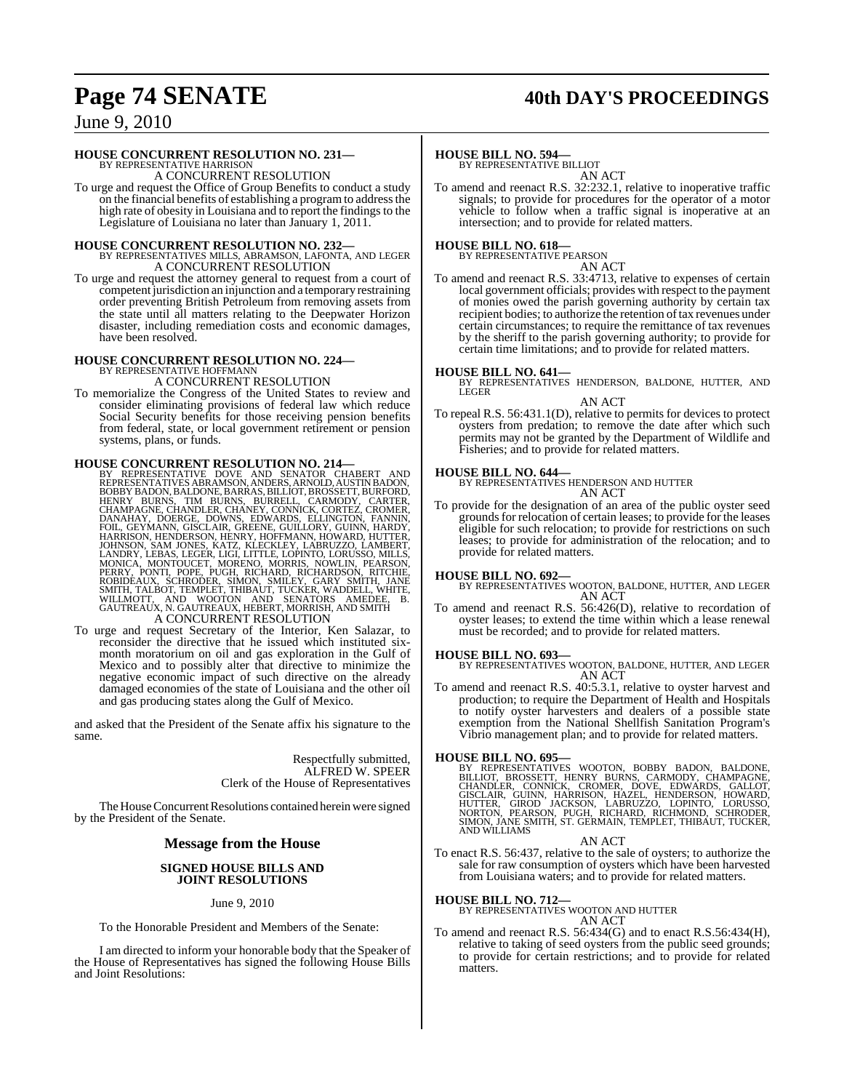## **Page 74 SENATE 40th DAY'S PROCEEDINGS**

### June 9, 2010

### **HOUSE CONCURRENT RESOLUTION NO. 231—**

BY REPRESENTATIVE HARRISON A CONCURRENT RESOLUTION

To urge and request the Office of Group Benefits to conduct a study on the financial benefits of establishing a programto addressthe high rate of obesity in Louisiana and to report the findings to the Legislature of Louisiana no later than January 1, 2011.

**HOUSE CONCURRENT RESOLUTION NO. 232—** BY REPRESENTATIVES MILLS, ABRAMSON, LAFONTA, AND LEGER A CONCURRENT RESOLUTION

To urge and request the attorney general to request from a court of competent jurisdiction an injunction and a temporary restraining order preventing British Petroleum from removing assets from the state until all matters relating to the Deepwater Horizon disaster, including remediation costs and economic damages, have been resolved.

## **HOUSE CONCURRENT RESOLUTION NO. 224—** BY REPRESENTATIVE HOFFMANN

A CONCURRENT RESOLUTION

To memorialize the Congress of the United States to review and consider eliminating provisions of federal law which reduce Social Security benefits for those receiving pension benefits from federal, state, or local government retirement or pension systems, plans, or funds.

HOUSE CONCURRENT RESOLUTION NO. 214—<br>
BY REPRESENTATIVES DOVE AND SENATOR CHABERT AND<br>
REPRESENTATIVES ABRAMSON, ANDERS, ARNOLD, AUSTINBADON,<br>
BOBBY BADON, BALDONE, BARRAS, BILLIOT, BROSSETT, BURFORD,<br>
HENRY BURNS, TIM BUR A CONCURRENT RESOLUTION

To urge and request Secretary of the Interior, Ken Salazar, to reconsider the directive that he issued which instituted sixmonth moratorium on oil and gas exploration in the Gulf of Mexico and to possibly alter that directive to minimize the negative economic impact of such directive on the already damaged economies of the state of Louisiana and the other oil and gas producing states along the Gulf of Mexico.

and asked that the President of the Senate affix his signature to the same.

> Respectfully submitted, ALFRED W. SPEER Clerk of the House of Representatives

The House Concurrent Resolutions contained herein were signed by the President of the Senate.

### **Message from the House**

#### **SIGNED HOUSE BILLS AND JOINT RESOLUTIONS**

#### June 9, 2010

To the Honorable President and Members of the Senate:

I am directed to inform your honorable body that the Speaker of the House of Representatives has signed the following House Bills and Joint Resolutions:

#### **HOUSE BILL NO. 594—**

BY REPRESENTATIVE BILLIOT AN ACT

To amend and reenact R.S. 32:232.1, relative to inoperative traffic signals; to provide for procedures for the operator of a motor vehicle to follow when a traffic signal is inoperative at an intersection; and to provide for related matters.

### **HOUSE BILL NO. 618—** BY REPRESENTATIVE PEARSON

AN ACT

To amend and reenact R.S. 33:4713, relative to expenses of certain local government officials; provides with respect to the payment of monies owed the parish governing authority by certain tax recipient bodies; to authorize the retention of tax revenues under certain circumstances; to require the remittance of tax revenues by the sheriff to the parish governing authority; to provide for certain time limitations; and to provide for related matters.

**HOUSE BILL NO. 641—** BY REPRESENTATIVES HENDERSON, BALDONE, HUTTER, AND LEGER

#### AN ACT

To repeal R.S. 56:431.1(D), relative to permits for devices to protect oysters from predation; to remove the date after which such permits may not be granted by the Department of Wildlife and Fisheries; and to provide for related matters.

**HOUSE BILL NO. 644—** BY REPRESENTATIVES HENDERSON AND HUTTER AN ACT

To provide for the designation of an area of the public oyster seed grounds for relocation of certain leases; to provide for the leases eligible for such relocation; to provide for restrictions on such leases; to provide for administration of the relocation; and to provide for related matters.

**HOUSE BILL NO. 692—** BY REPRESENTATIVES WOOTON, BALDONE, HUTTER, AND LEGER AN ACT

To amend and reenact R.S. 56:426(D), relative to recordation of oyster leases; to extend the time within which a lease renewal must be recorded; and to provide for related matters.

#### **HOUSE BILL NO. 693—**

BY REPRESENTATIVES WOOTON, BALDONE, HUTTER, AND LEGER AN ACT

To amend and reenact R.S. 40:5.3.1, relative to oyster harvest and production; to require the Department of Health and Hospitals to notify oyster harvesters and dealers of a possible state exemption from the National Shellfish Sanitation Program's Vibrio management plan; and to provide for related matters.

**HOUSE BILL NO. 695—**<br>BY REPRESENTATIVES WOOTON, BOBBY BADON, BALDONE, BILLIOT, BROSSETT, HENRY BURNS, CARMODY, CHAMPAGNE,<br>CHANDLER, CONNICK, CROMER, DOVE, EDWARDS, GALLOT,<br>GISCLAIR, GUINN, HARRISON, HAZEL, HENDERSON, HOWA AND WILLIAMS

#### AN ACT

To enact R.S. 56:437, relative to the sale of oysters; to authorize the sale for raw consumption of oysters which have been harvested from Louisiana waters; and to provide for related matters.

**HOUSE BILL NO. 712—** BY REPRESENTATIVES WOOTON AND HUTTER AN ACT

To amend and reenact R.S. 56:434(G) and to enact R.S.56:434(H), relative to taking of seed oysters from the public seed grounds; to provide for certain restrictions; and to provide for related matters.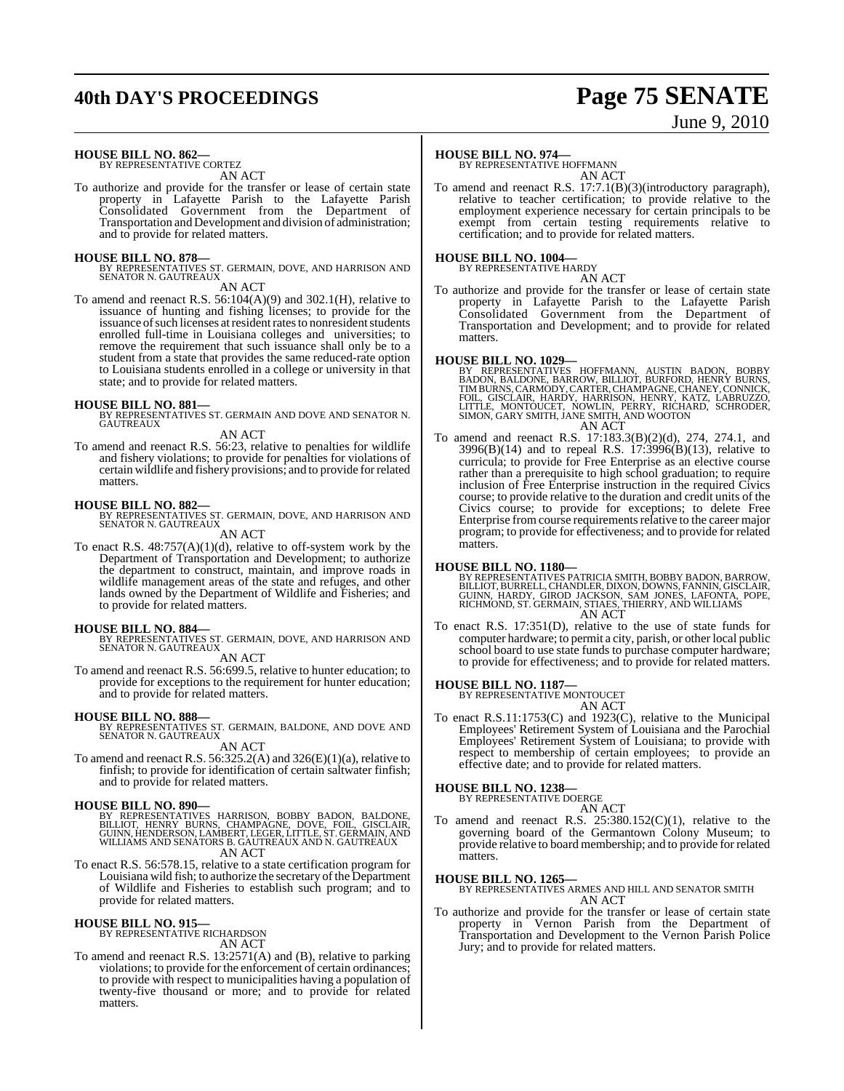## **40th DAY'S PROCEEDINGS Page 75 SENATE**

# June 9, 2010

**HOUSE BILL NO. 862—** BY REPRESENTATIVE CORTEZ

AN ACT

To authorize and provide for the transfer or lease of certain state property in Lafayette Parish to the Lafayette Parish Consolidated Government from the Department of Transportation and Development and division of administration; and to provide for related matters.

#### **HOUSE BILL NO. 878—**

BY REPRESENTATIVES ST. GERMAIN, DOVE, AND HARRISON AND SENATOR N. GAUTREAUX AN ACT

To amend and reenact R.S. 56:104(A)(9) and 302.1(H), relative to issuance of hunting and fishing licenses; to provide for the issuance of such licenses at resident rates to nonresident students enrolled full-time in Louisiana colleges and universities; to remove the requirement that such issuance shall only be to a student from a state that provides the same reduced-rate option to Louisiana students enrolled in a college or university in that state; and to provide for related matters.

### **HOUSE BILL NO. 881—**

BY REPRESENTATIVES ST. GERMAIN AND DOVE AND SENATOR N. GAUTREAUX

#### AN ACT

To amend and reenact R.S. 56:23, relative to penalties for wildlife and fishery violations; to provide for penalties for violations of certain wildlife and fishery provisions; and to provide forrelated matters.

#### **HOUSE BILL NO. 882—**

BY REPRESENTATIVES ST. GERMAIN, DOVE, AND HARRISON AND SENATOR N. GAUTREAUX AN ACT

To enact R.S. 48:757(A)(1)(d), relative to off-system work by the Department of Transportation and Development; to authorize the department to construct, maintain, and improve roads in wildlife management areas of the state and refuges, and other lands owned by the Department of Wildlife and Fisheries; and to provide for related matters.

**HOUSE BILL NO. 884—** BY REPRESENTATIVES ST. GERMAIN, DOVE, AND HARRISON AND SENATOR N. GAUTREAUX

AN ACT

To amend and reenact R.S. 56:699.5, relative to hunter education; to provide for exceptions to the requirement for hunter education; and to provide for related matters.

#### **HOUSE BILL NO. 888—**

BY REPRESENTATIVES ST. GERMAIN, BALDONE, AND DOVE AND SENATOR N. GAUTREAUX AN ACT

To amend and reenact R.S.  $56:325.2(A)$  and  $326(E)(1)(a)$ , relative to finfish; to provide for identification of certain saltwater finfish; and to provide for related matters.

#### **HOUSE BILL NO. 890—**

BY REPRESENTATIVES HARRISON, BOBBY BADON, BALDONE,<br>BILLIOT, HENRY BURNS, CHAMPAGNE, DOVE, FOIL, GISCLAIR,<br>GUINN,HENDERSON,LAMBERT,LEGER,LITTLE,ST.GERMAIN,AND<br>WILLIAMS AND SENATORS B.GAUTREAUX AND N.GAUTREAUX AN ACT

To enact R.S. 56:578.15, relative to a state certification program for Louisiana wild fish; to authorize the secretary of the Department of Wildlife and Fisheries to establish such program; and to provide for related matters.

#### **HOUSE BILL NO. 915—**

BY REPRESENTATIVE RICHARDSON AN ACT

To amend and reenact R.S. 13:2571(A) and (B), relative to parking violations; to provide for the enforcement of certain ordinances; to provide with respect to municipalities having a population of twenty-five thousand or more; and to provide for related matters.

### **HOUSE BILL NO. 974—**

BY REPRESENTATIVE HOFFMANN AN ACT

To amend and reenact R.S. 17:7.1(B)(3)(introductory paragraph), relative to teacher certification; to provide relative to the employment experience necessary for certain principals to be exempt from certain testing requirements relative to certification; and to provide for related matters.

#### **HOUSE BILL NO. 1004—**

BY REPRESENTATIVE HARDY AN ACT

To authorize and provide for the transfer or lease of certain state property in Lafayette Parish to the Lafayette Parish Consolidated Government from the Department of Transportation and Development; and to provide for related matters.

**HOUSE BILL NO. 1029—**<br>BY REPRESENTATIVES HOFFMANN, AUSTIN BADON, BOBBY RADON, BALDONE, BARROW, BILLIOT, BURFORD, HENRY BURNS, TIMBURNS, CARMODY, CARTER, CHAMPAGNE, CHANEY, CONNICK, FOIL, GISCLAIR, HARDY, HARRISON, HENRY,

To amend and reenact R.S. 17:183.3(B)(2)(d), 274, 274.1, and 3996(B)(14) and to repeal R.S. 17:3996(B)(13), relative to curricula; to provide for Free Enterprise as an elective course rather than a prerequisite to high school graduation; to require inclusion of Free Enterprise instruction in the required Civics course; to provide relative to the duration and credit units of the Civics course; to provide for exceptions; to delete Free Enterprise from course requirements relative to the career major program; to provide for effectiveness; and to provide for related matters.

#### **HOUSE BILL NO. 1180—**

BY REPRESENTATIVES PATRICIA SMITH, BOBBY BADON, BARROW,<br>BILLIOT, BURRELL, CHANDLER, DIXON, DOWNS, FANNIN, GISCLAIR,<br>GUINN, HARDY, GIROD JACKSON, SAM JONES, LAFONTA, POPE,<br>RICHMOND, ST. GERMAIN, STIAES, THIERRY, AND WILLIAM AN ACT

To enact R.S. 17:351(D), relative to the use of state funds for computer hardware; to permit a city, parish, or other local public school board to use state funds to purchase computer hardware; to provide for effectiveness; and to provide for related matters.

**HOUSE BILL NO. 1187—** BY REPRESENTATIVE MONTOUCET

AN ACT

To enact R.S.11:1753(C) and 1923(C), relative to the Municipal Employees' Retirement System of Louisiana and the Parochial Employees' Retirement System of Louisiana; to provide with respect to membership of certain employees; to provide an effective date; and to provide for related matters.

#### **HOUSE BILL NO. 1238—** BY REPRESENTATIVE DOERGE

AN ACT To amend and reenact R.S.  $25:380.152(C)(1)$ , relative to the governing board of the Germantown Colony Museum; to provide relative to board membership; and to provide for related matters.

**HOUSE BILL NO. 1265—** BY REPRESENTATIVES ARMES AND HILL AND SENATOR SMITH AN ACT

To authorize and provide for the transfer or lease of certain state property in Vernon Parish from the Department of Transportation and Development to the Vernon Parish Police Jury; and to provide for related matters.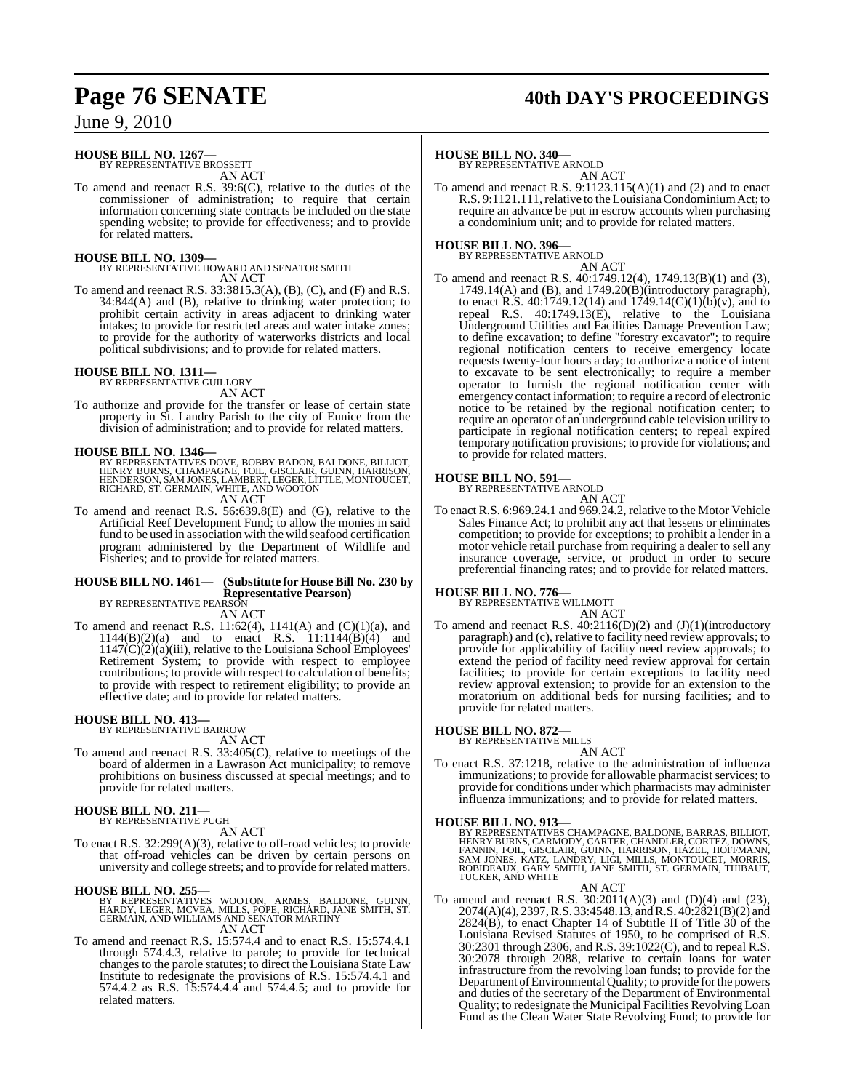## **Page 76 SENATE 40th DAY'S PROCEEDINGS**

### June 9, 2010

### **HOUSE BILL NO. 1267—**

BY REPRESENTATIVE BROSSETT AN ACT

To amend and reenact R.S. 39:6(C), relative to the duties of the commissioner of administration; to require that certain information concerning state contracts be included on the state spending website; to provide for effectiveness; and to provide for related matters.

#### **HOUSE BILL NO. 1309—**

BY REPRESENTATIVE HOWARD AND SENATOR SMITH AN ACT

To amend and reenact R.S. 33:3815.3(A), (B), (C), and (F) and R.S. 34:844(A) and (B), relative to drinking water protection; to prohibit certain activity in areas adjacent to drinking water intakes; to provide for restricted areas and water intake zones; to provide for the authority of waterworks districts and local political subdivisions; and to provide for related matters.

## **HOUSE BILL NO. 1311—** BY REPRESENTATIVE GUILLORY

AN ACT

To authorize and provide for the transfer or lease of certain state property in St. Landry Parish to the city of Eunice from the division of administration; and to provide for related matters.

**HOUSE BILL NO. 1346—** BY REPRESENTATIVES DOVE, BOBBY BADON, BALDONE, BILLIOT, HENRY BURNS, CHAMPAGNE, FOIL, GISCLAIR, GUINN, HARRISON,<br>HENDERSON, SAM JONES, LAMBERT, LEGER, LITTLE, MONTOUCET,<br>RICHARD, ST. GERMAIN, WHITE, AND WOOTON

- AN ACT
- To amend and reenact R.S. 56:639.8(E) and (G), relative to the Artificial Reef Development Fund; to allow the monies in said fund to be used in association with the wild seafood certification program administered by the Department of Wildlife and Fisheries; and to provide for related matters.

### **HOUSE BILL NO. 1461— (Substitute for HouseBill No. 230 by Representative Pearson)** BY REPRESENTATIVE PEARSON

AN ACT

To amend and reenact R.S.  $11:62(4)$ ,  $1141(A)$  and  $(C)(1)(a)$ , and  $1144(B)(2)(a)$  and to enact R.S.  $11:1144(B)(4)$  and 1147(C)(2)(a)(iii), relative to the Louisiana School Employees' Retirement System; to provide with respect to employee contributions; to provide with respect to calculation of benefits; to provide with respect to retirement eligibility; to provide an effective date; and to provide for related matters.

#### **HOUSE BILL NO. 413—** BY REPRESENTATIVE BARROW

AN ACT

To amend and reenact R.S. 33:405(C), relative to meetings of the board of aldermen in a Lawrason Act municipality; to remove prohibitions on business discussed at special meetings; and to provide for related matters.

#### **HOUSE BILL NO. 211—** BY REPRESENTATIVE PUGH

AN ACT

To enact R.S. 32:299(A)(3), relative to off-road vehicles; to provide that off-road vehicles can be driven by certain persons on university and college streets; and to provide for related matters.

#### **HOUSE BILL NO. 255—**

BY REPRESENTATIVES WOOTON, ARMES, BALDONE, GUINN,<br>HARDY, LEGER, MCVEA, MILLS, POPE, RICHARD, JANE SMITH, ST.<br>GERMAIN, AND WILLIAMS AND SENATOR MARTINY AN ACT

To amend and reenact R.S. 15:574.4 and to enact R.S. 15:574.4.1 through 574.4.3, relative to parole; to provide for technical changes to the parole statutes; to direct the Louisiana State Law Institute to redesignate the provisions of R.S. 15:574.4.1 and 574.4.2 as R.S. 15:574.4.4 and 574.4.5; and to provide for related matters.

#### **HOUSE BILL NO. 340—**

BY REPRESENTATIVE ARNOLD AN ACT

To amend and reenact R.S. 9:1123.115(A)(1) and (2) and to enact R.S. 9:1121.111, relative to the Louisiana Condominium Act; to require an advance be put in escrow accounts when purchasing a condominium unit; and to provide for related matters.

### **HOUSE BILL NO. 396—** BY REPRESENTATIVE ARNOLD

AN ACT To amend and reenact R.S. 40:1749.12(4), 1749.13(B)(1) and (3), 1749.14(A) and (B), and 1749.20(B)(introductory paragraph), to enact R.S. 40:1749.12(14) and 1749.14(C)(1)(b)(v), and to repeal R.S. 40:1749.13(E), relative to the Louisiana Underground Utilities and Facilities Damage Prevention Law; to define excavation; to define "forestry excavator"; to require regional notification centers to receive emergency locate requests twenty-four hours a day; to authorize a notice of intent to excavate to be sent electronically; to require a member operator to furnish the regional notification center with emergency contact information; to require a record of electronic notice to be retained by the regional notification center; to require an operator of an underground cable television utility to participate in regional notification centers; to repeal expired temporary notification provisions; to provide for violations; and to provide for related matters.

#### **HOUSE BILL NO. 591—**

BY REPRESENTATIVE ARNOLD

AN ACT To enact R.S. 6:969.24.1 and 969.24.2, relative to the Motor Vehicle Sales Finance Act; to prohibit any act that lessens or eliminates competition; to provide for exceptions; to prohibit a lender in a motor vehicle retail purchase from requiring a dealer to sell any insurance coverage, service, or product in order to secure preferential financing rates; and to provide for related matters.

#### **HOUSE BILL NO. 776—**

BY REPRESENTATIVE WILLMOTI

### AN ACT

To amend and reenact R.S.  $40:2116(D)(2)$  and  $(J)(1)(introductory)$ paragraph) and (c), relative to facility need review approvals; to provide for applicability of facility need review approvals; to extend the period of facility need review approval for certain facilities; to provide for certain exceptions to facility need review approval extension; to provide for an extension to the moratorium on additional beds for nursing facilities; and to provide for related matters.

#### **HOUSE BILL NO. 872—**

BY REPRESENTATIVE MILLS

AN ACT To enact R.S. 37:1218, relative to the administration of influenza immunizations; to provide for allowable pharmacist services; to provide for conditions under which pharmacists may administer influenza immunizations; and to provide for related matters.

#### **HOUSE BILL NO. 913—**

BY REPRESENTATIVES CHAMPAGNE, BALDONE, BARRAS, BILLIOT,<br>HENRY BURNS, CARMODY, CARTER, CHANDLER, CORTEZ, DOWNS,<br>FANNIN, FOIL, GISCLAIR, GUINN, HARRISON, HAZEL, HOFFMANN,<br>SAM JONES, KATZ, LANDRY, LIGI, MILLS, MONTOUCET, MORR

AN ACT

To amend and reenact R.S. 30:2011(A)(3) and (D)(4) and (23), 2074(A)(4), 2397, R.S. 33:4548.13, and R.S. 40:2821(B)(2) and  $2824(B)$ , to enact Chapter 14 of Subtitle II of Title 30 of the Louisiana Revised Statutes of 1950, to be comprised of R.S. 30:2301 through 2306, and R.S. 39:1022(C), and to repeal R.S. 30:2078 through 2088, relative to certain loans for water infrastructure from the revolving loan funds; to provide for the Department of Environmental Quality; to provide for the powers and duties of the secretary of the Department of Environmental Quality; to redesignate the Municipal Facilities Revolving Loan Fund as the Clean Water State Revolving Fund; to provide for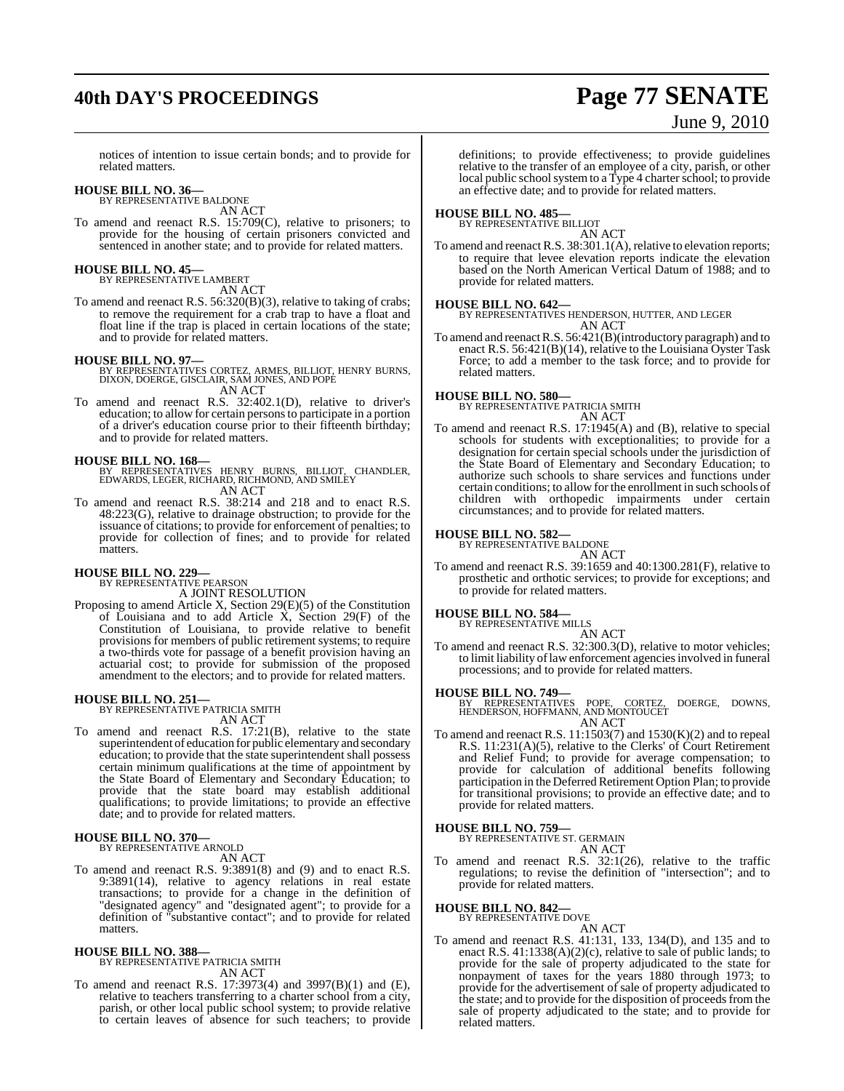## **40th DAY'S PROCEEDINGS Page 77 SENATE**

# June 9, 2010

notices of intention to issue certain bonds; and to provide for related matters.

### **HOUSE BILL NO. 36—**

BY REPRESENTATIVE BALDONE AN ACT

To amend and reenact R.S. 15:709(C), relative to prisoners; to provide for the housing of certain prisoners convicted and sentenced in another state; and to provide for related matters.

## **HOUSE BILL NO. 45—** BY REPRESENTATIVE LAMBERT

AN ACT

To amend and reenact R.S. 56:320(B)(3), relative to taking of crabs; to remove the requirement for a crab trap to have a float and float line if the trap is placed in certain locations of the state; and to provide for related matters.

- **HOUSE BILL NO. 97—** BY REPRESENTATIVES CORTEZ, ARMES, BILLIOT, HENRY BURNS, DIXON, DOERGE, GISCLAIR, SAM JONES, AND POPE AN ACT
- To amend and reenact R.S. 32:402.1(D), relative to driver's education; to allow for certain persons to participate in a portion of a driver's education course prior to their fifteenth birthday; and to provide for related matters.

#### **HOUSE BILL NO. 168—**

- BY REPRESENTATIVES HENRY BURNS, BILLIOT, CHANDLER, EDWARDS, LEGER, RICHARD, RICHMOND, AND SMILEY AN ACT
- To amend and reenact R.S. 38:214 and 218 and to enact R.S. 48:223(G), relative to drainage obstruction; to provide for the issuance of citations; to provide for enforcement of penalties; to provide for collection of fines; and to provide for related matters.

### **HOUSE BILL NO. 229—** BY REPRESENTATIVE PEARSON

A JOINT RESOLUTION

Proposing to amend Article X, Section 29(E)(5) of the Constitution of Louisiana and to add Article  $\overline{X}$ , Section 29(F) of the Constitution of Louisiana, to provide relative to benefit provisions for members of public retirement systems; to require a two-thirds vote for passage of a benefit provision having an actuarial cost; to provide for submission of the proposed amendment to the electors; and to provide for related matters.

### **HOUSE BILL NO. 251—** BY REPRESENTATIVE PATRICIA SMITH

AN ACT

To amend and reenact R.S. 17:21(B), relative to the state superintendent of education for public elementary and secondary education; to provide that the state superintendent shall possess certain minimum qualifications at the time of appointment by the State Board of Elementary and Secondary Education; to provide that the state board may establish additional qualifications; to provide limitations; to provide an effective date; and to provide for related matters.

## **HOUSE BILL NO. 370—** BY REPRESENTATIVE ARNOLD

AN ACT

To amend and reenact R.S. 9:3891(8) and (9) and to enact R.S. 9:3891(14), relative to agency relations in real estate transactions; to provide for a change in the definition of "designated agency" and "designated agent"; to provide for a definition of "substantive contact"; and to provide for related matters.

### **HOUSE BILL NO. 388—** BY REPRESENTATIVE PATRICIA SMITH AN ACT

To amend and reenact R.S. 17:3973(4) and 3997(B)(1) and (E), relative to teachers transferring to a charter school from a city, parish, or other local public school system; to provide relative to certain leaves of absence for such teachers; to provide

definitions; to provide effectiveness; to provide guidelines relative to the transfer of an employee of a city, parish, or other local public school system to a Type 4 charter school; to provide an effective date; and to provide for related matters.

#### **HOUSE BILL NO. 485—** BY REPRESENTATIVE BILLIOT

AN ACT

To amend and reenact R.S. 38:301.1(A), relative to elevation reports; to require that levee elevation reports indicate the elevation based on the North American Vertical Datum of 1988; and to provide for related matters.

#### **HOUSE BILL NO. 642—**

BY REPRESENTATIVES HENDERSON, HUTTER, AND LEGER AN ACT

To amend and reenactR.S. 56:421(B)(introductory paragraph) and to enact R.S.  $56:421(B)(14)$ , relative to the Louisiana Oyster Task Force; to add a member to the task force; and to provide for related matters.

#### **HOUSE BILL NO. 580—**

BY REPRESENTATIVE PATRICIA SMITH AN ACT

To amend and reenact R.S. 17:1945(A) and (B), relative to special schools for students with exceptionalities; to provide for a designation for certain special schools under the jurisdiction of the State Board of Elementary and Secondary Education; to authorize such schools to share services and functions under certain conditions; to allow for the enrollment in such schools of children with orthopedic impairments under certain circumstances; and to provide for related matters.

#### **HOUSE BILL NO. 582—**

BY REPRESENTATIVE BALDONE

AN ACT To amend and reenact R.S. 39:1659 and 40:1300.281(F), relative to prosthetic and orthotic services; to provide for exceptions; and to provide for related matters.

#### **HOUSE BILL NO. 584—**

BY REPRESENTATIVE MILLS

AN ACT To amend and reenact R.S. 32:300.3(D), relative to motor vehicles; to limit liability of law enforcement agencies involved in funeral processions; and to provide for related matters.

#### **HOUSE BILL NO. 749—**

BY REPRESENTATIVES POPE, CORTEZ, DOERGE, DOWNS, HENDERSON, HOFFMANN, AND MONTOUCET AN ACT

To amend and reenact R.S. 11:1503(7) and 1530(K)(2) and to repeal R.S. 11:231(A)(5), relative to the Clerks' of Court Retirement and Relief Fund; to provide for average compensation; to provide for calculation of additional benefits following participation in the Deferred Retirement Option Plan; to provide for transitional provisions; to provide an effective date; and to provide for related matters.

#### **HOUSE BILL NO. 759—**

BY REPRESENTATIVE ST. GERMAIN AN ACT

To amend and reenact R.S. 32:1(26), relative to the traffic regulations; to revise the definition of "intersection"; and to provide for related matters.

## **HOUSE BILL NO. 842—** BY REPRESENTATIVE DOVE

AN ACT

To amend and reenact R.S. 41:131, 133, 134(D), and 135 and to enact R.S. 41:1338(A)(2)(c), relative to sale of public lands; to provide for the sale of property adjudicated to the state for nonpayment of taxes for the years 1880 through 1973; to provide for the advertisement of sale of property adjudicated to the state; and to provide for the disposition of proceeds from the sale of property adjudicated to the state; and to provide for related matters.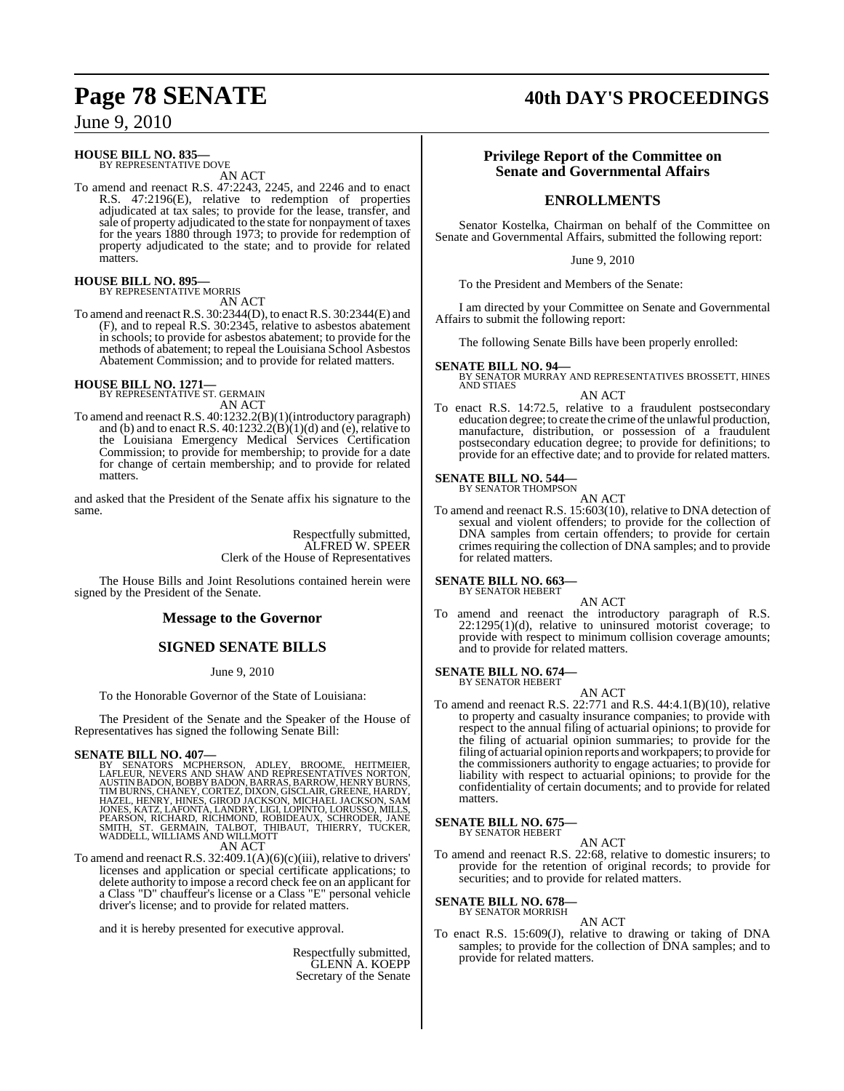### June 9, 2010

**HOUSE BILL NO. 835—** BY REPRESENTATIVE DOVE

AN ACT

To amend and reenact R.S. 47:2243, 2245, and 2246 and to enact R.S. 47:2196(E), relative to redemption of properties adjudicated at tax sales; to provide for the lease, transfer, and sale of property adjudicated to the state for nonpayment of taxes for the years 1880 through 1973; to provide for redemption of property adjudicated to the state; and to provide for related matters.

## **HOUSE BILL NO. 895—** BY REPRESENTATIVE MORRIS

AN ACT

To amend and reenact R.S. 30:2344(D), to enact R.S. 30:2344(E) and (F), and to repeal R.S. 30:2345, relative to asbestos abatement in schools; to provide for asbestos abatement; to provide for the methods of abatement; to repeal the Louisiana School Asbestos Abatement Commission; and to provide for related matters.

## **HOUSE BILL NO. 1271—** BY REPRESENTATIVE ST. GERMAIN

AN ACT

To amend and reenact R.S. 40:1232.2(B)(1)(introductory paragraph) and (b) and to enact R.S. 40:1232.2( $\hat{B}$ )(1)(d) and (e), relative to the Louisiana Emergency Medical Services Certification Commission; to provide for membership; to provide for a date for change of certain membership; and to provide for related matters.

and asked that the President of the Senate affix his signature to the same.

> Respectfully submitted, ALFRED W. SPEER Clerk of the House of Representatives

The House Bills and Joint Resolutions contained herein were signed by the President of the Senate.

### **Message to the Governor**

### **SIGNED SENATE BILLS**

#### June 9, 2010

To the Honorable Governor of the State of Louisiana:

The President of the Senate and the Speaker of the House of Representatives has signed the following Senate Bill:

#### **SENATE BILL NO. 407—**

BY SENATORS MCPHERSON, ADLEY, BROOME, HEITMEIER,<br>LAFLEUR,NEVERS AND SHAW AND REPRESENTATIVES NORTON,<br>AUSTINBADON,BOBBYBADON,BARRAS,BARROW,HENRYBURNS,<br>TIMBURNS,CHANEY,CORTEZ,DIXON,GISCLAIR,GREENE,HARDY,<br>HAZEL,HENRY,HINES,GI JONES, KATZ, LAFONTA, LANDRY, LIGI, LOPINTO, LORUSSO, MILLS,<br>PEARSON, RICHARD, RICHMOND, ROBIDEAUX, SCHRODER, JANE<br>SMITH, ST. GERMAIN, TALBOT, THIBAUT, THIERRY, TUCKER, WADDELL, WILLIAMS AND WILLMOTT

#### AN ACT

To amend and reenact R.S.  $32:409.1(A)(6)(c)(iii)$ , relative to drivers' licenses and application or special certificate applications; to delete authority to impose a record check fee on an applicant for a Class "D" chauffeur's license or a Class "E" personal vehicle driver's license; and to provide for related matters.

and it is hereby presented for executive approval.

Respectfully submitted, GLENN A. KOEPP Secretary of the Senate

## **Page 78 SENATE 40th DAY'S PROCEEDINGS**

### **Privilege Report of the Committee on Senate and Governmental Affairs**

### **ENROLLMENTS**

Senator Kostelka, Chairman on behalf of the Committee on Senate and Governmental Affairs, submitted the following report:

June 9, 2010

To the President and Members of the Senate:

I am directed by your Committee on Senate and Governmental Affairs to submit the following report:

The following Senate Bills have been properly enrolled:

- **SENATE BILL NO. 94—** BY SENATOR MURRAY AND REPRESENTATIVES BROSSETT, HINES AND STIAES AN ACT
- To enact R.S. 14:72.5, relative to a fraudulent postsecondary education degree; to create the crime of the unlawful production, manufacture, distribution, or possession of a fraudulent postsecondary education degree; to provide for definitions; to provide for an effective date; and to provide for related matters.

## **SENATE BILL NO. 544—**<br>BY SENATOR THOMPSON

AN ACT

To amend and reenact R.S. 15:603(10), relative to DNA detection of sexual and violent offenders; to provide for the collection of DNA samples from certain offenders; to provide for certain crimes requiring the collection of DNA samples; and to provide for related matters.

#### **SENATE BILL NO. 663—** BY SENATOR HEBERT

AN ACT

To amend and reenact the introductory paragraph of R.S.  $22:1295(1)(d)$ , relative to uninsured motorist coverage; to provide with respect to minimum collision coverage amounts; and to provide for related matters.

#### **SENATE BILL NO. 674—** BY SENATOR HEBERT

AN ACT To amend and reenact R.S. 22:771 and R.S. 44:4.1(B)(10), relative to property and casualty insurance companies; to provide with respect to the annual filing of actuarial opinions; to provide for the filing of actuarial opinion summaries; to provide for the filing of actuarial opinion reports and workpapers; to provide for the commissioners authority to engage actuaries; to provide for liability with respect to actuarial opinions; to provide for the confidentiality of certain documents; and to provide for related matters.

#### **SENATE BILL NO. 675—** BY SENATOR HEBERT

AN ACT To amend and reenact R.S. 22:68, relative to domestic insurers; to provide for the retention of original records; to provide for securities; and to provide for related matters.

#### **SENATE BILL NO. 678** BY SENATOR MORRISH

AN ACT

To enact R.S. 15:609(J), relative to drawing or taking of DNA samples; to provide for the collection of DNA samples; and to provide for related matters.